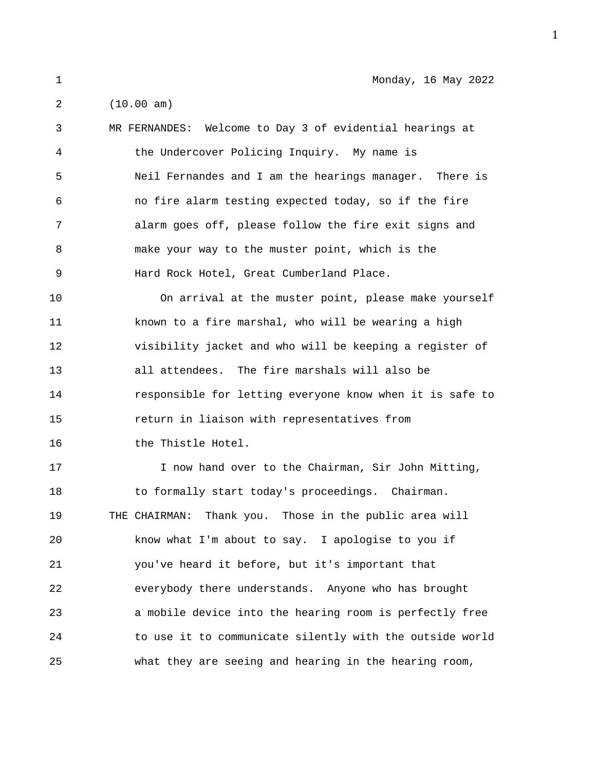1 Monday, 16 May 2022

2 (10.00 am)

3 MR FERNANDES: Welcome to Day 3 of evidential hearings at 4 the Undercover Policing Inquiry. My name is 5 Neil Fernandes and I am the hearings manager. There is 6 no fire alarm testing expected today, so if the fire 7 alarm goes off, please follow the fire exit signs and 8 make your way to the muster point, which is the 9 Hard Rock Hotel, Great Cumberland Place. 10 On arrival at the muster point, please make yourself 11 known to a fire marshal, who will be wearing a high

12 visibility jacket and who will be keeping a register of 13 all attendees. The fire marshals will also be 14 responsible for letting everyone know when it is safe to 15 return in liaison with representatives from 16 the Thistle Hotel.

17 I now hand over to the Chairman, Sir John Mitting, 18 to formally start today's proceedings. Chairman. 19 THE CHAIRMAN: Thank you. Those in the public area will 20 know what I'm about to say. I apologise to you if 21 you've heard it before, but it's important that 22 everybody there understands. Anyone who has brought 23 a mobile device into the hearing room is perfectly free 24 to use it to communicate silently with the outside world 25 what they are seeing and hearing in the hearing room,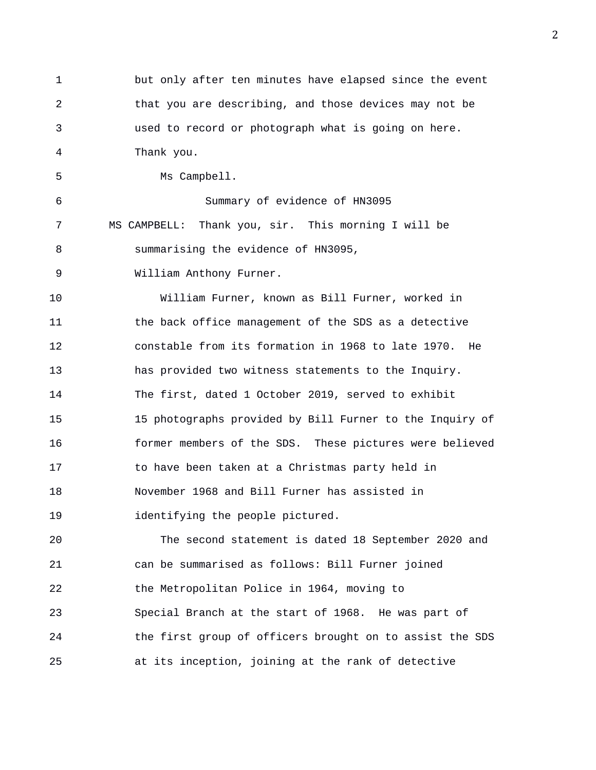1 but only after ten minutes have elapsed since the event 2 that you are describing, and those devices may not be 3 used to record or photograph what is going on here. 4 Thank you. 5 Ms Campbell. 6 Summary of evidence of HN3095 7 MS CAMPBELL: Thank you, sir. This morning I will be 8 summarising the evidence of HN3095, 9 William Anthony Furner. 10 William Furner, known as Bill Furner, worked in 11 the back office management of the SDS as a detective 12 constable from its formation in 1968 to late 1970. He 13 has provided two witness statements to the Inquiry. 14 The first, dated 1 October 2019, served to exhibit 15 15 photographs provided by Bill Furner to the Inquiry of 16 former members of the SDS. These pictures were believed 17 to have been taken at a Christmas party held in 18 November 1968 and Bill Furner has assisted in 19 identifying the people pictured. 20 The second statement is dated 18 September 2020 and 21 can be summarised as follows: Bill Furner joined 22 the Metropolitan Police in 1964, moving to 23 Special Branch at the start of 1968. He was part of 24 the first group of officers brought on to assist the SDS 25 at its inception, joining at the rank of detective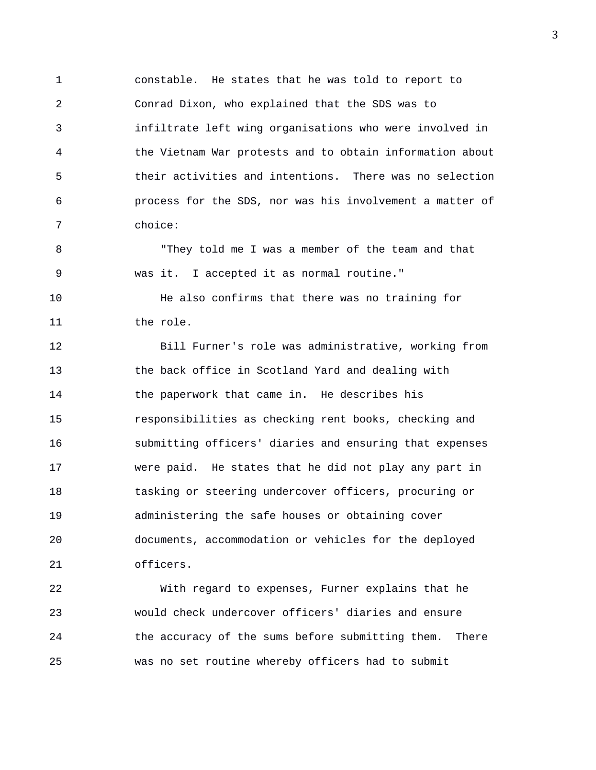1 constable. He states that he was told to report to 2 Conrad Dixon, who explained that the SDS was to 3 infiltrate left wing organisations who were involved in 4 the Vietnam War protests and to obtain information about 5 their activities and intentions. There was no selection 6 process for the SDS, nor was his involvement a matter of 7 choice:

8 "They told me I was a member of the team and that 9 was it. I accepted it as normal routine."

10 He also confirms that there was no training for 11 the role.

12 Bill Furner's role was administrative, working from 13 the back office in Scotland Yard and dealing with 14 the paperwork that came in. He describes his 15 responsibilities as checking rent books, checking and 16 submitting officers' diaries and ensuring that expenses 17 were paid. He states that he did not play any part in 18 tasking or steering undercover officers, procuring or 19 administering the safe houses or obtaining cover 20 documents, accommodation or vehicles for the deployed 21 officers.

22 With regard to expenses, Furner explains that he 23 would check undercover officers' diaries and ensure 24 the accuracy of the sums before submitting them. There 25 was no set routine whereby officers had to submit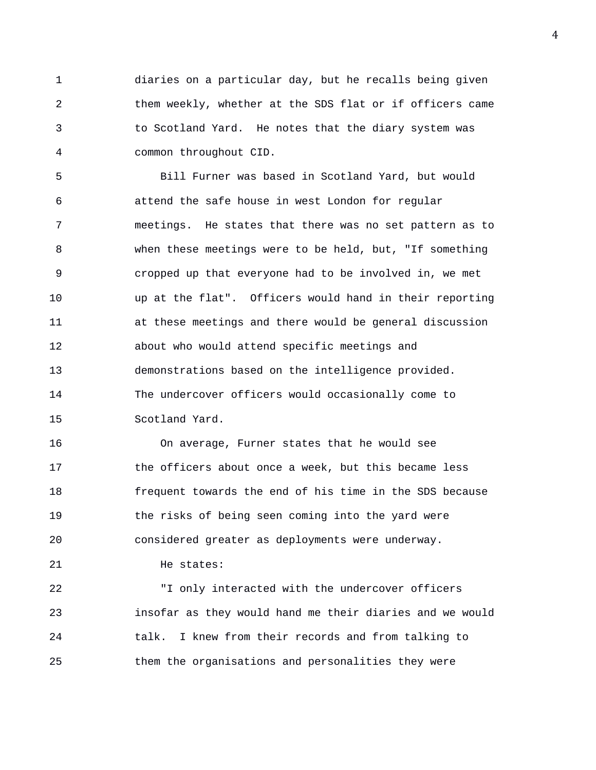1 diaries on a particular day, but he recalls being given 2 them weekly, whether at the SDS flat or if officers came 3 to Scotland Yard. He notes that the diary system was 4 common throughout CID.

5 Bill Furner was based in Scotland Yard, but would 6 attend the safe house in west London for regular 7 meetings. He states that there was no set pattern as to 8 when these meetings were to be held, but, "If something 9 cropped up that everyone had to be involved in, we met 10 up at the flat". Officers would hand in their reporting 11 at these meetings and there would be general discussion 12 about who would attend specific meetings and 13 demonstrations based on the intelligence provided. 14 The undercover officers would occasionally come to 15 Scotland Yard.

16 On average, Furner states that he would see 17 the officers about once a week, but this became less 18 frequent towards the end of his time in the SDS because 19 the risks of being seen coming into the yard were 20 considered greater as deployments were underway.

21 He states:

22 "I only interacted with the undercover officers 23 insofar as they would hand me their diaries and we would 24 talk. I knew from their records and from talking to 25 them the organisations and personalities they were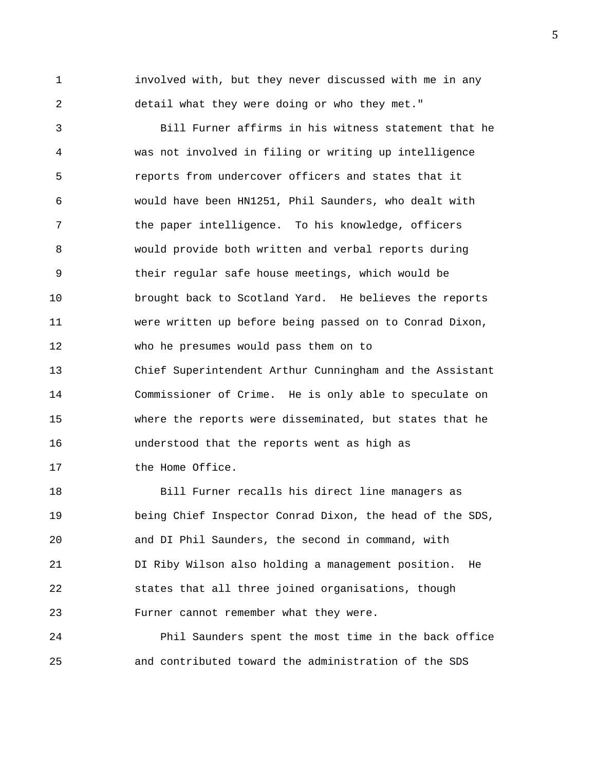1 involved with, but they never discussed with me in any 2 detail what they were doing or who they met."

3 Bill Furner affirms in his witness statement that he 4 was not involved in filing or writing up intelligence 5 reports from undercover officers and states that it 6 would have been HN1251, Phil Saunders, who dealt with 7 the paper intelligence. To his knowledge, officers 8 would provide both written and verbal reports during 9 their regular safe house meetings, which would be 10 brought back to Scotland Yard. He believes the reports 11 were written up before being passed on to Conrad Dixon, 12 who he presumes would pass them on to 13 Chief Superintendent Arthur Cunningham and the Assistant 14 Commissioner of Crime. He is only able to speculate on 15 where the reports were disseminated, but states that he 16 understood that the reports went as high as 17 the Home Office.

18 Bill Furner recalls his direct line managers as 19 being Chief Inspector Conrad Dixon, the head of the SDS, 20 and DI Phil Saunders, the second in command, with 21 DI Riby Wilson also holding a management position. He 22 states that all three joined organisations, though 23 Furner cannot remember what they were.

24 Phil Saunders spent the most time in the back office 25 and contributed toward the administration of the SDS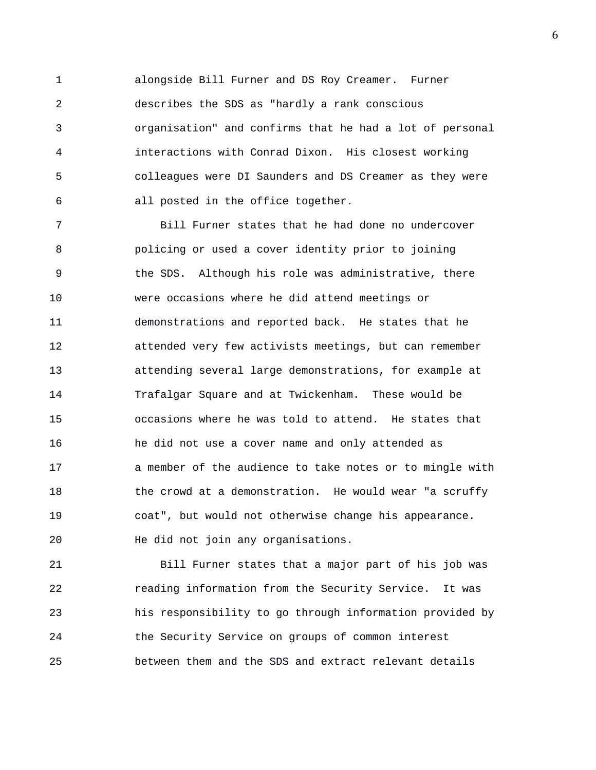1 alongside Bill Furner and DS Roy Creamer. Furner 2 describes the SDS as "hardly a rank conscious 3 organisation" and confirms that he had a lot of personal 4 interactions with Conrad Dixon. His closest working 5 colleagues were DI Saunders and DS Creamer as they were 6 all posted in the office together.

7 Bill Furner states that he had done no undercover 8 policing or used a cover identity prior to joining 9 the SDS. Although his role was administrative, there 10 were occasions where he did attend meetings or 11 demonstrations and reported back. He states that he 12 attended very few activists meetings, but can remember 13 attending several large demonstrations, for example at 14 Trafalgar Square and at Twickenham. These would be 15 occasions where he was told to attend. He states that 16 he did not use a cover name and only attended as 17 a member of the audience to take notes or to mingle with 18 the crowd at a demonstration. He would wear "a scruffy 19 coat", but would not otherwise change his appearance. 20 He did not join any organisations.

21 Bill Furner states that a major part of his job was 22 reading information from the Security Service. It was 23 his responsibility to go through information provided by 24 the Security Service on groups of common interest 25 between them and the SDS and extract relevant details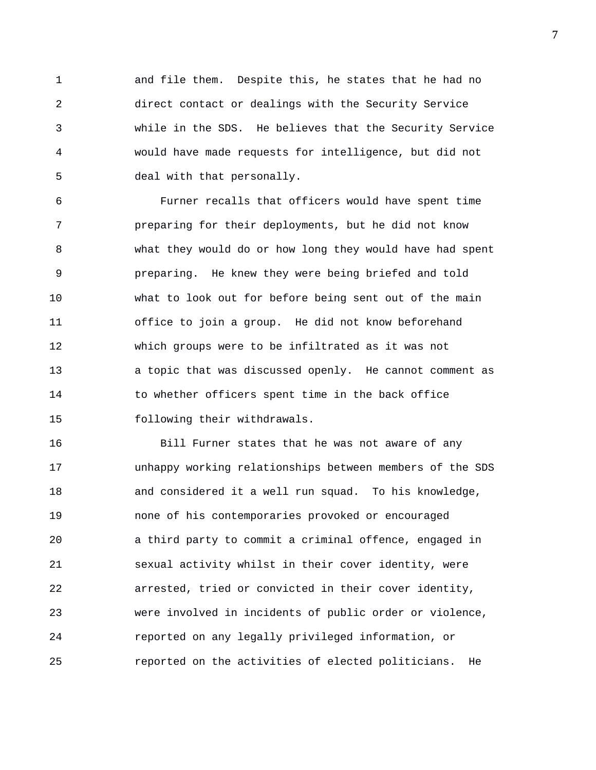1 and file them. Despite this, he states that he had no 2 direct contact or dealings with the Security Service 3 while in the SDS. He believes that the Security Service 4 would have made requests for intelligence, but did not 5 deal with that personally.

6 Furner recalls that officers would have spent time 7 preparing for their deployments, but he did not know 8 what they would do or how long they would have had spent 9 preparing. He knew they were being briefed and told 10 what to look out for before being sent out of the main 11 office to join a group. He did not know beforehand 12 which groups were to be infiltrated as it was not 13 a topic that was discussed openly. He cannot comment as 14 to whether officers spent time in the back office 15 following their withdrawals.

16 Bill Furner states that he was not aware of any 17 unhappy working relationships between members of the SDS 18 and considered it a well run squad. To his knowledge, 19 none of his contemporaries provoked or encouraged 20 a third party to commit a criminal offence, engaged in 21 sexual activity whilst in their cover identity, were 22 arrested, tried or convicted in their cover identity, 23 were involved in incidents of public order or violence, 24 reported on any legally privileged information, or 25 reported on the activities of elected politicians. He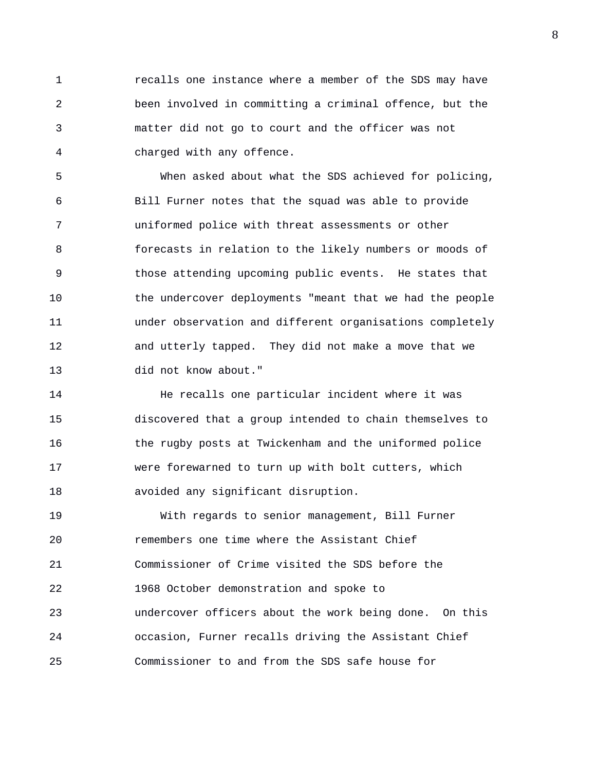1 recalls one instance where a member of the SDS may have 2 been involved in committing a criminal offence, but the 3 matter did not go to court and the officer was not 4 charged with any offence.

5 When asked about what the SDS achieved for policing, 6 Bill Furner notes that the squad was able to provide 7 uniformed police with threat assessments or other 8 forecasts in relation to the likely numbers or moods of 9 those attending upcoming public events. He states that 10 the undercover deployments "meant that we had the people 11 under observation and different organisations completely 12 and utterly tapped. They did not make a move that we 13 did not know about."

14 He recalls one particular incident where it was 15 discovered that a group intended to chain themselves to 16 the rugby posts at Twickenham and the uniformed police 17 were forewarned to turn up with bolt cutters, which 18 avoided any significant disruption.

19 With regards to senior management, Bill Furner 20 remembers one time where the Assistant Chief 21 Commissioner of Crime visited the SDS before the 22 1968 October demonstration and spoke to 23 undercover officers about the work being done. On this 24 occasion, Furner recalls driving the Assistant Chief 25 Commissioner to and from the SDS safe house for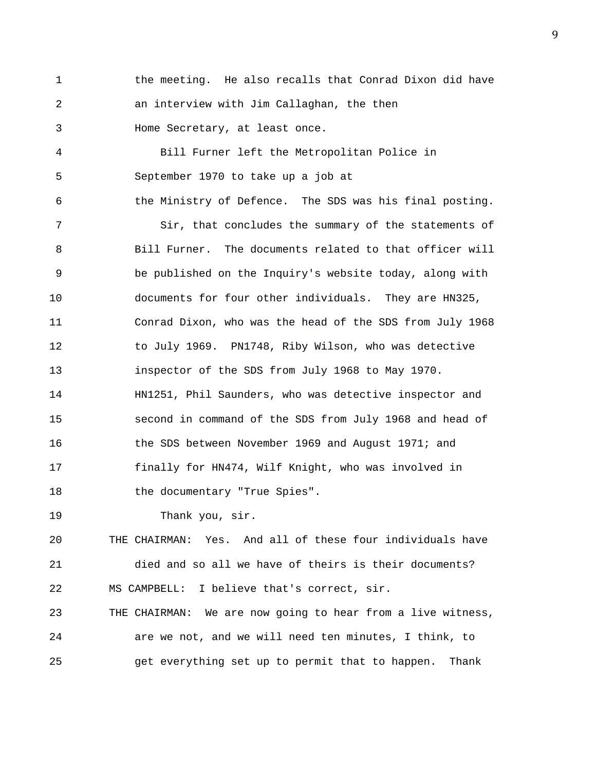1 the meeting. He also recalls that Conrad Dixon did have 2 an interview with Jim Callaghan, the then 3 Home Secretary, at least once.

6 the Ministry of Defence. The SDS was his final posting.

4 Bill Furner left the Metropolitan Police in 5 September 1970 to take up a job at

7 Sir, that concludes the summary of the statements of 8 Bill Furner. The documents related to that officer will 9 be published on the Inquiry's website today, along with 10 documents for four other individuals. They are HN325, 11 Conrad Dixon, who was the head of the SDS from July 1968 12 to July 1969. PN1748, Riby Wilson, who was detective 13 inspector of the SDS from July 1968 to May 1970. 14 HN1251, Phil Saunders, who was detective inspector and 15 second in command of the SDS from July 1968 and head of 16 the SDS between November 1969 and August 1971; and 17 finally for HN474, Wilf Knight, who was involved in 18 the documentary "True Spies".

19 Thank you, sir.

20 THE CHAIRMAN: Yes. And all of these four individuals have 21 died and so all we have of theirs is their documents? 22 MS CAMPBELL: I believe that's correct, sir.

23 THE CHAIRMAN: We are now going to hear from a live witness, 24 are we not, and we will need ten minutes, I think, to 25 get everything set up to permit that to happen. Thank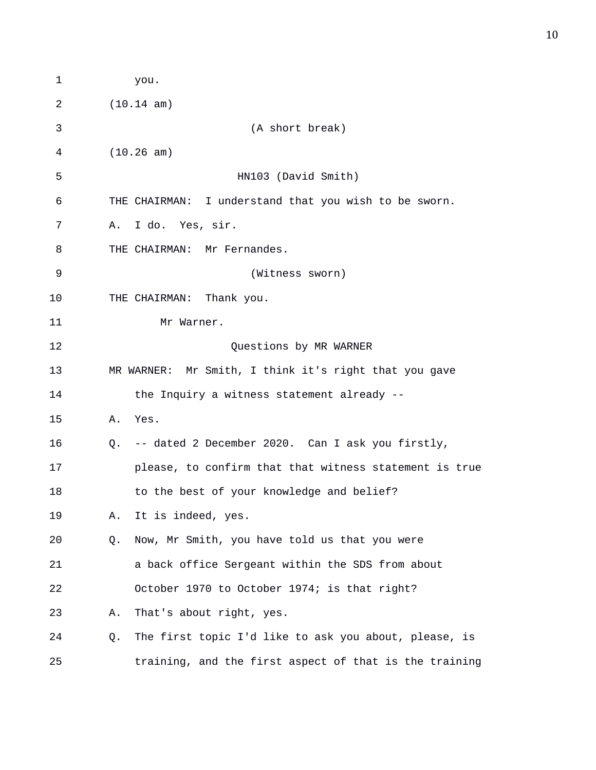| 1  | you.                                                        |
|----|-------------------------------------------------------------|
| 2  | $(10.14 \text{ am})$                                        |
| 3  | (A short break)                                             |
| 4  | (10.26 am)                                                  |
| 5  | HN103 (David Smith)                                         |
| 6  | THE CHAIRMAN: I understand that you wish to be sworn.       |
| 7  | I do. Yes, sir.<br>Α.                                       |
| 8  | THE CHAIRMAN: Mr Fernandes.                                 |
| 9  | (Witness sworn)                                             |
| 10 | THE CHAIRMAN: Thank you.                                    |
| 11 | Mr Warner.                                                  |
| 12 | Questions by MR WARNER                                      |
| 13 | MR WARNER: Mr Smith, I think it's right that you gave       |
| 14 | the Inquiry a witness statement already --                  |
| 15 | Α.<br>Yes.                                                  |
| 16 | -- dated 2 December 2020. Can I ask you firstly,<br>O.      |
| 17 | please, to confirm that that witness statement is true      |
| 18 | to the best of your knowledge and belief?                   |
| 19 | It is indeed, yes.<br>Α.                                    |
| 20 | Now, Mr Smith, you have told us that you were<br>Q.         |
| 21 | a back office Sergeant within the SDS from about            |
| 22 | October 1970 to October 1974; is that right?                |
| 23 | That's about right, yes.<br>Α.                              |
| 24 | The first topic I'd like to ask you about, please, is<br>Q. |
| 25 | training, and the first aspect of that is the training      |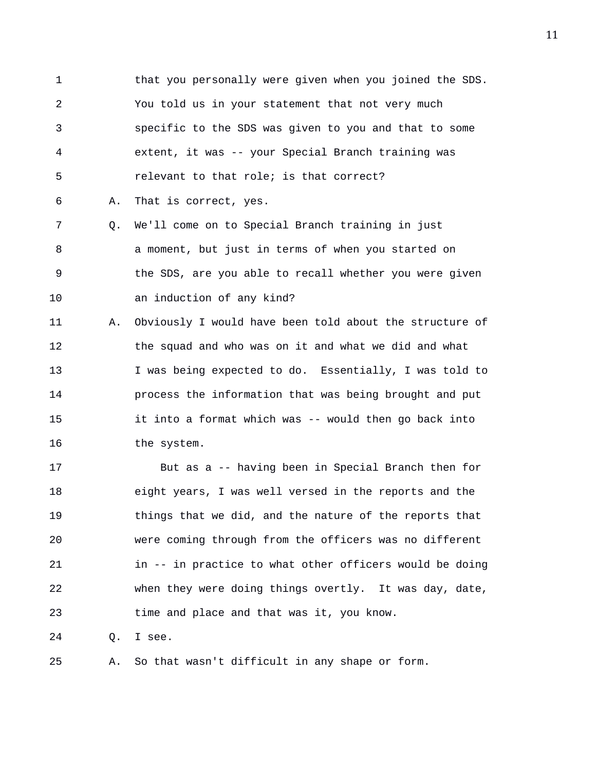1 that you personally were given when you joined the SDS. 2 You told us in your statement that not very much 3 specific to the SDS was given to you and that to some 4 extent, it was -- your Special Branch training was 5 relevant to that role; is that correct? 6 A. That is correct, yes. 7 Q. We'll come on to Special Branch training in just

8 a moment, but just in terms of when you started on 9 the SDS, are you able to recall whether you were given 10 an induction of any kind?

11 A. Obviously I would have been told about the structure of 12 the squad and who was on it and what we did and what 13 I was being expected to do. Essentially, I was told to 14 process the information that was being brought and put 15 it into a format which was -- would then go back into 16 the system.

17 But as a -- having been in Special Branch then for 18 eight years, I was well versed in the reports and the 19 things that we did, and the nature of the reports that 20 were coming through from the officers was no different 21 in -- in practice to what other officers would be doing 22 when they were doing things overtly. It was day, date, 23 time and place and that was it, you know.

24 Q. I see.

25 A. So that wasn't difficult in any shape or form.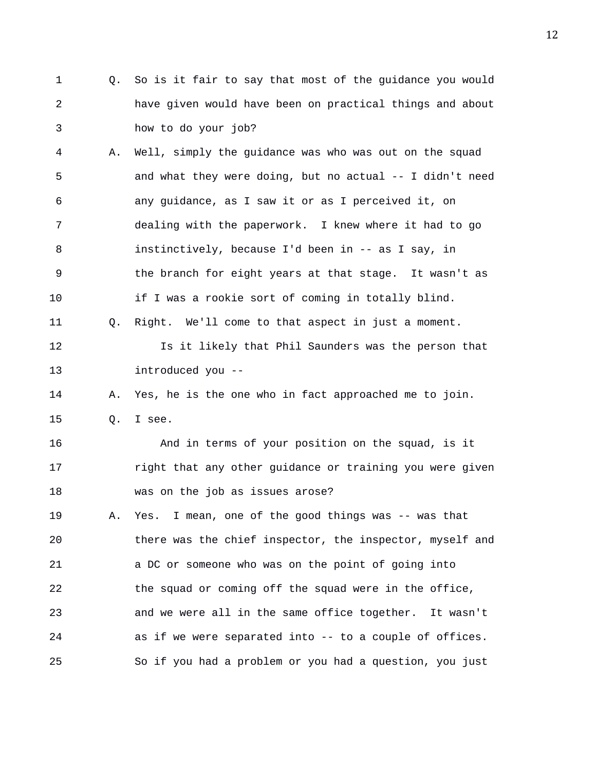- 1 Q. So is it fair to say that most of the guidance you would 2 have given would have been on practical things and about 3 how to do your job?
- 4 A. Well, simply the guidance was who was out on the squad 5 and what they were doing, but no actual -- I didn't need 6 any guidance, as I saw it or as I perceived it, on 7 dealing with the paperwork. I knew where it had to go 8 instinctively, because I'd been in -- as I say, in 9 the branch for eight years at that stage. It wasn't as 10 if I was a rookie sort of coming in totally blind. 11 Q. Right. We'll come to that aspect in just a moment. 12 Is it likely that Phil Saunders was the person that 13 introduced you --

## 14 A. Yes, he is the one who in fact approached me to join. 15 Q. I see.

16 And in terms of your position on the squad, is it 17 right that any other guidance or training you were given 18 was on the job as issues arose?

19 A. Yes. I mean, one of the good things was -- was that 20 there was the chief inspector, the inspector, myself and 21 a DC or someone who was on the point of going into 22 the squad or coming off the squad were in the office, 23 and we were all in the same office together. It wasn't 24 as if we were separated into -- to a couple of offices. 25 So if you had a problem or you had a question, you just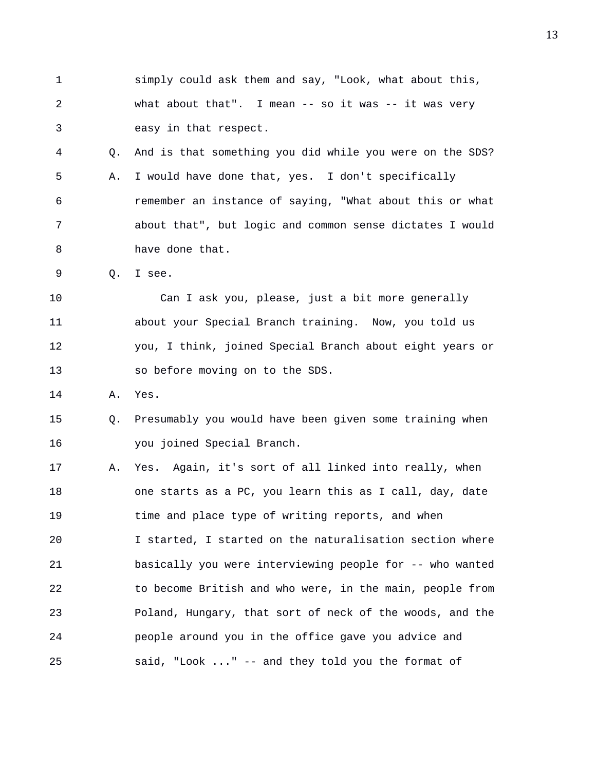- 1 simply could ask them and say, "Look, what about this, 2 what about that". I mean -- so it was -- it was very 3 easy in that respect.
- 4 Q. And is that something you did while you were on the SDS? 5 A. I would have done that, yes. I don't specifically 6 remember an instance of saying, "What about this or what 7 about that", but logic and common sense dictates I would 8 have done that.

9 Q. I see.

10 Can I ask you, please, just a bit more generally 11 about your Special Branch training. Now, you told us 12 you, I think, joined Special Branch about eight years or 13 so before moving on to the SDS.

14 A. Yes.

## 15 Q. Presumably you would have been given some training when 16 you joined Special Branch.

17 A. Yes. Again, it's sort of all linked into really, when 18 one starts as a PC, you learn this as I call, day, date 19 time and place type of writing reports, and when 20 I started, I started on the naturalisation section where 21 basically you were interviewing people for -- who wanted 22 to become British and who were, in the main, people from 23 Poland, Hungary, that sort of neck of the woods, and the 24 people around you in the office gave you advice and 25 said, "Look ..." -- and they told you the format of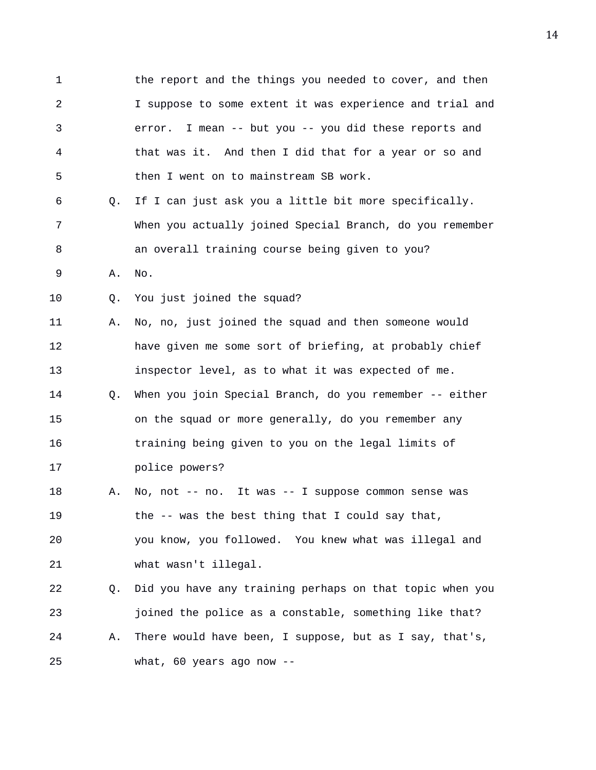1 the report and the things you needed to cover, and then 2 I suppose to some extent it was experience and trial and 3 error. I mean -- but you -- you did these reports and 4 that was it. And then I did that for a year or so and 5 then I went on to mainstream SB work. 6 Q. If I can just ask you a little bit more specifically. 7 When you actually joined Special Branch, do you remember 8 an overall training course being given to you? 9 A. No. 10 Q. You just joined the squad? 11 A. No, no, just joined the squad and then someone would 12 have given me some sort of briefing, at probably chief 13 inspector level, as to what it was expected of me. 14 Q. When you join Special Branch, do you remember -- either 15 on the squad or more generally, do you remember any 16 training being given to you on the legal limits of 17 police powers? 18 A. No, not -- no. It was -- I suppose common sense was 19 the -- was the best thing that I could say that, 20 you know, you followed. You knew what was illegal and 21 what wasn't illegal. 22 Q. Did you have any training perhaps on that topic when you 23 joined the police as a constable, something like that? 24 A. There would have been, I suppose, but as I say, that's, 25 what, 60 years ago now --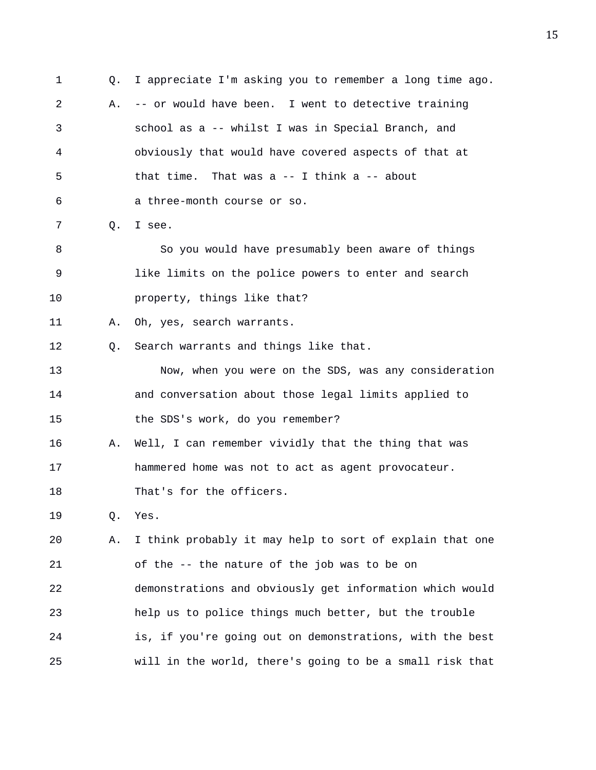1 Q. I appreciate I'm asking you to remember a long time ago. 2 A. -- or would have been. I went to detective training 3 school as a -- whilst I was in Special Branch, and 4 obviously that would have covered aspects of that at 5 that time. That was a -- I think a -- about 6 a three-month course or so. 7 Q. I see. 8 So you would have presumably been aware of things 9 like limits on the police powers to enter and search 10 **property**, things like that? 11 A. Oh, yes, search warrants. 12 Q. Search warrants and things like that. 13 Now, when you were on the SDS, was any consideration 14 and conversation about those legal limits applied to 15 the SDS's work, do you remember? 16 A. Well, I can remember vividly that the thing that was 17 hammered home was not to act as agent provocateur. 18 That's for the officers. 19 Q. Yes. 20 A. I think probably it may help to sort of explain that one 21 of the -- the nature of the job was to be on 22 demonstrations and obviously get information which would 23 help us to police things much better, but the trouble 24 is, if you're going out on demonstrations, with the best 25 will in the world, there's going to be a small risk that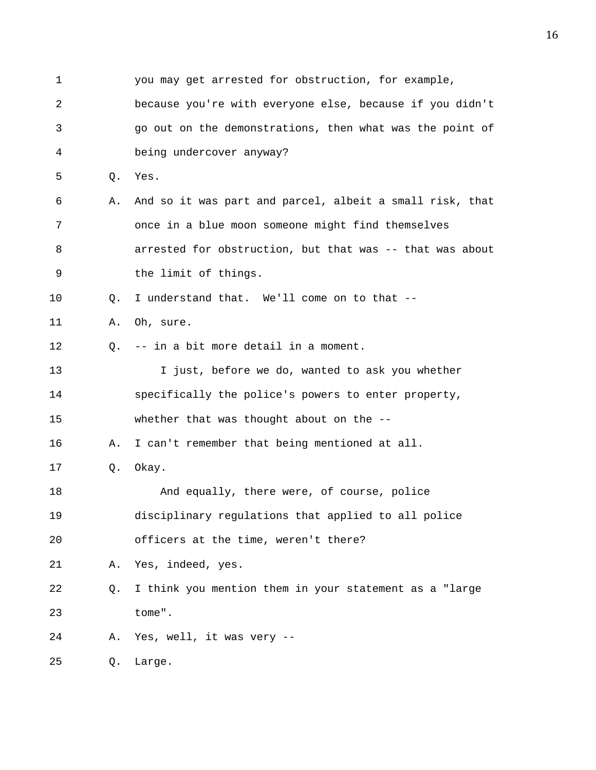1 you may get arrested for obstruction, for example, 2 because you're with everyone else, because if you didn't 3 go out on the demonstrations, then what was the point of 4 being undercover anyway? 5 Q. Yes. 6 A. And so it was part and parcel, albeit a small risk, that 7 once in a blue moon someone might find themselves 8 arrested for obstruction, but that was -- that was about 9 the limit of things. 10 Q. I understand that. We'll come on to that -- 11 A. Oh, sure. 12 Q. -- in a bit more detail in a moment. 13 I just, before we do, wanted to ask you whether 14 specifically the police's powers to enter property, 15 whether that was thought about on the -- 16 A. I can't remember that being mentioned at all. 17 Q. Okay. 18 And equally, there were, of course, police 19 disciplinary regulations that applied to all police 20 officers at the time, weren't there? 21 A. Yes, indeed, yes. 22 Q. I think you mention them in your statement as a "large 23 tome". 24 A. Yes, well, it was very -- 25 Q. Large.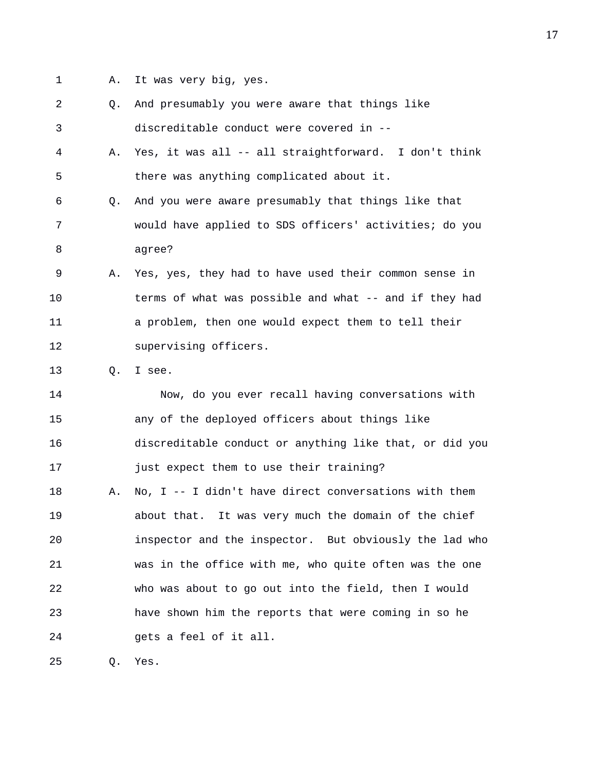- 
- 1 A. It was very big, yes.

| $\overline{a}$ | О. | And presumably you were aware that things like          |
|----------------|----|---------------------------------------------------------|
| 3              |    | discreditable conduct were covered in --                |
| 4              | Α. | Yes, it was all -- all straightforward. I don't think   |
| 5              |    | there was anything complicated about it.                |
| 6              | Q. | And you were aware presumably that things like that     |
| 7              |    | would have applied to SDS officers' activities; do you  |
| 8              |    | agree?                                                  |
| 9              | Α. | Yes, yes, they had to have used their common sense in   |
| 10             |    | terms of what was possible and what -- and if they had  |
| 11             |    | a problem, then one would expect them to tell their     |
| 12             |    | supervising officers.                                   |
| 13             | Q. | I see.                                                  |
| 14             |    | Now, do you ever recall having conversations with       |
| 15             |    | any of the deployed officers about things like          |
| 16             |    | discreditable conduct or anything like that, or did you |
| 17             |    | just expect them to use their training?                 |
| 18             | Α. | No, $I$ -- I didn't have direct conversations with them |
| 19             |    | about that. It was very much the domain of the chief    |
| 20             |    | inspector and the inspector. But obviously the lad who  |
| 21             |    | was in the office with me, who quite often was the one  |
| 22             |    | who was about to go out into the field, then I would    |
| 23             |    | have shown him the reports that were coming in so he    |
| 24             |    | gets a feel of it all.                                  |
|                |    |                                                         |

25 Q. Yes.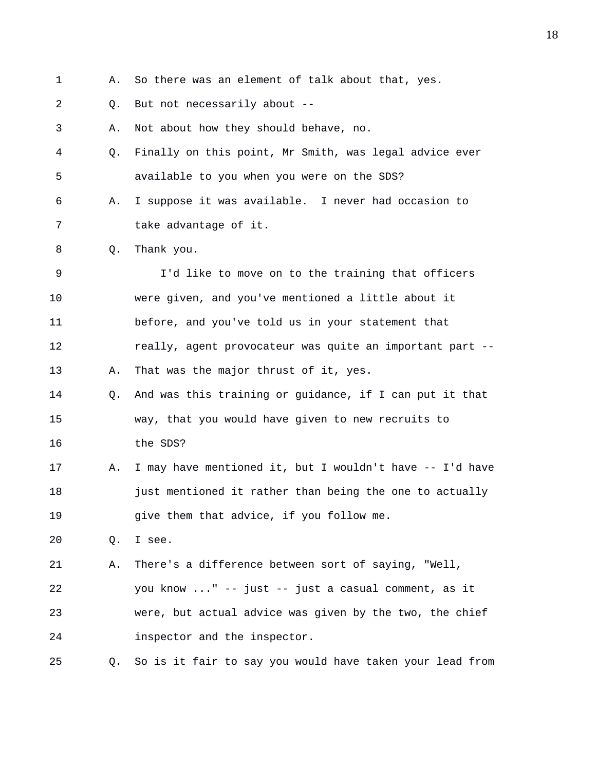- 1 A. So there was an element of talk about that, yes.
- 2 Q. But not necessarily about --

3 A. Not about how they should behave, no.

- 4 Q. Finally on this point, Mr Smith, was legal advice ever 5 available to you when you were on the SDS?
- 6 A. I suppose it was available. I never had occasion to 7 take advantage of it.
- 8 Q. Thank you.

9 I'd like to move on to the training that officers 10 were given, and you've mentioned a little about it 11 before, and you've told us in your statement that 12 really, agent provocateur was quite an important part -- 13 A. That was the major thrust of it, yes.

- 14 Q. And was this training or guidance, if I can put it that 15 way, that you would have given to new recruits to 16 the SDS?
- 17 A. I may have mentioned it, but I wouldn't have -- I'd have 18 just mentioned it rather than being the one to actually 19 give them that advice, if you follow me.
- 20 Q. I see.

21 A. There's a difference between sort of saying, "Well,

22 you know ..." -- just -- just a casual comment, as it 23 were, but actual advice was given by the two, the chief 24 inspector and the inspector.

25 Q. So is it fair to say you would have taken your lead from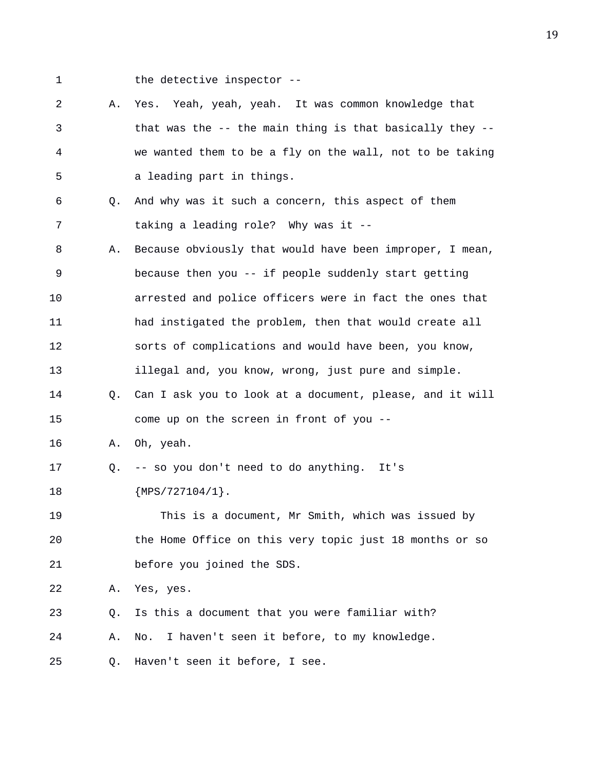1 the detective inspector --

2 A. Yes. Yeah, yeah, yeah. It was common knowledge that 3 that was the -- the main thing is that basically they -- 4 we wanted them to be a fly on the wall, not to be taking 5 a leading part in things. 6 Q. And why was it such a concern, this aspect of them 7 taking a leading role? Why was it -- 8 A. Because obviously that would have been improper, I mean, 9 because then you -- if people suddenly start getting 10 arrested and police officers were in fact the ones that 11 had instigated the problem, then that would create all 12 sorts of complications and would have been, you know, 13 illegal and, you know, wrong, just pure and simple. 14 Q. Can I ask you to look at a document, please, and it will 15 come up on the screen in front of you -- 16 A. Oh, yeah. 17 Q. -- so you don't need to do anything. It's 18 {MPS/727104/1}. 19 This is a document, Mr Smith, which was issued by 20 the Home Office on this very topic just 18 months or so 21 before you joined the SDS. 22 A. Yes, yes. 23 Q. Is this a document that you were familiar with? 24 A. No. I haven't seen it before, to my knowledge. 25 Q. Haven't seen it before, I see.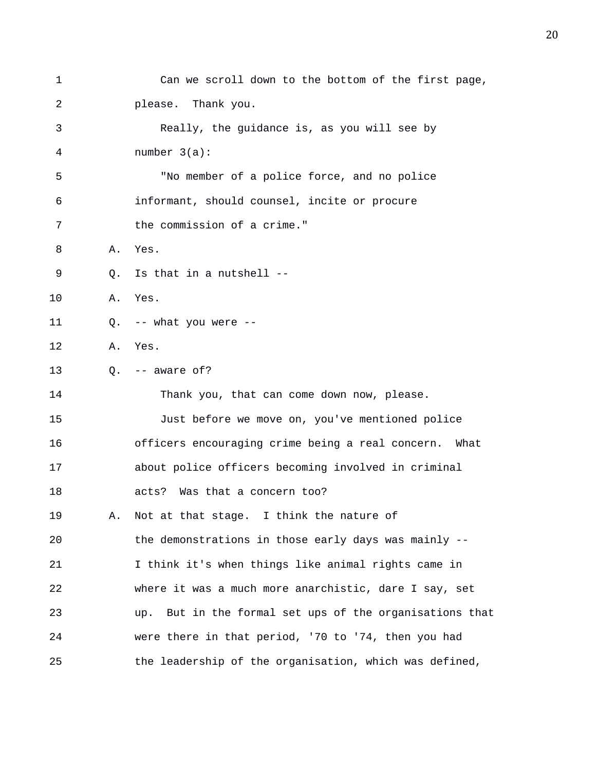| 1  |    | Can we scroll down to the bottom of the first page,     |
|----|----|---------------------------------------------------------|
| 2  |    | please. Thank you.                                      |
| 3  |    | Really, the guidance is, as you will see by             |
| 4  |    | number $3(a)$ :                                         |
| 5  |    | "No member of a police force, and no police             |
| 6  |    | informant, should counsel, incite or procure            |
| 7  |    | the commission of a crime."                             |
| 8  | Α. | Yes.                                                    |
| 9  | О. | Is that in a nutshell --                                |
| 10 | Α. | Yes.                                                    |
| 11 |    | $Q.$ -- what you were --                                |
| 12 |    | A. Yes.                                                 |
| 13 |    | $Q.$ -- aware of?                                       |
| 14 |    | Thank you, that can come down now, please.              |
| 15 |    | Just before we move on, you've mentioned police         |
| 16 |    | officers encouraging crime being a real concern. What   |
| 17 |    | about police officers becoming involved in criminal     |
| 18 |    | Was that a concern too?<br>acts?                        |
| 19 | Α. | Not at that stage. I think the nature of                |
| 20 |    | the demonstrations in those early days was mainly --    |
| 21 |    | I think it's when things like animal rights came in     |
| 22 |    | where it was a much more anarchistic, dare I say, set   |
| 23 |    | up. But in the formal set ups of the organisations that |
| 24 |    | were there in that period, '70 to '74, then you had     |
| 25 |    | the leadership of the organisation, which was defined,  |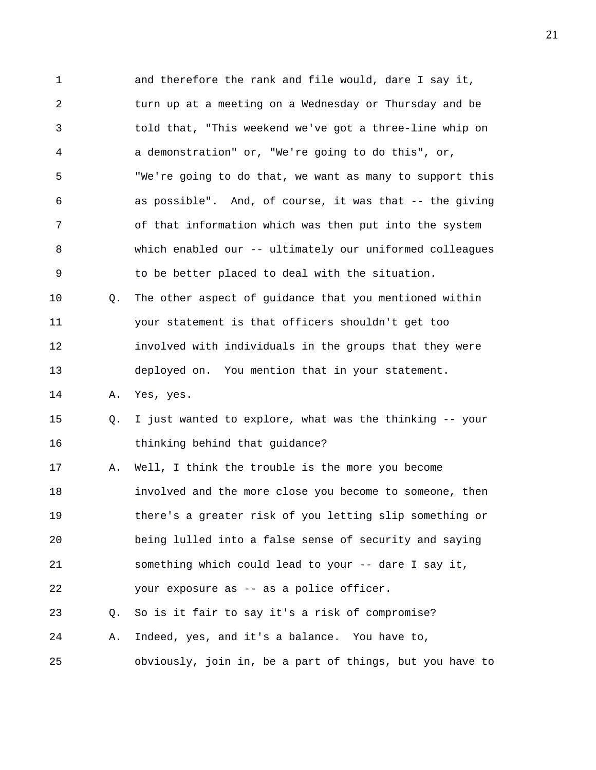1 and therefore the rank and file would, dare I say it, 2 turn up at a meeting on a Wednesday or Thursday and be 3 told that, "This weekend we've got a three-line whip on 4 a demonstration" or, "We're going to do this", or, 5 "We're going to do that, we want as many to support this 6 as possible". And, of course, it was that -- the giving 7 of that information which was then put into the system 8 which enabled our -- ultimately our uniformed colleagues 9 to be better placed to deal with the situation. 10 Q. The other aspect of guidance that you mentioned within 11 your statement is that officers shouldn't get too 12 involved with individuals in the groups that they were 13 deployed on. You mention that in your statement. 14 A. Yes, yes. 15 Q. I just wanted to explore, what was the thinking -- your 16 thinking behind that guidance? 17 A. Well, I think the trouble is the more you become 18 involved and the more close you become to someone, then 19 there's a greater risk of you letting slip something or 20 being lulled into a false sense of security and saying 21 something which could lead to your -- dare I say it, 22 your exposure as -- as a police officer. 23 Q. So is it fair to say it's a risk of compromise? 24 A. Indeed, yes, and it's a balance. You have to, 25 obviously, join in, be a part of things, but you have to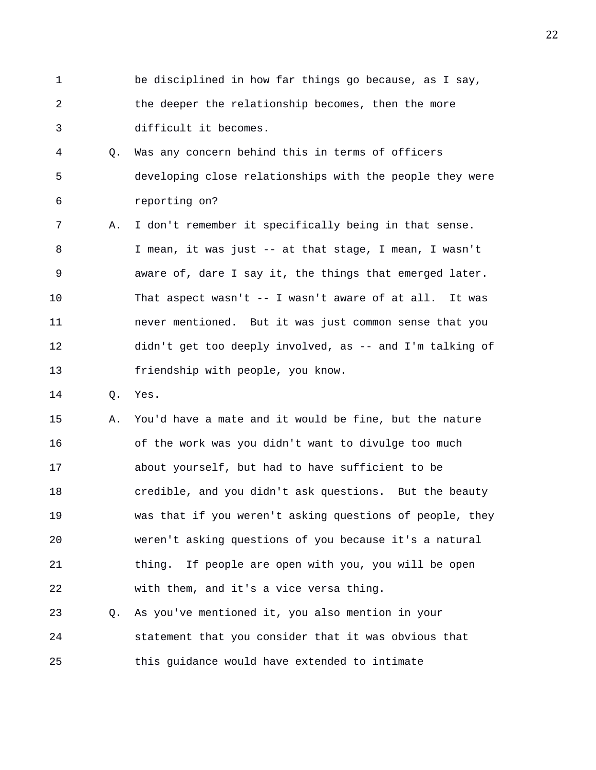- 1 be disciplined in how far things go because, as I say, 2 the deeper the relationship becomes, then the more 3 difficult it becomes.
- 4 Q. Was any concern behind this in terms of officers 5 developing close relationships with the people they were 6 reporting on?

7 A. I don't remember it specifically being in that sense. 8 I mean, it was just -- at that stage, I mean, I wasn't 9 aware of, dare I say it, the things that emerged later. 10 That aspect wasn't -- I wasn't aware of at all. It was 11 never mentioned. But it was just common sense that you 12 didn't get too deeply involved, as -- and I'm talking of 13 friendship with people, you know.

14 Q. Yes.

15 A. You'd have a mate and it would be fine, but the nature 16 of the work was you didn't want to divulge too much 17 about yourself, but had to have sufficient to be 18 credible, and you didn't ask questions. But the beauty 19 was that if you weren't asking questions of people, they 20 weren't asking questions of you because it's a natural 21 thing. If people are open with you, you will be open 22 with them, and it's a vice versa thing.

23 Q. As you've mentioned it, you also mention in your 24 statement that you consider that it was obvious that 25 this guidance would have extended to intimate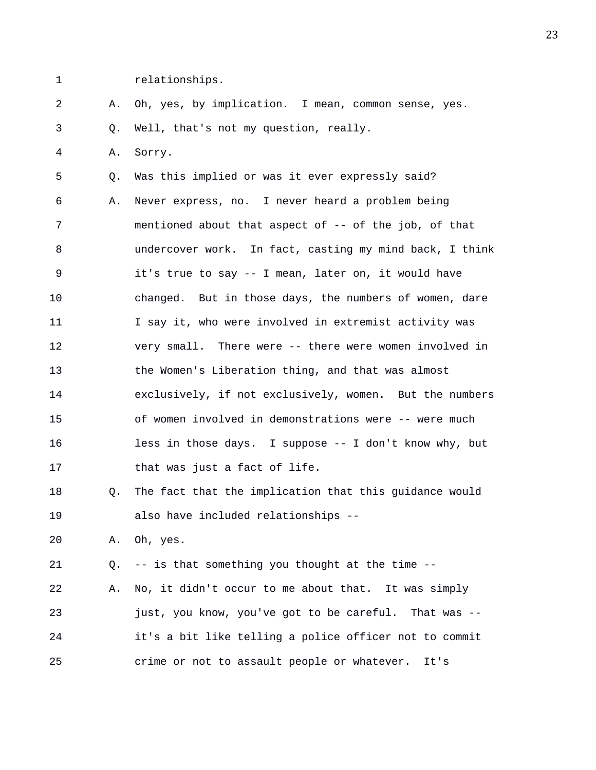1 relationships.

2 A. Oh, yes, by implication. I mean, common sense, yes.

3 Q. Well, that's not my question, really.

4 A. Sorry.

5 Q. Was this implied or was it ever expressly said? 6 A. Never express, no. I never heard a problem being 7 mentioned about that aspect of -- of the job, of that 8 undercover work. In fact, casting my mind back, I think 9 it's true to say -- I mean, later on, it would have 10 changed. But in those days, the numbers of women, dare 11 I say it, who were involved in extremist activity was 12 very small. There were -- there were women involved in 13 the Women's Liberation thing, and that was almost 14 exclusively, if not exclusively, women. But the numbers 15 of women involved in demonstrations were -- were much 16 less in those days. I suppose -- I don't know why, but 17 that was just a fact of life.

18 Q. The fact that the implication that this guidance would 19 also have included relationships --

20 A. Oh, yes.

21 Q. -- is that something you thought at the time --

22 A. No, it didn't occur to me about that. It was simply 23 just, you know, you've got to be careful. That was -- 24 it's a bit like telling a police officer not to commit 25 crime or not to assault people or whatever. It's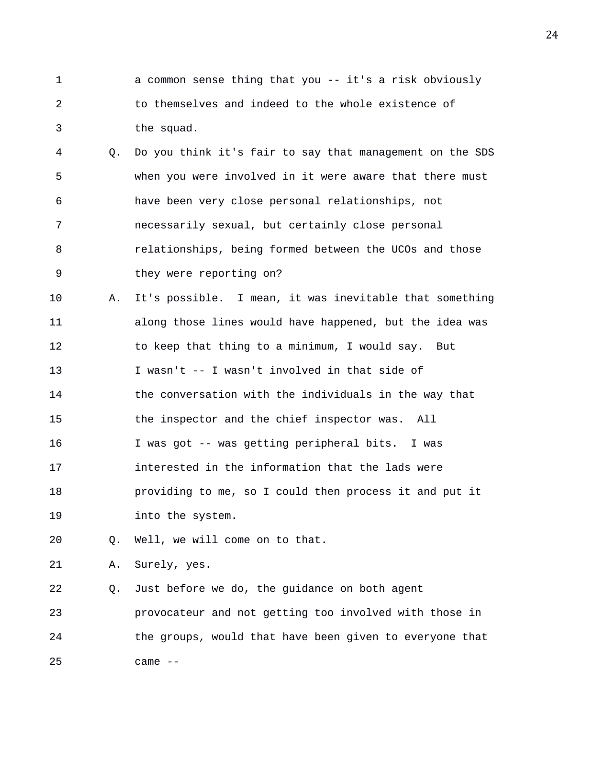- 1 a common sense thing that you -- it's a risk obviously 2 to themselves and indeed to the whole existence of 3 the squad.
- 4 Q. Do you think it's fair to say that management on the SDS 5 when you were involved in it were aware that there must 6 have been very close personal relationships, not 7 necessarily sexual, but certainly close personal 8 relationships, being formed between the UCOs and those 9 they were reporting on?
- 10 A. It's possible. I mean, it was inevitable that something 11 along those lines would have happened, but the idea was 12 to keep that thing to a minimum, I would say. But 13 I wasn't -- I wasn't involved in that side of 14 the conversation with the individuals in the way that 15 the inspector and the chief inspector was. All 16 I was got -- was getting peripheral bits. I was 17 interested in the information that the lads were 18 providing to me, so I could then process it and put it 19 into the system.

20 Q. Well, we will come on to that.

21 A. Surely, yes.

22 Q. Just before we do, the guidance on both agent 23 provocateur and not getting too involved with those in 24 the groups, would that have been given to everyone that 25 came --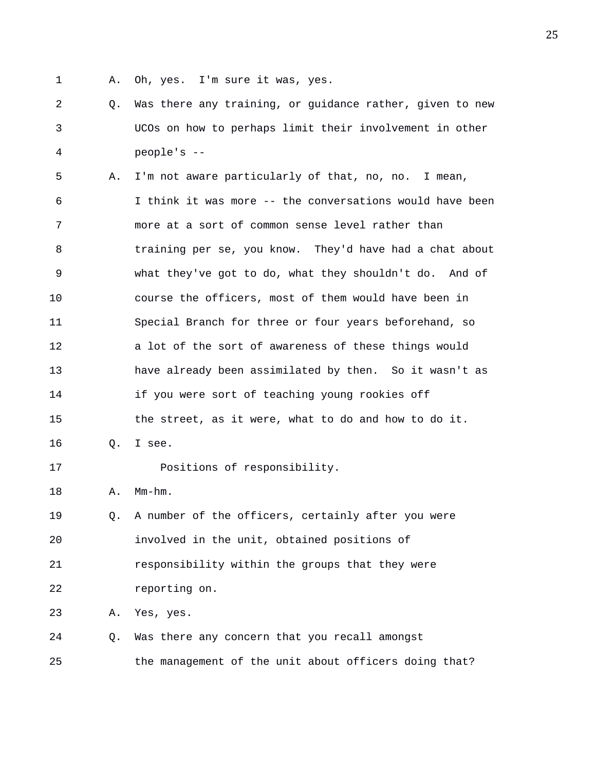- 1 A. Oh, yes. I'm sure it was, yes.
- 2 Q. Was there any training, or guidance rather, given to new 3 UCOs on how to perhaps limit their involvement in other 4 people's --

5 A. I'm not aware particularly of that, no, no. I mean, 6 I think it was more -- the conversations would have been 7 more at a sort of common sense level rather than 8 training per se, you know. They'd have had a chat about 9 what they've got to do, what they shouldn't do. And of 10 course the officers, most of them would have been in 11 Special Branch for three or four years beforehand, so 12 a lot of the sort of awareness of these things would 13 have already been assimilated by then. So it wasn't as 14 if you were sort of teaching young rookies off 15 the street, as it were, what to do and how to do it. 16 Q. I see. 17 Positions of responsibility. 18 A. Mm-hm. 19 Q. A number of the officers, certainly after you were 20 involved in the unit, obtained positions of

21 responsibility within the groups that they were 22 reporting on.

23 A. Yes, yes.

24 Q. Was there any concern that you recall amongst 25 the management of the unit about officers doing that?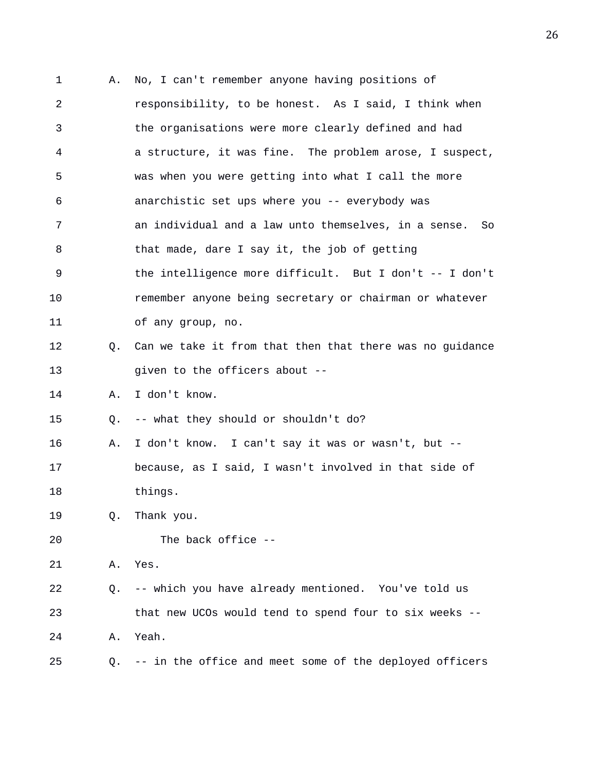1 A. No, I can't remember anyone having positions of 2 responsibility, to be honest. As I said, I think when 3 the organisations were more clearly defined and had 4 a structure, it was fine. The problem arose, I suspect, 5 was when you were getting into what I call the more 6 anarchistic set ups where you -- everybody was 7 an individual and a law unto themselves, in a sense. So 8 that made, dare I say it, the job of getting 9 the intelligence more difficult. But I don't -- I don't 10 remember anyone being secretary or chairman or whatever 11 of any group, no. 12 Q. Can we take it from that then that there was no guidance 13 given to the officers about -- 14 A. I don't know. 15 Q. -- what they should or shouldn't do? 16 A. I don't know. I can't say it was or wasn't, but -- 17 because, as I said, I wasn't involved in that side of 18 things. 19 Q. Thank you. 20 The back office -- 21 A. Yes. 22 Q. -- which you have already mentioned. You've told us 23 that new UCOs would tend to spend four to six weeks -- 24 A. Yeah. 25 Q. -- in the office and meet some of the deployed officers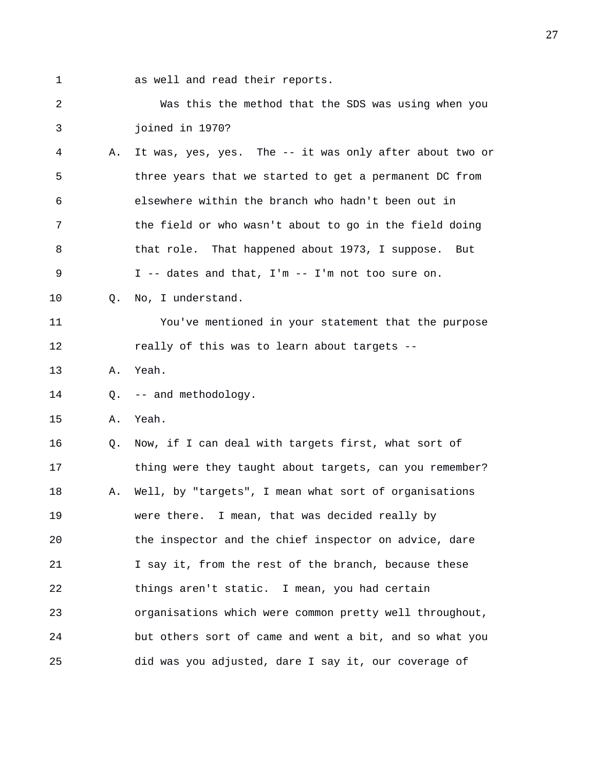1 as well and read their reports.

2 Was this the method that the SDS was using when you 3 joined in 1970? 4 A. It was, yes, yes. The -- it was only after about two or

5 three years that we started to get a permanent DC from 6 elsewhere within the branch who hadn't been out in 7 the field or who wasn't about to go in the field doing 8 that role. That happened about 1973, I suppose. But 9 I -- dates and that, I'm -- I'm not too sure on.

10 0. No, I understand.

11 You've mentioned in your statement that the purpose 12 **really of this was to learn about targets** --

- 13 A. Yeah.
- 14 Q. -- and methodology.
- 15 A. Yeah.

16 Q. Now, if I can deal with targets first, what sort of 17 thing were they taught about targets, can you remember? 18 A. Well, by "targets", I mean what sort of organisations 19 were there. I mean, that was decided really by 20 the inspector and the chief inspector on advice, dare 21 I say it, from the rest of the branch, because these 22 things aren't static. I mean, you had certain 23 organisations which were common pretty well throughout, 24 but others sort of came and went a bit, and so what you 25 did was you adjusted, dare I say it, our coverage of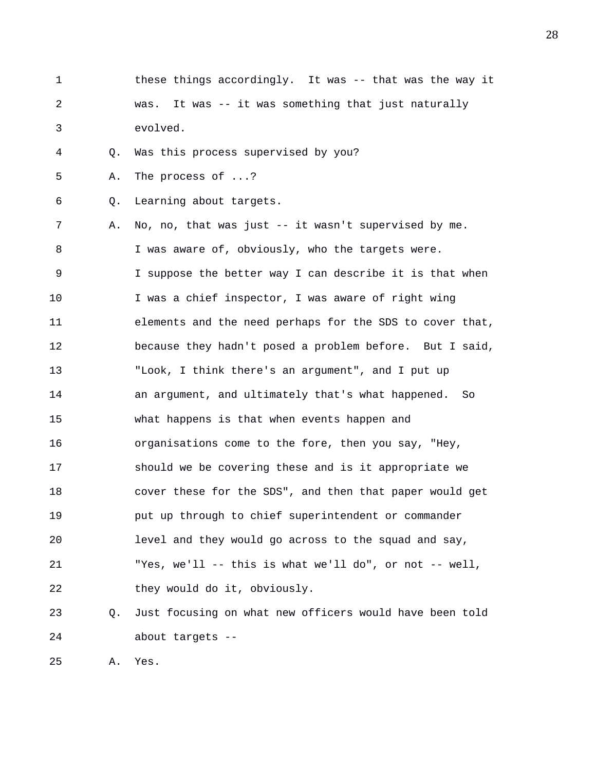| $\mathbf 1$ |           | these things accordingly. It was -- that was the way it  |
|-------------|-----------|----------------------------------------------------------|
| 2           |           | It was -- it was something that just naturally<br>was.   |
| 3           |           | evolved.                                                 |
| 4           | $\circ$ . | Was this process supervised by you?                      |
| 5           | Α.        | The process of ?                                         |
| 6           | Q.        | Learning about targets.                                  |
| 7           | Α.        | No, no, that was just $-$ it wasn't supervised by me.    |
| 8           |           | I was aware of, obviously, who the targets were.         |
| $\mathsf 9$ |           | I suppose the better way I can describe it is that when  |
| 10          |           | I was a chief inspector, I was aware of right wing       |
| 11          |           | elements and the need perhaps for the SDS to cover that, |
| 12          |           | because they hadn't posed a problem before. But I said,  |
| 13          |           | "Look, I think there's an argument", and I put up        |
| 14          |           | an argument, and ultimately that's what happened. So     |
| 15          |           | what happens is that when events happen and              |
| 16          |           | organisations come to the fore, then you say, "Hey,      |
| 17          |           | should we be covering these and is it appropriate we     |
| 18          |           | cover these for the SDS", and then that paper would get  |
| 19          |           | put up through to chief superintendent or commander      |
| 20          |           | level and they would go across to the squad and say,     |
| 21          |           | "Yes, we'll -- this is what we'll do", or not -- well,   |
| 22          |           | they would do it, obviously.                             |
| 23          | Q.        | Just focusing on what new officers would have been told  |
| 24          |           | about targets --                                         |

25 A. Yes.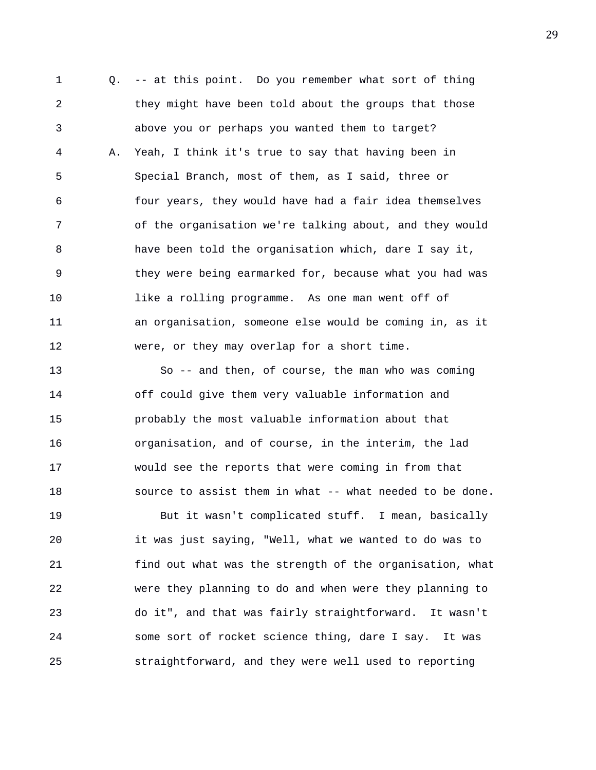1 Q. -- at this point. Do you remember what sort of thing 2 they might have been told about the groups that those 3 above you or perhaps you wanted them to target? 4 A. Yeah, I think it's true to say that having been in 5 Special Branch, most of them, as I said, three or 6 four years, they would have had a fair idea themselves 7 of the organisation we're talking about, and they would 8 have been told the organisation which, dare I say it, 9 they were being earmarked for, because what you had was 10 like a rolling programme. As one man went off of 11 an organisation, someone else would be coming in, as it 12 were, or they may overlap for a short time.

13 So -- and then, of course, the man who was coming 14 off could give them very valuable information and 15 probably the most valuable information about that 16 organisation, and of course, in the interim, the lad 17 would see the reports that were coming in from that 18 source to assist them in what -- what needed to be done.

19 But it wasn't complicated stuff. I mean, basically 20 it was just saying, "Well, what we wanted to do was to 21 find out what was the strength of the organisation, what 22 were they planning to do and when were they planning to 23 do it", and that was fairly straightforward. It wasn't 24 some sort of rocket science thing, dare I say. It was 25 straightforward, and they were well used to reporting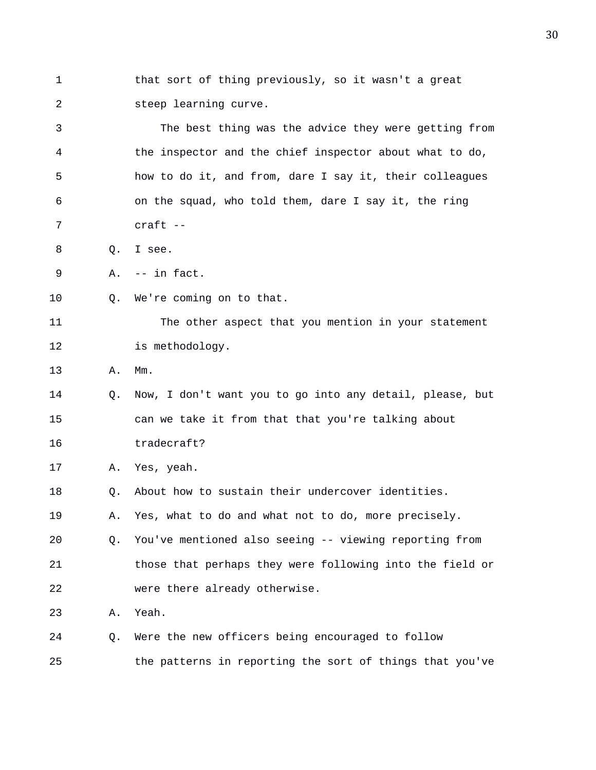1 that sort of thing previously, so it wasn't a great 2 steep learning curve.

3 The best thing was the advice they were getting from 4 the inspector and the chief inspector about what to do, 5 how to do it, and from, dare I say it, their colleagues 6 on the squad, who told them, dare I say it, the ring 7 craft --

8 Q. I see.

9 A. -- in fact.

10 0. We're coming on to that.

11 The other aspect that you mention in your statement 12 is methodology.

13 A. Mm.

- 14 Q. Now, I don't want you to go into any detail, please, but 15 can we take it from that that you're talking about 16 tradecraft?
- 
- 17 A. Yes, yeah.
- 18 Q. About how to sustain their undercover identities.
- 19 A. Yes, what to do and what not to do, more precisely.
- 20 Q. You've mentioned also seeing -- viewing reporting from 21 those that perhaps they were following into the field or 22 were there already otherwise.

23 A. Yeah.

24 Q. Were the new officers being encouraged to follow 25 the patterns in reporting the sort of things that you've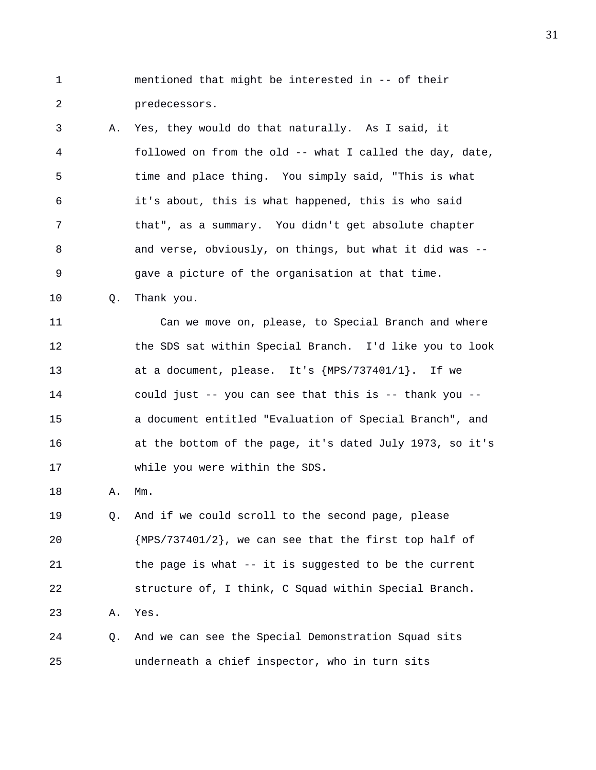1 mentioned that might be interested in -- of their 2 predecessors.

3 A. Yes, they would do that naturally. As I said, it 4 followed on from the old -- what I called the day, date, 5 time and place thing. You simply said, "This is what 6 it's about, this is what happened, this is who said 7 that", as a summary. You didn't get absolute chapter 8 and verse, obviously, on things, but what it did was -- 9 gave a picture of the organisation at that time.

10 Q. Thank you.

11 Can we move on, please, to Special Branch and where 12 the SDS sat within Special Branch. I'd like you to look 13 at a document, please. It's {MPS/737401/1}. If we 14 could just -- you can see that this is -- thank you -- 15 a document entitled "Evaluation of Special Branch", and 16 at the bottom of the page, it's dated July 1973, so it's 17 while you were within the SDS.

18 A. Mm.

19 Q. And if we could scroll to the second page, please 20 {MPS/737401/2}, we can see that the first top half of 21 the page is what -- it is suggested to be the current 22 structure of, I think, C Squad within Special Branch. 23 A. Yes.

24 Q. And we can see the Special Demonstration Squad sits 25 underneath a chief inspector, who in turn sits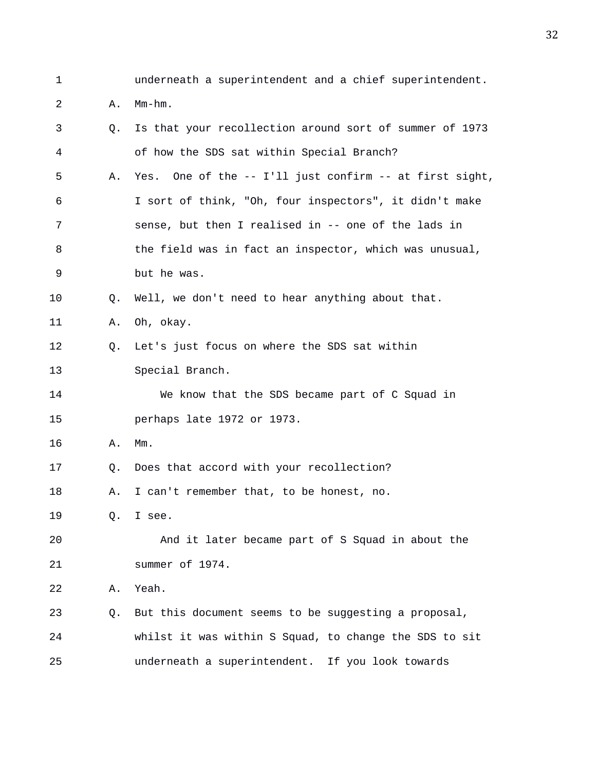1 underneath a superintendent and a chief superintendent.

2 A. Mm-hm.

| 3  | Q. | Is that your recollection around sort of summer of 1973       |
|----|----|---------------------------------------------------------------|
| 4  |    | of how the SDS sat within Special Branch?                     |
| 5  | Α. | Yes. One of the $-$ - I'll just confirm $-$ - at first sight, |
| 6  |    | I sort of think, "Oh, four inspectors", it didn't make        |
| 7  |    | sense, but then I realised in -- one of the lads in           |
| 8  |    | the field was in fact an inspector, which was unusual,        |
| 9  |    | but he was.                                                   |
| 10 | Q. | Well, we don't need to hear anything about that.              |
| 11 | Α. | Oh, okay.                                                     |
| 12 | Q. | Let's just focus on where the SDS sat within                  |
| 13 |    | Special Branch.                                               |
| 14 |    | We know that the SDS became part of C Squad in                |
| 15 |    | perhaps late 1972 or 1973.                                    |
| 16 | Α. | $Mm$ .                                                        |
| 17 | Q. | Does that accord with your recollection?                      |
| 18 | Α. | I can't remember that, to be honest, no.                      |
| 19 | Q. | I see.                                                        |
| 20 |    | And it later became part of S Squad in about the              |
| 21 |    | summer of 1974.                                               |
| 22 | Α. | Yeah.                                                         |
| 23 | Q. | But this document seems to be suggesting a proposal,          |
| 24 |    | whilst it was within S Squad, to change the SDS to sit        |
| 25 |    | underneath a superintendent. If you look towards              |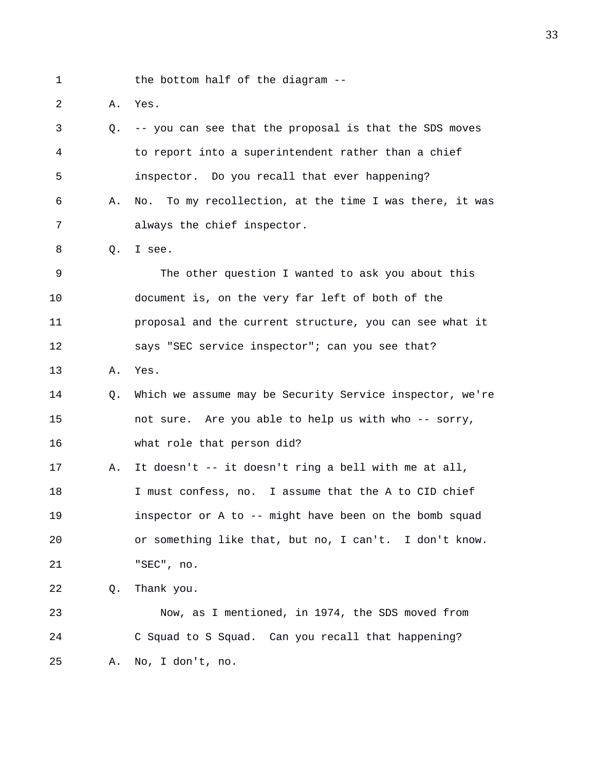1 the bottom half of the diagram --

2 A. Yes.

3 Q. -- you can see that the proposal is that the SDS moves 4 to report into a superintendent rather than a chief 5 inspector. Do you recall that ever happening? 6 A. No. To my recollection, at the time I was there, it was 7 always the chief inspector. 8 Q. I see. 9 The other question I wanted to ask you about this 10 document is, on the very far left of both of the 11 proposal and the current structure, you can see what it 12 says "SEC service inspector"; can you see that? 13 A. Yes. 14 Q. Which we assume may be Security Service inspector, we're 15 not sure. Are you able to help us with who -- sorry, 16 what role that person did? 17 A. It doesn't -- it doesn't ring a bell with me at all, 18 I must confess, no. I assume that the A to CID chief 19 inspector or A to -- might have been on the bomb squad 20 or something like that, but no, I can't. I don't know. 21 "SEC", no. 22 Q. Thank you. 23 Now, as I mentioned, in 1974, the SDS moved from 24 C Squad to S Squad. Can you recall that happening? 25 A. No, I don't, no.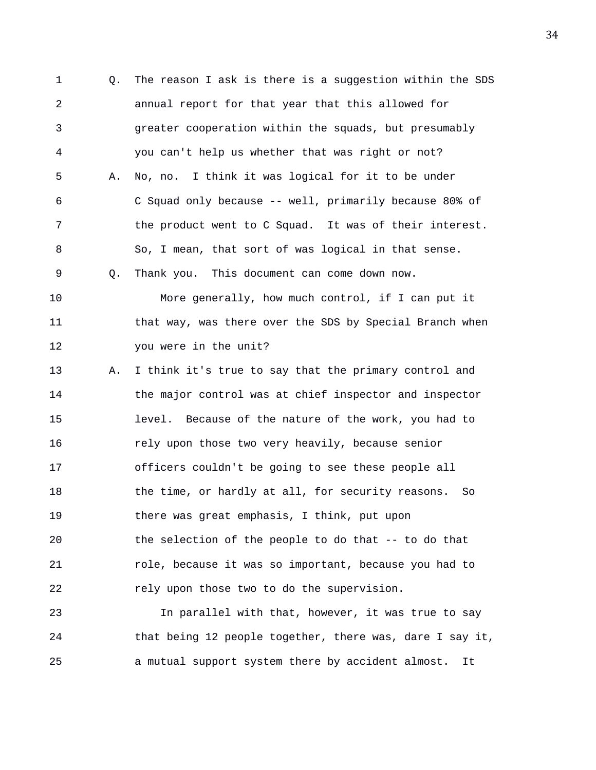1 Q. The reason I ask is there is a suggestion within the SDS 2 annual report for that year that this allowed for 3 greater cooperation within the squads, but presumably 4 you can't help us whether that was right or not? 5 A. No, no. I think it was logical for it to be under 6 C Squad only because -- well, primarily because 80% of 7 the product went to C Squad. It was of their interest. 8 So, I mean, that sort of was logical in that sense. 9 Q. Thank you. This document can come down now. 10 More generally, how much control, if I can put it 11 that way, was there over the SDS by Special Branch when 12 you were in the unit? 13 A. I think it's true to say that the primary control and 14 the major control was at chief inspector and inspector 15 level. Because of the nature of the work, you had to 16 rely upon those two very heavily, because senior 17 officers couldn't be going to see these people all 18 the time, or hardly at all, for security reasons. So 19 there was great emphasis, I think, put upon 20 the selection of the people to do that -- to do that 21 role, because it was so important, because you had to 22 rely upon those two to do the supervision.

23 In parallel with that, however, it was true to say 24 that being 12 people together, there was, dare I say it, 25 a mutual support system there by accident almost. It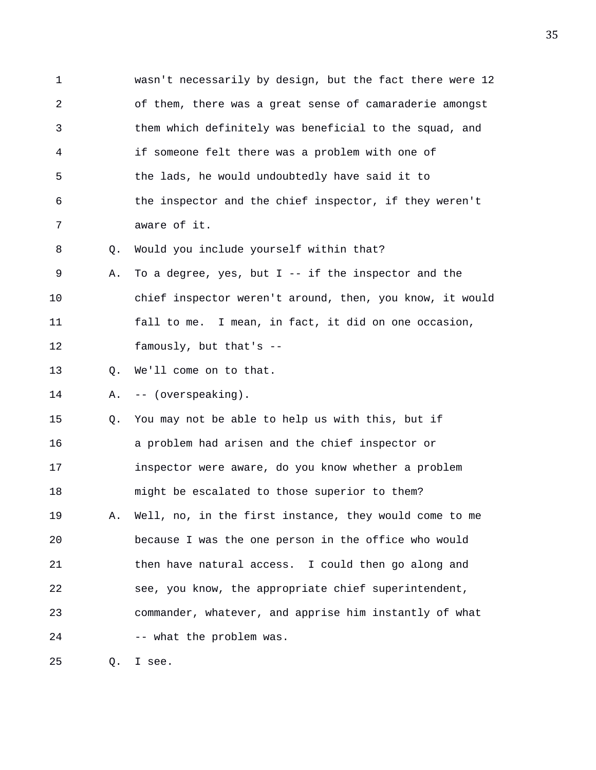1 wasn't necessarily by design, but the fact there were 12 2 of them, there was a great sense of camaraderie amongst 3 them which definitely was beneficial to the squad, and 4 if someone felt there was a problem with one of 5 the lads, he would undoubtedly have said it to 6 the inspector and the chief inspector, if they weren't 7 aware of it. 8 Q. Would you include yourself within that? 9 A. To a degree, yes, but I -- if the inspector and the 10 chief inspector weren't around, then, you know, it would 11 fall to me. I mean, in fact, it did on one occasion, 12 famously, but that's -- 13 Q. We'll come on to that. 14 A. -- (overspeaking). 15 Q. You may not be able to help us with this, but if 16 a problem had arisen and the chief inspector or 17 inspector were aware, do you know whether a problem 18 might be escalated to those superior to them? 19 A. Well, no, in the first instance, they would come to me 20 because I was the one person in the office who would 21 then have natural access. I could then go along and 22 see, you know, the appropriate chief superintendent, 23 commander, whatever, and apprise him instantly of what 24 -- what the problem was. 25 Q. I see.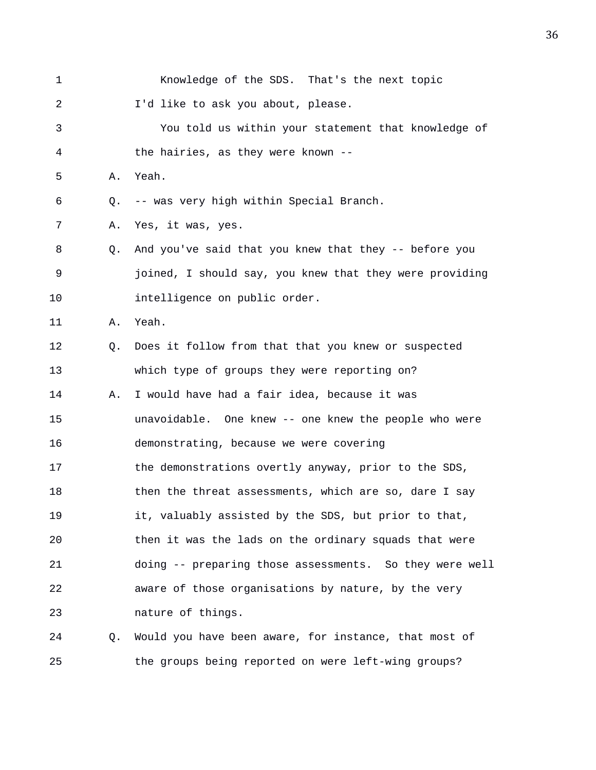| 1  |             | Knowledge of the SDS. That's the next topic             |
|----|-------------|---------------------------------------------------------|
| 2  |             | I'd like to ask you about, please.                      |
| 3  |             | You told us within your statement that knowledge of     |
| 4  |             | the hairies, as they were known --                      |
| 5  | Α.          | Yeah.                                                   |
| 6  | $Q_{\star}$ | -- was very high within Special Branch.                 |
| 7  | Α.          | Yes, it was, yes.                                       |
| 8  | Q.          | And you've said that you knew that they -- before you   |
| 9  |             | joined, I should say, you knew that they were providing |
| 10 |             | intelligence on public order.                           |
| 11 | Α.          | Yeah.                                                   |
| 12 | O.          | Does it follow from that that you knew or suspected     |
| 13 |             | which type of groups they were reporting on?            |
| 14 | Α.          | I would have had a fair idea, because it was            |
| 15 |             | unavoidable. One knew -- one knew the people who were   |
| 16 |             | demonstrating, because we were covering                 |
| 17 |             | the demonstrations overtly anyway, prior to the SDS,    |
| 18 |             | then the threat assessments, which are so, dare I say   |
| 19 |             | it, valuably assisted by the SDS, but prior to that,    |
| 20 |             | then it was the lads on the ordinary squads that were   |
| 21 |             | doing -- preparing those assessments. So they were well |
| 22 |             | aware of those organisations by nature, by the very     |
| 23 |             | nature of things.                                       |
| 24 | $Q_{\star}$ | Would you have been aware, for instance, that most of   |
| 25 |             | the groups being reported on were left-wing groups?     |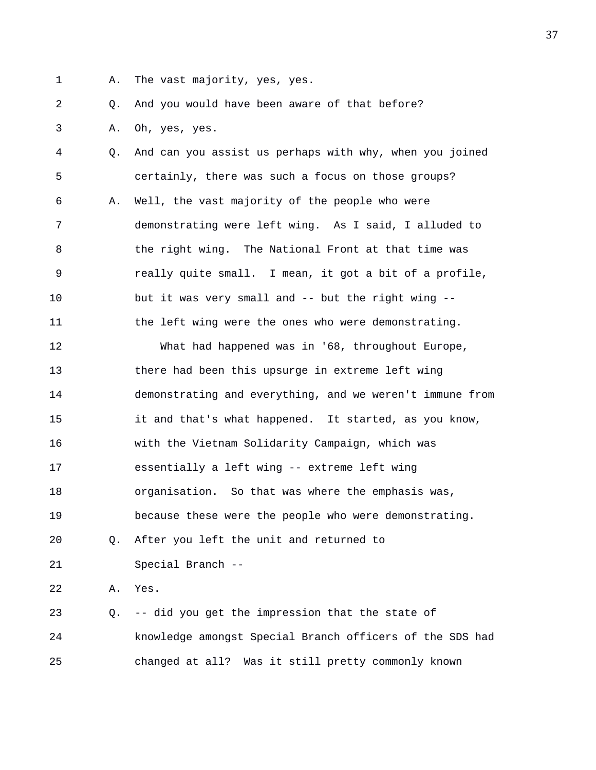- 
- 1 A. The vast majority, yes, yes.

2 0. And you would have been aware of that before?

3 A. Oh, yes, yes.

4 Q. And can you assist us perhaps with why, when you joined 5 certainly, there was such a focus on those groups? 6 A. Well, the vast majority of the people who were 7 demonstrating were left wing. As I said, I alluded to 8 the right wing. The National Front at that time was 9 really quite small. I mean, it got a bit of a profile, 10 but it was very small and -- but the right wing -- 11 the left wing were the ones who were demonstrating.

12 What had happened was in '68, throughout Europe, 13 there had been this upsurge in extreme left wing 14 demonstrating and everything, and we weren't immune from 15 it and that's what happened. It started, as you know, 16 with the Vietnam Solidarity Campaign, which was 17 essentially a left wing -- extreme left wing 18 organisation. So that was where the emphasis was, 19 because these were the people who were demonstrating. 20 Q. After you left the unit and returned to 21 Special Branch -- 22 A. Yes. 23 Q. -- did you get the impression that the state of 24 knowledge amongst Special Branch officers of the SDS had

25 changed at all? Was it still pretty commonly known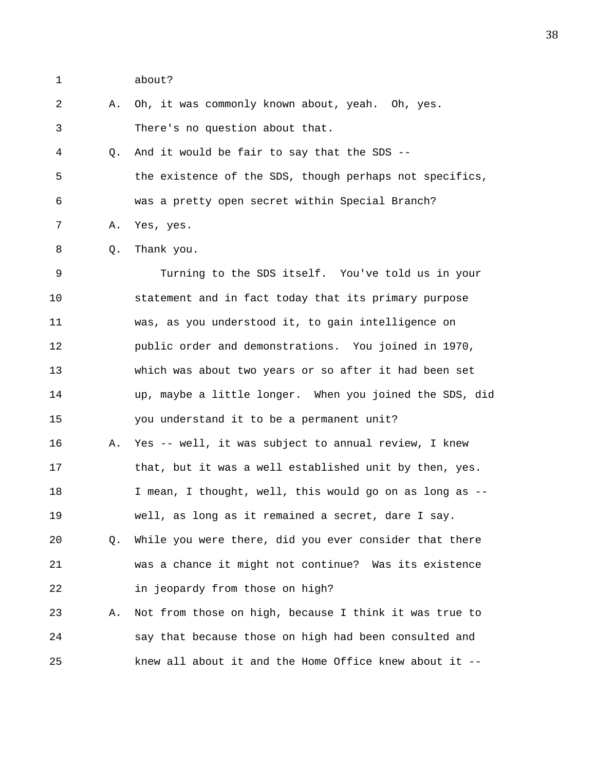1 about?

|  |  | A. Oh, it was commonly known about, yeah. Oh, yes. |  |  |  |
|--|--|----------------------------------------------------|--|--|--|
|  |  | There's no question about that.                    |  |  |  |

4 Q. And it would be fair to say that the SDS --

5 the existence of the SDS, though perhaps not specifics, 6 was a pretty open secret within Special Branch?

7 A. Yes, yes.

8 Q. Thank you.

9 Turning to the SDS itself. You've told us in your 10 statement and in fact today that its primary purpose 11 was, as you understood it, to gain intelligence on 12 public order and demonstrations. You joined in 1970, 13 which was about two years or so after it had been set 14 up, maybe a little longer. When you joined the SDS, did 15 you understand it to be a permanent unit? 16 A. Yes -- well, it was subject to annual review, I knew 17 that, but it was a well established unit by then, yes.

18 I mean, I thought, well, this would go on as long as -- 19 well, as long as it remained a secret, dare I say.

20 Q. While you were there, did you ever consider that there 21 was a chance it might not continue? Was its existence 22 in jeopardy from those on high?

23 A. Not from those on high, because I think it was true to 24 say that because those on high had been consulted and 25 knew all about it and the Home Office knew about it --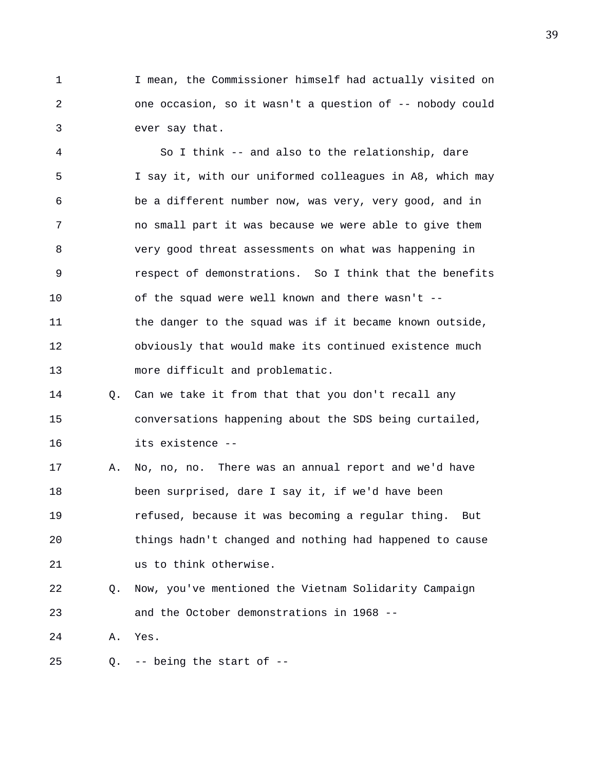1 I mean, the Commissioner himself had actually visited on 2 one occasion, so it wasn't a question of -- nobody could 3 ever say that.

4 So I think -- and also to the relationship, dare 5 I say it, with our uniformed colleagues in A8, which may 6 be a different number now, was very, very good, and in 7 no small part it was because we were able to give them 8 very good threat assessments on what was happening in 9 respect of demonstrations. So I think that the benefits 10 of the squad were well known and there wasn't -- 11 the danger to the squad was if it became known outside, 12 obviously that would make its continued existence much 13 more difficult and problematic.

- 14 Q. Can we take it from that that you don't recall any 15 conversations happening about the SDS being curtailed, 16 its existence --
- 17 A. No, no, no. There was an annual report and we'd have 18 been surprised, dare I say it, if we'd have been 19 refused, because it was becoming a regular thing. But 20 things hadn't changed and nothing had happened to cause 21 us to think otherwise.
- 22 Q. Now, you've mentioned the Vietnam Solidarity Campaign 23 and the October demonstrations in 1968 --

24 A. Yes.

25  $Q. - -$  being the start of  $-$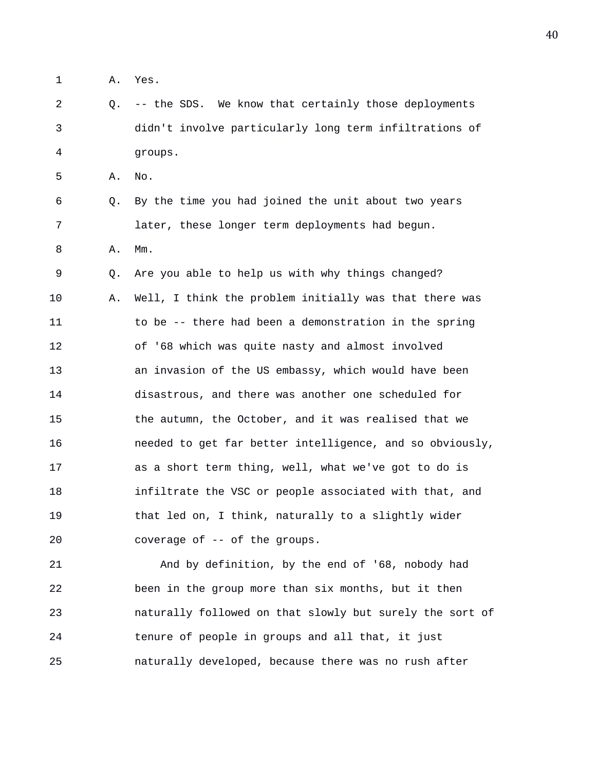- 1 A. Yes.
- 2 Q. -- the SDS. We know that certainly those deployments 3 didn't involve particularly long term infiltrations of 4 groups.
- 5 A. No.
- 6 Q. By the time you had joined the unit about two years 7 later, these longer term deployments had begun.
- 8 A. Mm.

9 Q. Are you able to help us with why things changed? 10 A. Well, I think the problem initially was that there was 11 to be -- there had been a demonstration in the spring 12 of '68 which was quite nasty and almost involved 13 an invasion of the US embassy, which would have been 14 disastrous, and there was another one scheduled for 15 the autumn, the October, and it was realised that we 16 needed to get far better intelligence, and so obviously, 17 as a short term thing, well, what we've got to do is 18 infiltrate the VSC or people associated with that, and 19 that led on, I think, naturally to a slightly wider 20 coverage of -- of the groups.

21 And by definition, by the end of '68, nobody had 22 been in the group more than six months, but it then 23 naturally followed on that slowly but surely the sort of 24 tenure of people in groups and all that, it just 25 naturally developed, because there was no rush after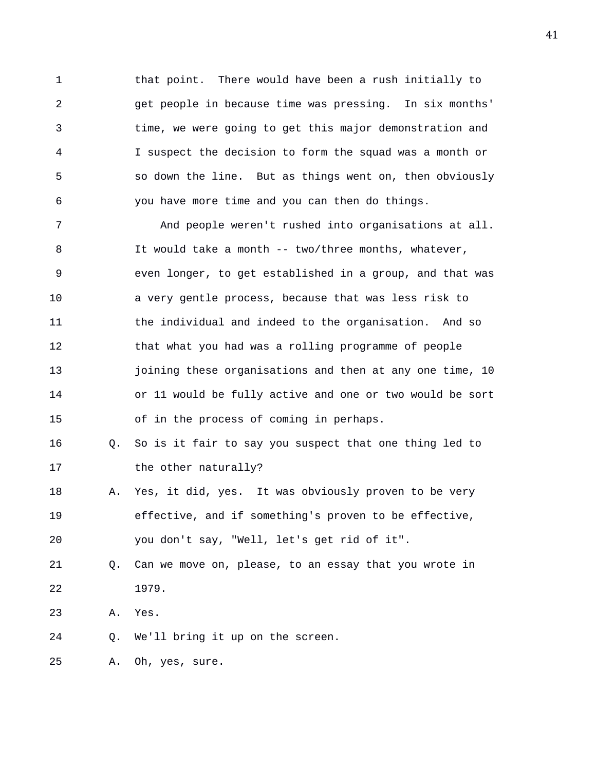1 that point. There would have been a rush initially to 2 get people in because time was pressing. In six months' 3 time, we were going to get this major demonstration and 4 I suspect the decision to form the squad was a month or 5 so down the line. But as things went on, then obviously 6 you have more time and you can then do things.

7 And people weren't rushed into organisations at all. 8 It would take a month -- two/three months, whatever, 9 even longer, to get established in a group, and that was 10 a very gentle process, because that was less risk to 11 the individual and indeed to the organisation. And so 12 that what you had was a rolling programme of people 13 joining these organisations and then at any one time, 10 14 or 11 would be fully active and one or two would be sort 15 of in the process of coming in perhaps.

16 Q. So is it fair to say you suspect that one thing led to 17 the other naturally?

18 A. Yes, it did, yes. It was obviously proven to be very 19 effective, and if something's proven to be effective, 20 you don't say, "Well, let's get rid of it".

21 Q. Can we move on, please, to an essay that you wrote in 22 1979.

23 A. Yes.

24 Q. We'll bring it up on the screen.

25 A. Oh, yes, sure.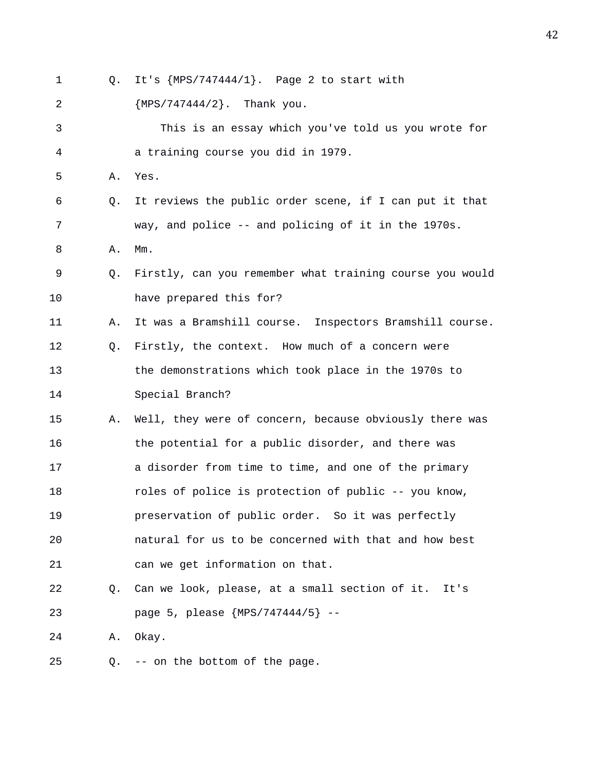| 1  | Q. | It's $\{MPS/747444/1\}$ . Page 2 to start with           |
|----|----|----------------------------------------------------------|
| 2  |    | ${MPS}/747444/2$ . Thank you.                            |
| 3  |    | This is an essay which you've told us you wrote for      |
| 4  |    | a training course you did in 1979.                       |
| 5  | Α. | Yes.                                                     |
| 6  | Q. | It reviews the public order scene, if I can put it that  |
| 7  |    | way, and police -- and policing of it in the 1970s.      |
| 8  | Α. | $Mm$ .                                                   |
| 9  | Q. | Firstly, can you remember what training course you would |
| 10 |    | have prepared this for?                                  |
| 11 | Α. | It was a Bramshill course. Inspectors Bramshill course.  |
| 12 | Q. | Firstly, the context. How much of a concern were         |
| 13 |    | the demonstrations which took place in the 1970s to      |
| 14 |    | Special Branch?                                          |
| 15 | Α. | Well, they were of concern, because obviously there was  |
| 16 |    | the potential for a public disorder, and there was       |
| 17 |    | a disorder from time to time, and one of the primary     |
| 18 |    | roles of police is protection of public -- you know,     |
| 19 |    | preservation of public order. So it was perfectly        |
| 20 |    | natural for us to be concerned with that and how best    |
| 21 |    | can we get information on that.                          |
| 22 | Q. | Can we look, please, at a small section of it.<br>It's   |
| 23 |    | page 5, please {MPS/747444/5} --                         |
| 24 | Α. | Okay.                                                    |
| 25 | Q. | -- on the bottom of the page.                            |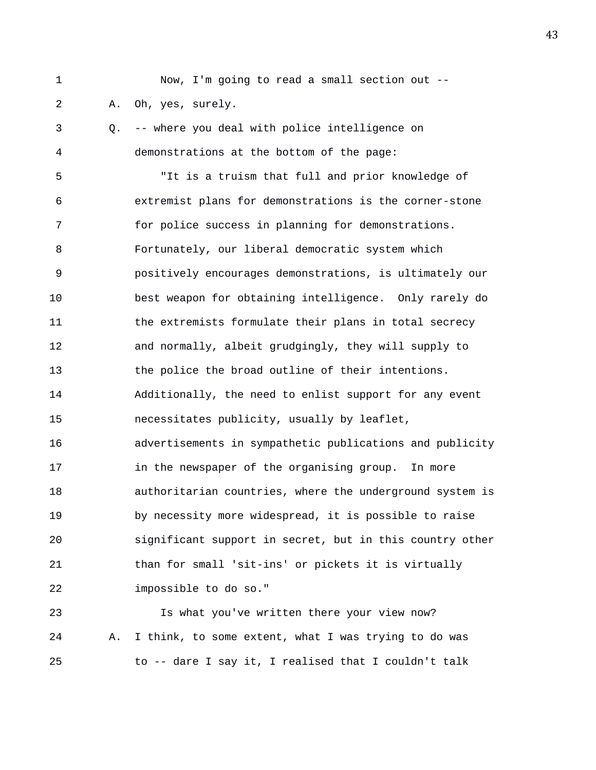1 Now, I'm going to read a small section out --

2 A. Oh, yes, surely.

3 Q. -- where you deal with police intelligence on 4 demonstrations at the bottom of the page: 5 "It is a truism that full and prior knowledge of 6 extremist plans for demonstrations is the corner-stone 7 for police success in planning for demonstrations. 8 Fortunately, our liberal democratic system which 9 positively encourages demonstrations, is ultimately our 10 best weapon for obtaining intelligence. Only rarely do 11 the extremists formulate their plans in total secrecy 12 and normally, albeit grudgingly, they will supply to 13 the police the broad outline of their intentions. 14 Additionally, the need to enlist support for any event 15 necessitates publicity, usually by leaflet, 16 advertisements in sympathetic publications and publicity 17 in the newspaper of the organising group. In more 18 authoritarian countries, where the underground system is 19 by necessity more widespread, it is possible to raise 20 significant support in secret, but in this country other 21 than for small 'sit-ins' or pickets it is virtually 22 impossible to do so." 23 Is what you've written there your view now?

24 A. I think, to some extent, what I was trying to do was 25 to -- dare I say it, I realised that I couldn't talk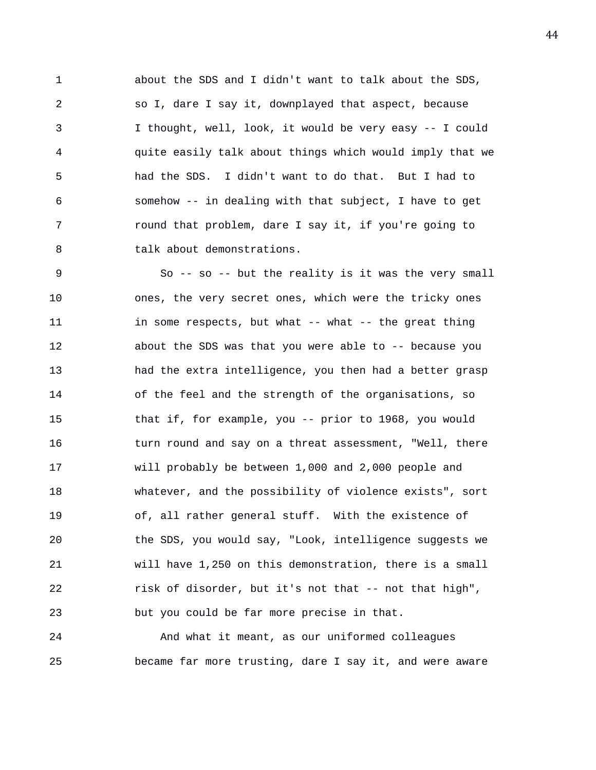1 about the SDS and I didn't want to talk about the SDS, 2 so I, dare I say it, downplayed that aspect, because 3 I thought, well, look, it would be very easy -- I could 4 quite easily talk about things which would imply that we 5 had the SDS. I didn't want to do that. But I had to 6 somehow -- in dealing with that subject, I have to get 7 round that problem, dare I say it, if you're going to 8 talk about demonstrations.

9 So -- so -- but the reality is it was the very small 10 ones, the very secret ones, which were the tricky ones 11 in some respects, but what -- what -- the great thing 12 about the SDS was that you were able to -- because you 13 had the extra intelligence, you then had a better grasp 14 of the feel and the strength of the organisations, so 15 that if, for example, you -- prior to 1968, you would 16 turn round and say on a threat assessment, "Well, there 17 will probably be between 1,000 and 2,000 people and 18 whatever, and the possibility of violence exists", sort 19 of, all rather general stuff. With the existence of 20 the SDS, you would say, "Look, intelligence suggests we 21 will have 1,250 on this demonstration, there is a small 22 risk of disorder, but it's not that -- not that high", 23 but you could be far more precise in that.

24 And what it meant, as our uniformed colleagues 25 became far more trusting, dare I say it, and were aware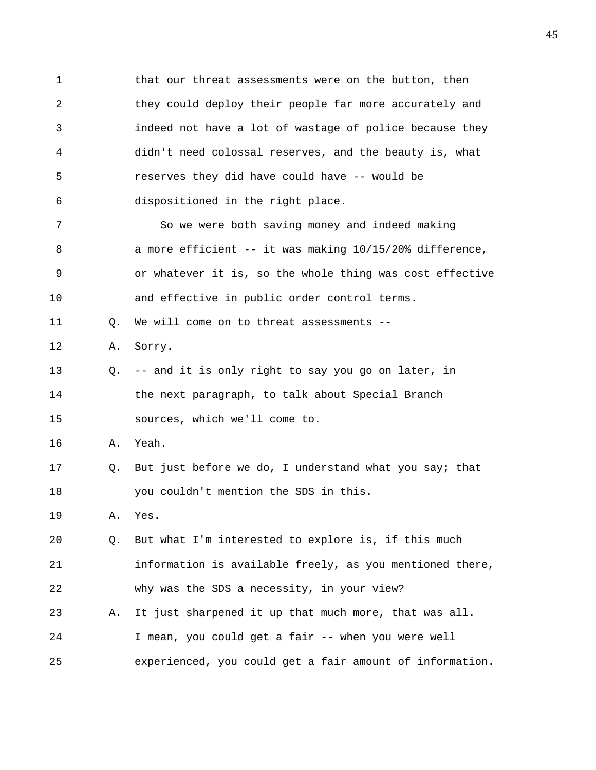1 that our threat assessments were on the button, then 2 they could deploy their people far more accurately and 3 indeed not have a lot of wastage of police because they 4 didn't need colossal reserves, and the beauty is, what 5 reserves they did have could have -- would be 6 dispositioned in the right place. 7 So we were both saving money and indeed making 8 a more efficient -- it was making  $10/15/20$ % difference, 9 or whatever it is, so the whole thing was cost effective 10 and effective in public order control terms. 11 O. We will come on to threat assessments --12 A. Sorry. 13 Q. -- and it is only right to say you go on later, in 14 the next paragraph, to talk about Special Branch 15 sources, which we'll come to. 16 A. Yeah. 17 Q. But just before we do, I understand what you say; that 18 you couldn't mention the SDS in this. 19 A. Yes. 20 Q. But what I'm interested to explore is, if this much 21 information is available freely, as you mentioned there, 22 why was the SDS a necessity, in your view? 23 A. It just sharpened it up that much more, that was all. 24 I mean, you could get a fair -- when you were well 25 experienced, you could get a fair amount of information.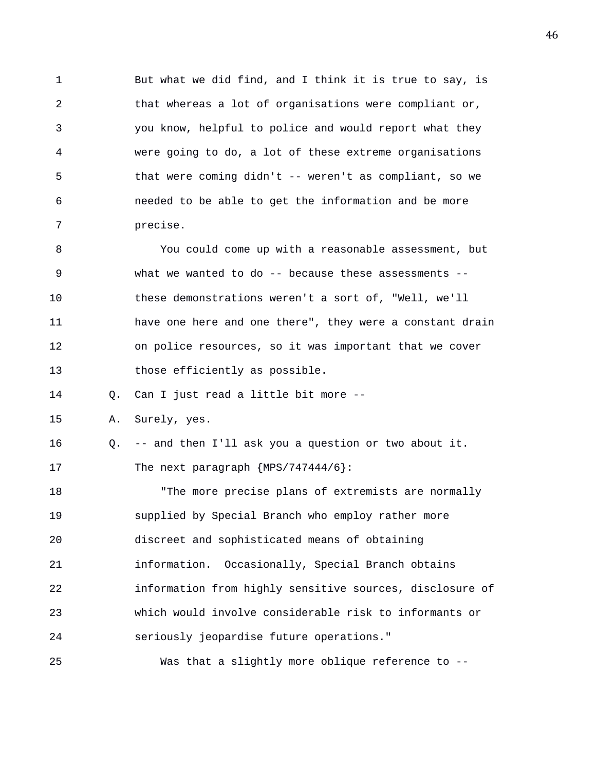1 But what we did find, and I think it is true to say, is 2 that whereas a lot of organisations were compliant or, 3 you know, helpful to police and would report what they 4 were going to do, a lot of these extreme organisations 5 that were coming didn't -- weren't as compliant, so we 6 needed to be able to get the information and be more 7 precise.

8 You could come up with a reasonable assessment, but 9 what we wanted to do -- because these assessments -- 10 these demonstrations weren't a sort of, "Well, we'll 11 have one here and one there", they were a constant drain 12 on police resources, so it was important that we cover 13 those efficiently as possible.

14 Q. Can I just read a little bit more --

15 A. Surely, yes.

16 Q. -- and then I'll ask you a question or two about it. 17 The next paragraph {MPS/747444/6}:

18 "The more precise plans of extremists are normally 19 supplied by Special Branch who employ rather more 20 discreet and sophisticated means of obtaining 21 information. Occasionally, Special Branch obtains 22 information from highly sensitive sources, disclosure of 23 which would involve considerable risk to informants or 24 seriously jeopardise future operations." 25 Was that a slightly more oblique reference to --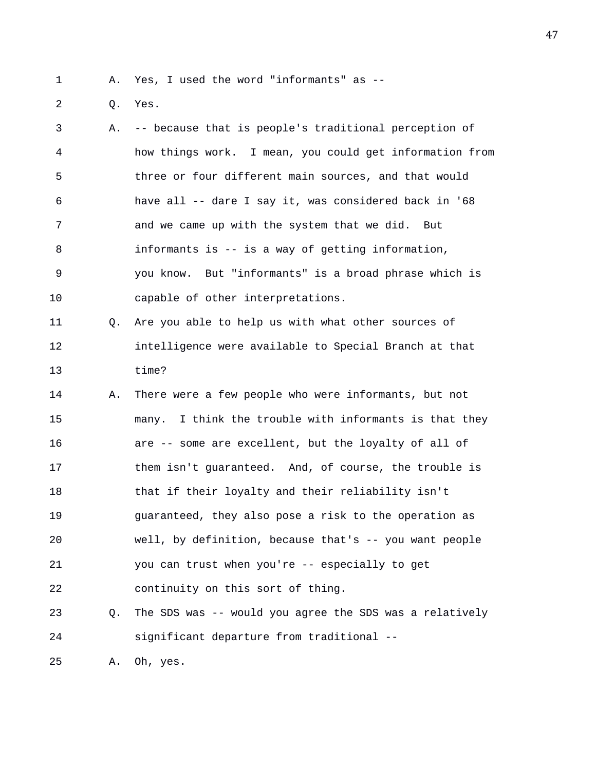1 A. Yes, I used the word "informants" as --

2 Q. Yes.

| 3              | Α. | -- because that is people's traditional perception of   |
|----------------|----|---------------------------------------------------------|
| $\overline{4}$ |    | how things work. I mean, you could get information from |
| 5              |    | three or four different main sources, and that would    |
| 6              |    | have all -- dare I say it, was considered back in '68   |
| 7              |    | and we came up with the system that we did. But         |
| 8              |    | informants is -- is a way of getting information,       |
| 9              |    | you know. But "informants" is a broad phrase which is   |
| 10             |    | capable of other interpretations.                       |
| 11             | Q. | Are you able to help us with what other sources of      |
| 12             |    | intelligence were available to Special Branch at that   |
| 13             |    | time?                                                   |
| 14             | Α. | There were a few people who were informants, but not    |
| 15             |    | many. I think the trouble with informants is that they  |
| 16             |    | are -- some are excellent, but the loyalty of all of    |
| 17             |    | them isn't guaranteed. And, of course, the trouble is   |
| 18             |    | that if their loyalty and their reliability isn't       |
| 19             |    | guaranteed, they also pose a risk to the operation as   |
| 20             |    | well, by definition, because that's -- you want people  |
| 21             |    | you can trust when you're -- especially to get          |
| 22             |    | continuity on this sort of thing.                       |
| 23             | Q. | The SDS was -- would you agree the SDS was a relatively |
| 24             |    | significant departure from traditional --               |
| 25             | Α. | Oh, yes.                                                |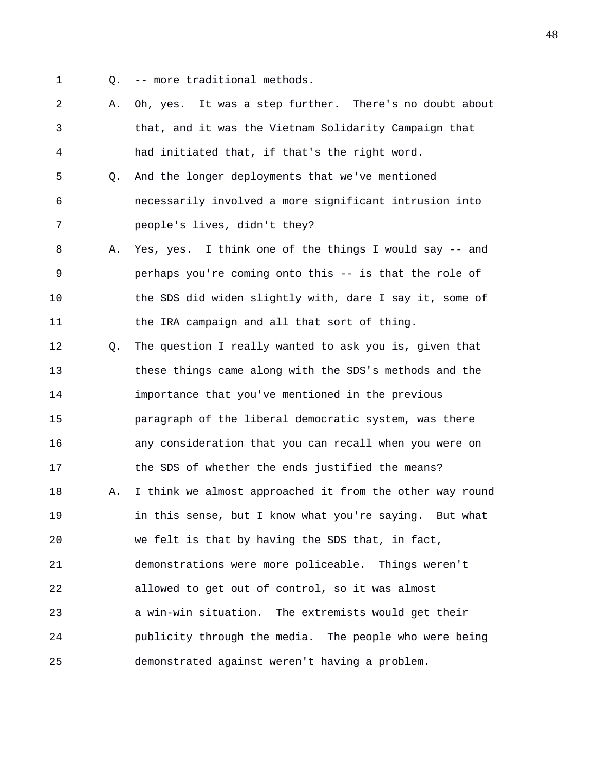- 
- 1 Q. -- more traditional methods.

2 A. Oh, yes. It was a step further. There's no doubt about 3 that, and it was the Vietnam Solidarity Campaign that 4 had initiated that, if that's the right word. 5 Q. And the longer deployments that we've mentioned 6 necessarily involved a more significant intrusion into 7 people's lives, didn't they? 8 A. Yes, yes. I think one of the things I would say -- and 9 perhaps you're coming onto this -- is that the role of 10 the SDS did widen slightly with, dare I say it, some of 11 the IRA campaign and all that sort of thing. 12 Q. The question I really wanted to ask you is, given that 13 these things came along with the SDS's methods and the 14 importance that you've mentioned in the previous 15 paragraph of the liberal democratic system, was there 16 any consideration that you can recall when you were on 17 the SDS of whether the ends justified the means? 18 A. I think we almost approached it from the other way round 19 in this sense, but I know what you're saying. But what 20 we felt is that by having the SDS that, in fact, 21 demonstrations were more policeable. Things weren't 22 allowed to get out of control, so it was almost 23 a win-win situation. The extremists would get their 24 publicity through the media. The people who were being 25 demonstrated against weren't having a problem.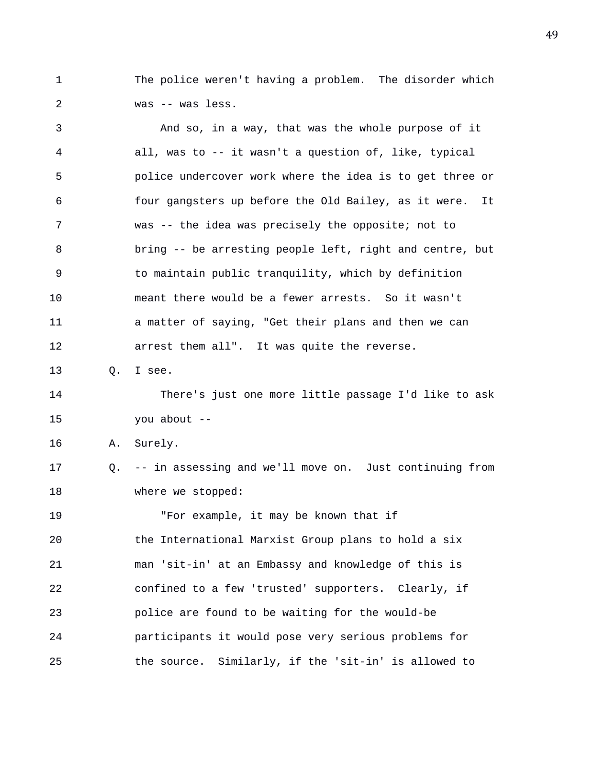1 The police weren't having a problem. The disorder which 2 was -- was less.

3 And so, in a way, that was the whole purpose of it 4 all, was to -- it wasn't a question of, like, typical 5 police undercover work where the idea is to get three or 6 four gangsters up before the Old Bailey, as it were. It 7 was -- the idea was precisely the opposite; not to 8 bring -- be arresting people left, right and centre, but 9 to maintain public tranquility, which by definition 10 meant there would be a fewer arrests. So it wasn't 11 a matter of saying, "Get their plans and then we can 12 arrest them all". It was quite the reverse. 13 Q. I see. 14 There's just one more little passage I'd like to ask 15 you about -- 16 A. Surely. 17 Q. -- in assessing and we'll move on. Just continuing from 18 where we stopped: 19 "For example, it may be known that if 20 the International Marxist Group plans to hold a six 21 man 'sit-in' at an Embassy and knowledge of this is 22 confined to a few 'trusted' supporters. Clearly, if 23 police are found to be waiting for the would-be 24 participants it would pose very serious problems for 25 the source. Similarly, if the 'sit-in' is allowed to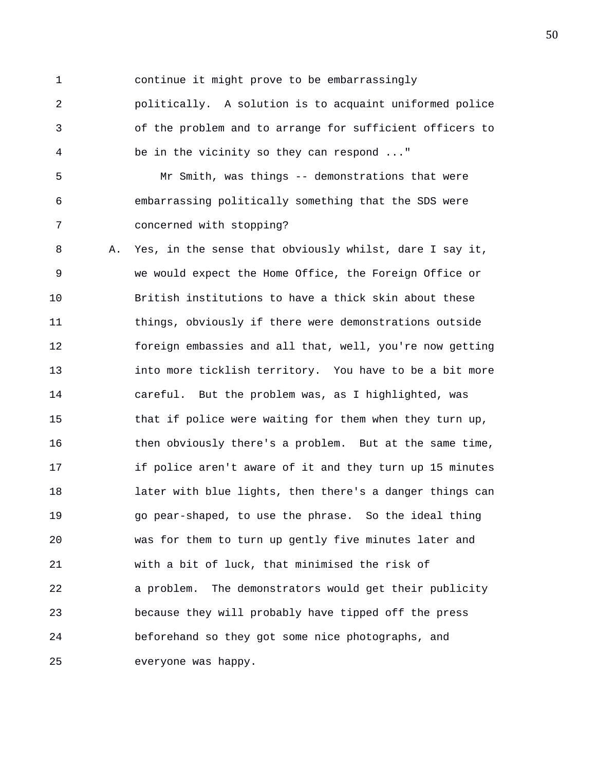1 continue it might prove to be embarrassingly

2 politically. A solution is to acquaint uniformed police 3 of the problem and to arrange for sufficient officers to 4 be in the vicinity so they can respond ..."

5 Mr Smith, was things -- demonstrations that were 6 embarrassing politically something that the SDS were 7 concerned with stopping?

8 A. Yes, in the sense that obviously whilst, dare I say it, 9 we would expect the Home Office, the Foreign Office or 10 British institutions to have a thick skin about these 11 things, obviously if there were demonstrations outside 12 foreign embassies and all that, well, you're now getting 13 into more ticklish territory. You have to be a bit more 14 careful. But the problem was, as I highlighted, was 15 that if police were waiting for them when they turn up, 16 then obviously there's a problem. But at the same time, 17 if police aren't aware of it and they turn up 15 minutes 18 later with blue lights, then there's a danger things can 19 go pear-shaped, to use the phrase. So the ideal thing 20 was for them to turn up gently five minutes later and 21 with a bit of luck, that minimised the risk of 22 a problem. The demonstrators would get their publicity 23 because they will probably have tipped off the press 24 beforehand so they got some nice photographs, and 25 everyone was happy.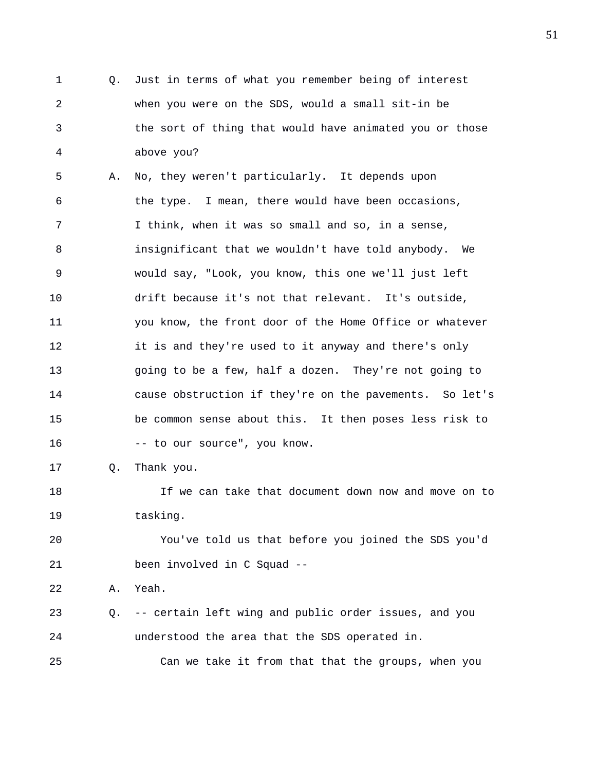1 Q. Just in terms of what you remember being of interest 2 when you were on the SDS, would a small sit-in be 3 the sort of thing that would have animated you or those 4 above you?

5 A. No, they weren't particularly. It depends upon 6 the type. I mean, there would have been occasions, 7 I think, when it was so small and so, in a sense, 8 insignificant that we wouldn't have told anybody. We 9 would say, "Look, you know, this one we'll just left 10 drift because it's not that relevant. It's outside, 11 you know, the front door of the Home Office or whatever 12 it is and they're used to it anyway and there's only 13 going to be a few, half a dozen. They're not going to 14 cause obstruction if they're on the pavements. So let's 15 be common sense about this. It then poses less risk to 16 -- to our source", you know.

17 Q. Thank you.

18 If we can take that document down now and move on to 19 tasking.

20 You've told us that before you joined the SDS you'd 21 been involved in C Squad --

22 A. Yeah.

23 Q. -- certain left wing and public order issues, and you 24 understood the area that the SDS operated in.

25 Can we take it from that that the groups, when you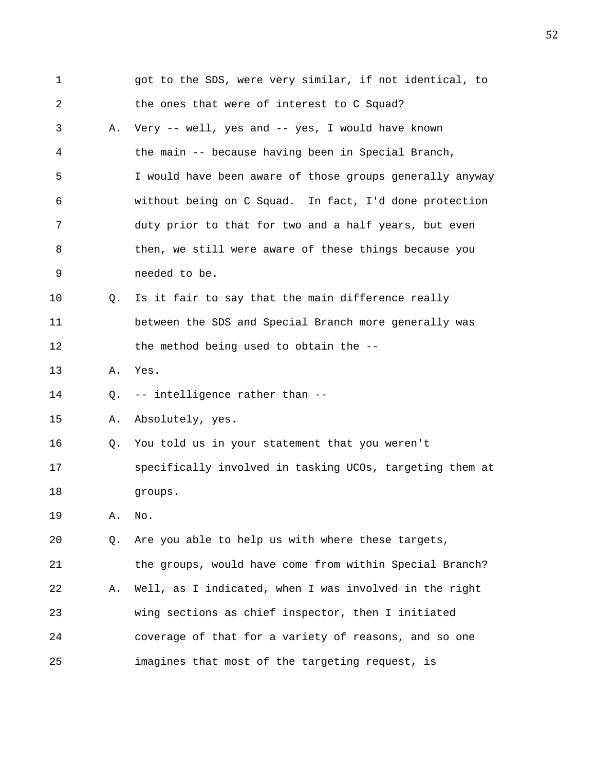| 1  |                | got to the SDS, were very similar, if not identical, to  |
|----|----------------|----------------------------------------------------------|
| 2  |                | the ones that were of interest to C Squad?               |
| 3  | Α.             | Very -- well, yes and -- yes, I would have known         |
| 4  |                | the main -- because having been in Special Branch,       |
| 5  |                | I would have been aware of those groups generally anyway |
| 6  |                | without being on C Squad. In fact, I'd done protection   |
| 7  |                | duty prior to that for two and a half years, but even    |
| 8  |                | then, we still were aware of these things because you    |
| 9  |                | needed to be.                                            |
| 10 | Q <sub>z</sub> | Is it fair to say that the main difference really        |
| 11 |                | between the SDS and Special Branch more generally was    |
| 12 |                | the method being used to obtain the --                   |
| 13 | Α.             | Yes.                                                     |
| 14 | O.             | -- intelligence rather than --                           |
| 15 | Α.             | Absolutely, yes.                                         |
| 16 | Q.             | You told us in your statement that you weren't           |
| 17 |                | specifically involved in tasking UCOs, targeting them at |
| 18 |                | groups.                                                  |
| 19 | Α.             | No.                                                      |
| 20 | Q.             | Are you able to help us with where these targets,        |
| 21 |                | the groups, would have come from within Special Branch?  |
| 22 | Α.             | Well, as I indicated, when I was involved in the right   |
| 23 |                | wing sections as chief inspector, then I initiated       |
| 24 |                | coverage of that for a variety of reasons, and so one    |
| 25 |                | imagines that most of the targeting request, is          |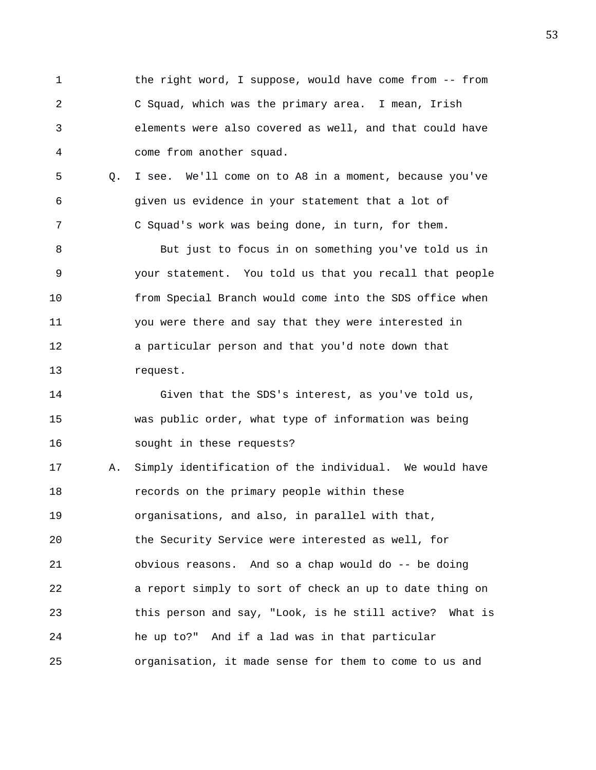1 the right word, I suppose, would have come from -- from 2 C Squad, which was the primary area. I mean, Irish 3 elements were also covered as well, and that could have 4 come from another squad.

5 Q. I see. We'll come on to A8 in a moment, because you've 6 given us evidence in your statement that a lot of 7 C Squad's work was being done, in turn, for them.

8 But just to focus in on something you've told us in 9 your statement. You told us that you recall that people 10 from Special Branch would come into the SDS office when 11 you were there and say that they were interested in 12 a particular person and that you'd note down that 13 request.

14 Given that the SDS's interest, as you've told us, 15 was public order, what type of information was being 16 sought in these requests?

17 A. Simply identification of the individual. We would have 18 records on the primary people within these 19 organisations, and also, in parallel with that, 20 the Security Service were interested as well, for 21 obvious reasons. And so a chap would do -- be doing 22 a report simply to sort of check an up to date thing on 23 this person and say, "Look, is he still active? What is 24 he up to?" And if a lad was in that particular 25 organisation, it made sense for them to come to us and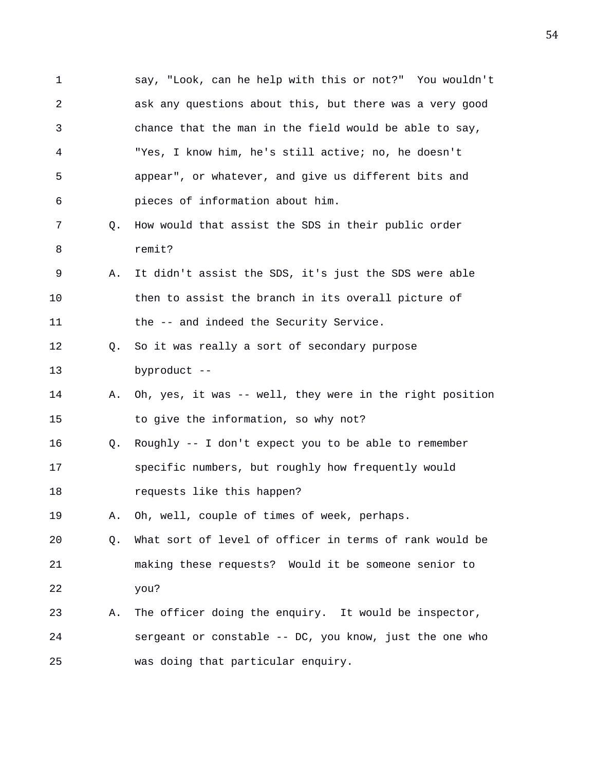1 say, "Look, can he help with this or not?" You wouldn't 2 ask any questions about this, but there was a very good 3 chance that the man in the field would be able to say, 4 "Yes, I know him, he's still active; no, he doesn't 5 appear", or whatever, and give us different bits and 6 pieces of information about him. 7 Q. How would that assist the SDS in their public order 8 remit? 9 A. It didn't assist the SDS, it's just the SDS were able 10 then to assist the branch in its overall picture of 11 the -- and indeed the Security Service. 12 Q. So it was really a sort of secondary purpose 13 byproduct -- 14 A. Oh, yes, it was -- well, they were in the right position 15 to give the information, so why not? 16 Q. Roughly -- I don't expect you to be able to remember 17 specific numbers, but roughly how frequently would 18 requests like this happen? 19 A. Oh, well, couple of times of week, perhaps. 20 Q. What sort of level of officer in terms of rank would be 21 making these requests? Would it be someone senior to 22 you? 23 A. The officer doing the enquiry. It would be inspector, 24 sergeant or constable -- DC, you know, just the one who 25 was doing that particular enquiry.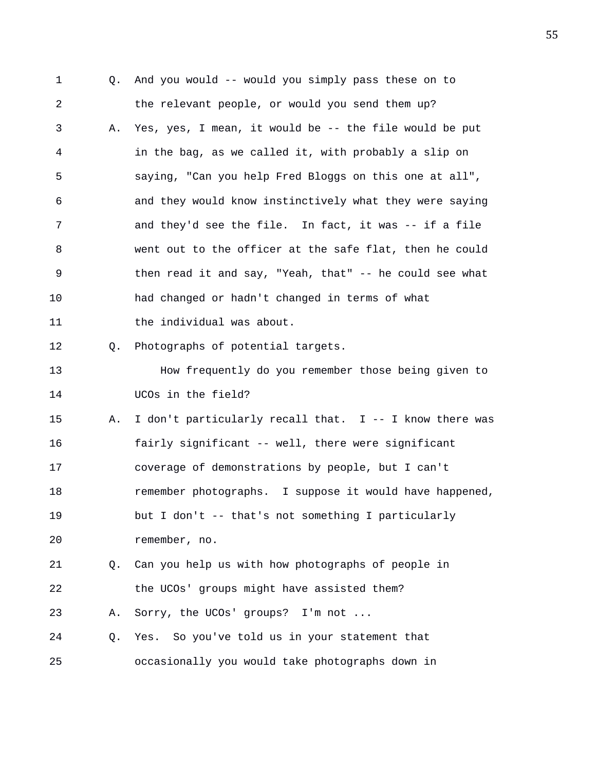1 Q. And you would -- would you simply pass these on to 2 the relevant people, or would you send them up? 3 A. Yes, yes, I mean, it would be -- the file would be put 4 in the bag, as we called it, with probably a slip on 5 saying, "Can you help Fred Bloggs on this one at all", 6 and they would know instinctively what they were saying 7 and they'd see the file. In fact, it was -- if a file 8 went out to the officer at the safe flat, then he could 9 then read it and say, "Yeah, that" -- he could see what 10 had changed or hadn't changed in terms of what 11 the individual was about. 12 Q. Photographs of potential targets. 13 How frequently do you remember those being given to 14 UCOs in the field? 15 A. I don't particularly recall that. I -- I know there was 16 fairly significant -- well, there were significant 17 coverage of demonstrations by people, but I can't 18 remember photographs. I suppose it would have happened, 19 but I don't -- that's not something I particularly 20 remember, no. 21 Q. Can you help us with how photographs of people in 22 the UCOs' groups might have assisted them? 23 A. Sorry, the UCOs' groups? I'm not ... 24 Q. Yes. So you've told us in your statement that 25 occasionally you would take photographs down in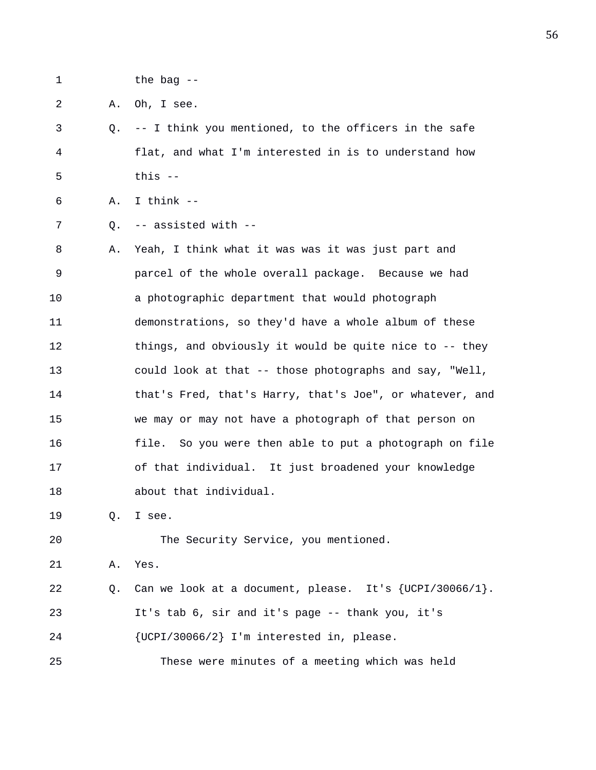1 the bag --

2 A. Oh, I see.

3 Q. -- I think you mentioned, to the officers in the safe 4 flat, and what I'm interested in is to understand how 5 this --

```
6 A. I think --
```
7 Q. -- assisted with --

8 A. Yeah, I think what it was was it was just part and 9 parcel of the whole overall package. Because we had 10 a photographic department that would photograph 11 demonstrations, so they'd have a whole album of these 12 things, and obviously it would be quite nice to -- they 13 could look at that -- those photographs and say, "Well, 14 that's Fred, that's Harry, that's Joe", or whatever, and 15 we may or may not have a photograph of that person on 16 file. So you were then able to put a photograph on file 17 of that individual. It just broadened your knowledge 18 about that individual.

19 Q. I see.

20 The Security Service, you mentioned.

21 A. Yes.

22 Q. Can we look at a document, please. It's {UCPI/30066/1}. 23 It's tab 6, sir and it's page -- thank you, it's 24 {UCPI/30066/2} I'm interested in, please.

25 These were minutes of a meeting which was held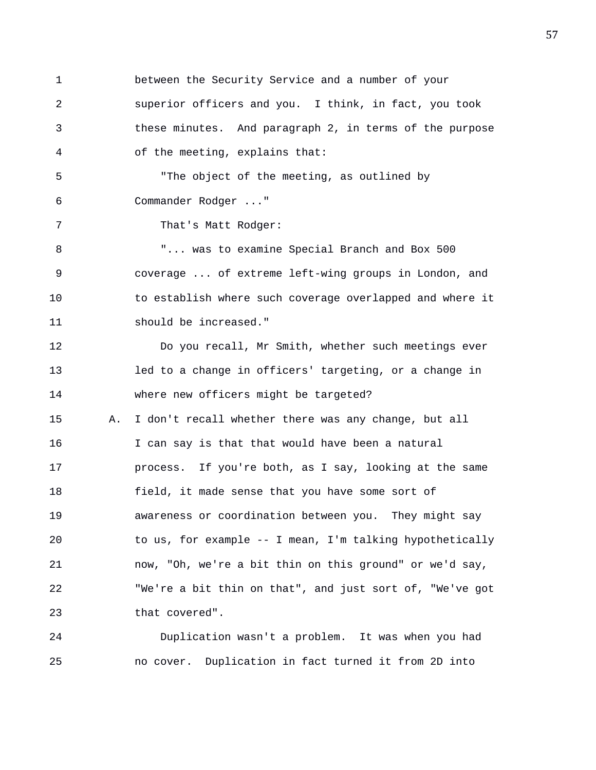1 between the Security Service and a number of your 2 superior officers and you. I think, in fact, you took 3 these minutes. And paragraph 2, in terms of the purpose 4 of the meeting, explains that: 5 "The object of the meeting, as outlined by 6 Commander Rodger ..." 7 That's Matt Rodger: 8 "... was to examine Special Branch and Box 500 9 coverage ... of extreme left-wing groups in London, and 10 to establish where such coverage overlapped and where it 11 should be increased." 12 Do you recall, Mr Smith, whether such meetings ever 13 led to a change in officers' targeting, or a change in 14 where new officers might be targeted? 15 A. I don't recall whether there was any change, but all 16 I can say is that that would have been a natural 17 process. If you're both, as I say, looking at the same 18 field, it made sense that you have some sort of 19 awareness or coordination between you. They might say 20 to us, for example -- I mean, I'm talking hypothetically 21 now, "Oh, we're a bit thin on this ground" or we'd say, 22 "We're a bit thin on that", and just sort of, "We've got

23 that covered".

24 Duplication wasn't a problem. It was when you had 25 no cover. Duplication in fact turned it from 2D into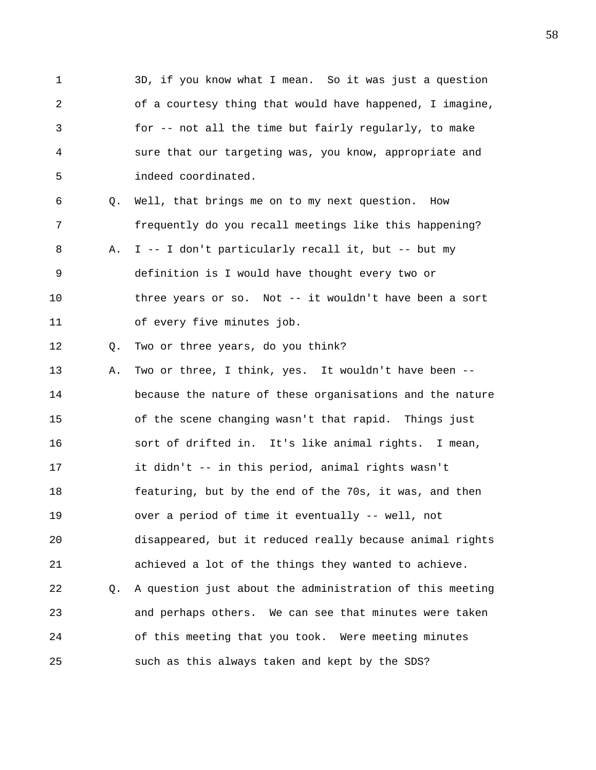1 3D, if you know what I mean. So it was just a question 2 of a courtesy thing that would have happened, I imagine, 3 for -- not all the time but fairly regularly, to make 4 sure that our targeting was, you know, appropriate and 5 indeed coordinated.

6 Q. Well, that brings me on to my next question. How 7 frequently do you recall meetings like this happening? 8 A. I -- I don't particularly recall it, but -- but my 9 definition is I would have thought every two or 10 three years or so. Not -- it wouldn't have been a sort 11 of every five minutes job.

12 Q. Two or three years, do you think?

13 A. Two or three, I think, yes. It wouldn't have been -- 14 because the nature of these organisations and the nature 15 of the scene changing wasn't that rapid. Things just 16 sort of drifted in. It's like animal rights. I mean, 17 it didn't -- in this period, animal rights wasn't 18 featuring, but by the end of the 70s, it was, and then 19 over a period of time it eventually -- well, not 20 disappeared, but it reduced really because animal rights 21 achieved a lot of the things they wanted to achieve. 22 Q. A question just about the administration of this meeting 23 and perhaps others. We can see that minutes were taken 24 of this meeting that you took. Were meeting minutes 25 such as this always taken and kept by the SDS?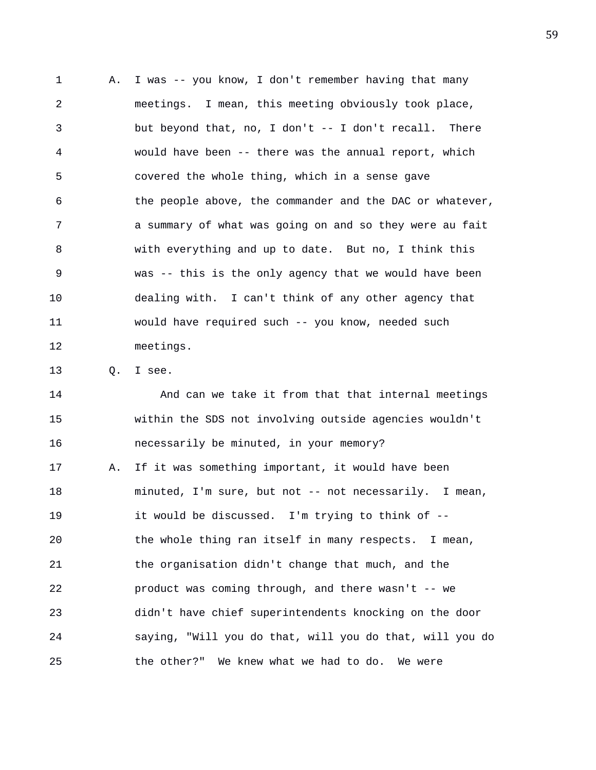1 A. I was -- you know, I don't remember having that many 2 meetings. I mean, this meeting obviously took place, 3 but beyond that, no, I don't -- I don't recall. There 4 would have been -- there was the annual report, which 5 covered the whole thing, which in a sense gave 6 the people above, the commander and the DAC or whatever, 7 a summary of what was going on and so they were au fait 8 with everything and up to date. But no, I think this 9 was -- this is the only agency that we would have been 10 dealing with. I can't think of any other agency that 11 would have required such -- you know, needed such 12 meetings.

13 Q. I see.

14 And can we take it from that that internal meetings 15 within the SDS not involving outside agencies wouldn't 16 necessarily be minuted, in your memory? 17 A. If it was something important, it would have been 18 minuted, I'm sure, but not -- not necessarily. I mean, 19 it would be discussed. I'm trying to think of -- 20 the whole thing ran itself in many respects. I mean, 21 the organisation didn't change that much, and the 22 product was coming through, and there wasn't -- we 23 didn't have chief superintendents knocking on the door 24 saying, "Will you do that, will you do that, will you do 25 the other?" We knew what we had to do. We were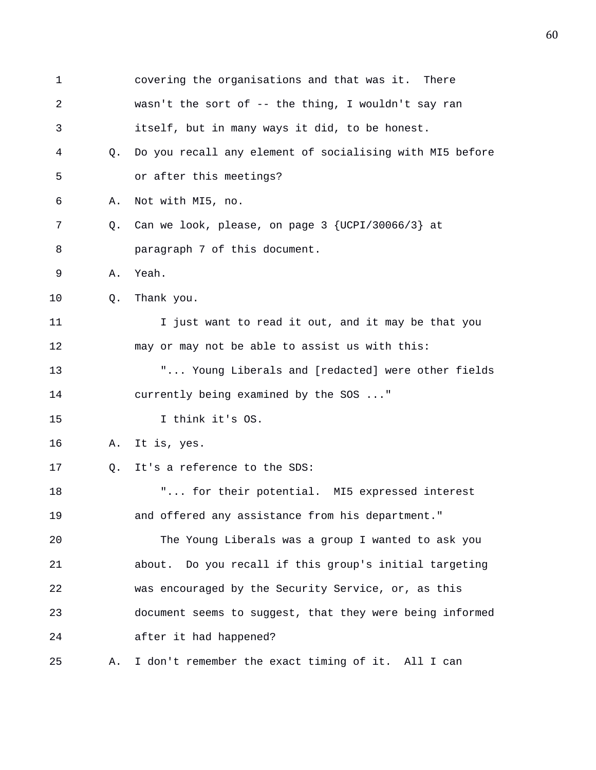| 1  |                | covering the organisations and that was it. There         |
|----|----------------|-----------------------------------------------------------|
| 2  |                | wasn't the sort of -- the thing, I wouldn't say ran       |
| 3  |                | itself, but in many ways it did, to be honest.            |
| 4  | Q <sub>z</sub> | Do you recall any element of socialising with MI5 before  |
| 5  |                | or after this meetings?                                   |
| 6  | Α.             | Not with MI5, no.                                         |
| 7  | Q.             | Can we look, please, on page $3 \{UCPI/30066/3\}$ at      |
| 8  |                | paragraph 7 of this document.                             |
| 9  | Α.             | Yeah.                                                     |
| 10 | Q.             | Thank you.                                                |
| 11 |                | I just want to read it out, and it may be that you        |
| 12 |                | may or may not be able to assist us with this:            |
| 13 |                | " Young Liberals and [redacted] were other fields         |
| 14 |                | currently being examined by the SOS "                     |
| 15 |                | I think it's OS.                                          |
| 16 | Α.             | It is, yes.                                               |
| 17 | $\circ$ .      | It's a reference to the SDS:                              |
| 18 |                | " for their potential. MI5 expressed interest             |
| 19 |                | and offered any assistance from his department."          |
| 20 |                | The Young Liberals was a group I wanted to ask you        |
| 21 |                | Do you recall if this group's initial targeting<br>about. |
| 22 |                | was encouraged by the Security Service, or, as this       |
| 23 |                | document seems to suggest, that they were being informed  |
| 24 |                | after it had happened?                                    |
| 25 | Α.             | I don't remember the exact timing of it. All I can        |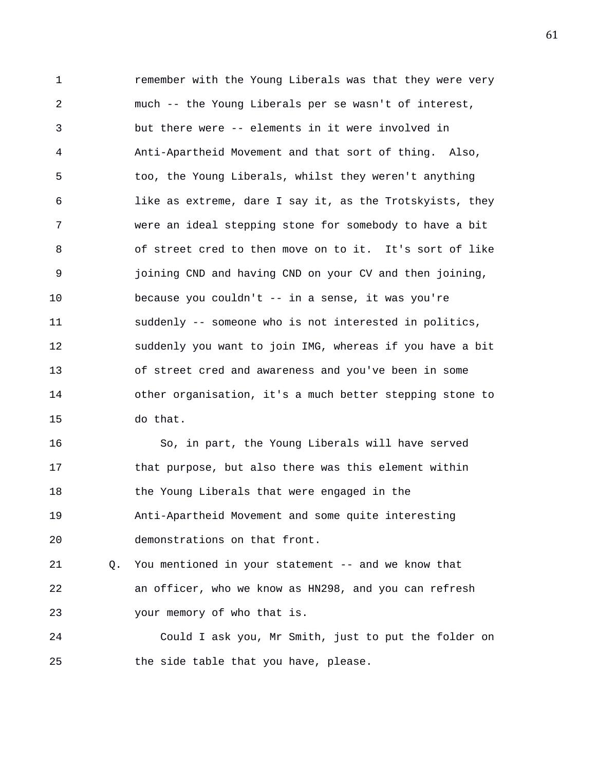1 remember with the Young Liberals was that they were very 2 much -- the Young Liberals per se wasn't of interest, 3 but there were -- elements in it were involved in 4 Anti-Apartheid Movement and that sort of thing. Also, 5 too, the Young Liberals, whilst they weren't anything 6 like as extreme, dare I say it, as the Trotskyists, they 7 were an ideal stepping stone for somebody to have a bit 8 of street cred to then move on to it. It's sort of like 9 joining CND and having CND on your CV and then joining, 10 because you couldn't -- in a sense, it was you're 11 suddenly -- someone who is not interested in politics, 12 suddenly you want to join IMG, whereas if you have a bit 13 of street cred and awareness and you've been in some 14 other organisation, it's a much better stepping stone to 15 do that.

16 So, in part, the Young Liberals will have served 17 that purpose, but also there was this element within 18 the Young Liberals that were engaged in the 19 Anti-Apartheid Movement and some quite interesting 20 demonstrations on that front.

21 Q. You mentioned in your statement -- and we know that 22 an officer, who we know as HN298, and you can refresh 23 your memory of who that is.

24 Could I ask you, Mr Smith, just to put the folder on 25 the side table that you have, please.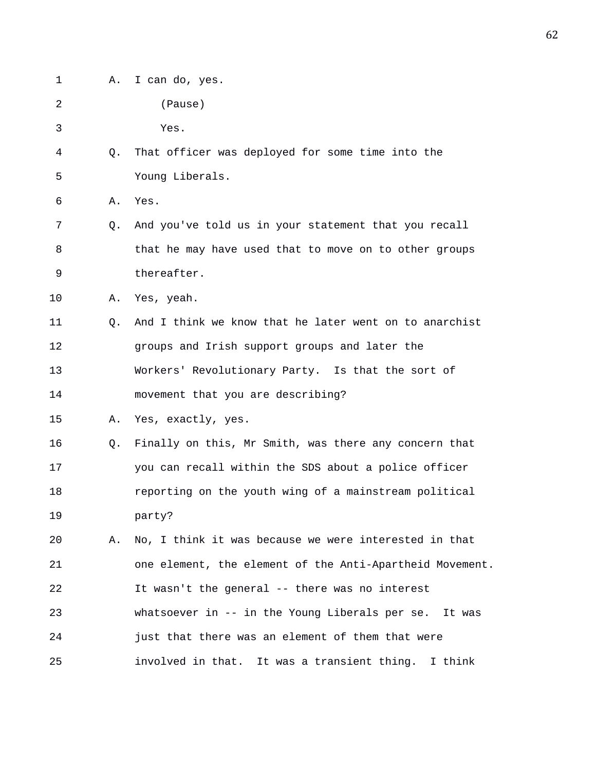| 1  | Α. | I can do, yes.                                           |
|----|----|----------------------------------------------------------|
| 2  |    | (Pause)                                                  |
| 3  |    | Yes.                                                     |
| 4  | O. | That officer was deployed for some time into the         |
| 5  |    | Young Liberals.                                          |
| 6  | Α. | Yes.                                                     |
| 7  | Q. | And you've told us in your statement that you recall     |
| 8  |    | that he may have used that to move on to other groups    |
| 9  |    | thereafter.                                              |
| 10 | Α. | Yes, yeah.                                               |
| 11 | 0. | And I think we know that he later went on to anarchist   |
| 12 |    | groups and Irish support groups and later the            |
| 13 |    | Workers' Revolutionary Party. Is that the sort of        |
| 14 |    | movement that you are describing?                        |
| 15 | Α. | Yes, exactly, yes.                                       |
| 16 | Q. | Finally on this, Mr Smith, was there any concern that    |
| 17 |    | you can recall within the SDS about a police officer     |
| 18 |    | reporting on the youth wing of a mainstream political    |
| 19 |    | party?                                                   |
| 20 | Α. | No, I think it was because we were interested in that    |
| 21 |    | one element, the element of the Anti-Apartheid Movement. |
| 22 |    | It wasn't the general -- there was no interest           |
| 23 |    | whatsoever in -- in the Young Liberals per se. It was    |
| 24 |    | just that there was an element of them that were         |
| 25 |    | involved in that. It was a transient thing. I think      |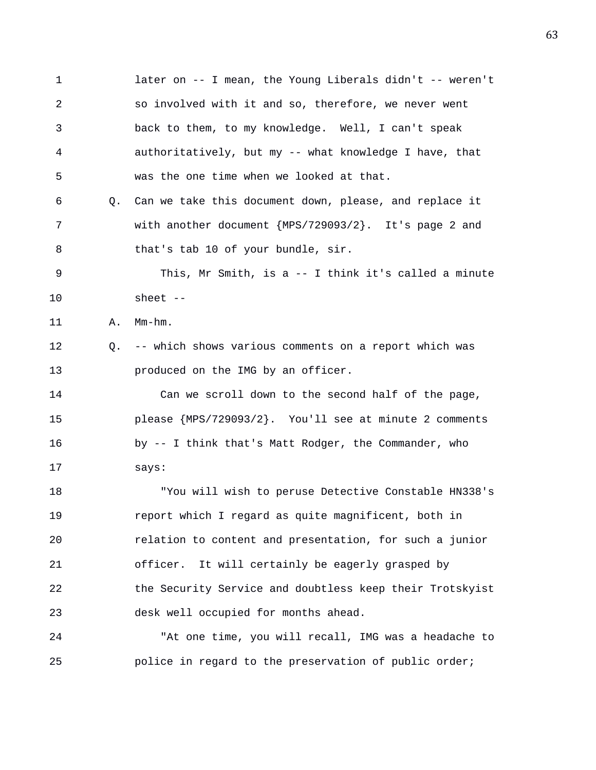1 later on -- I mean, the Young Liberals didn't -- weren't 2 so involved with it and so, therefore, we never went 3 back to them, to my knowledge. Well, I can't speak 4 authoritatively, but my -- what knowledge I have, that 5 was the one time when we looked at that. 6 Q. Can we take this document down, please, and replace it 7 with another document {MPS/729093/2}. It's page 2 and 8 that's tab 10 of your bundle, sir. 9 This, Mr Smith, is a -- I think it's called a minute 10 sheet -- 11 A. Mm-hm. 12 Q. -- which shows various comments on a report which was 13 **produced on the IMG by an officer.** 14 Can we scroll down to the second half of the page, 15 please {MPS/729093/2}. You'll see at minute 2 comments 16 by -- I think that's Matt Rodger, the Commander, who 17 says: 18 "You will wish to peruse Detective Constable HN338's 19 report which I regard as quite magnificent, both in 20 relation to content and presentation, for such a junior 21 officer. It will certainly be eagerly grasped by 22 the Security Service and doubtless keep their Trotskyist 23 desk well occupied for months ahead. 24 "At one time, you will recall, IMG was a headache to

25 police in regard to the preservation of public order;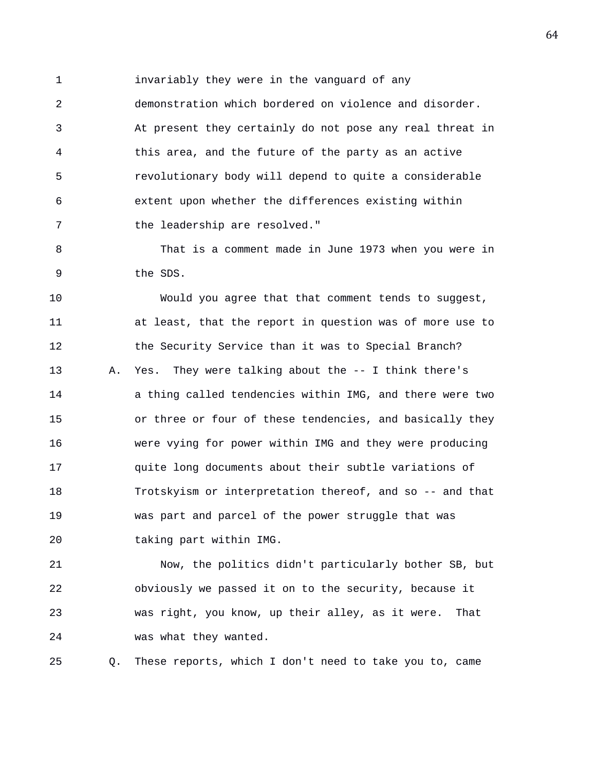1 invariably they were in the vanguard of any

2 demonstration which bordered on violence and disorder. 3 At present they certainly do not pose any real threat in 4 this area, and the future of the party as an active 5 revolutionary body will depend to quite a considerable 6 extent upon whether the differences existing within 7 the leadership are resolved."

8 That is a comment made in June 1973 when you were in 9 the SDS.

10 Would you agree that that comment tends to suggest, 11 at least, that the report in question was of more use to 12 the Security Service than it was to Special Branch? 13 A. Yes. They were talking about the -- I think there's 14 a thing called tendencies within IMG, and there were two 15 or three or four of these tendencies, and basically they 16 were vying for power within IMG and they were producing 17 quite long documents about their subtle variations of 18 Trotskyism or interpretation thereof, and so -- and that 19 was part and parcel of the power struggle that was 20 taking part within IMG.

21 Now, the politics didn't particularly bother SB, but 22 obviously we passed it on to the security, because it 23 was right, you know, up their alley, as it were. That 24 was what they wanted.

25 Q. These reports, which I don't need to take you to, came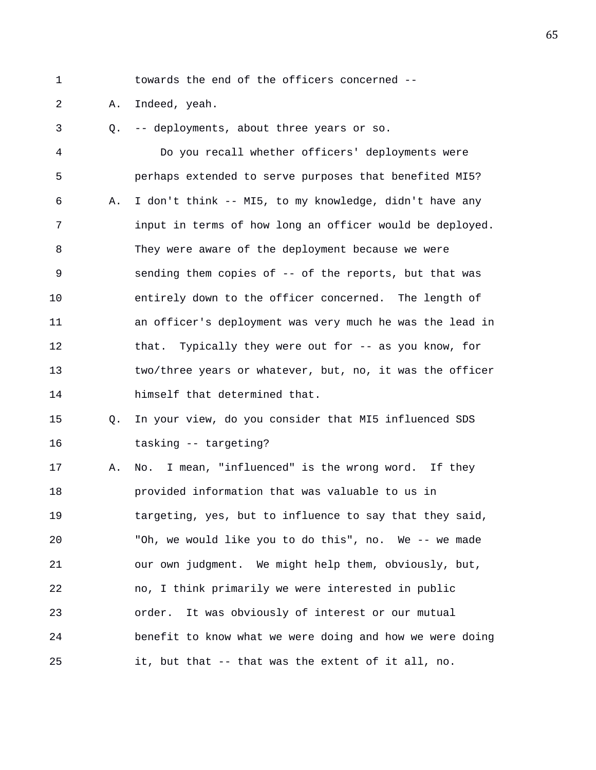1 towards the end of the officers concerned --

2 A. Indeed, yeah.

3 Q. -- deployments, about three years or so.

4 Do you recall whether officers' deployments were 5 perhaps extended to serve purposes that benefited MI5? 6 A. I don't think -- MI5, to my knowledge, didn't have any 7 input in terms of how long an officer would be deployed. 8 They were aware of the deployment because we were 9 sending them copies of -- of the reports, but that was 10 entirely down to the officer concerned. The length of 11 an officer's deployment was very much he was the lead in 12 that. Typically they were out for -- as you know, for 13 two/three years or whatever, but, no, it was the officer 14 himself that determined that.

15 Q. In your view, do you consider that MI5 influenced SDS 16 tasking -- targeting?

17 A. No. I mean, "influenced" is the wrong word. If they 18 provided information that was valuable to us in 19 targeting, yes, but to influence to say that they said, 20 "Oh, we would like you to do this", no. We -- we made 21 our own judgment. We might help them, obviously, but, 22 no, I think primarily we were interested in public 23 order. It was obviously of interest or our mutual 24 benefit to know what we were doing and how we were doing 25 it, but that -- that was the extent of it all, no.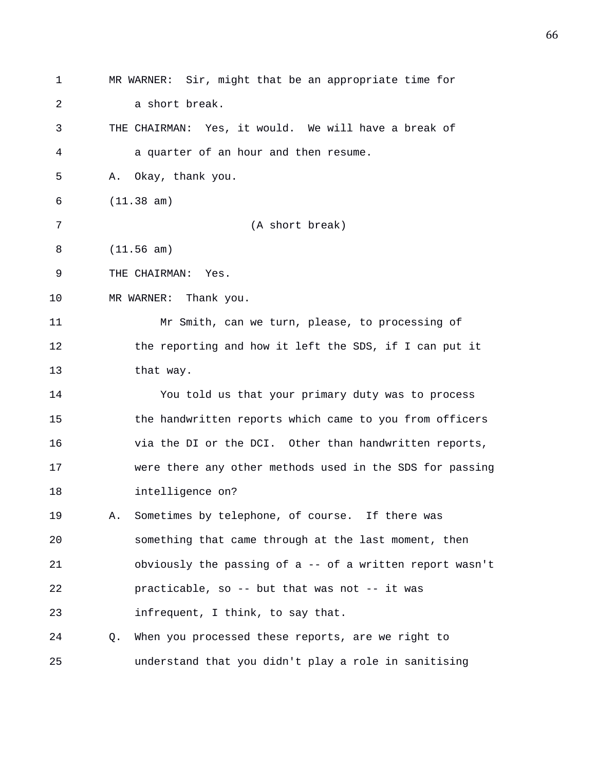1 MR WARNER: Sir, might that be an appropriate time for 2 a short break. 3 THE CHAIRMAN: Yes, it would. We will have a break of 4 a quarter of an hour and then resume. 5 A. Okay, thank you. 6 (11.38 am) 7 (A short break) 8 (11.56 am) 9 THE CHAIRMAN: Yes. 10 MR WARNER: Thank you. 11 Mr Smith, can we turn, please, to processing of 12 the reporting and how it left the SDS, if I can put it 13 that way. 14 You told us that your primary duty was to process 15 the handwritten reports which came to you from officers 16 via the DI or the DCI. Other than handwritten reports, 17 were there any other methods used in the SDS for passing 18 intelligence on? 19 A. Sometimes by telephone, of course. If there was 20 something that came through at the last moment, then 21 obviously the passing of a -- of a written report wasn't 22 practicable, so -- but that was not -- it was 23 infrequent, I think, to say that. 24 Q. When you processed these reports, are we right to 25 understand that you didn't play a role in sanitising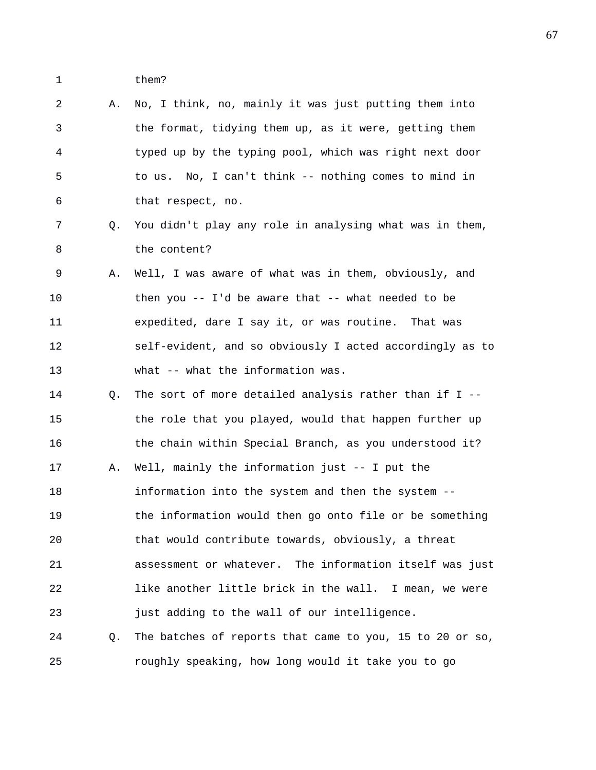1 them?

2 A. No, I think, no, mainly it was just putting them into 3 the format, tidying them up, as it were, getting them 4 typed up by the typing pool, which was right next door 5 to us. No, I can't think -- nothing comes to mind in 6 that respect, no.

- 7 Q. You didn't play any role in analysing what was in them, 8 the content?
- 9 A. Well, I was aware of what was in them, obviously, and 10 then you -- I'd be aware that -- what needed to be 11 expedited, dare I say it, or was routine. That was 12 self-evident, and so obviously I acted accordingly as to 13 what -- what the information was.

14 Q. The sort of more detailed analysis rather than if I -- 15 the role that you played, would that happen further up 16 the chain within Special Branch, as you understood it? 17 A. Well, mainly the information just -- I put the 18 information into the system and then the system -- 19 the information would then go onto file or be something 20 that would contribute towards, obviously, a threat 21 assessment or whatever. The information itself was just 22 like another little brick in the wall. I mean, we were 23 just adding to the wall of our intelligence. 24 Q. The batches of reports that came to you, 15 to 20 or so,

25 roughly speaking, how long would it take you to go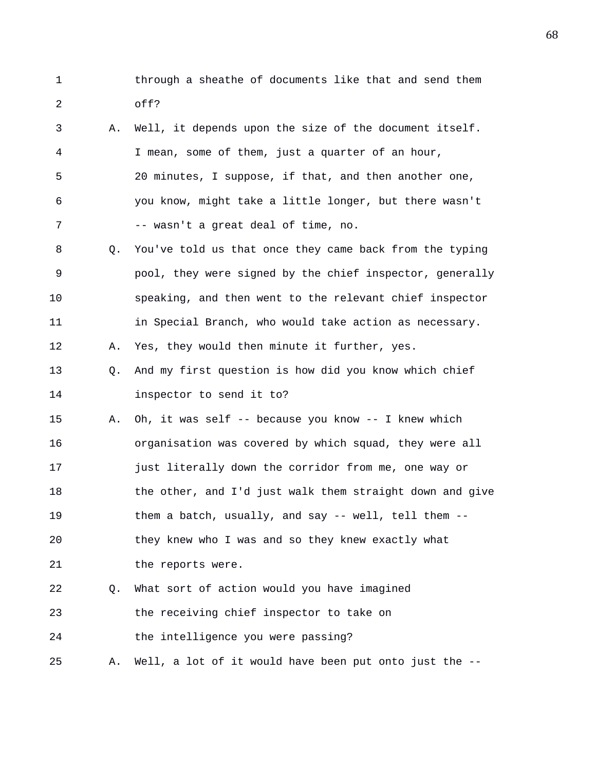- 1 through a sheathe of documents like that and send them 2 off?
- 3 A. Well, it depends upon the size of the document itself. 4 I mean, some of them, just a quarter of an hour, 5 20 minutes, I suppose, if that, and then another one, 6 you know, might take a little longer, but there wasn't 7 -- wasn't a great deal of time, no.
- 8 Q. You've told us that once they came back from the typing 9 pool, they were signed by the chief inspector, generally 10 speaking, and then went to the relevant chief inspector 11 in Special Branch, who would take action as necessary. 12 A. Yes, they would then minute it further, yes.
- 13 Q. And my first question is how did you know which chief
- 14 inspector to send it to?
- 15 A. Oh, it was self -- because you know -- I knew which 16 organisation was covered by which squad, they were all 17 just literally down the corridor from me, one way or 18 the other, and I'd just walk them straight down and give 19 them a batch, usually, and say -- well, tell them -- 20 they knew who I was and so they knew exactly what 21 the reports were.
- 22 Q. What sort of action would you have imagined 23 the receiving chief inspector to take on 24 the intelligence you were passing?
- 25 A. Well, a lot of it would have been put onto just the --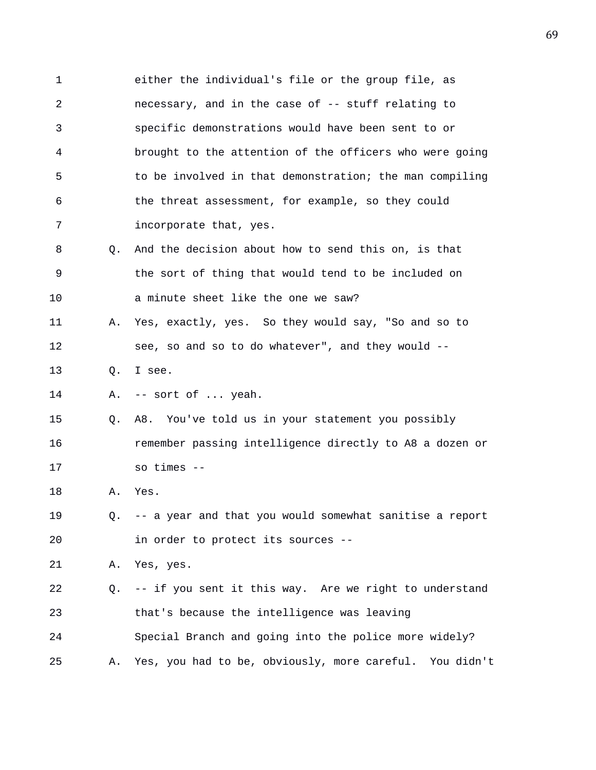1 either the individual's file or the group file, as 2 necessary, and in the case of -- stuff relating to 3 specific demonstrations would have been sent to or 4 brought to the attention of the officers who were going 5 to be involved in that demonstration; the man compiling 6 the threat assessment, for example, so they could 7 incorporate that, yes. 8 Q. And the decision about how to send this on, is that 9 the sort of thing that would tend to be included on 10 a minute sheet like the one we saw? 11 A. Yes, exactly, yes. So they would say, "So and so to 12 see, so and so to do whatever", and they would -- 13 Q. I see. 14 A. -- sort of ... yeah. 15 Q. A8. You've told us in your statement you possibly 16 **remember passing intelligence directly to A8 a dozen or** 17 so times -- 18 A. Yes. 19 Q. -- a year and that you would somewhat sanitise a report 20 in order to protect its sources -- 21 A. Yes, yes. 22 Q. -- if you sent it this way. Are we right to understand 23 that's because the intelligence was leaving 24 Special Branch and going into the police more widely? 25 A. Yes, you had to be, obviously, more careful. You didn't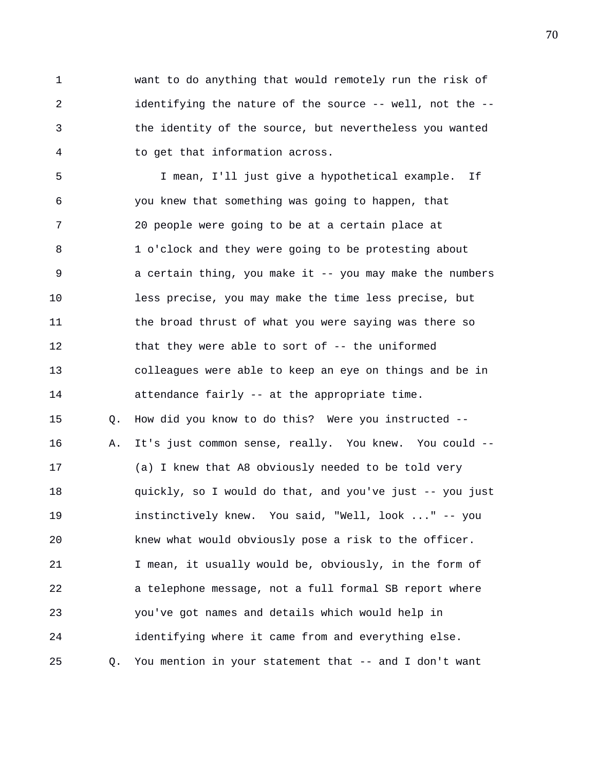1 want to do anything that would remotely run the risk of 2 identifying the nature of the source -- well, not the -- 3 the identity of the source, but nevertheless you wanted 4 to get that information across.

5 I mean, I'll just give a hypothetical example. If 6 you knew that something was going to happen, that 7 20 people were going to be at a certain place at 8 1 o'clock and they were going to be protesting about 9 a certain thing, you make it -- you may make the numbers 10 less precise, you may make the time less precise, but 11 the broad thrust of what you were saying was there so 12 that they were able to sort of -- the uniformed 13 colleagues were able to keep an eye on things and be in 14 attendance fairly -- at the appropriate time. 15 Q. How did you know to do this? Were you instructed -- 16 A. It's just common sense, really. You knew. You could -- 17 (a) I knew that A8 obviously needed to be told very 18 quickly, so I would do that, and you've just -- you just 19 instinctively knew. You said, "Well, look ..." -- you 20 knew what would obviously pose a risk to the officer. 21 I mean, it usually would be, obviously, in the form of 22 a telephone message, not a full formal SB report where 23 you've got names and details which would help in 24 identifying where it came from and everything else. 25 Q. You mention in your statement that -- and I don't want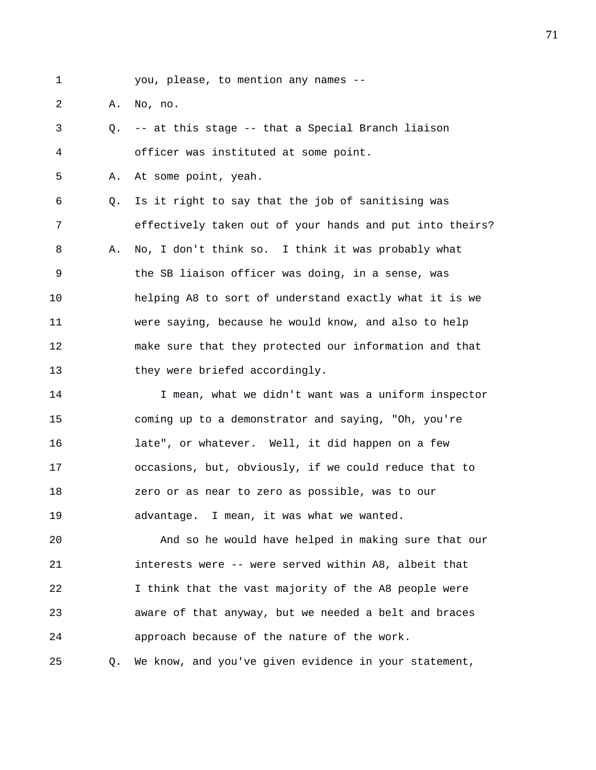1 you, please, to mention any names --

2 A. No, no.

3 Q. -- at this stage -- that a Special Branch liaison 4 officer was instituted at some point.

5 A. At some point, yeah.

6 Q. Is it right to say that the job of sanitising was 7 effectively taken out of your hands and put into theirs? 8 A. No, I don't think so. I think it was probably what 9 the SB liaison officer was doing, in a sense, was 10 helping A8 to sort of understand exactly what it is we 11 were saying, because he would know, and also to help 12 make sure that they protected our information and that 13 they were briefed accordingly.

14 I mean, what we didn't want was a uniform inspector 15 coming up to a demonstrator and saying, "Oh, you're 16 late", or whatever. Well, it did happen on a few 17 occasions, but, obviously, if we could reduce that to 18 zero or as near to zero as possible, was to our 19 advantage. I mean, it was what we wanted.

20 And so he would have helped in making sure that our 21 interests were -- were served within A8, albeit that 22 I think that the vast majority of the A8 people were 23 aware of that anyway, but we needed a belt and braces 24 approach because of the nature of the work. 25 Q. We know, and you've given evidence in your statement,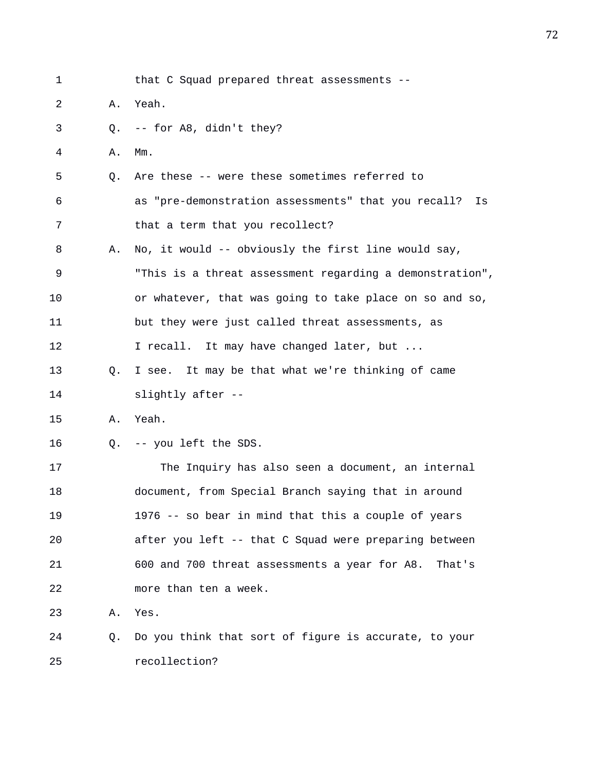| 1  |    | that C Squad prepared threat assessments --               |
|----|----|-----------------------------------------------------------|
| 2  | Α. | Yeah.                                                     |
| 3  | O. | -- for A8, didn't they?                                   |
| 4  | Α. | $Mm$ .                                                    |
| 5  | О. | Are these -- were these sometimes referred to             |
| 6  |    | as "pre-demonstration assessments" that you recall?<br>Is |
| 7  |    | that a term that you recollect?                           |
| 8  | Α. | No, it would -- obviously the first line would say,       |
| 9  |    | "This is a threat assessment regarding a demonstration",  |
| 10 |    | or whatever, that was going to take place on so and so,   |
| 11 |    | but they were just called threat assessments, as          |
| 12 |    | I recall. It may have changed later, but                  |
| 13 | О. | I see. It may be that what we're thinking of came         |
| 14 |    | slightly after --                                         |
| 15 | Α. | Yeah.                                                     |
| 16 | Q. | -- you left the SDS.                                      |
| 17 |    | The Inquiry has also seen a document, an internal         |
| 18 |    | document, from Special Branch saying that in around       |
| 19 |    | 1976 -- so bear in mind that this a couple of years       |
| 20 |    | after you left -- that C Squad were preparing between     |
| 21 |    | 600 and 700 threat assessments a year for A8. That's      |
| 22 |    | more than ten a week.                                     |
| 23 | Α. | Yes.                                                      |
| 24 | Q. | Do you think that sort of figure is accurate, to your     |
| 25 |    | recollection?                                             |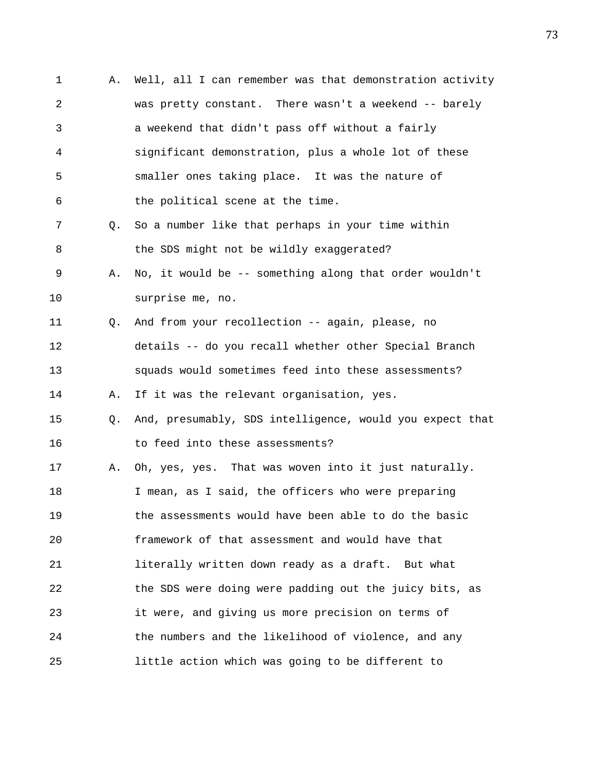1 A. Well, all I can remember was that demonstration activity 2 was pretty constant. There wasn't a weekend -- barely 3 a weekend that didn't pass off without a fairly 4 significant demonstration, plus a whole lot of these 5 smaller ones taking place. It was the nature of 6 the political scene at the time. 7 Q. So a number like that perhaps in your time within 8 the SDS might not be wildly exaggerated? 9 A. No, it would be -- something along that order wouldn't 10 surprise me, no. 11 Q. And from your recollection -- again, please, no 12 details -- do you recall whether other Special Branch 13 squads would sometimes feed into these assessments? 14 A. If it was the relevant organisation, yes. 15 Q. And, presumably, SDS intelligence, would you expect that 16 to feed into these assessments? 17 A. Oh, yes, yes. That was woven into it just naturally. 18 I mean, as I said, the officers who were preparing 19 the assessments would have been able to do the basic 20 framework of that assessment and would have that 21 literally written down ready as a draft. But what 22 the SDS were doing were padding out the juicy bits, as 23 it were, and giving us more precision on terms of 24 the numbers and the likelihood of violence, and any 25 little action which was going to be different to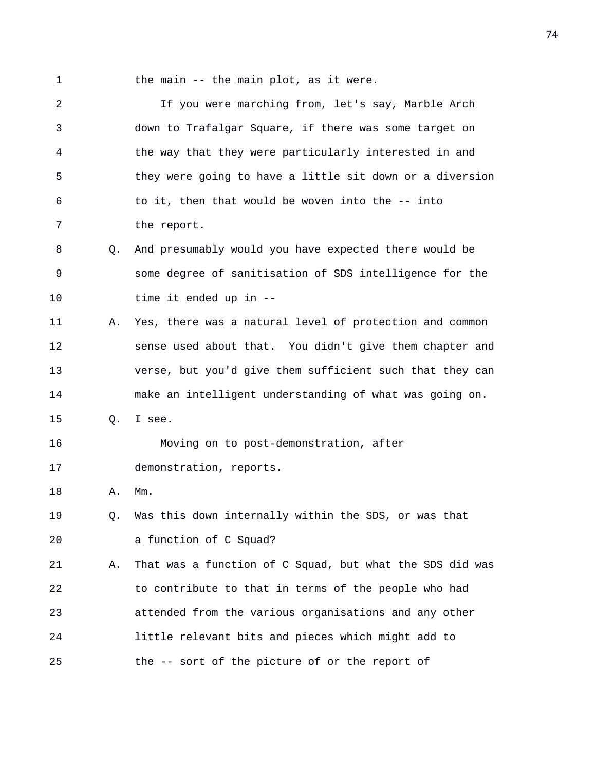1 the main -- the main plot, as it were.

2 If you were marching from, let's say, Marble Arch 3 down to Trafalgar Square, if there was some target on 4 the way that they were particularly interested in and 5 they were going to have a little sit down or a diversion 6 to it, then that would be woven into the -- into 7 the report.

8 Q. And presumably would you have expected there would be 9 some degree of sanitisation of SDS intelligence for the 10 time it ended up in --

11 A. Yes, there was a natural level of protection and common 12 sense used about that. You didn't give them chapter and 13 verse, but you'd give them sufficient such that they can 14 make an intelligent understanding of what was going on.

15 Q. I see.

16 Moving on to post-demonstration, after 17 demonstration, reports.

18 A. Mm.

19 Q. Was this down internally within the SDS, or was that 20 a function of C Squad?

21 A. That was a function of C Squad, but what the SDS did was 22 to contribute to that in terms of the people who had 23 attended from the various organisations and any other 24 little relevant bits and pieces which might add to 25 the -- sort of the picture of or the report of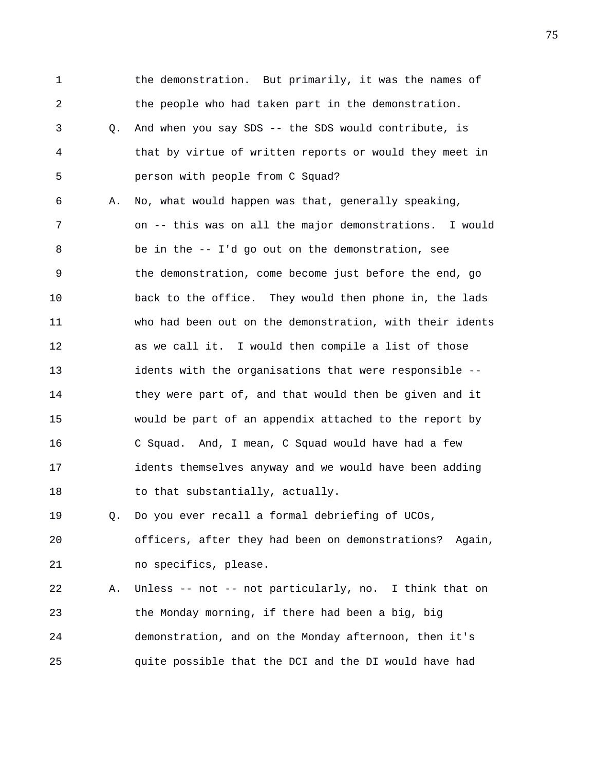1 the demonstration. But primarily, it was the names of 2 the people who had taken part in the demonstration. 3 Q. And when you say SDS -- the SDS would contribute, is 4 that by virtue of written reports or would they meet in 5 person with people from C Squad? 6 A. No, what would happen was that, generally speaking, 7 on -- this was on all the major demonstrations. I would 8 be in the -- I'd go out on the demonstration, see 9 the demonstration, come become just before the end, go 10 back to the office. They would then phone in, the lads 11 who had been out on the demonstration, with their idents 12 as we call it. I would then compile a list of those 13 idents with the organisations that were responsible -- 14 they were part of, and that would then be given and it 15 would be part of an appendix attached to the report by 16 C Squad. And, I mean, C Squad would have had a few 17 idents themselves anyway and we would have been adding 18 to that substantially, actually. 19 Q. Do you ever recall a formal debriefing of UCOs, 20 officers, after they had been on demonstrations? Again, 21 no specifics, please.

22 A. Unless -- not -- not particularly, no. I think that on 23 the Monday morning, if there had been a big, big 24 demonstration, and on the Monday afternoon, then it's 25 quite possible that the DCI and the DI would have had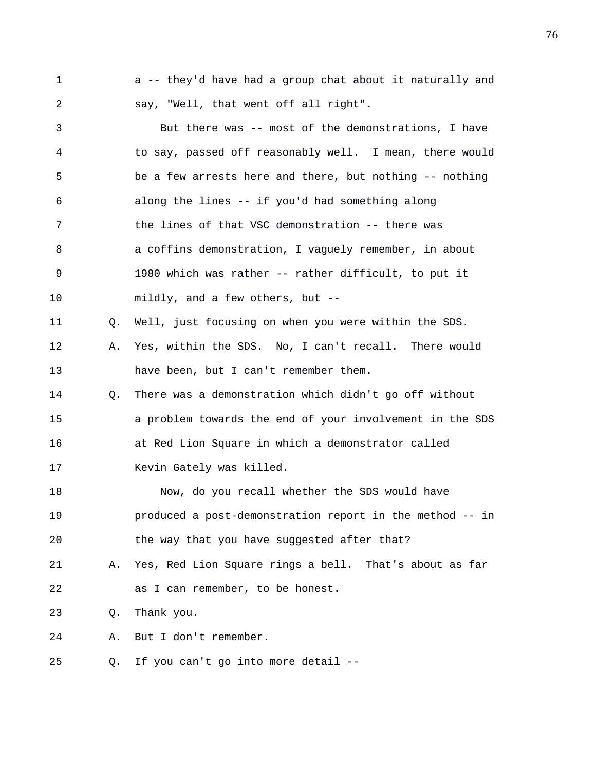1 a -- they'd have had a group chat about it naturally and 2 say, "Well, that went off all right".

3 But there was -- most of the demonstrations, I have 4 to say, passed off reasonably well. I mean, there would 5 be a few arrests here and there, but nothing -- nothing 6 along the lines -- if you'd had something along 7 the lines of that VSC demonstration -- there was 8 a coffins demonstration, I vaguely remember, in about 9 1980 which was rather -- rather difficult, to put it 10 mildly, and a few others, but -- 11 Q. Well, just focusing on when you were within the SDS. 12 A. Yes, within the SDS. No, I can't recall. There would 13 have been, but I can't remember them. 14 Q. There was a demonstration which didn't go off without 15 a problem towards the end of your involvement in the SDS 16 at Red Lion Square in which a demonstrator called 17 Kevin Gately was killed. 18 Now, do you recall whether the SDS would have 19 produced a post-demonstration report in the method -- in 20 the way that you have suggested after that? 21 A. Yes, Red Lion Square rings a bell. That's about as far 22 as I can remember, to be honest. 23 Q. Thank you. 24 A. But I don't remember. 25 Q. If you can't go into more detail --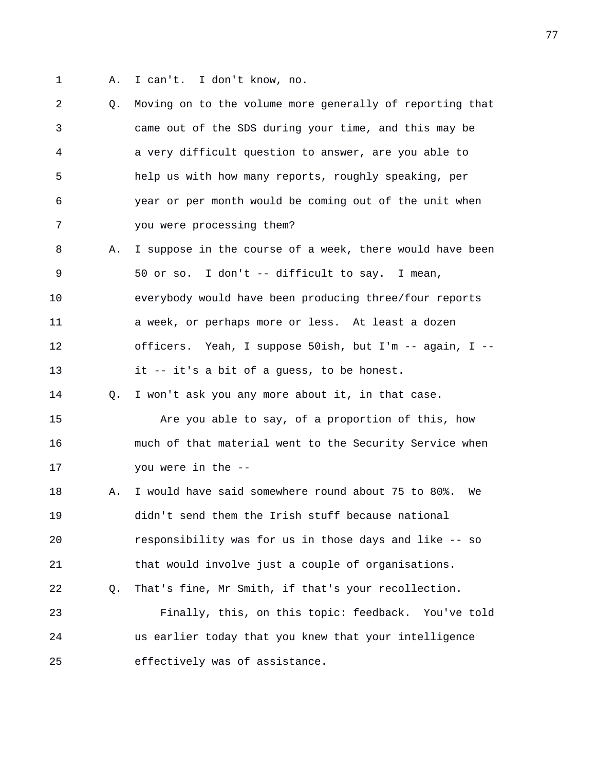- 
- 1 A. I can't. I don't know, no.

| 2  | Q. | Moving on to the volume more generally of reporting that |
|----|----|----------------------------------------------------------|
| 3  |    | came out of the SDS during your time, and this may be    |
| 4  |    | a very difficult question to answer, are you able to     |
| 5  |    | help us with how many reports, roughly speaking, per     |
| 6  |    | year or per month would be coming out of the unit when   |
| 7  |    | you were processing them?                                |
| 8  | Α. | I suppose in the course of a week, there would have been |
| 9  |    | 50 or so. I don't -- difficult to say. I mean,           |
| 10 |    | everybody would have been producing three/four reports   |
| 11 |    | a week, or perhaps more or less. At least a dozen        |
| 12 |    | officers. Yeah, I suppose 50ish, but I'm -- again, I --  |
| 13 |    | it -- it's a bit of a guess, to be honest.               |
| 14 | О. | I won't ask you any more about it, in that case.         |
| 15 |    | Are you able to say, of a proportion of this, how        |
| 16 |    | much of that material went to the Security Service when  |
| 17 |    | you were in the --                                       |
| 18 | Α. | I would have said somewhere round about 75 to 80%.<br>We |
| 19 |    | didn't send them the Irish stuff because national        |
| 20 |    | responsibility was for us in those days and like -- so   |
| 21 |    | that would involve just a couple of organisations.       |
| 22 | Q. | That's fine, Mr Smith, if that's your recollection.      |
| 23 |    | Finally, this, on this topic: feedback. You've told      |
| 24 |    | us earlier today that you knew that your intelligence    |
| 25 |    | effectively was of assistance.                           |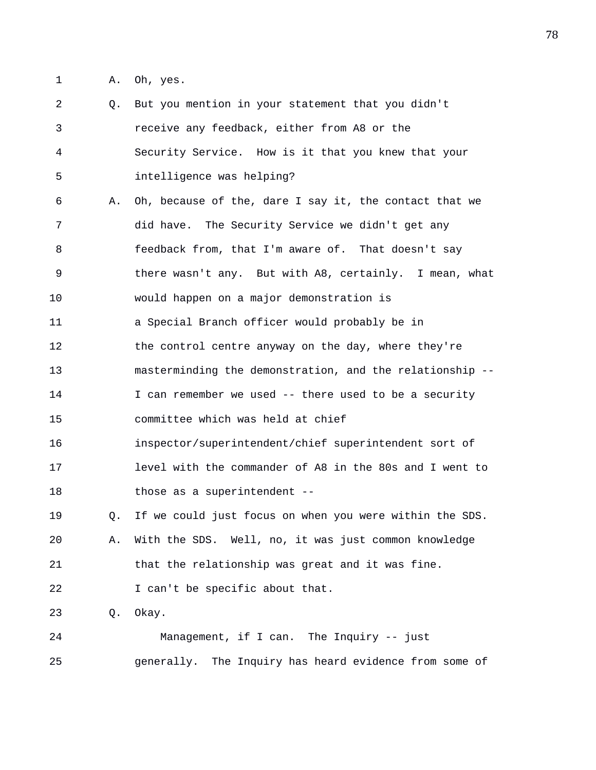1 A. Oh, yes.

2 Q. But you mention in your statement that you didn't 3 receive any feedback, either from A8 or the 4 Security Service. How is it that you knew that your 5 intelligence was helping? 6 A. Oh, because of the, dare I say it, the contact that we 7 did have. The Security Service we didn't get any 8 feedback from, that I'm aware of. That doesn't say 9 there wasn't any. But with A8, certainly. I mean, what 10 would happen on a major demonstration is 11 a Special Branch officer would probably be in 12 the control centre anyway on the day, where they're 13 masterminding the demonstration, and the relationship -- 14 I can remember we used -- there used to be a security 15 committee which was held at chief 16 inspector/superintendent/chief superintendent sort of 17 level with the commander of A8 in the 80s and I went to 18 those as a superintendent --19 Q. If we could just focus on when you were within the SDS. 20 A. With the SDS. Well, no, it was just common knowledge 21 that the relationship was great and it was fine. 22 I can't be specific about that. 23 Q. Okay. 24 Management, if I can. The Inquiry -- just 25 generally. The Inquiry has heard evidence from some of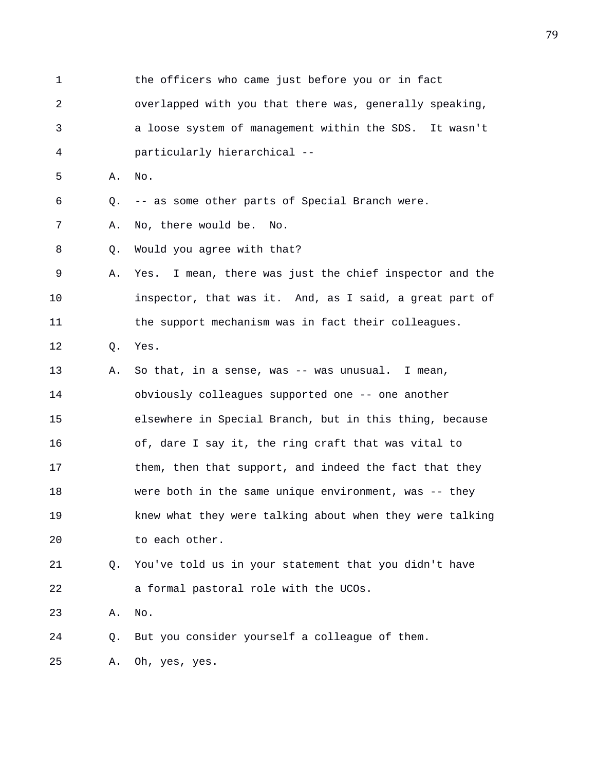1 the officers who came just before you or in fact 2 overlapped with you that there was, generally speaking, 3 a loose system of management within the SDS. It wasn't 4 particularly hierarchical -- 5 A. No. 6 Q. -- as some other parts of Special Branch were. 7 A. No, there would be. No. 8 Q. Would you agree with that? 9 A. Yes. I mean, there was just the chief inspector and the 10 inspector, that was it. And, as I said, a great part of 11 the support mechanism was in fact their colleagues. 12 Q. Yes. 13 A. So that, in a sense, was -- was unusual. I mean, 14 obviously colleagues supported one -- one another 15 elsewhere in Special Branch, but in this thing, because 16 of, dare I say it, the ring craft that was vital to 17 them, then that support, and indeed the fact that they 18 were both in the same unique environment, was -- they 19 knew what they were talking about when they were talking 20 to each other. 21 Q. You've told us in your statement that you didn't have 22 a formal pastoral role with the UCOs. 23 A. No. 24 Q. But you consider yourself a colleague of them. 25 A. Oh, yes, yes.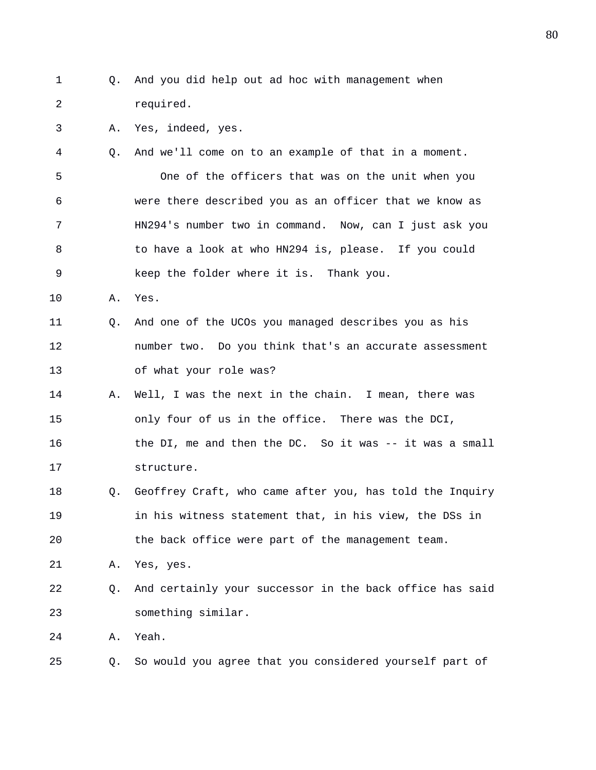1 Q. And you did help out ad hoc with management when 2 required. 3 A. Yes, indeed, yes. 4 Q. And we'll come on to an example of that in a moment. 5 One of the officers that was on the unit when you 6 were there described you as an officer that we know as 7 HN294's number two in command. Now, can I just ask you 8 to have a look at who HN294 is, please. If you could 9 keep the folder where it is. Thank you. 10 A. Yes. 11 Q. And one of the UCOs you managed describes you as his 12 number two. Do you think that's an accurate assessment 13 of what your role was? 14 A. Well, I was the next in the chain. I mean, there was 15 only four of us in the office. There was the DCI, 16 the DI, me and then the DC. So it was -- it was a small 17 structure. 18 Q. Geoffrey Craft, who came after you, has told the Inquiry 19 in his witness statement that, in his view, the DSs in 20 the back office were part of the management team. 21 A. Yes, yes. 22 Q. And certainly your successor in the back office has said 23 something similar. 24 A. Yeah. 25 Q. So would you agree that you considered yourself part of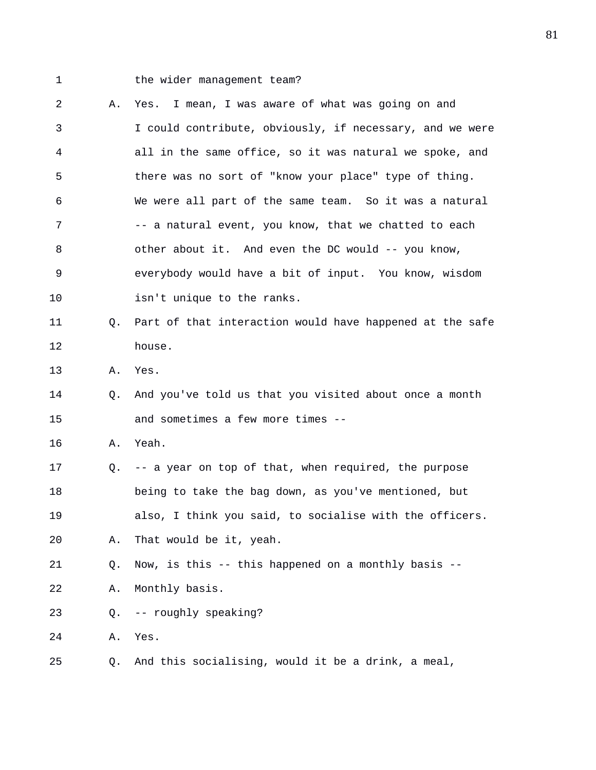1 the wider management team?

2 A. Yes. I mean, I was aware of what was going on and 3 I could contribute, obviously, if necessary, and we were 4 all in the same office, so it was natural we spoke, and 5 there was no sort of "know your place" type of thing. 6 We were all part of the same team. So it was a natural 7 -- a natural event, you know, that we chatted to each 8 other about it. And even the DC would -- you know, 9 everybody would have a bit of input. You know, wisdom 10 isn't unique to the ranks. 11 Q. Part of that interaction would have happened at the safe 12 house. 13 A. Yes. 14 Q. And you've told us that you visited about once a month 15 and sometimes a few more times -- 16 A. Yeah. 17 Q. -- a year on top of that, when required, the purpose 18 being to take the bag down, as you've mentioned, but 19 also, I think you said, to socialise with the officers. 20 A. That would be it, yeah. 21 Q. Now, is this -- this happened on a monthly basis -- 22 A. Monthly basis. 23 Q. -- roughly speaking? 24 A. Yes. 25 Q. And this socialising, would it be a drink, a meal,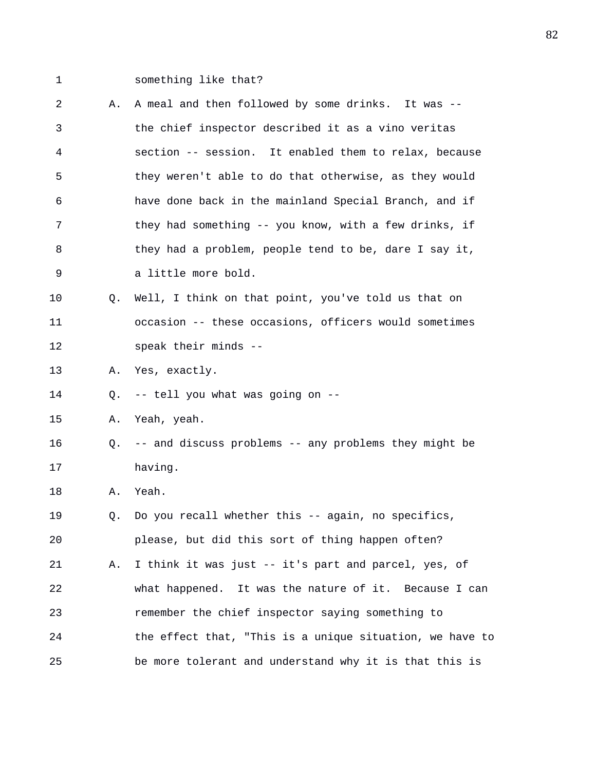1 something like that?

| 2  | Α. | A meal and then followed by some drinks. It was --       |
|----|----|----------------------------------------------------------|
| 3  |    | the chief inspector described it as a vino veritas       |
| 4  |    | section -- session. It enabled them to relax, because    |
| 5  |    | they weren't able to do that otherwise, as they would    |
| 6  |    | have done back in the mainland Special Branch, and if    |
| 7  |    | they had something -- you know, with a few drinks, if    |
| 8  |    | they had a problem, people tend to be, dare I say it,    |
| 9  |    | a little more bold.                                      |
| 10 | Q. | Well, I think on that point, you've told us that on      |
| 11 |    | occasion -- these occasions, officers would sometimes    |
| 12 |    | speak their minds --                                     |
| 13 | Α. | Yes, exactly.                                            |
| 14 | О. | -- tell you what was going on --                         |
| 15 | Α. | Yeah, yeah.                                              |
| 16 | 0. | -- and discuss problems -- any problems they might be    |
| 17 |    | having.                                                  |
| 18 | Α. | Yeah.                                                    |
| 19 | Q. | Do you recall whether this -- again, no specifics,       |
| 20 |    | please, but did this sort of thing happen often?         |
| 21 | Α. | I think it was just -- it's part and parcel, yes, of     |
| 22 |    | what happened. It was the nature of it. Because I can    |
| 23 |    | remember the chief inspector saying something to         |
| 24 |    | the effect that, "This is a unique situation, we have to |
| 25 |    | be more tolerant and understand why it is that this is   |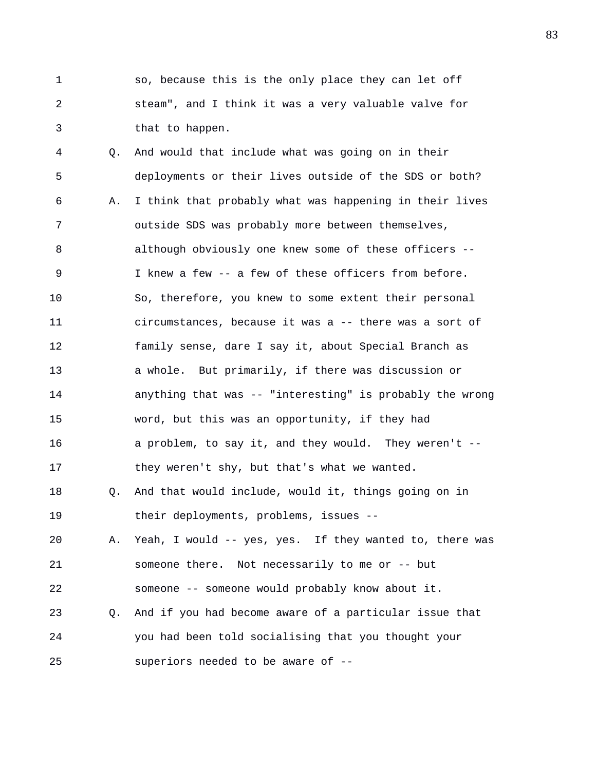1 so, because this is the only place they can let off 2 steam", and I think it was a very valuable valve for 3 that to happen.

4 Q. And would that include what was going on in their 5 deployments or their lives outside of the SDS or both? 6 A. I think that probably what was happening in their lives 7 outside SDS was probably more between themselves, 8 although obviously one knew some of these officers -- 9 I knew a few -- a few of these officers from before. 10 So, therefore, you knew to some extent their personal 11 circumstances, because it was a -- there was a sort of 12 family sense, dare I say it, about Special Branch as 13 a whole. But primarily, if there was discussion or 14 anything that was -- "interesting" is probably the wrong 15 word, but this was an opportunity, if they had 16 a problem, to say it, and they would. They weren't -- 17 they weren't shy, but that's what we wanted. 18 Q. And that would include, would it, things going on in 19 their deployments, problems, issues -- 20 A. Yeah, I would -- yes, yes. If they wanted to, there was 21 someone there. Not necessarily to me or -- but 22 someone -- someone would probably know about it. 23 Q. And if you had become aware of a particular issue that 24 you had been told socialising that you thought your 25 superiors needed to be aware of --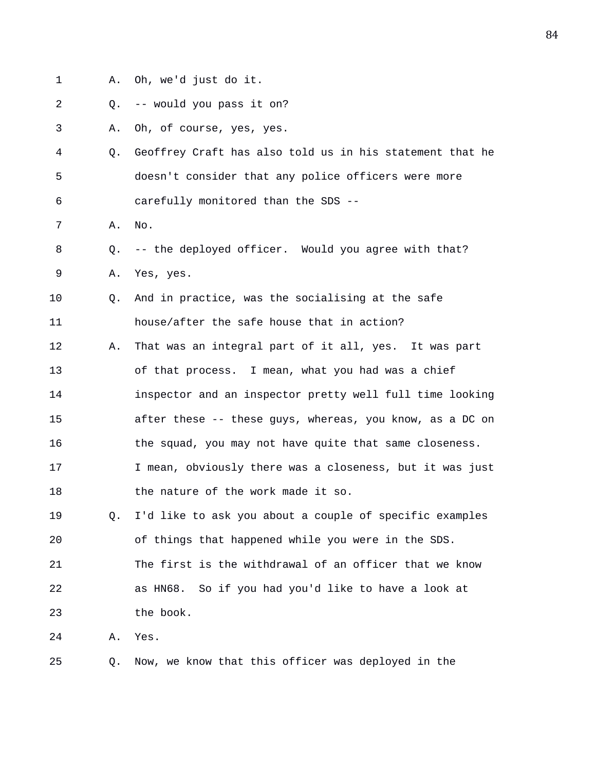- 1 A. Oh, we'd just do it.
- 2 Q. -- would you pass it on?

3 A. Oh, of course, yes, yes.

- 4 Q. Geoffrey Craft has also told us in his statement that he 5 doesn't consider that any police officers were more 6 carefully monitored than the SDS --
- 7 A. No.
- 8 Q. -- the deployed officer. Would you agree with that? 9 A. Yes, yes.
- 10 Q. And in practice, was the socialising at the safe 11 house/after the safe house that in action?
- 12 A. That was an integral part of it all, yes. It was part 13 of that process. I mean, what you had was a chief 14 inspector and an inspector pretty well full time looking 15 after these -- these guys, whereas, you know, as a DC on 16 the squad, you may not have quite that same closeness. 17 17 I mean, obviously there was a closeness, but it was just 18 the nature of the work made it so.
- 19 Q. I'd like to ask you about a couple of specific examples 20 of things that happened while you were in the SDS. 21 The first is the withdrawal of an officer that we know 22 as HN68. So if you had you'd like to have a look at 23 the book.
- 24 A. Yes.
- 25 Q. Now, we know that this officer was deployed in the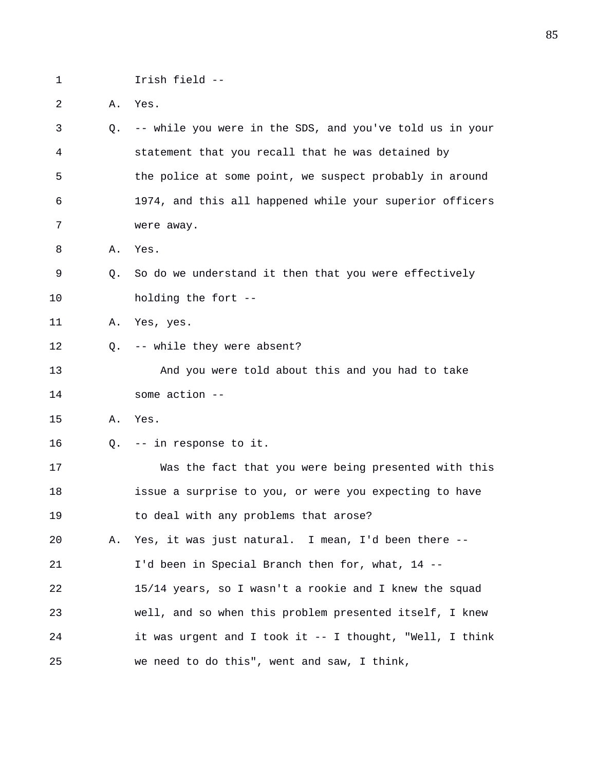1 Irish field --

2 A. Yes.

3 Q. -- while you were in the SDS, and you've told us in your 4 statement that you recall that he was detained by 5 the police at some point, we suspect probably in around 6 1974, and this all happened while your superior officers 7 were away.

8 A. Yes.

9 Q. So do we understand it then that you were effectively 10 holding the fort --

11 A. Yes, yes.

12 Q. -- while they were absent?

13 And you were told about this and you had to take 14 some action --

15 A. Yes.

16 Q. -- in response to it.

17 Was the fact that you were being presented with this 18 issue a surprise to you, or were you expecting to have 19 to deal with any problems that arose?

20 A. Yes, it was just natural. I mean, I'd been there -- 21 I'd been in Special Branch then for, what, 14 -- 22 15/14 years, so I wasn't a rookie and I knew the squad 23 well, and so when this problem presented itself, I knew 24 it was urgent and I took it -- I thought, "Well, I think 25 we need to do this", went and saw, I think,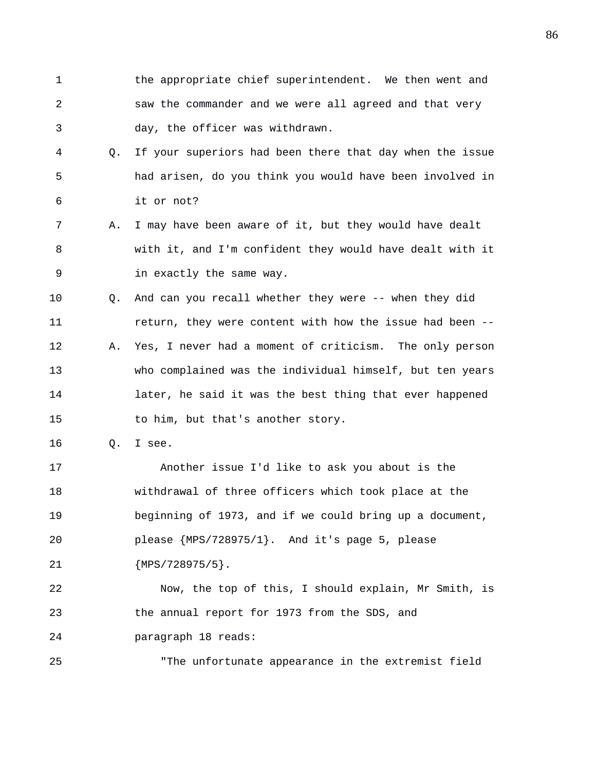- 1 the appropriate chief superintendent. We then went and 2 saw the commander and we were all agreed and that very 3 day, the officer was withdrawn.
- 4 Q. If your superiors had been there that day when the issue 5 had arisen, do you think you would have been involved in 6 it or not?
- 7 A. I may have been aware of it, but they would have dealt 8 with it, and I'm confident they would have dealt with it 9 in exactly the same way.
- 10 Q. And can you recall whether they were -- when they did 11 return, they were content with how the issue had been -- 12 A. Yes, I never had a moment of criticism. The only person 13 who complained was the individual himself, but ten years 14 later, he said it was the best thing that ever happened 15 to him, but that's another story.
- 16 Q. I see.

17 Another issue I'd like to ask you about is the 18 withdrawal of three officers which took place at the 19 beginning of 1973, and if we could bring up a document, 20 please {MPS/728975/1}. And it's page 5, please 21 {MPS/728975/5}.

22 Now, the top of this, I should explain, Mr Smith, is 23 the annual report for 1973 from the SDS, and 24 paragraph 18 reads:

25 "The unfortunate appearance in the extremist field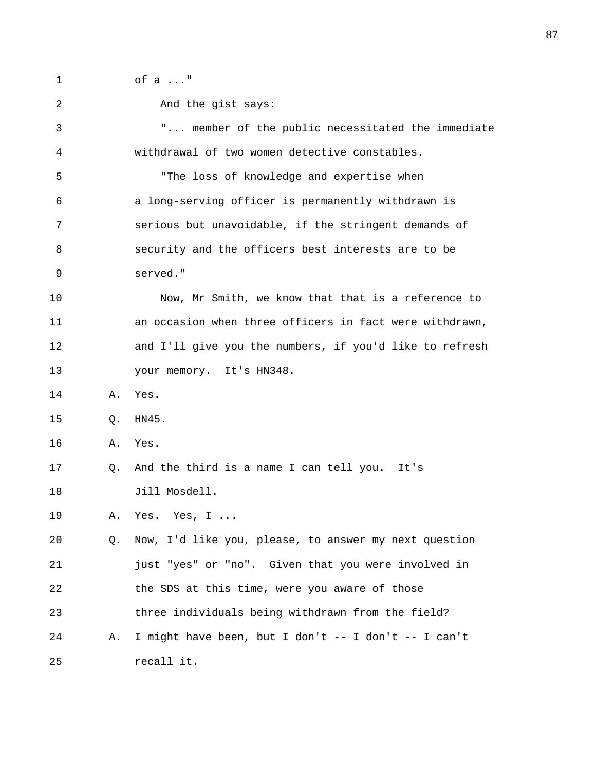1 of a ..."

2 And the gist says: 3 "... member of the public necessitated the immediate 4 withdrawal of two women detective constables. 5 "The loss of knowledge and expertise when 6 a long-serving officer is permanently withdrawn is 7 serious but unavoidable, if the stringent demands of 8 security and the officers best interests are to be 9 served." 10 Now, Mr Smith, we know that that is a reference to 11 an occasion when three officers in fact were withdrawn, 12 and I'll give you the numbers, if you'd like to refresh 13 your memory. It's HN348. 14 A. Yes. 15 Q. HN45. 16 A. Yes. 17 Q. And the third is a name I can tell you. It's 18 Jill Mosdell. 19 A. Yes. Yes, I ... 20 Q. Now, I'd like you, please, to answer my next question 21 just "yes" or "no". Given that you were involved in 22 the SDS at this time, were you aware of those 23 three individuals being withdrawn from the field? 24 A. I might have been, but I don't -- I don't -- I can't 25 recall it.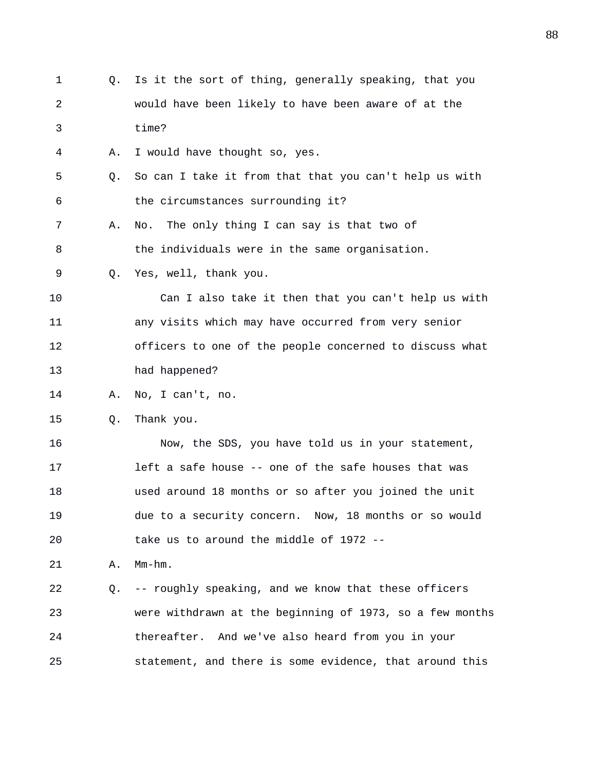1 Q. Is it the sort of thing, generally speaking, that you 2 would have been likely to have been aware of at the 3 time? 4 A. I would have thought so, yes. 5 Q. So can I take it from that that you can't help us with 6 the circumstances surrounding it? 7 A. No. The only thing I can say is that two of 8 the individuals were in the same organisation. 9 Q. Yes, well, thank you. 10 Can I also take it then that you can't help us with 11 any visits which may have occurred from very senior 12 officers to one of the people concerned to discuss what 13 had happened? 14 A. No, I can't, no. 15 Q. Thank you. 16 Now, the SDS, you have told us in your statement, 17 left a safe house -- one of the safe houses that was 18 used around 18 months or so after you joined the unit 19 due to a security concern. Now, 18 months or so would 20 take us to around the middle of 1972 -- 21 A. Mm-hm. 22 Q. -- roughly speaking, and we know that these officers 23 were withdrawn at the beginning of 1973, so a few months 24 thereafter. And we've also heard from you in your 25 statement, and there is some evidence, that around this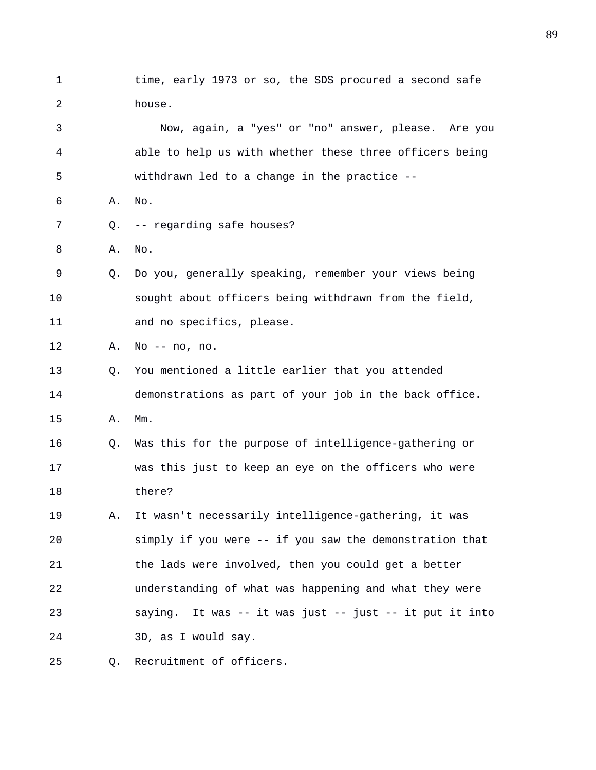1 time, early 1973 or so, the SDS procured a second safe 2 house. 3 Now, again, a "yes" or "no" answer, please. Are you 4 able to help us with whether these three officers being 5 withdrawn led to a change in the practice -- 6 A. No. 7 Q. -- regarding safe houses? 8 A. No. 9 Q. Do you, generally speaking, remember your views being 10 sought about officers being withdrawn from the field, 11 and no specifics, please. 12 A. No -- no, no. 13 Q. You mentioned a little earlier that you attended 14 demonstrations as part of your job in the back office. 15 A. Mm. 16 Q. Was this for the purpose of intelligence-gathering or 17 was this just to keep an eye on the officers who were 18 there? 19 A. It wasn't necessarily intelligence-gathering, it was 20 simply if you were -- if you saw the demonstration that 21 the lads were involved, then you could get a better 22 understanding of what was happening and what they were 23 saying. It was -- it was just -- just -- it put it into 24 3D, as I would say. 25 Q. Recruitment of officers.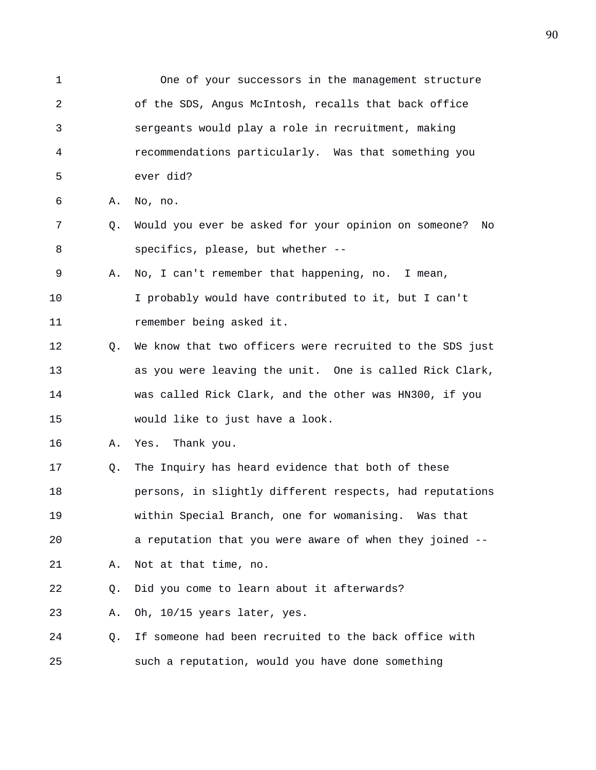1 One of your successors in the management structure 2 of the SDS, Angus McIntosh, recalls that back office 3 sergeants would play a role in recruitment, making 4 recommendations particularly. Was that something you 5 ever did? 6 A. No, no. 7 Q. Would you ever be asked for your opinion on someone? No 8 specifics, please, but whether -- 9 A. No, I can't remember that happening, no. I mean, 10 I probably would have contributed to it, but I can't 11 remember being asked it. 12 Q. We know that two officers were recruited to the SDS just 13 as you were leaving the unit. One is called Rick Clark, 14 was called Rick Clark, and the other was HN300, if you 15 would like to just have a look. 16 A. Yes. Thank you. 17 Q. The Inquiry has heard evidence that both of these 18 persons, in slightly different respects, had reputations 19 within Special Branch, one for womanising. Was that 20 a reputation that you were aware of when they joined -- 21 A. Not at that time, no. 22 Q. Did you come to learn about it afterwards? 23 A. Oh, 10/15 years later, yes. 24 Q. If someone had been recruited to the back office with 25 such a reputation, would you have done something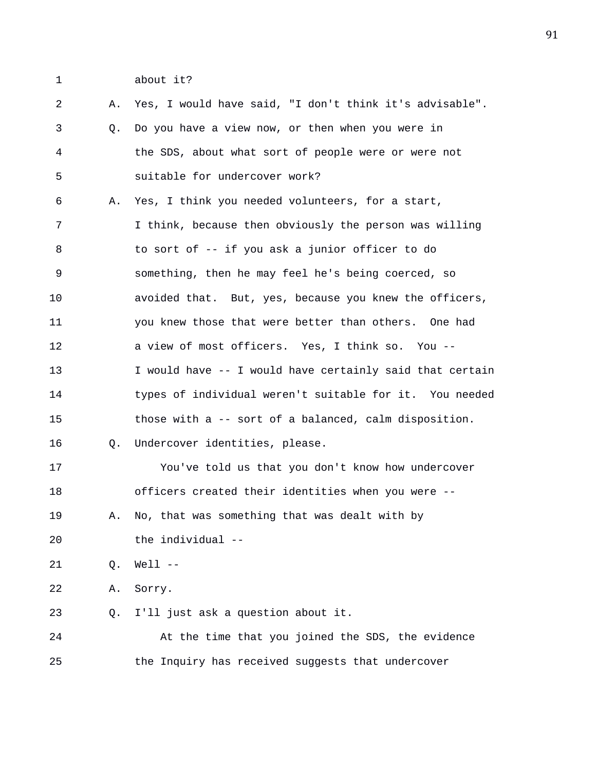1 about it?

2 A. Yes, I would have said, "I don't think it's advisable". 3 Q. Do you have a view now, or then when you were in 4 the SDS, about what sort of people were or were not 5 suitable for undercover work? 6 A. Yes, I think you needed volunteers, for a start, 7 I think, because then obviously the person was willing 8 to sort of -- if you ask a junior officer to do 9 something, then he may feel he's being coerced, so 10 avoided that. But, yes, because you knew the officers, 11 you knew those that were better than others. One had 12 a view of most officers. Yes, I think so. You -- 13 I would have -- I would have certainly said that certain 14 types of individual weren't suitable for it. You needed 15 those with a -- sort of a balanced, calm disposition. 16 Q. Undercover identities, please. 17 You've told us that you don't know how undercover 18 officers created their identities when you were -- 19 A. No, that was something that was dealt with by 20 the individual -- 21 Q. Well -- 22 A. Sorry. 23 Q. I'll just ask a question about it. 24 At the time that you joined the SDS, the evidence 25 the Inquiry has received suggests that undercover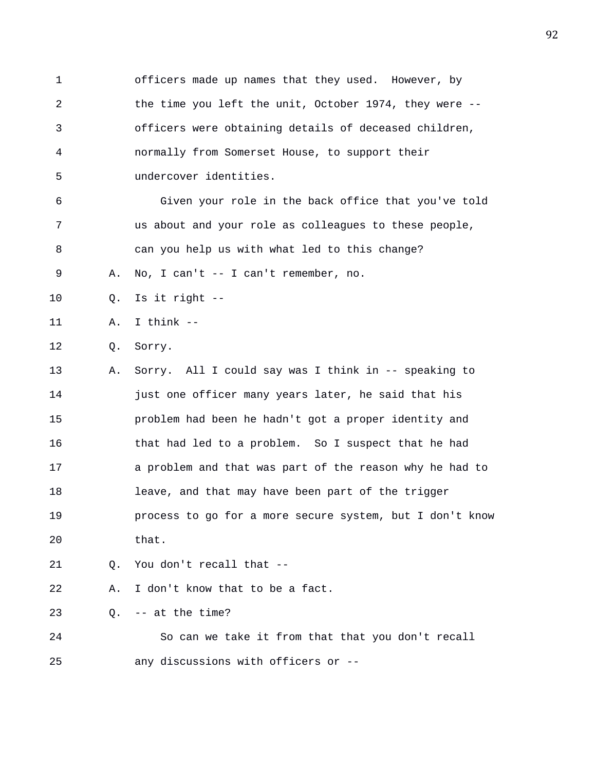1 officers made up names that they used. However, by 2 the time you left the unit, October 1974, they were -- 3 officers were obtaining details of deceased children, 4 normally from Somerset House, to support their 5 undercover identities. 6 Given your role in the back office that you've told 7 us about and your role as colleagues to these people, 8 can you help us with what led to this change? 9 A. No, I can't -- I can't remember, no. 10 Q. Is it right -- 11 A. I think -- 12 Q. Sorry. 13 A. Sorry. All I could say was I think in -- speaking to 14 **just one officer many years later, he said that his** 15 problem had been he hadn't got a proper identity and 16 that had led to a problem. So I suspect that he had 17 a problem and that was part of the reason why he had to 18 leave, and that may have been part of the trigger 19 process to go for a more secure system, but I don't know 20 that. 21 Q. You don't recall that -- 22 A. I don't know that to be a fact.  $23 \qquad \qquad$  0. -- at the time? 24 So can we take it from that that you don't recall 25 any discussions with officers or --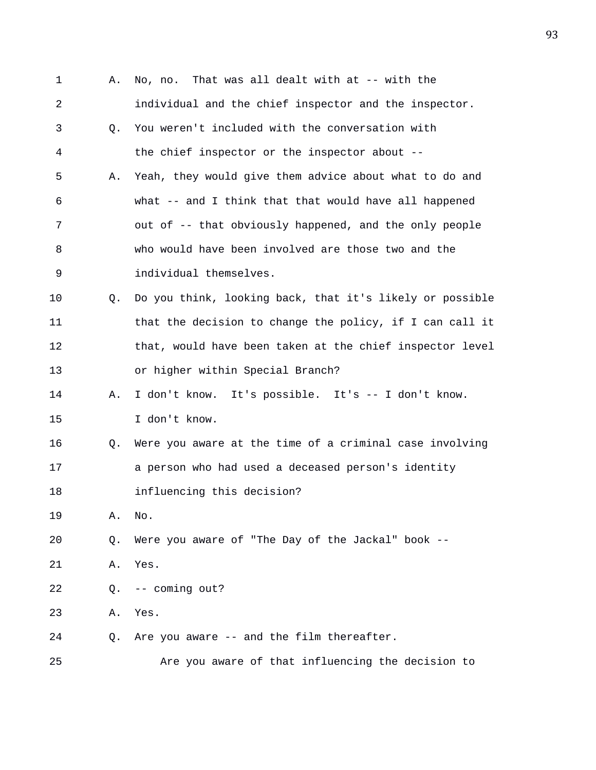| 1  | Α. | No, no. That was all dealt with at -- with the           |
|----|----|----------------------------------------------------------|
| 2  |    | individual and the chief inspector and the inspector.    |
| 3  | O. | You weren't included with the conversation with          |
| 4  |    | the chief inspector or the inspector about --            |
| 5  | Α. | Yeah, they would give them advice about what to do and   |
| 6  |    | what -- and I think that that would have all happened    |
| 7  |    | out of -- that obviously happened, and the only people   |
| 8  |    | who would have been involved are those two and the       |
| 9  |    | individual themselves.                                   |
| 10 | Q. | Do you think, looking back, that it's likely or possible |
| 11 |    | that the decision to change the policy, if I can call it |
| 12 |    | that, would have been taken at the chief inspector level |
| 13 |    | or higher within Special Branch?                         |
| 14 | Α. | I don't know. It's possible. It's -- I don't know.       |
| 15 |    | I don't know.                                            |
| 16 | Q. | Were you aware at the time of a criminal case involving  |
| 17 |    | a person who had used a deceased person's identity       |
| 18 |    | influencing this decision?                               |
| 19 | Α. | $\rm No$ .                                               |
| 20 | Q. | Were you aware of "The Day of the Jackal" book --        |
| 21 | Α. | Yes.                                                     |
| 22 | Q. | -- coming out?                                           |
| 23 | Α. | Yes.                                                     |
| 24 | О. | Are you aware -- and the film thereafter.                |
| 25 |    | Are you aware of that influencing the decision to        |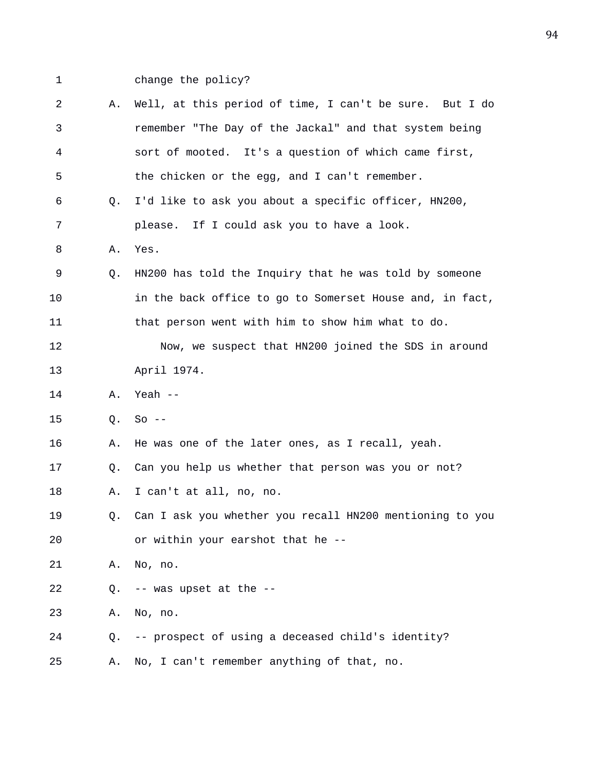1 change the policy?

| 2  | Α. | Well, at this period of time, I can't be sure. But I do  |
|----|----|----------------------------------------------------------|
| 3  |    | remember "The Day of the Jackal" and that system being   |
| 4  |    | sort of mooted. It's a question of which came first,     |
| 5  |    | the chicken or the egg, and I can't remember.            |
| 6  | 0. | I'd like to ask you about a specific officer, HN200,     |
| 7  |    | please. If I could ask you to have a look.               |
| 8  | Α. | Yes.                                                     |
| 9  | Q. | HN200 has told the Inquiry that he was told by someone   |
| 10 |    | in the back office to go to Somerset House and, in fact, |
| 11 |    | that person went with him to show him what to do.        |
| 12 |    | Now, we suspect that HN200 joined the SDS in around      |
| 13 |    | April 1974.                                              |
|    |    |                                                          |
| 14 | Α. | Yeah $--$                                                |
| 15 | Q. | $So --$                                                  |
| 16 | Α. | He was one of the later ones, as I recall, yeah.         |
| 17 | Q. | Can you help us whether that person was you or not?      |
| 18 | Α. | I can't at all, no, no.                                  |
| 19 | Q. | Can I ask you whether you recall HN200 mentioning to you |
| 20 |    | or within your earshot that he --                        |
| 21 | Α. | No, no.                                                  |
| 22 | Q. | -- was upset at the --                                   |
| 23 | Α. | No, no.                                                  |
| 24 | Q. | -- prospect of using a deceased child's identity?        |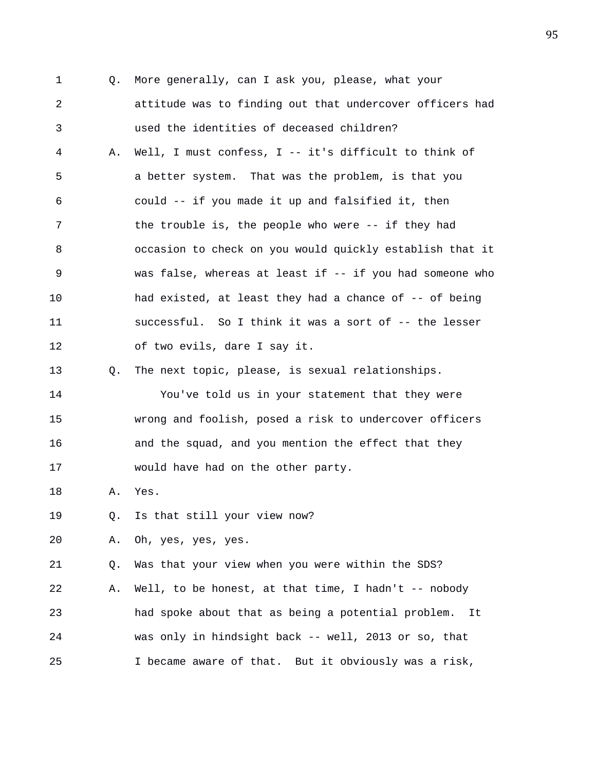1 Q. More generally, can I ask you, please, what your 2 attitude was to finding out that undercover officers had 3 used the identities of deceased children? 4 A. Well, I must confess, I -- it's difficult to think of 5 a better system. That was the problem, is that you 6 could -- if you made it up and falsified it, then 7 the trouble is, the people who were -- if they had 8 occasion to check on you would quickly establish that it 9 was false, whereas at least if -- if you had someone who 10 had existed, at least they had a chance of -- of being 11 successful. So I think it was a sort of -- the lesser 12 of two evils, dare I say it. 13 Q. The next topic, please, is sexual relationships. 14 You've told us in your statement that they were 15 wrong and foolish, posed a risk to undercover officers 16 and the squad, and you mention the effect that they 17 would have had on the other party. 18 A. Yes. 19 0. Is that still your view now? 20 A. Oh, yes, yes, yes. 21 Q. Was that your view when you were within the SDS? 22 A. Well, to be honest, at that time, I hadn't -- nobody 23 had spoke about that as being a potential problem. It 24 was only in hindsight back -- well, 2013 or so, that 25 I became aware of that. But it obviously was a risk,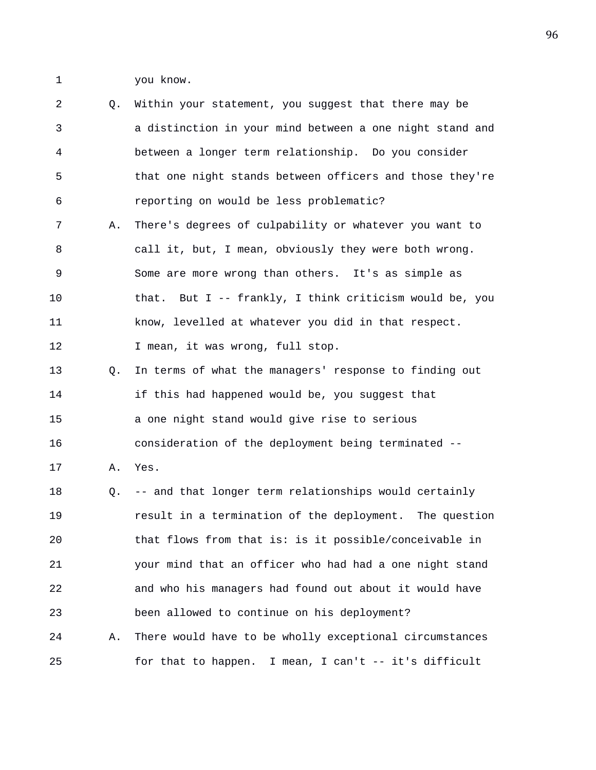1 you know.

2 Q. Within your statement, you suggest that there may be 3 a distinction in your mind between a one night stand and 4 between a longer term relationship. Do you consider 5 that one night stands between officers and those they're 6 reporting on would be less problematic? 7 A. There's degrees of culpability or whatever you want to 8 call it, but, I mean, obviously they were both wrong. 9 Some are more wrong than others. It's as simple as 10 that. But I -- frankly, I think criticism would be, you 11 know, levelled at whatever you did in that respect. 12 I mean, it was wrong, full stop. 13 Q. In terms of what the managers' response to finding out 14 if this had happened would be, you suggest that 15 a one night stand would give rise to serious 16 consideration of the deployment being terminated -- 17 A. Yes. 18 Q. -- and that longer term relationships would certainly 19 result in a termination of the deployment. The question 20 that flows from that is: is it possible/conceivable in 21 your mind that an officer who had had a one night stand 22 and who his managers had found out about it would have 23 been allowed to continue on his deployment? 24 A. There would have to be wholly exceptional circumstances 25 for that to happen. I mean, I can't -- it's difficult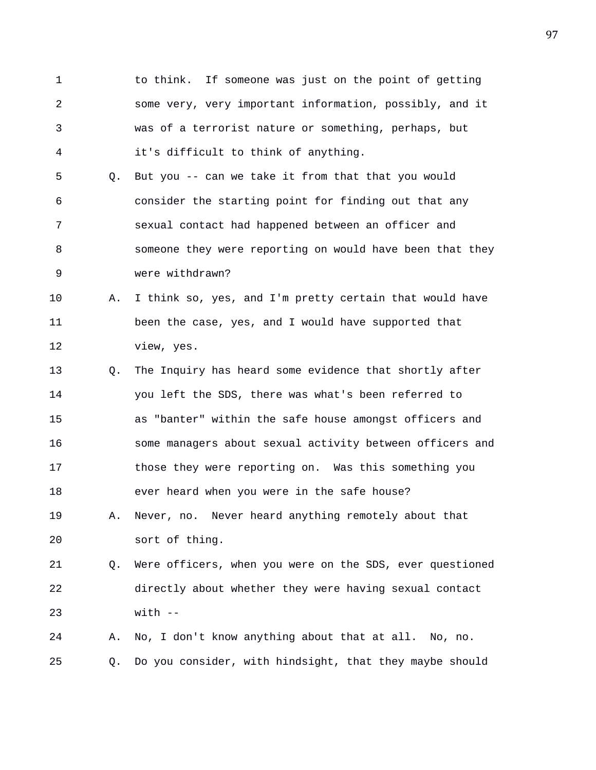1 to think. If someone was just on the point of getting 2 some very, very important information, possibly, and it 3 was of a terrorist nature or something, perhaps, but 4 it's difficult to think of anything.

5 Q. But you -- can we take it from that that you would 6 consider the starting point for finding out that any 7 sexual contact had happened between an officer and 8 someone they were reporting on would have been that they 9 were withdrawn?

10 A. I think so, yes, and I'm pretty certain that would have 11 been the case, yes, and I would have supported that 12 view, yes.

13 Q. The Inquiry has heard some evidence that shortly after 14 you left the SDS, there was what's been referred to 15 as "banter" within the safe house amongst officers and 16 some managers about sexual activity between officers and 17 those they were reporting on. Was this something you 18 ever heard when you were in the safe house? 19 A. Never, no. Never heard anything remotely about that

20 sort of thing.

21 Q. Were officers, when you were on the SDS, ever questioned 22 directly about whether they were having sexual contact 23 with --

24 A. No, I don't know anything about that at all. No, no. 25 Q. Do you consider, with hindsight, that they maybe should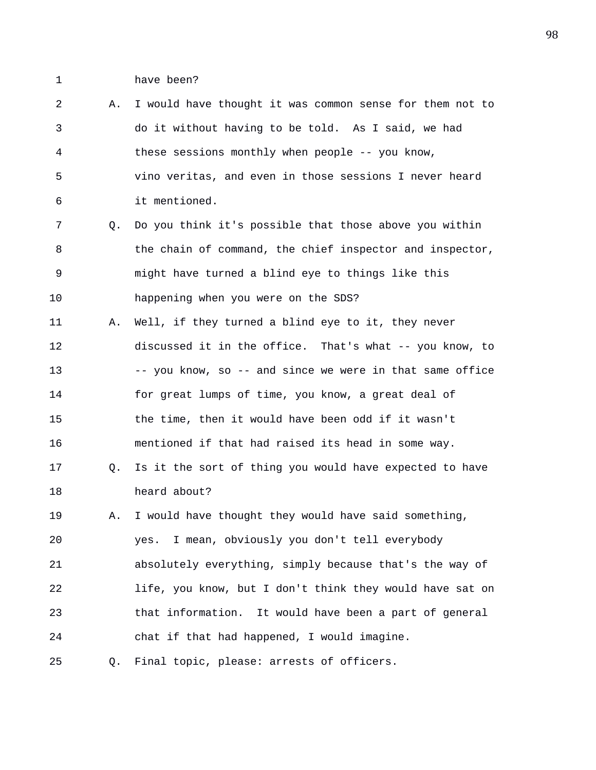1 have been?

2 A. I would have thought it was common sense for them not to 3 do it without having to be told. As I said, we had 4 these sessions monthly when people -- you know, 5 vino veritas, and even in those sessions I never heard 6 it mentioned. 7 Q. Do you think it's possible that those above you within 8 the chain of command, the chief inspector and inspector, 9 might have turned a blind eye to things like this 10 happening when you were on the SDS? 11 A. Well, if they turned a blind eye to it, they never 12 discussed it in the office. That's what -- you know, to 13 -- you know, so -- and since we were in that same office 14 for great lumps of time, you know, a great deal of 15 the time, then it would have been odd if it wasn't 16 mentioned if that had raised its head in some way. 17 Q. Is it the sort of thing you would have expected to have 18 heard about? 19 A. I would have thought they would have said something, 20 yes. I mean, obviously you don't tell everybody 21 absolutely everything, simply because that's the way of 22 life, you know, but I don't think they would have sat on 23 that information. It would have been a part of general 24 chat if that had happened, I would imagine. 25 Q. Final topic, please: arrests of officers.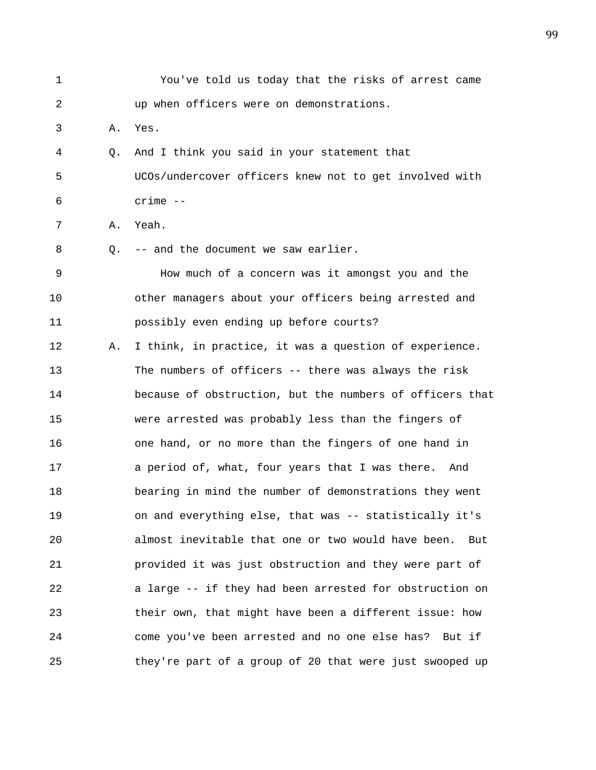| $\mathbf 1$ |    | You've told us today that the risks of arrest came        |
|-------------|----|-----------------------------------------------------------|
| 2           |    | up when officers were on demonstrations.                  |
| 3           | Α. | Yes.                                                      |
| 4           | Q. | And I think you said in your statement that               |
| 5           |    | UCOs/undercover officers knew not to get involved with    |
| 6           |    | $crime -$                                                 |
| 7           | Α. | Yeah.                                                     |
| 8           | Q. | -- and the document we saw earlier.                       |
| $\mathsf 9$ |    | How much of a concern was it amongst you and the          |
| 10          |    | other managers about your officers being arrested and     |
| 11          |    | possibly even ending up before courts?                    |
| 12          | Α. | I think, in practice, it was a question of experience.    |
| 13          |    | The numbers of officers -- there was always the risk      |
| 14          |    | because of obstruction, but the numbers of officers that  |
| 15          |    | were arrested was probably less than the fingers of       |
| 16          |    | one hand, or no more than the fingers of one hand in      |
| 17          |    | a period of, what, four years that I was there. And       |
| 18          |    | bearing in mind the number of demonstrations they went    |
| 19          |    | on and everything else, that was -- statistically it's    |
| 20          |    | almost inevitable that one or two would have been.<br>But |
| 21          |    | provided it was just obstruction and they were part of    |
| 22          |    | a large -- if they had been arrested for obstruction on   |
| 23          |    | their own, that might have been a different issue: how    |
| 24          |    | come you've been arrested and no one else has? But if     |
| 25          |    | they're part of a group of 20 that were just swooped up   |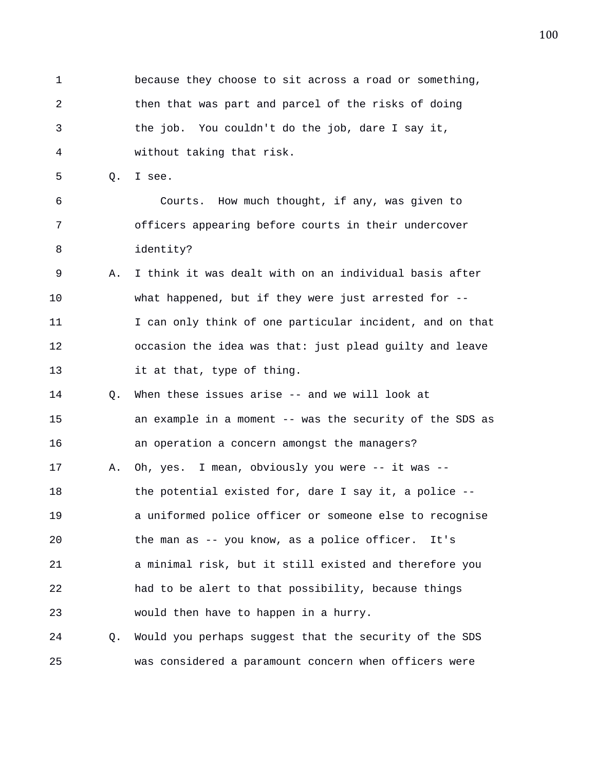1 because they choose to sit across a road or something, 2 then that was part and parcel of the risks of doing 3 the job. You couldn't do the job, dare I say it, 4 without taking that risk.

5 Q. I see.

6 Courts. How much thought, if any, was given to 7 officers appearing before courts in their undercover 8 identity?

- 9 A. I think it was dealt with on an individual basis after 10 what happened, but if they were just arrested for -- 11 I can only think of one particular incident, and on that 12 occasion the idea was that: just plead guilty and leave 13 it at that, type of thing.
- 14 Q. When these issues arise -- and we will look at 15 an example in a moment -- was the security of the SDS as 16 an operation a concern amongst the managers? 17 A. Oh, yes. I mean, obviously you were -- it was -- 18 the potential existed for, dare I say it, a police --19 a uniformed police officer or someone else to recognise 20 the man as -- you know, as a police officer. It's 21 a minimal risk, but it still existed and therefore you 22 had to be alert to that possibility, because things 23 would then have to happen in a hurry.
- 24 Q. Would you perhaps suggest that the security of the SDS 25 was considered a paramount concern when officers were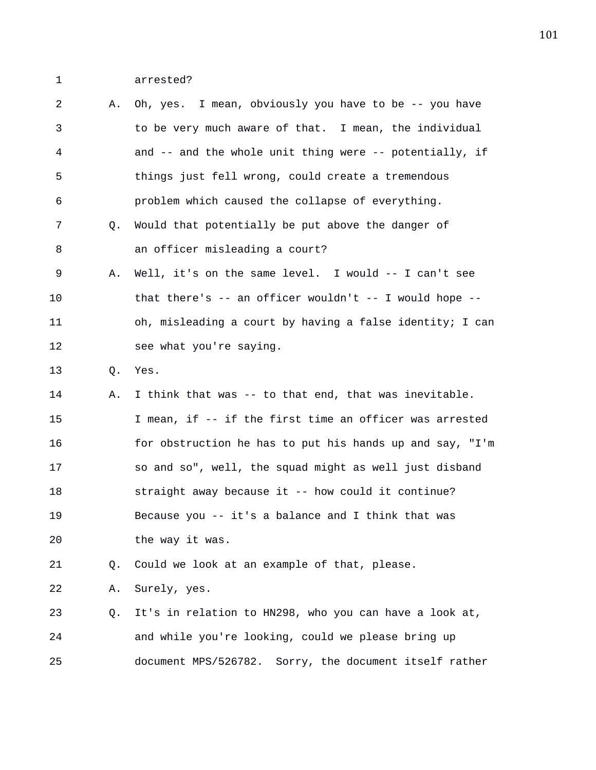1 arrested?

| 2  | Α. | Oh, yes. I mean, obviously you have to be -- you have    |
|----|----|----------------------------------------------------------|
| 3  |    | to be very much aware of that. I mean, the individual    |
| 4  |    | and -- and the whole unit thing were -- potentially, if  |
| 5  |    | things just fell wrong, could create a tremendous        |
| 6  |    | problem which caused the collapse of everything.         |
| 7  | Q. | Would that potentially be put above the danger of        |
| 8  |    | an officer misleading a court?                           |
| 9  | Α. | Well, it's on the same level. I would -- I can't see     |
| 10 |    | that there's -- an officer wouldn't -- I would hope --   |
| 11 |    | oh, misleading a court by having a false identity; I can |
| 12 |    | see what you're saying.                                  |
| 13 | Q. | Yes.                                                     |
| 14 | Α. | I think that was -- to that end, that was inevitable.    |
| 15 |    | I mean, if -- if the first time an officer was arrested  |
| 16 |    | for obstruction he has to put his hands up and say, "I'm |
| 17 |    | so and so", well, the squad might as well just disband   |
| 18 |    | straight away because it -- how could it continue?       |
| 19 |    | Because you -- it's a balance and I think that was       |
| 20 |    | the way it was.                                          |
| 21 | Q. | Could we look at an example of that, please.             |
| 22 | Α. | Surely, yes.                                             |
| 23 | Q. | It's in relation to HN298, who you can have a look at,   |
| 24 |    | and while you're looking, could we please bring up       |
| 25 |    | document MPS/526782. Sorry, the document itself rather   |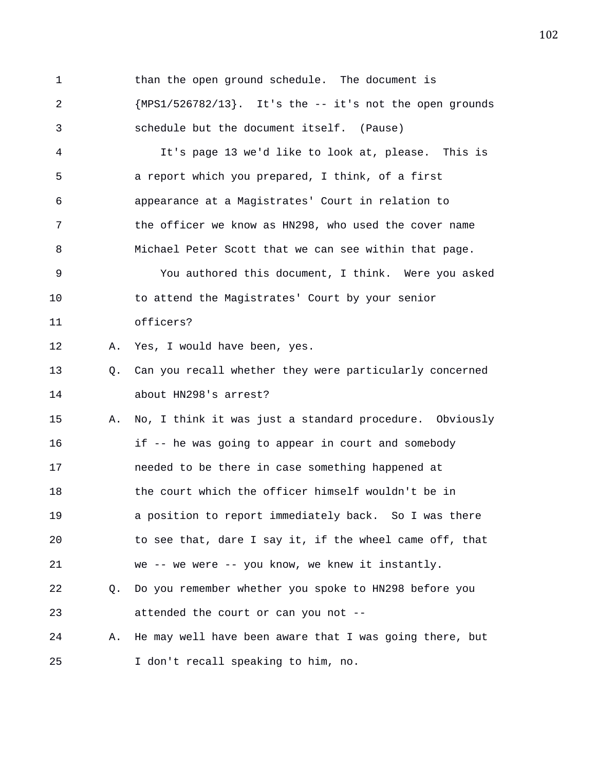1 than the open ground schedule. The document is 2 {MPS1/526782/13}. It's the -- it's not the open grounds 3 schedule but the document itself. (Pause) 4 It's page 13 we'd like to look at, please. This is 5 a report which you prepared, I think, of a first 6 appearance at a Magistrates' Court in relation to 7 the officer we know as HN298, who used the cover name 8 Michael Peter Scott that we can see within that page. 9 You authored this document, I think. Were you asked 10 to attend the Magistrates' Court by your senior 11 officers? 12 A. Yes, I would have been, yes. 13 Q. Can you recall whether they were particularly concerned 14 about HN298's arrest? 15 A. No, I think it was just a standard procedure. Obviously 16 if -- he was going to appear in court and somebody 17 needed to be there in case something happened at 18 the court which the officer himself wouldn't be in 19 a position to report immediately back. So I was there 20 to see that, dare I say it, if the wheel came off, that 21 we -- we were -- you know, we knew it instantly. 22 Q. Do you remember whether you spoke to HN298 before you 23 attended the court or can you not -- 24 A. He may well have been aware that I was going there, but 25 I don't recall speaking to him, no.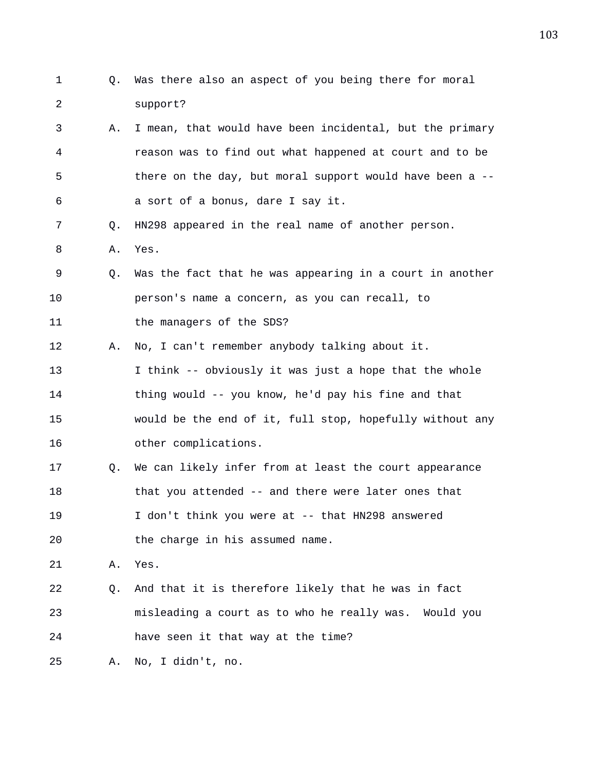- 1 Q. Was there also an aspect of you being there for moral 2 support?
- 3 A. I mean, that would have been incidental, but the primary 4 reason was to find out what happened at court and to be 5 there on the day, but moral support would have been a -- 6 a sort of a bonus, dare I say it.
- 7 Q. HN298 appeared in the real name of another person.
- 8 A. Yes.
- 9 Q. Was the fact that he was appearing in a court in another 10 person's name a concern, as you can recall, to 11 the managers of the SDS?
- 

12 A. No, I can't remember anybody talking about it.

- 13 I think -- obviously it was just a hope that the whole 14 thing would -- you know, he'd pay his fine and that 15 would be the end of it, full stop, hopefully without any 16 other complications.
- 17 Q. We can likely infer from at least the court appearance 18 that you attended -- and there were later ones that 19 I don't think you were at -- that HN298 answered
- 20 the charge in his assumed name.
- 21 A. Yes.
- 22 Q. And that it is therefore likely that he was in fact 23 misleading a court as to who he really was. Would you 24 have seen it that way at the time?

25 A. No, I didn't, no.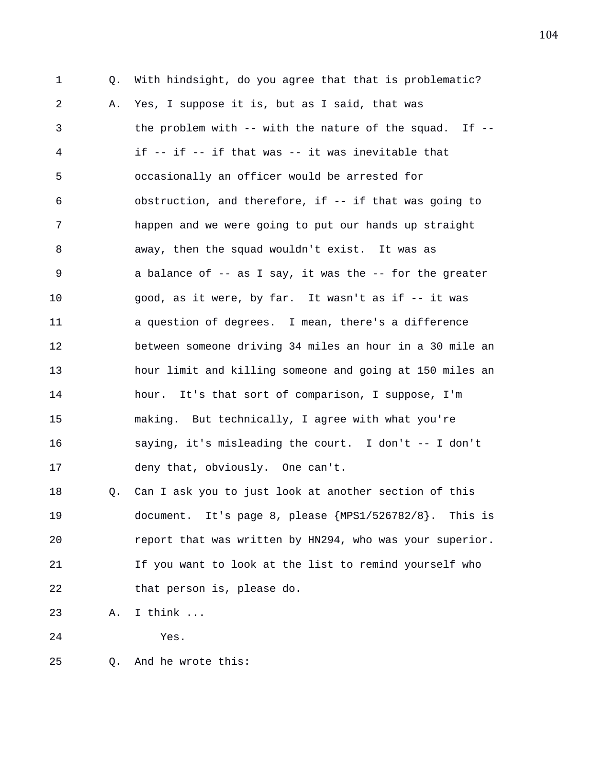1 Q. With hindsight, do you agree that that is problematic? 2 A. Yes, I suppose it is, but as I said, that was 3 the problem with -- with the nature of the squad. If -- 4 if -- if -- if that was -- it was inevitable that 5 occasionally an officer would be arrested for 6 obstruction, and therefore, if -- if that was going to 7 happen and we were going to put our hands up straight 8 away, then the squad wouldn't exist. It was as 9 a balance of -- as I say, it was the -- for the greater 10 good, as it were, by far. It wasn't as if -- it was 11 a question of degrees. I mean, there's a difference 12 between someone driving 34 miles an hour in a 30 mile an 13 hour limit and killing someone and going at 150 miles an 14 hour. It's that sort of comparison, I suppose, I'm 15 making. But technically, I agree with what you're 16 saying, it's misleading the court. I don't -- I don't 17 deny that, obviously. One can't. 18 Q. Can I ask you to just look at another section of this 19 document. It's page 8, please {MPS1/526782/8}. This is 20 report that was written by HN294, who was your superior. 21 If you want to look at the list to remind yourself who 22 that person is, please do.

23 A. I think ...

24 Yes.

25 Q. And he wrote this: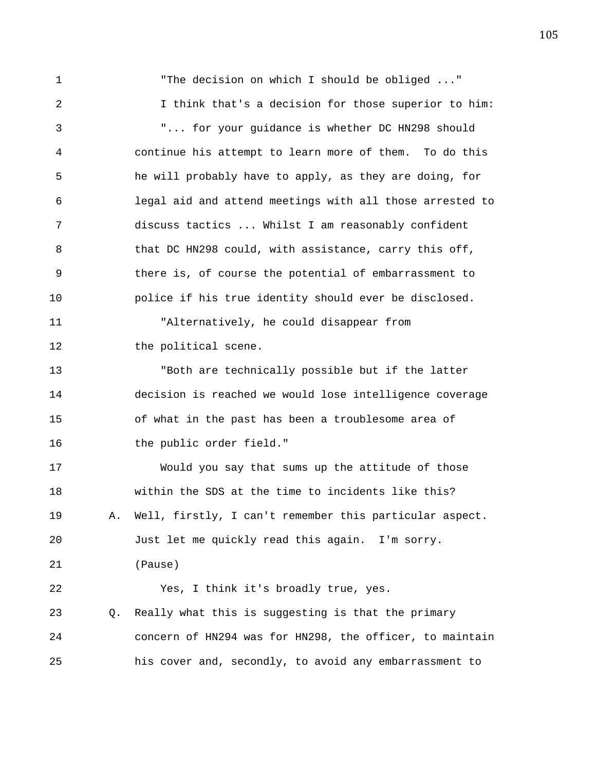1 "The decision on which I should be obliged ..." 2 I think that's a decision for those superior to him: 3 "... for your guidance is whether DC HN298 should 4 continue his attempt to learn more of them. To do this 5 he will probably have to apply, as they are doing, for 6 legal aid and attend meetings with all those arrested to 7 discuss tactics ... Whilst I am reasonably confident 8 that DC HN298 could, with assistance, carry this off, 9 there is, of course the potential of embarrassment to 10 police if his true identity should ever be disclosed. 11 "Alternatively, he could disappear from 12 the political scene. 13 "Both are technically possible but if the latter 14 decision is reached we would lose intelligence coverage 15 of what in the past has been a troublesome area of 16 the public order field." 17 Would you say that sums up the attitude of those 18 within the SDS at the time to incidents like this? 19 A. Well, firstly, I can't remember this particular aspect. 20 Just let me quickly read this again. I'm sorry. 21 (Pause) 22 Yes, I think it's broadly true, yes. 23 Q. Really what this is suggesting is that the primary 24 concern of HN294 was for HN298, the officer, to maintain 25 his cover and, secondly, to avoid any embarrassment to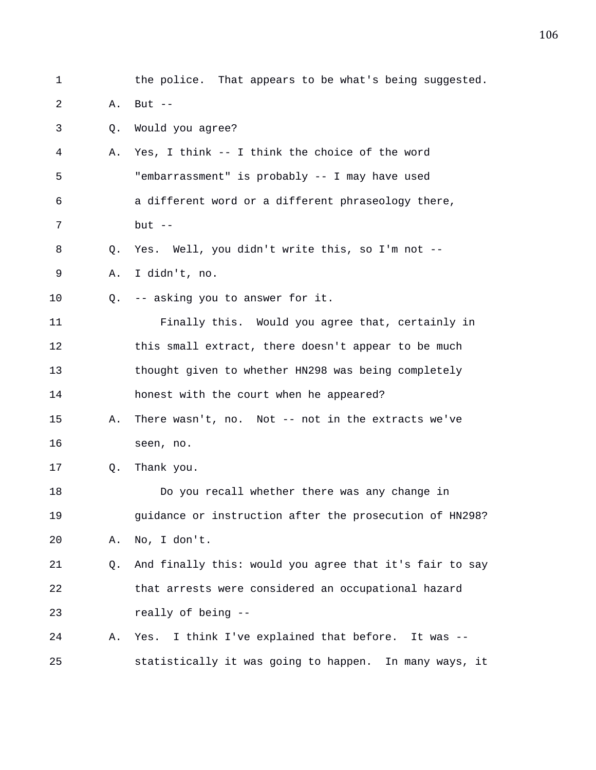| 1  |    | the police. That appears to be what's being suggested.  |
|----|----|---------------------------------------------------------|
| 2  | Α. | But $--$                                                |
| 3  | Q. | Would you agree?                                        |
| 4  | Α. | Yes, I think -- I think the choice of the word          |
| 5  |    | "embarrassment" is probably -- I may have used          |
| 6  |    | a different word or a different phraseology there,      |
| 7  |    | but $--$                                                |
| 8  | Q. | Yes. Well, you didn't write this, so I'm not --         |
| 9  | Α. | I didn't, no.                                           |
| 10 | 0. | -- asking you to answer for it.                         |
| 11 |    | Finally this. Would you agree that, certainly in        |
| 12 |    | this small extract, there doesn't appear to be much     |
| 13 |    | thought given to whether HN298 was being completely     |
| 14 |    | honest with the court when he appeared?                 |
| 15 | Α. | There wasn't, no. Not $-$ not in the extracts we've     |
| 16 |    | seen, no.                                               |
| 17 | Q. | Thank you.                                              |
| 18 |    | Do you recall whether there was any change in           |
| 19 |    | guidance or instruction after the prosecution of HN298? |
| 20 | Α. | No, I don't.                                            |
| 21 | O. | And finally this: would you agree that it's fair to say |
| 22 |    | that arrests were considered an occupational hazard     |
| 23 |    | really of being --                                      |
| 24 | Α. | Yes. I think I've explained that before. It was --      |
| 25 |    | statistically it was going to happen. In many ways, it  |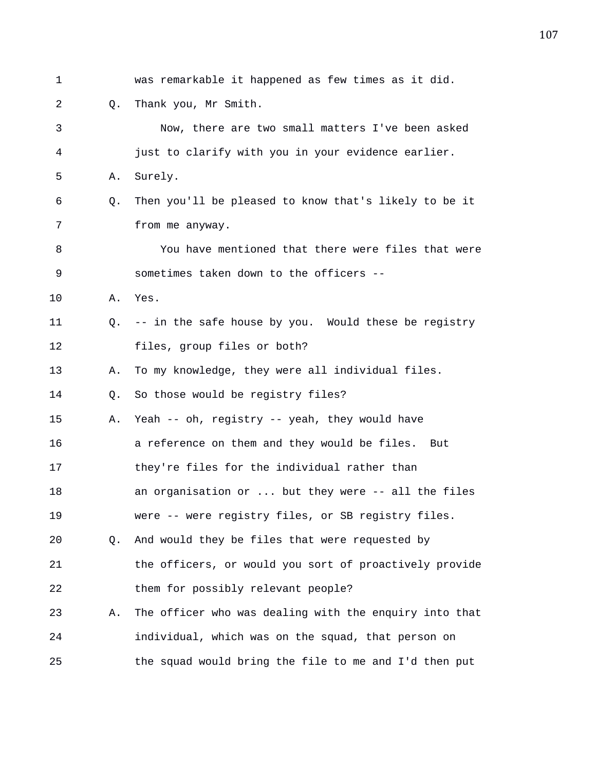1 was remarkable it happened as few times as it did. 2 Q. Thank you, Mr Smith. 3 Now, there are two small matters I've been asked 4 just to clarify with you in your evidence earlier. 5 A. Surely. 6 Q. Then you'll be pleased to know that's likely to be it 7 from me anyway. 8 You have mentioned that there were files that were 9 sometimes taken down to the officers -- 10 A. Yes. 11 Q. -- in the safe house by you. Would these be registry 12 files, group files or both? 13 A. To my knowledge, they were all individual files. 14 Q. So those would be registry files? 15 A. Yeah -- oh, registry -- yeah, they would have 16 a reference on them and they would be files. But 17 they're files for the individual rather than 18 an organisation or ... but they were -- all the files 19 were -- were registry files, or SB registry files. 20 Q. And would they be files that were requested by 21 the officers, or would you sort of proactively provide 22 them for possibly relevant people? 23 A. The officer who was dealing with the enquiry into that 24 individual, which was on the squad, that person on 25 the squad would bring the file to me and I'd then put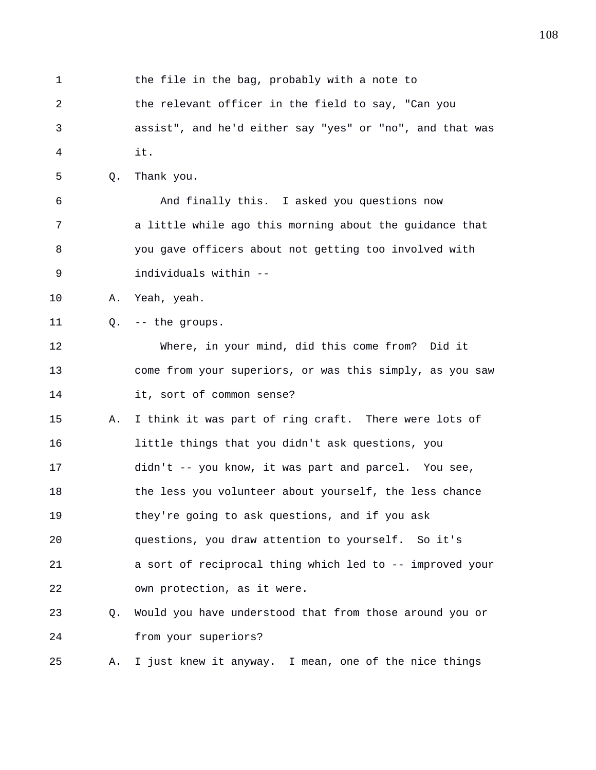1 the file in the bag, probably with a note to 2 the relevant officer in the field to say, "Can you 3 assist", and he'd either say "yes" or "no", and that was 4 it. 5 Q. Thank you. 6 And finally this. I asked you questions now 7 a little while ago this morning about the guidance that 8 you gave officers about not getting too involved with 9 individuals within -- 10 A. Yeah, yeah. 11 Q. -- the groups. 12 Where, in your mind, did this come from? Did it 13 come from your superiors, or was this simply, as you saw 14 it, sort of common sense? 15 A. I think it was part of ring craft. There were lots of 16 little things that you didn't ask questions, you 17 didn't -- you know, it was part and parcel. You see, 18 the less you volunteer about yourself, the less chance 19 they're going to ask questions, and if you ask 20 questions, you draw attention to yourself. So it's 21 a sort of reciprocal thing which led to -- improved your 22 own protection, as it were. 23 Q. Would you have understood that from those around you or 24 from your superiors? 25 A. I just knew it anyway. I mean, one of the nice things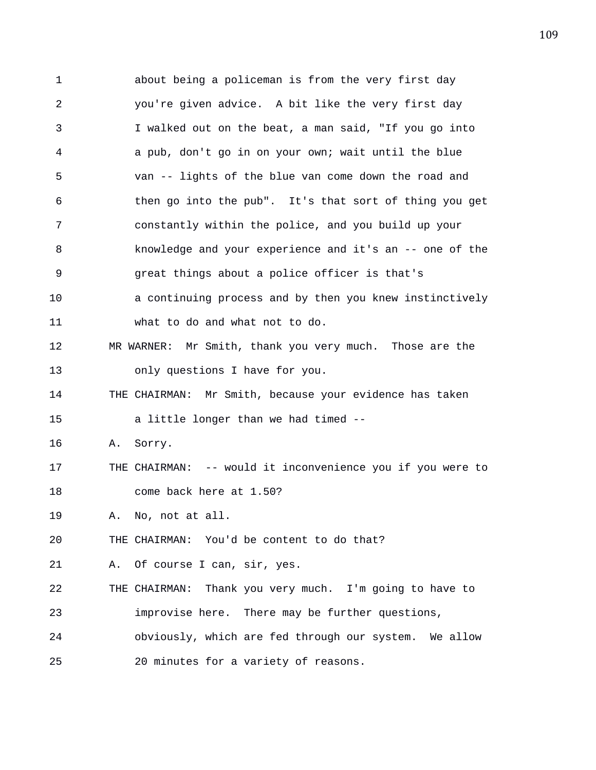1 about being a policeman is from the very first day 2 you're given advice. A bit like the very first day 3 I walked out on the beat, a man said, "If you go into 4 a pub, don't go in on your own; wait until the blue 5 van -- lights of the blue van come down the road and 6 then go into the pub". It's that sort of thing you get 7 constantly within the police, and you build up your 8 knowledge and your experience and it's an -- one of the 9 great things about a police officer is that's 10 a continuing process and by then you knew instinctively 11 what to do and what not to do. 12 MR WARNER: Mr Smith, thank you very much. Those are the 13 only questions I have for you. 14 THE CHAIRMAN: Mr Smith, because your evidence has taken 15 a little longer than we had timed -- 16 A. Sorry. 17 THE CHAIRMAN: -- would it inconvenience you if you were to 18 come back here at 1.50? 19 A. No, not at all. 20 THE CHAIRMAN: You'd be content to do that? 21 A. Of course I can, sir, yes. 22 THE CHAIRMAN: Thank you very much. I'm going to have to 23 improvise here. There may be further questions, 24 obviously, which are fed through our system. We allow 25 20 minutes for a variety of reasons.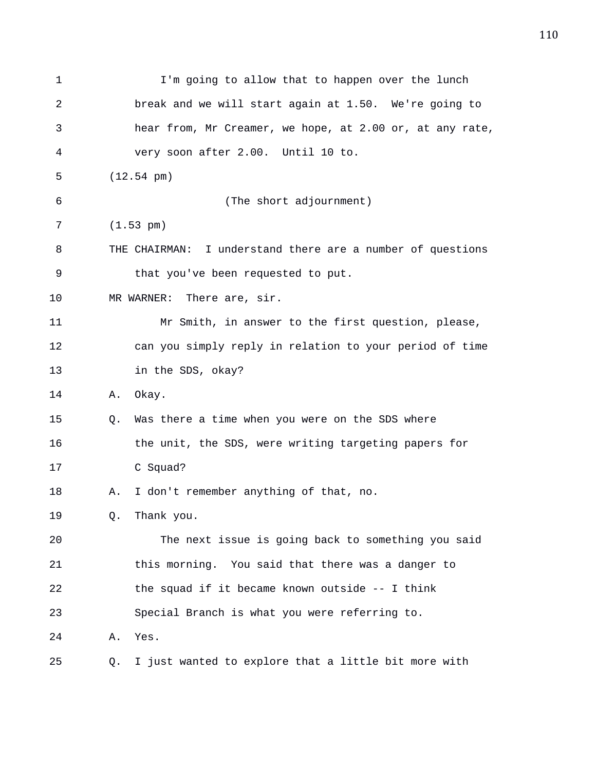| 1  | I'm going to allow that to happen over the lunch           |
|----|------------------------------------------------------------|
| 2  | break and we will start again at 1.50. We're going to      |
| 3  | hear from, Mr Creamer, we hope, at 2.00 or, at any rate,   |
| 4  | very soon after 2.00. Until 10 to.                         |
| 5  | $(12.54 \text{ pm})$                                       |
| 6  | (The short adjournment)                                    |
| 7  | $(1.53 \text{ pm})$                                        |
| 8  | THE CHAIRMAN: I understand there are a number of questions |
| 9  | that you've been requested to put.                         |
| 10 | There are, sir.<br>MR WARNER:                              |
| 11 | Mr Smith, in answer to the first question, please,         |
| 12 | can you simply reply in relation to your period of time    |
| 13 | in the SDS, okay?                                          |
| 14 | Okay.<br>Α.                                                |
| 15 | Was there a time when you were on the SDS where<br>Q.      |
| 16 | the unit, the SDS, were writing targeting papers for       |
| 17 | C Squad?                                                   |
| 18 | I don't remember anything of that, no.<br>Α.               |
| 19 | Thank you.<br>Q.                                           |
| 20 | The next issue is going back to something you said         |
| 21 | this morning. You said that there was a danger to          |
| 22 | the squad if it became known outside -- I think            |
| 23 | Special Branch is what you were referring to.              |
| 24 | Yes.<br>Α.                                                 |
| 25 | I just wanted to explore that a little bit more with<br>Q. |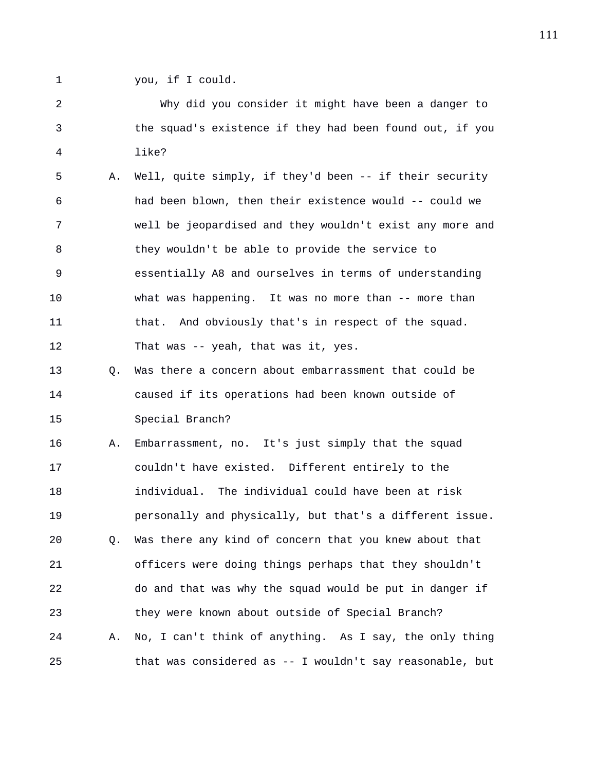1 you, if I could.

2 Why did you consider it might have been a danger to 3 the squad's existence if they had been found out, if you 4 like?

5 A. Well, quite simply, if they'd been -- if their security 6 had been blown, then their existence would -- could we 7 well be jeopardised and they wouldn't exist any more and 8 they wouldn't be able to provide the service to 9 essentially A8 and ourselves in terms of understanding 10 what was happening. It was no more than -- more than 11 that. And obviously that's in respect of the squad. 12 That was -- yeah, that was it, yes.

13 Q. Was there a concern about embarrassment that could be 14 caused if its operations had been known outside of 15 Special Branch?

16 A. Embarrassment, no. It's just simply that the squad 17 couldn't have existed. Different entirely to the 18 individual. The individual could have been at risk 19 personally and physically, but that's a different issue. 20 Q. Was there any kind of concern that you knew about that 21 officers were doing things perhaps that they shouldn't 22 do and that was why the squad would be put in danger if 23 they were known about outside of Special Branch? 24 A. No, I can't think of anything. As I say, the only thing 25 that was considered as -- I wouldn't say reasonable, but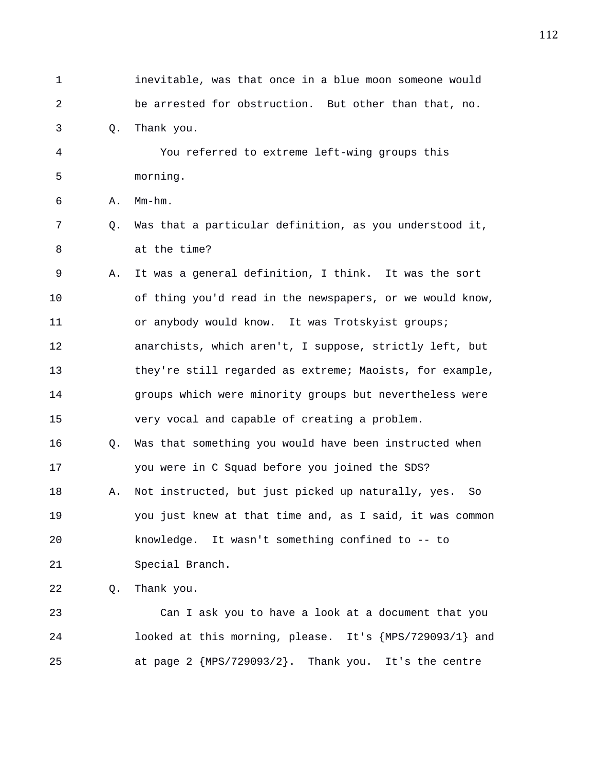1 inevitable, was that once in a blue moon someone would 2 be arrested for obstruction. But other than that, no. 3 Q. Thank you. 4 You referred to extreme left-wing groups this 5 morning. 6 A. Mm-hm. 7 Q. Was that a particular definition, as you understood it, 8 at the time? 9 A. It was a general definition, I think. It was the sort 10 of thing you'd read in the newspapers, or we would know, 11 or anybody would know. It was Trotskyist groups; 12 anarchists, which aren't, I suppose, strictly left, but 13 they're still regarded as extreme; Maoists, for example, 14 groups which were minority groups but nevertheless were 15 very vocal and capable of creating a problem. 16 Q. Was that something you would have been instructed when 17 you were in C Squad before you joined the SDS? 18 A. Not instructed, but just picked up naturally, yes. So 19 you just knew at that time and, as I said, it was common 20 knowledge. It wasn't something confined to -- to 21 Special Branch. 22 Q. Thank you. 23 Can I ask you to have a look at a document that you 24 looked at this morning, please. It's {MPS/729093/1} and 25 at page 2 {MPS/729093/2}. Thank you. It's the centre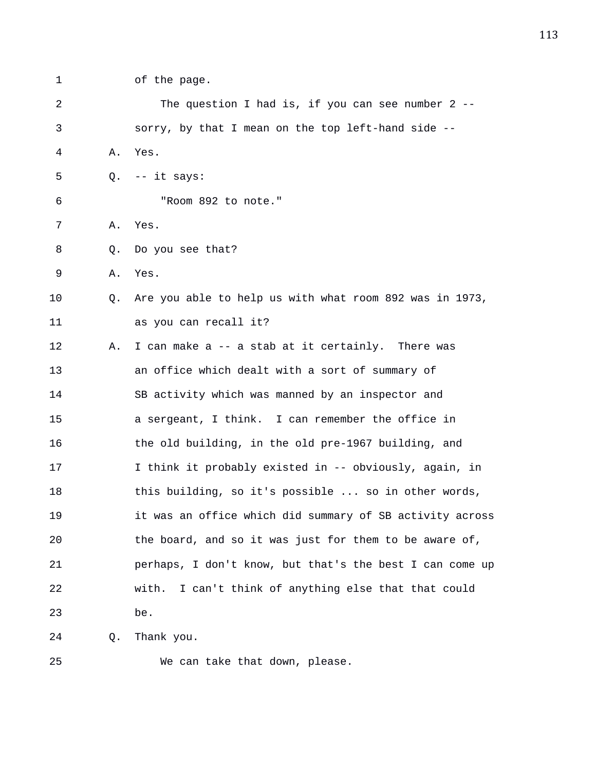- 
- 1 of the page.

| 2  |    | The question I had is, if you can see number $2$ --      |
|----|----|----------------------------------------------------------|
| 3  |    | sorry, by that I mean on the top left-hand side --       |
| 4  | Α. | Yes.                                                     |
| 5  | Q. | -- it says:                                              |
| 6  |    | "Room 892 to note."                                      |
| 7  | Α. | Yes.                                                     |
| 8  | Q. | Do you see that?                                         |
| 9  | Α. | Yes.                                                     |
| 10 | Q. | Are you able to help us with what room 892 was in 1973,  |
| 11 |    | as you can recall it?                                    |
| 12 | Α. | I can make a -- a stab at it certainly. There was        |
| 13 |    | an office which dealt with a sort of summary of          |
| 14 |    | SB activity which was manned by an inspector and         |
| 15 |    | a sergeant, I think. I can remember the office in        |
| 16 |    | the old building, in the old pre-1967 building, and      |
| 17 |    | I think it probably existed in -- obviously, again, in   |
| 18 |    | this building, so it's possible  so in other words,      |
| 19 |    | it was an office which did summary of SB activity across |
| 20 |    | the board, and so it was just for them to be aware of,   |
| 21 |    | perhaps, I don't know, but that's the best I can come up |
| 22 |    | I can't think of anything else that that could<br>with.  |
| 23 |    | be.                                                      |
| 24 | Q. | Thank you.                                               |
|    |    |                                                          |

25 We can take that down, please.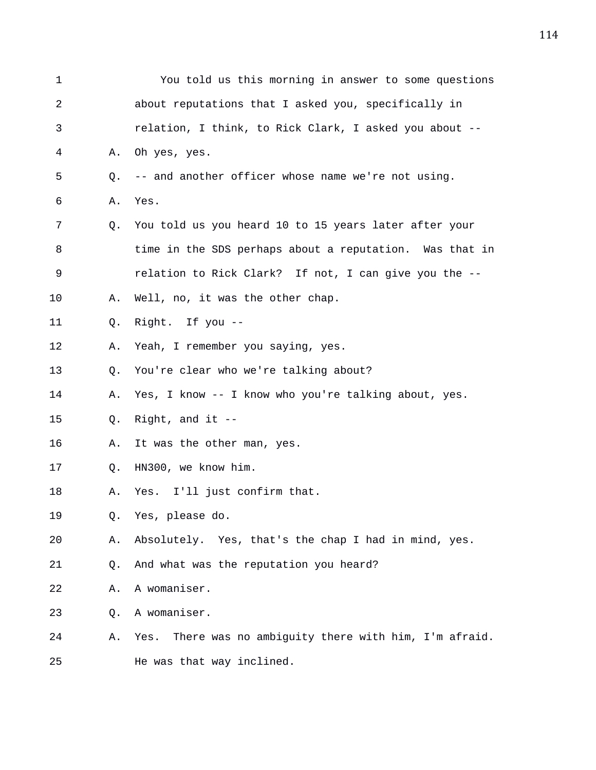| $\mathbf 1$ |           | You told us this morning in answer to some questions       |
|-------------|-----------|------------------------------------------------------------|
| 2           |           | about reputations that I asked you, specifically in        |
| 3           |           | relation, I think, to Rick Clark, I asked you about --     |
| 4           | Α.        | Oh yes, yes.                                               |
| 5           | $\circ$ . | -- and another officer whose name we're not using.         |
| 6           | Α.        | Yes.                                                       |
| 7           | O.        | You told us you heard 10 to 15 years later after your      |
| 8           |           | time in the SDS perhaps about a reputation. Was that in    |
| 9           |           | relation to Rick Clark? If not, I can give you the --      |
| 10          | Α.        | Well, no, it was the other chap.                           |
| 11          | Q.        | Right. If you --                                           |
| 12          | Α.        | Yeah, I remember you saying, yes.                          |
| 13          | Q.        | You're clear who we're talking about?                      |
| 14          | Α.        | Yes, I know -- I know who you're talking about, yes.       |
| 15          | Q.        | Right, and it $-$ -                                        |
| 16          | Α.        | It was the other man, yes.                                 |
| 17          | Q.        | HN300, we know him.                                        |
| 18          | Α.        | Yes. I'll just confirm that.                               |
| 19          | Q.        | Yes, please do.                                            |
| 20          | Α.        | Absolutely. Yes, that's the chap I had in mind, yes.       |
| 21          | Q.        | And what was the reputation you heard?                     |
| 22          | Α.        | A womaniser.                                               |
| 23          | Q.        | A womaniser.                                               |
| 24          | Α.        | There was no ambiguity there with him, I'm afraid.<br>Yes. |
| 25          |           | He was that way inclined.                                  |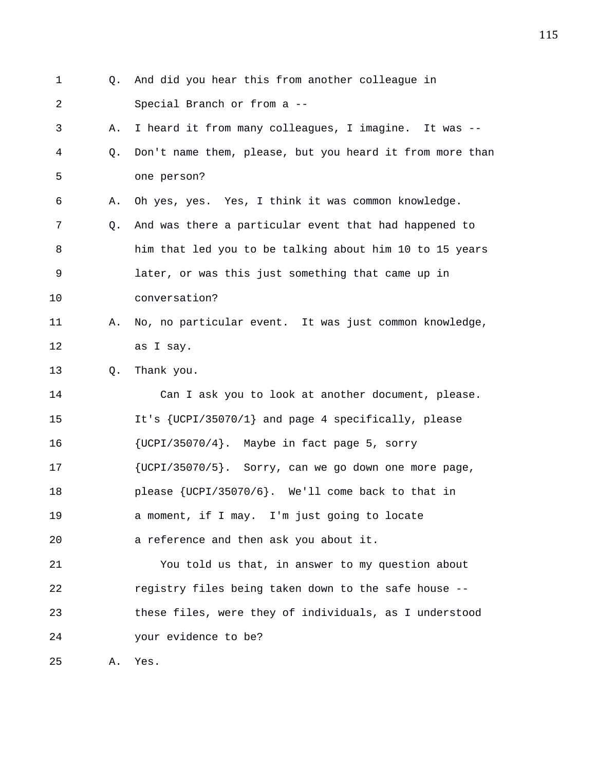1 Q. And did you hear this from another colleague in 2 Special Branch or from a -- 3 A. I heard it from many colleagues, I imagine. It was -- 4 Q. Don't name them, please, but you heard it from more than 5 one person? 6 A. Oh yes, yes. Yes, I think it was common knowledge. 7 Q. And was there a particular event that had happened to 8 him that led you to be talking about him 10 to 15 years 9 later, or was this just something that came up in 10 conversation? 11 A. No, no particular event. It was just common knowledge, 12 as I say. 13 Q. Thank you. 14 Can I ask you to look at another document, please. 15 It's {UCPI/35070/1} and page 4 specifically, please 16 {UCPI/35070/4}. Maybe in fact page 5, sorry 17 {UCPI/35070/5}. Sorry, can we go down one more page, 18 please {UCPI/35070/6}. We'll come back to that in 19 a moment, if I may. I'm just going to locate 20 a reference and then ask you about it. 21 You told us that, in answer to my question about 22 registry files being taken down to the safe house -- 23 these files, were they of individuals, as I understood 24 your evidence to be? 25 A. Yes.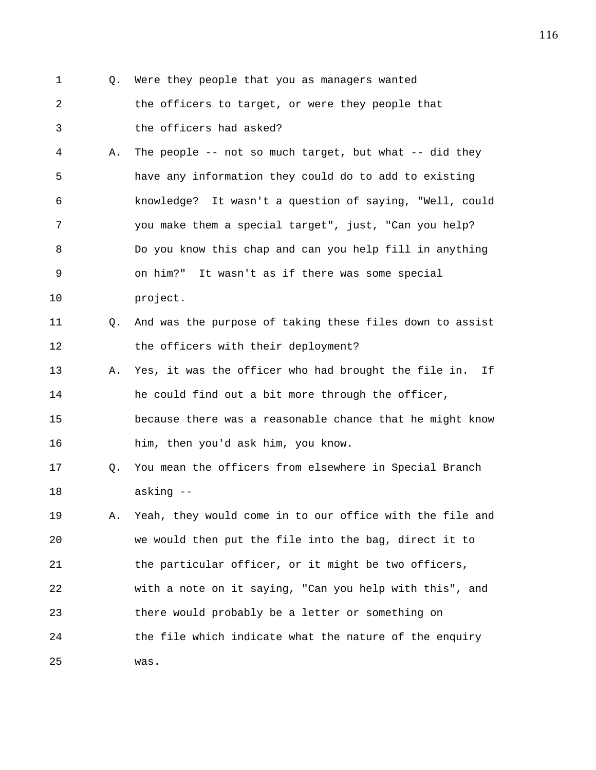- 
- 1 Q. Were they people that you as managers wanted

2 the officers to target, or were they people that 3 the officers had asked?

4 A. The people -- not so much target, but what -- did they 5 have any information they could do to add to existing 6 knowledge? It wasn't a question of saying, "Well, could 7 you make them a special target", just, "Can you help? 8 Do you know this chap and can you help fill in anything 9 on him?" It wasn't as if there was some special 10 project.

- 11 Q. And was the purpose of taking these files down to assist 12 the officers with their deployment?
- 13 A. Yes, it was the officer who had brought the file in. If 14 he could find out a bit more through the officer, 15 because there was a reasonable chance that he might know

16 him, then you'd ask him, you know.

17 Q. You mean the officers from elsewhere in Special Branch 18 asking --

19 A. Yeah, they would come in to our office with the file and 20 we would then put the file into the bag, direct it to 21 the particular officer, or it might be two officers, 22 with a note on it saying, "Can you help with this", and 23 there would probably be a letter or something on 24 the file which indicate what the nature of the enquiry 25 was.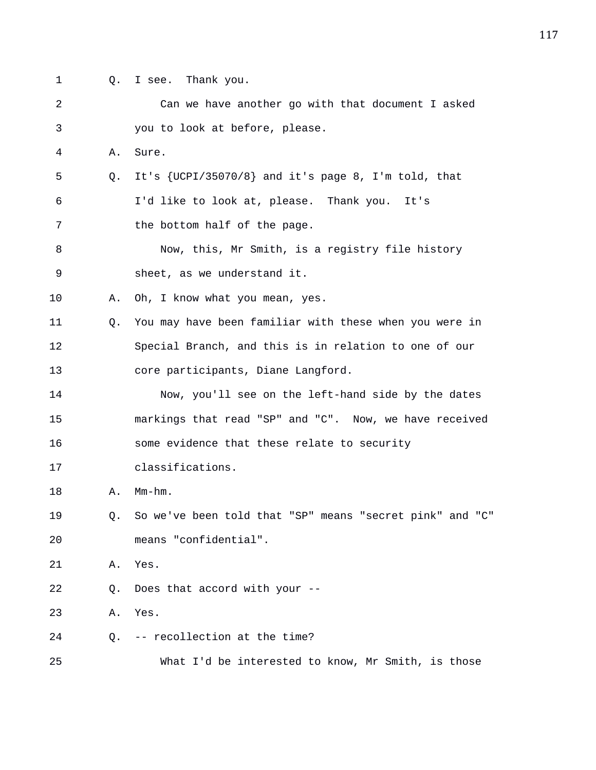- 
- 1 Q. I see. Thank you.

| 2  |    | Can we have another go with that document I asked        |
|----|----|----------------------------------------------------------|
| 3  |    | you to look at before, please.                           |
| 4  | Α. | Sure.                                                    |
| 5  | Q. | It's {UCPI/35070/8} and it's page 8, I'm told, that      |
| 6  |    | I'd like to look at, please. Thank you. It's             |
| 7  |    | the bottom half of the page.                             |
| 8  |    | Now, this, Mr Smith, is a registry file history          |
| 9  |    | sheet, as we understand it.                              |
| 10 | Α. | Oh, I know what you mean, yes.                           |
| 11 | O. | You may have been familiar with these when you were in   |
| 12 |    | Special Branch, and this is in relation to one of our    |
| 13 |    | core participants, Diane Langford.                       |
| 14 |    | Now, you'll see on the left-hand side by the dates       |
| 15 |    | markings that read "SP" and "C". Now, we have received   |
| 16 |    | some evidence that these relate to security              |
| 17 |    | classifications.                                         |
| 18 | Α. | $Mm-hm$ .                                                |
| 19 | O. | So we've been told that "SP" means "secret pink" and "C" |
| 20 |    | means "confidential".                                    |
| 21 | Α. | Yes.                                                     |
| 22 | Q. | Does that accord with your --                            |
| 23 | Α. | Yes.                                                     |
| 24 | Q. | -- recollection at the time?                             |
| 25 |    | What I'd be interested to know, Mr Smith, is those       |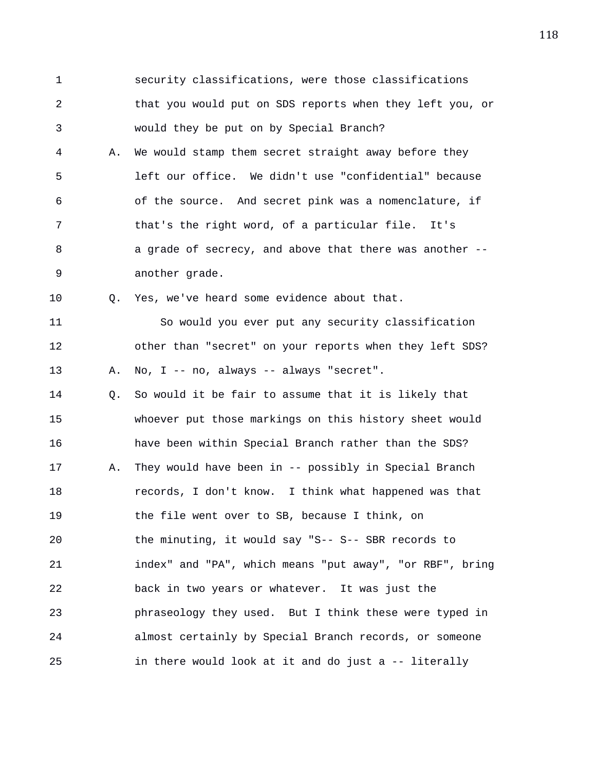1 security classifications, were those classifications 2 that you would put on SDS reports when they left you, or 3 would they be put on by Special Branch? 4 A. We would stamp them secret straight away before they 5 left our office. We didn't use "confidential" because 6 of the source. And secret pink was a nomenclature, if 7 that's the right word, of a particular file. It's 8 a grade of secrecy, and above that there was another -- 9 another grade. 10 Q. Yes, we've heard some evidence about that. 11 So would you ever put any security classification 12 other than "secret" on your reports when they left SDS? 13 A. No, I -- no, always -- always "secret". 14 Q. So would it be fair to assume that it is likely that 15 whoever put those markings on this history sheet would 16 have been within Special Branch rather than the SDS? 17 A. They would have been in -- possibly in Special Branch 18 records, I don't know. I think what happened was that 19 the file went over to SB, because I think, on 20 the minuting, it would say "S-- S-- SBR records to 21 index" and "PA", which means "put away", "or RBF", bring 22 back in two years or whatever. It was just the 23 phraseology they used. But I think these were typed in 24 almost certainly by Special Branch records, or someone 25 in there would look at it and do just a -- literally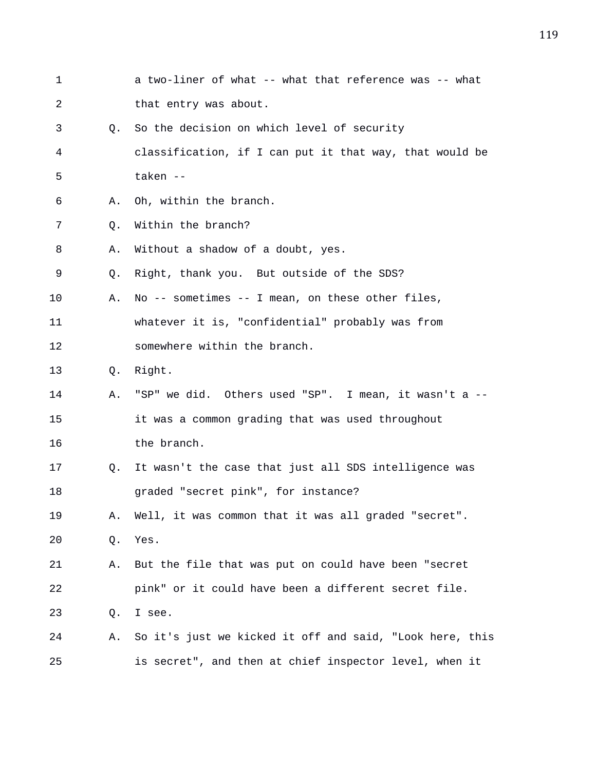1 a two-liner of what -- what that reference was -- what 2 that entry was about. 3 Q. So the decision on which level of security 4 classification, if I can put it that way, that would be 5 taken -- 6 A. Oh, within the branch. 7 Q. Within the branch? 8 A. Without a shadow of a doubt, yes. 9 Q. Right, thank you. But outside of the SDS? 10 A. No -- sometimes -- I mean, on these other files, 11 whatever it is, "confidential" probably was from 12 somewhere within the branch. 13 Q. Right. 14 A. "SP" we did. Others used "SP". I mean, it wasn't a -- 15 it was a common grading that was used throughout 16 the branch. 17 Q. It wasn't the case that just all SDS intelligence was 18 graded "secret pink", for instance? 19 A. Well, it was common that it was all graded "secret". 20 Q. Yes. 21 A. But the file that was put on could have been "secret 22 pink" or it could have been a different secret file. 23 Q. I see. 24 A. So it's just we kicked it off and said, "Look here, this 25 is secret", and then at chief inspector level, when it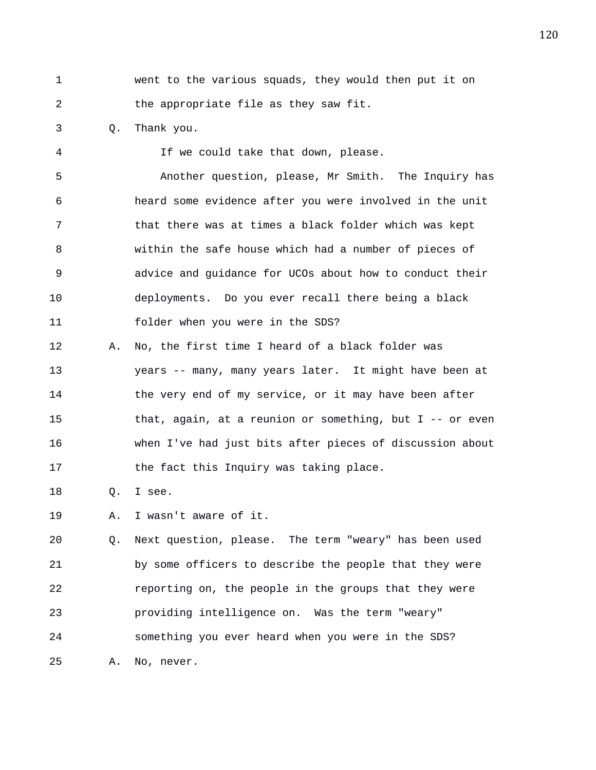- 1 went to the various squads, they would then put it on 2 the appropriate file as they saw fit.
	- 3 Q. Thank you.

4 If we could take that down, please. 5 Another question, please, Mr Smith. The Inquiry has 6 heard some evidence after you were involved in the unit 7 that there was at times a black folder which was kept 8 within the safe house which had a number of pieces of 9 advice and guidance for UCOs about how to conduct their 10 deployments. Do you ever recall there being a black 11 folder when you were in the SDS? 12 A. No, the first time I heard of a black folder was 13 years -- many, many years later. It might have been at

14 the very end of my service, or it may have been after 15 that, again, at a reunion or something, but I -- or even 16 when I've had just bits after pieces of discussion about 17 the fact this Inquiry was taking place.

- 18 Q. I see.
- 19 A. I wasn't aware of it.

20 Q. Next question, please. The term "weary" has been used 21 by some officers to describe the people that they were 22 reporting on, the people in the groups that they were 23 providing intelligence on. Was the term "weary" 24 something you ever heard when you were in the SDS? 25 A. No, never.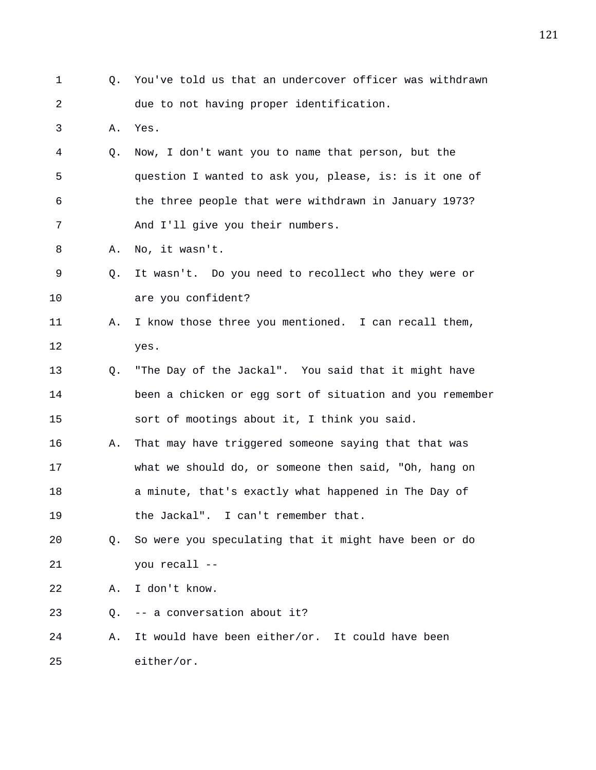1 Q. You've told us that an undercover officer was withdrawn 2 due to not having proper identification. 3 A. Yes. 4 Q. Now, I don't want you to name that person, but the 5 question I wanted to ask you, please, is: is it one of 6 the three people that were withdrawn in January 1973? 7 And I'll give you their numbers. 8 A. No, it wasn't. 9 Q. It wasn't. Do you need to recollect who they were or 10 are you confident? 11 A. I know those three you mentioned. I can recall them, 12 yes. 13 Q. "The Day of the Jackal". You said that it might have 14 been a chicken or egg sort of situation and you remember 15 sort of mootings about it, I think you said. 16 A. That may have triggered someone saying that that was 17 what we should do, or someone then said, "Oh, hang on 18 a minute, that's exactly what happened in The Day of 19 the Jackal". I can't remember that. 20 Q. So were you speculating that it might have been or do 21 you recall -- 22 A. I don't know. 23 Q. -- a conversation about it? 24 A. It would have been either/or. It could have been 25 either/or.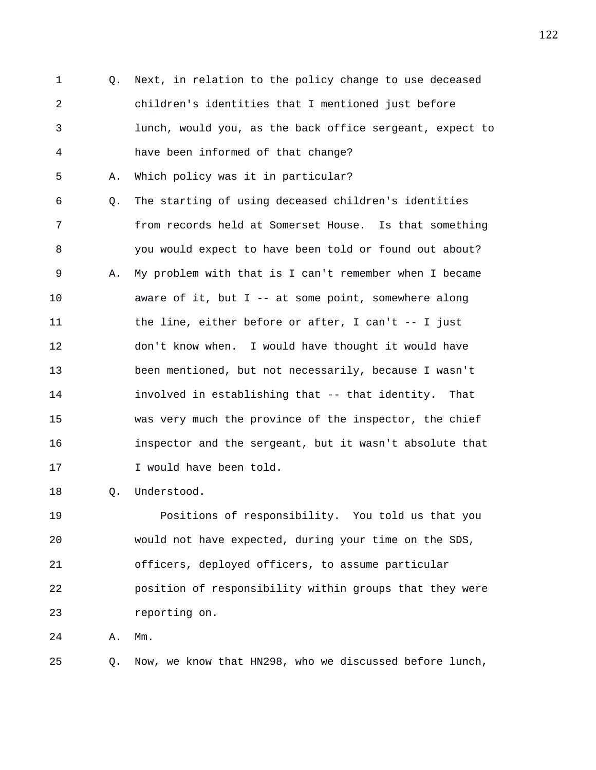1 Q. Next, in relation to the policy change to use deceased 2 children's identities that I mentioned just before 3 lunch, would you, as the back office sergeant, expect to 4 have been informed of that change? 5 A. Which policy was it in particular? 6 Q. The starting of using deceased children's identities 7 from records held at Somerset House. Is that something 8 you would expect to have been told or found out about? 9 A. My problem with that is I can't remember when I became 10 aware of it, but I -- at some point, somewhere along 11 the line, either before or after, I can't -- I just 12 don't know when. I would have thought it would have 13 been mentioned, but not necessarily, because I wasn't 14 involved in establishing that -- that identity. That 15 was very much the province of the inspector, the chief 16 inspector and the sergeant, but it wasn't absolute that 17 I would have been told.

18 Q. Understood.

19 Positions of responsibility. You told us that you 20 would not have expected, during your time on the SDS, 21 officers, deployed officers, to assume particular 22 position of responsibility within groups that they were 23 reporting on.

24 A. Mm.

25 Q. Now, we know that HN298, who we discussed before lunch,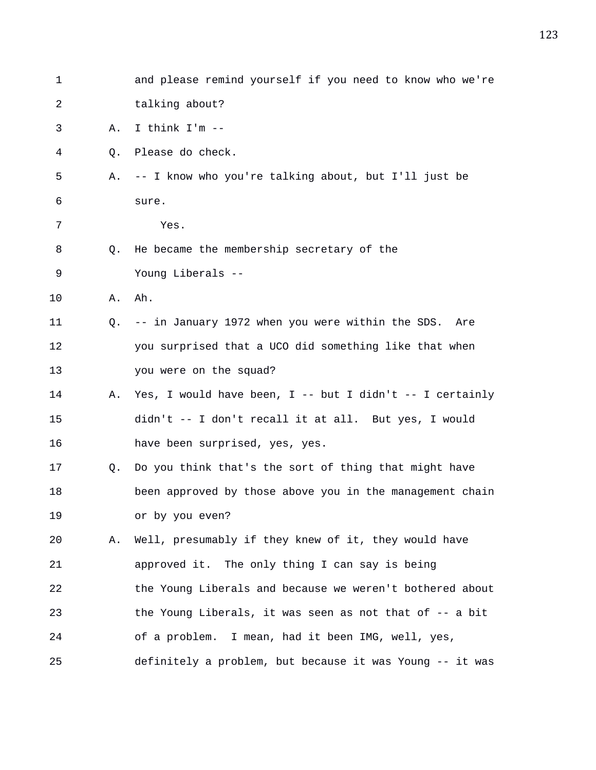| $\mathbf 1$ |    | and please remind yourself if you need to know who we're |
|-------------|----|----------------------------------------------------------|
| 2           |    | talking about?                                           |
| 3           | Α. | I think I'm --                                           |
| 4           | Q. | Please do check.                                         |
| 5           | Α. | -- I know who you're talking about, but I'll just be     |
| 6           |    | sure.                                                    |
| 7           |    | Yes.                                                     |
| 8           | Q. | He became the membership secretary of the                |
| 9           |    | Young Liberals --                                        |
| 10          | Α. | Ah.                                                      |
| 11          | Q. | -- in January 1972 when you were within the SDS. Are     |
| 12          |    | you surprised that a UCO did something like that when    |
| 13          |    | you were on the squad?                                   |
| 14          | Α. | Yes, I would have been, I -- but I didn't -- I certainly |
| 15          |    | didn't -- I don't recall it at all. But yes, I would     |
| 16          |    | have been surprised, yes, yes.                           |
| 17          | Q. | Do you think that's the sort of thing that might have    |
| 18          |    | been approved by those above you in the management chain |
| 19          |    | or by you even?                                          |
| 20          | Α. | Well, presumably if they knew of it, they would have     |
| 21          |    | approved it. The only thing I can say is being           |
| 22          |    | the Young Liberals and because we weren't bothered about |
| 23          |    | the Young Liberals, it was seen as not that of -- a bit  |
| 24          |    | of a problem. I mean, had it been IMG, well, yes,        |
| 25          |    | definitely a problem, but because it was Young -- it was |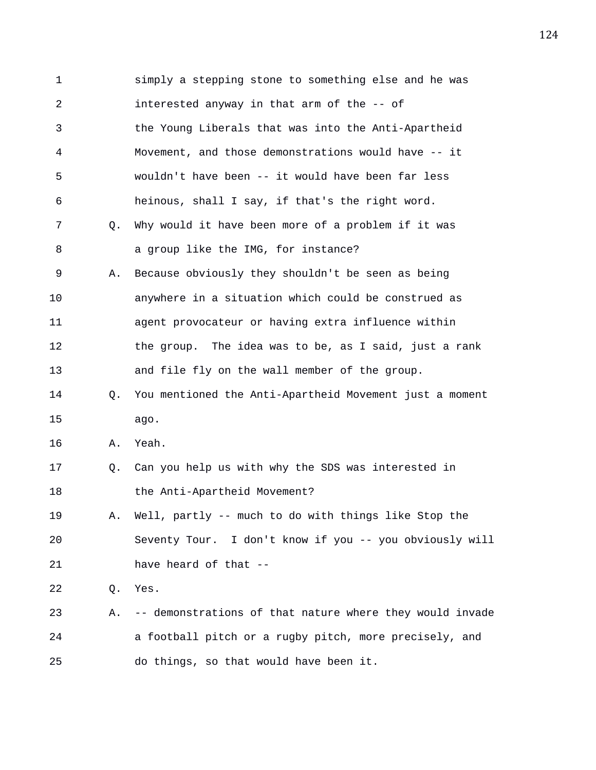1 simply a stepping stone to something else and he was 2 interested anyway in that arm of the -- of 3 the Young Liberals that was into the Anti-Apartheid 4 Movement, and those demonstrations would have -- it 5 wouldn't have been -- it would have been far less 6 heinous, shall I say, if that's the right word. 7 Q. Why would it have been more of a problem if it was 8 a group like the IMG, for instance? 9 A. Because obviously they shouldn't be seen as being 10 anywhere in a situation which could be construed as 11 agent provocateur or having extra influence within 12 the group. The idea was to be, as I said, just a rank 13 and file fly on the wall member of the group. 14 Q. You mentioned the Anti-Apartheid Movement just a moment 15 ago. 16 A. Yeah. 17 Q. Can you help us with why the SDS was interested in 18 the Anti-Apartheid Movement? 19 A. Well, partly -- much to do with things like Stop the 20 Seventy Tour. I don't know if you -- you obviously will 21 have heard of that -- 22 Q. Yes. 23 A. -- demonstrations of that nature where they would invade 24 a football pitch or a rugby pitch, more precisely, and 25 do things, so that would have been it.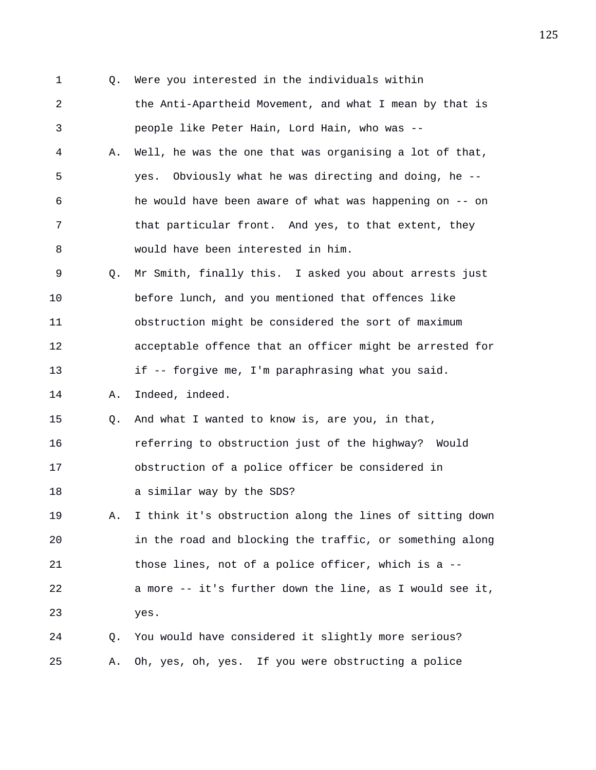1 Q. Were you interested in the individuals within 2 the Anti-Apartheid Movement, and what I mean by that is 3 people like Peter Hain, Lord Hain, who was -- 4 A. Well, he was the one that was organising a lot of that, 5 yes. Obviously what he was directing and doing, he -- 6 he would have been aware of what was happening on -- on 7 that particular front. And yes, to that extent, they 8 would have been interested in him. 9 Q. Mr Smith, finally this. I asked you about arrests just 10 before lunch, and you mentioned that offences like 11 obstruction might be considered the sort of maximum 12 acceptable offence that an officer might be arrested for 13 if -- forgive me, I'm paraphrasing what you said. 14 A. Indeed, indeed. 15 Q. And what I wanted to know is, are you, in that, 16 referring to obstruction just of the highway? Would 17 obstruction of a police officer be considered in 18 a similar way by the SDS? 19 A. I think it's obstruction along the lines of sitting down 20 in the road and blocking the traffic, or something along 21 those lines, not of a police officer, which is a -- 22 a more -- it's further down the line, as I would see it, 23 yes. 24 Q. You would have considered it slightly more serious? 25 A. Oh, yes, oh, yes. If you were obstructing a police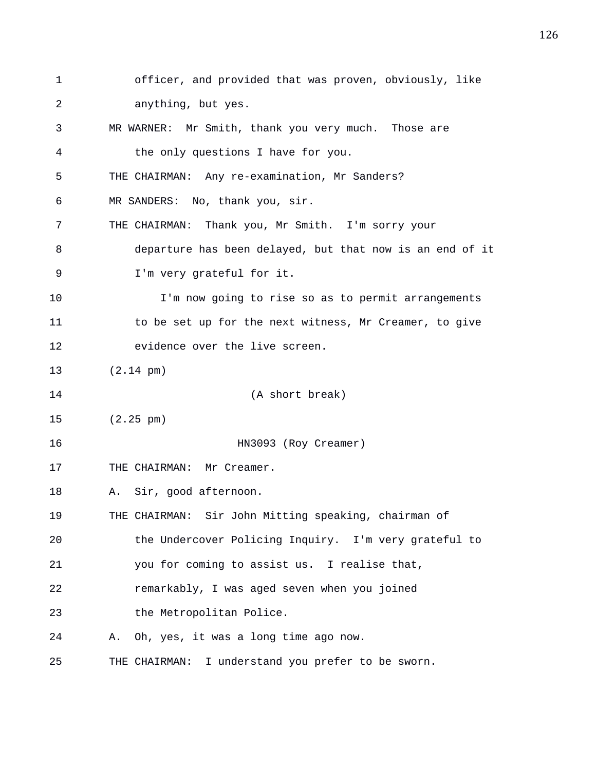1 officer, and provided that was proven, obviously, like 2 anything, but yes. 3 MR WARNER: Mr Smith, thank you very much. Those are 4 the only questions I have for you. 5 THE CHAIRMAN: Any re-examination, Mr Sanders? 6 MR SANDERS: No, thank you, sir. 7 THE CHAIRMAN: Thank you, Mr Smith. I'm sorry your 8 departure has been delayed, but that now is an end of it 9 I'm very grateful for it. 10 I'm now going to rise so as to permit arrangements 11 to be set up for the next witness, Mr Creamer, to give 12 evidence over the live screen. 13 (2.14 pm) 14 (A short break) 15 (2.25 pm) 16 HN3093 (Roy Creamer) 17 THE CHAIRMAN: Mr Creamer. 18 A. Sir, good afternoon. 19 THE CHAIRMAN: Sir John Mitting speaking, chairman of 20 the Undercover Policing Inquiry. I'm very grateful to 21 you for coming to assist us. I realise that, 22 remarkably, I was aged seven when you joined 23 the Metropolitan Police. 24 A. Oh, yes, it was a long time ago now. 25 THE CHAIRMAN: I understand you prefer to be sworn.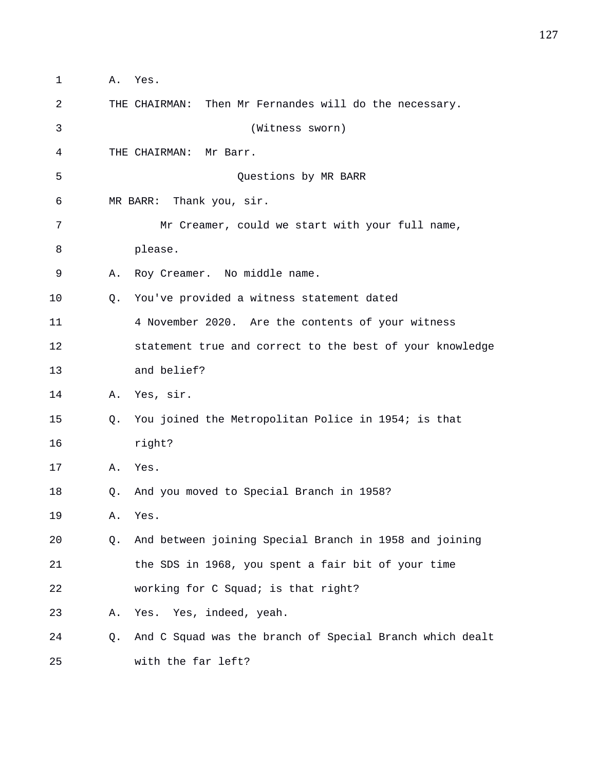| 1  | Α. | Yes.                                                      |
|----|----|-----------------------------------------------------------|
| 2  |    | Then Mr Fernandes will do the necessary.<br>THE CHAIRMAN: |
| 3  |    | (Witness sworn)                                           |
| 4  |    | THE CHAIRMAN:<br>Mr Barr.                                 |
| 5  |    | Questions by MR BARR                                      |
| 6  |    | MR BARR: Thank you, sir.                                  |
| 7  |    | Mr Creamer, could we start with your full name,           |
| 8  |    | please.                                                   |
| 9  | Α. | Roy Creamer. No middle name.                              |
| 10 | О. | You've provided a witness statement dated                 |
| 11 |    | 4 November 2020. Are the contents of your witness         |
| 12 |    | statement true and correct to the best of your knowledge  |
| 13 |    | and belief?                                               |
| 14 | Α. | Yes, sir.                                                 |
| 15 | Q. | You joined the Metropolitan Police in 1954; is that       |
| 16 |    | right?                                                    |
| 17 | Α. | Yes.                                                      |
| 18 | Q. | And you moved to Special Branch in 1958?                  |
| 19 | Α. | Yes.                                                      |
| 20 | Q. | And between joining Special Branch in 1958 and joining    |
| 21 |    | the SDS in 1968, you spent a fair bit of your time        |
| 22 |    | working for C Squad; is that right?                       |
| 23 | Α. | Yes. Yes, indeed, yeah.                                   |
| 24 | Q. | And C Squad was the branch of Special Branch which dealt  |
| 25 |    | with the far left?                                        |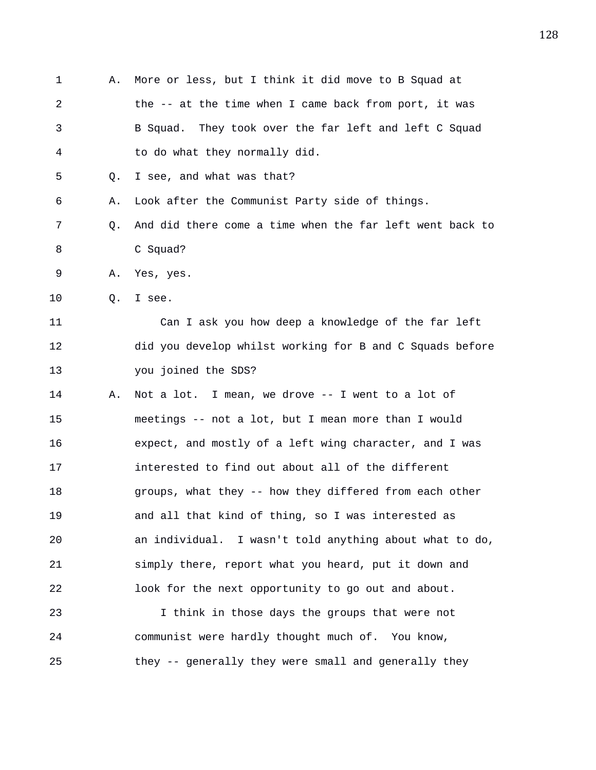1 A. More or less, but I think it did move to B Squad at 2 the -- at the time when I came back from port, it was 3 B Squad. They took over the far left and left C Squad 4 to do what they normally did. 5 Q. I see, and what was that? 6 A. Look after the Communist Party side of things. 7 Q. And did there come a time when the far left went back to 8 C Squad? 9 A. Yes, yes. 10 Q. I see. 11 Can I ask you how deep a knowledge of the far left 12 did you develop whilst working for B and C Squads before 13 you joined the SDS? 14 A. Not a lot. I mean, we drove -- I went to a lot of 15 meetings -- not a lot, but I mean more than I would 16 expect, and mostly of a left wing character, and I was 17 interested to find out about all of the different 18 groups, what they -- how they differed from each other 19 and all that kind of thing, so I was interested as 20 an individual. I wasn't told anything about what to do, 21 simply there, report what you heard, put it down and 22 look for the next opportunity to go out and about. 23 I think in those days the groups that were not 24 communist were hardly thought much of. You know,

25 they -- generally they were small and generally they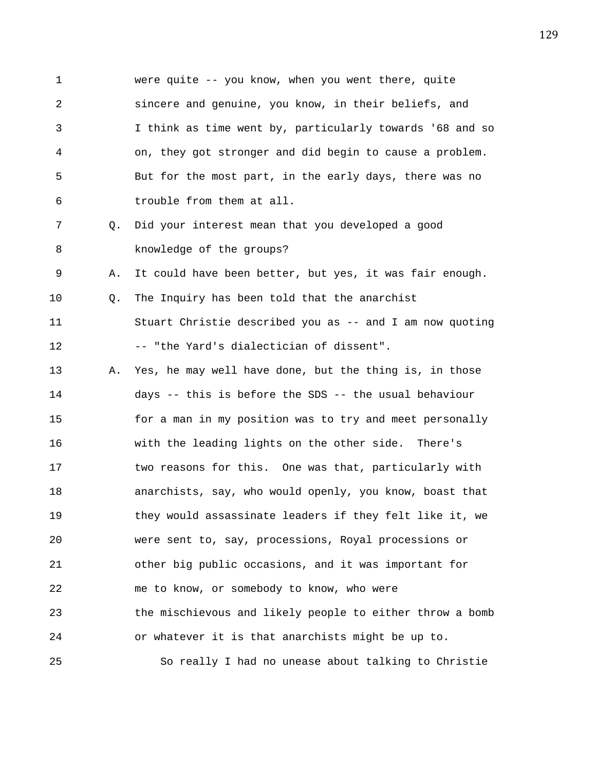1 were quite -- you know, when you went there, quite 2 sincere and genuine, you know, in their beliefs, and 3 I think as time went by, particularly towards '68 and so 4 on, they got stronger and did begin to cause a problem. 5 But for the most part, in the early days, there was no 6 trouble from them at all.

7 Q. Did your interest mean that you developed a good 8 knowledge of the groups?

9 A. It could have been better, but yes, it was fair enough. 10 Q. The Inquiry has been told that the anarchist

11 Stuart Christie described you as -- and I am now quoting 12 -- "the Yard's dialectician of dissent".

13 A. Yes, he may well have done, but the thing is, in those 14 days -- this is before the SDS -- the usual behaviour 15 for a man in my position was to try and meet personally 16 with the leading lights on the other side. There's 17 two reasons for this. One was that, particularly with 18 anarchists, say, who would openly, you know, boast that 19 they would assassinate leaders if they felt like it, we 20 were sent to, say, processions, Royal processions or 21 other big public occasions, and it was important for 22 me to know, or somebody to know, who were 23 the mischievous and likely people to either throw a bomb 24 or whatever it is that anarchists might be up to. 25 So really I had no unease about talking to Christie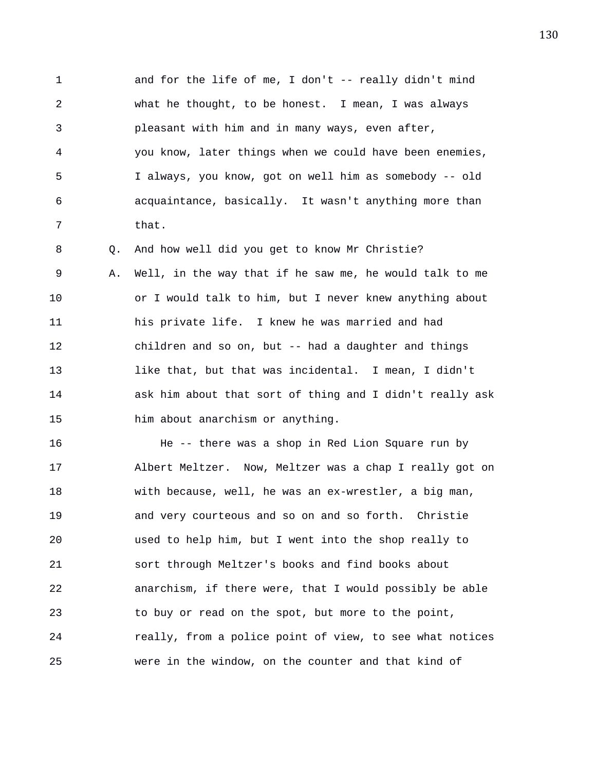1 and for the life of me, I don't -- really didn't mind 2 what he thought, to be honest. I mean, I was always 3 pleasant with him and in many ways, even after, 4 you know, later things when we could have been enemies, 5 I always, you know, got on well him as somebody -- old 6 acquaintance, basically. It wasn't anything more than 7 that. 8 Q. And how well did you get to know Mr Christie? 9 A. Well, in the way that if he saw me, he would talk to me 10 or I would talk to him, but I never knew anything about 11 his private life. I knew he was married and had 12 children and so on, but -- had a daughter and things 13 like that, but that was incidental. I mean, I didn't 14 ask him about that sort of thing and I didn't really ask 15 him about anarchism or anything. 16 He -- there was a shop in Red Lion Square run by 17 Albert Meltzer. Now, Meltzer was a chap I really got on 18 with because, well, he was an ex-wrestler, a big man, 19 and very courteous and so on and so forth. Christie 20 used to help him, but I went into the shop really to 21 sort through Meltzer's books and find books about 22 anarchism, if there were, that I would possibly be able 23 to buy or read on the spot, but more to the point, 24 really, from a police point of view, to see what notices 25 were in the window, on the counter and that kind of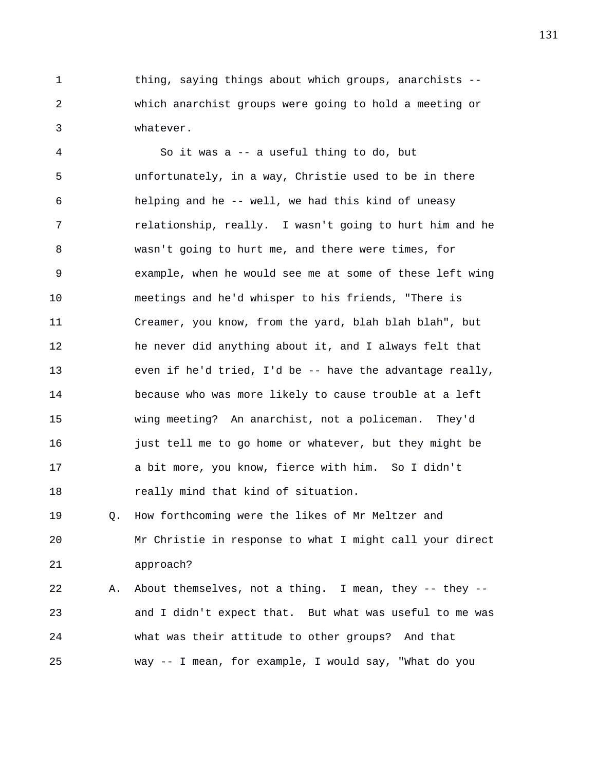1 thing, saying things about which groups, anarchists -- 2 which anarchist groups were going to hold a meeting or 3 whatever.

4 So it was a -- a useful thing to do, but 5 unfortunately, in a way, Christie used to be in there 6 helping and he -- well, we had this kind of uneasy 7 relationship, really. I wasn't going to hurt him and he 8 wasn't going to hurt me, and there were times, for 9 example, when he would see me at some of these left wing 10 meetings and he'd whisper to his friends, "There is 11 Creamer, you know, from the yard, blah blah blah", but 12 he never did anything about it, and I always felt that 13 even if he'd tried, I'd be -- have the advantage really, 14 because who was more likely to cause trouble at a left 15 wing meeting? An anarchist, not a policeman. They'd 16 **just tell me to go home or whatever, but they might be** 17 a bit more, you know, fierce with him. So I didn't 18 really mind that kind of situation.

19 Q. How forthcoming were the likes of Mr Meltzer and 20 Mr Christie in response to what I might call your direct 21 approach?

22 A. About themselves, not a thing. I mean, they -- they -- 23 and I didn't expect that. But what was useful to me was 24 what was their attitude to other groups? And that 25 way -- I mean, for example, I would say, "What do you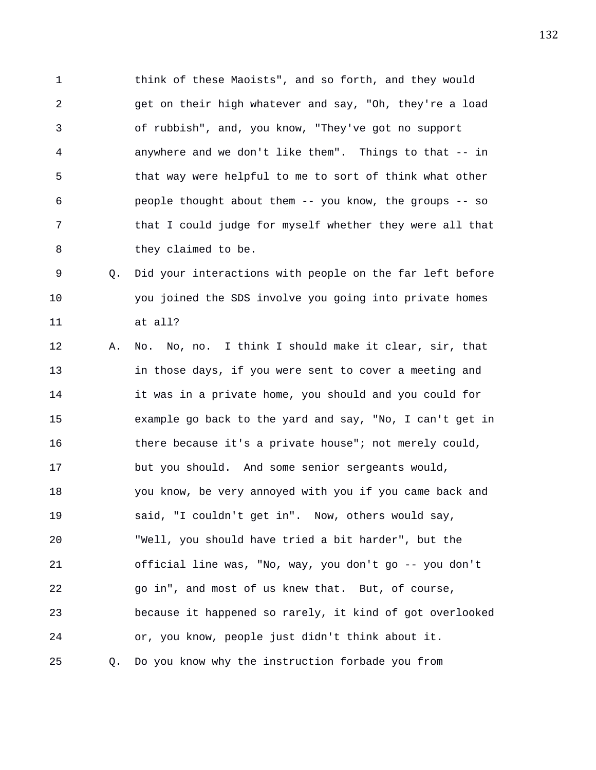1 think of these Maoists", and so forth, and they would 2 get on their high whatever and say, "Oh, they're a load 3 of rubbish", and, you know, "They've got no support 4 anywhere and we don't like them". Things to that -- in 5 that way were helpful to me to sort of think what other 6 people thought about them -- you know, the groups -- so 7 that I could judge for myself whether they were all that 8 they claimed to be.

9 Q. Did your interactions with people on the far left before 10 you joined the SDS involve you going into private homes 11 at all?

12 A. No. No, no. I think I should make it clear, sir, that 13 in those days, if you were sent to cover a meeting and 14 it was in a private home, you should and you could for 15 example go back to the yard and say, "No, I can't get in 16 there because it's a private house"; not merely could, 17 but you should. And some senior sergeants would, 18 you know, be very annoyed with you if you came back and 19 said, "I couldn't get in". Now, others would say, 20 "Well, you should have tried a bit harder", but the 21 official line was, "No, way, you don't go -- you don't 22 go in", and most of us knew that. But, of course, 23 because it happened so rarely, it kind of got overlooked 24 or, you know, people just didn't think about it. 25 Q. Do you know why the instruction forbade you from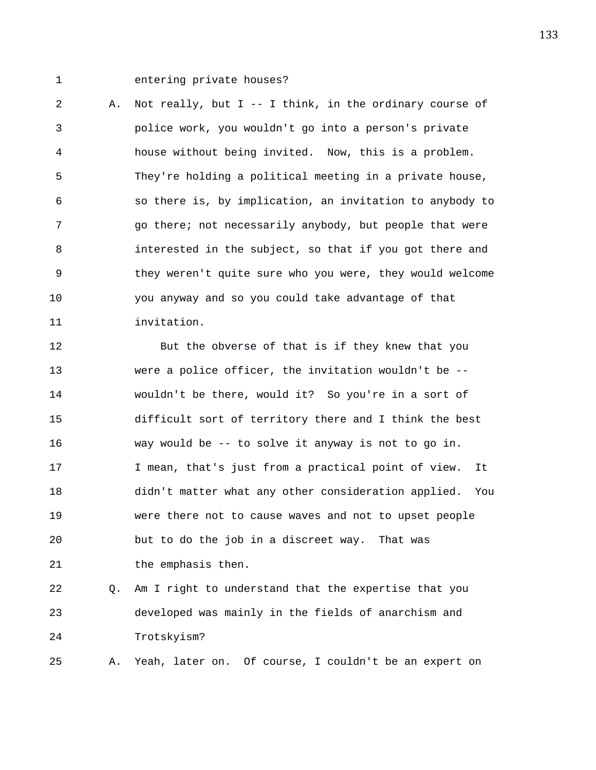1 entering private houses?

2 A. Not really, but I -- I think, in the ordinary course of 3 police work, you wouldn't go into a person's private 4 house without being invited. Now, this is a problem. 5 They're holding a political meeting in a private house, 6 so there is, by implication, an invitation to anybody to 7 go there; not necessarily anybody, but people that were 8 interested in the subject, so that if you got there and 9 they weren't quite sure who you were, they would welcome 10 you anyway and so you could take advantage of that 11 invitation.

12 But the obverse of that is if they knew that you 13 were a police officer, the invitation wouldn't be -- 14 wouldn't be there, would it? So you're in a sort of 15 difficult sort of territory there and I think the best 16 way would be -- to solve it anyway is not to go in. 17 I mean, that's just from a practical point of view. It 18 didn't matter what any other consideration applied. You 19 were there not to cause waves and not to upset people 20 but to do the job in a discreet way. That was 21 the emphasis then.

22 Q. Am I right to understand that the expertise that you 23 developed was mainly in the fields of anarchism and 24 Trotskyism?

25 A. Yeah, later on. Of course, I couldn't be an expert on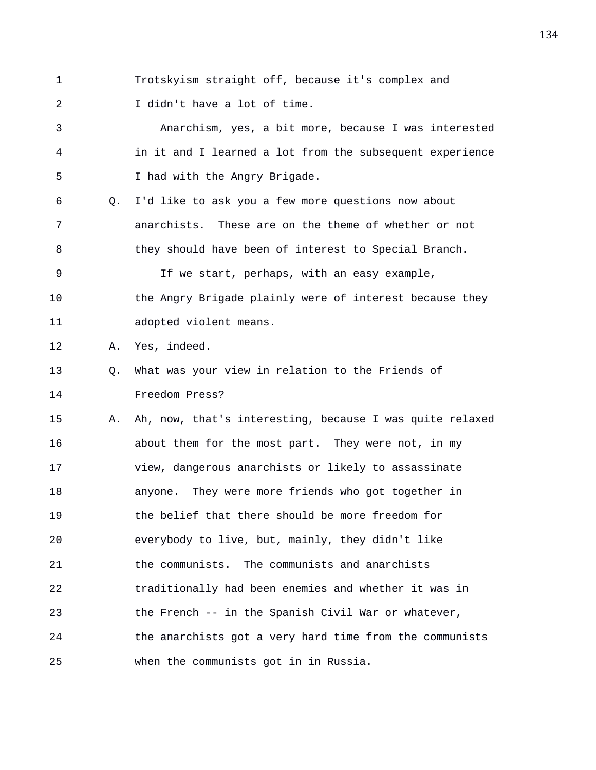1 Trotskyism straight off, because it's complex and 2 I didn't have a lot of time.

3 Anarchism, yes, a bit more, because I was interested 4 in it and I learned a lot from the subsequent experience 5 I had with the Angry Brigade. 6 Q. I'd like to ask you a few more questions now about 7 anarchists. These are on the theme of whether or not 8 they should have been of interest to Special Branch. 9 If we start, perhaps, with an easy example, 10 the Angry Brigade plainly were of interest because they 11 adopted violent means. 12 A. Yes, indeed. 13 Q. What was your view in relation to the Friends of 14 Freedom Press? 15 A. Ah, now, that's interesting, because I was quite relaxed 16 about them for the most part. They were not, in my 17 view, dangerous anarchists or likely to assassinate 18 anyone. They were more friends who got together in 19 the belief that there should be more freedom for 20 everybody to live, but, mainly, they didn't like 21 the communists. The communists and anarchists 22 traditionally had been enemies and whether it was in 23 the French -- in the Spanish Civil War or whatever, 24 the anarchists got a very hard time from the communists 25 when the communists got in in Russia.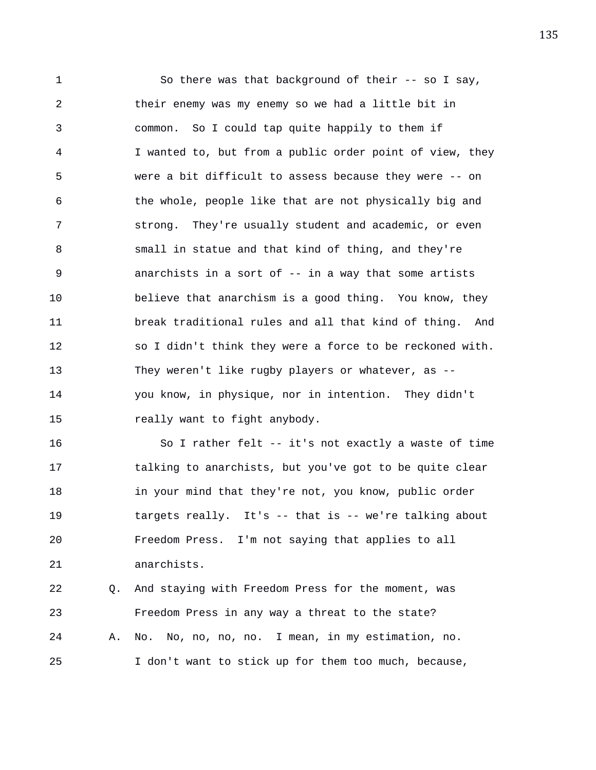1 So there was that background of their -- so I say, 2 their enemy was my enemy so we had a little bit in 3 common. So I could tap quite happily to them if 4 I wanted to, but from a public order point of view, they 5 were a bit difficult to assess because they were -- on 6 the whole, people like that are not physically big and 7 strong. They're usually student and academic, or even 8 small in statue and that kind of thing, and they're 9 anarchists in a sort of -- in a way that some artists 10 believe that anarchism is a good thing. You know, they 11 break traditional rules and all that kind of thing. And 12 so I didn't think they were a force to be reckoned with. 13 They weren't like rugby players or whatever, as -- 14 you know, in physique, nor in intention. They didn't 15 really want to fight anybody.

16 So I rather felt -- it's not exactly a waste of time 17 talking to anarchists, but you've got to be quite clear 18 in your mind that they're not, you know, public order 19 targets really. It's -- that is -- we're talking about 20 Freedom Press. I'm not saying that applies to all 21 anarchists.

22 Q. And staying with Freedom Press for the moment, was 23 Freedom Press in any way a threat to the state? 24 A. No. No, no, no, no. I mean, in my estimation, no. 25 I don't want to stick up for them too much, because,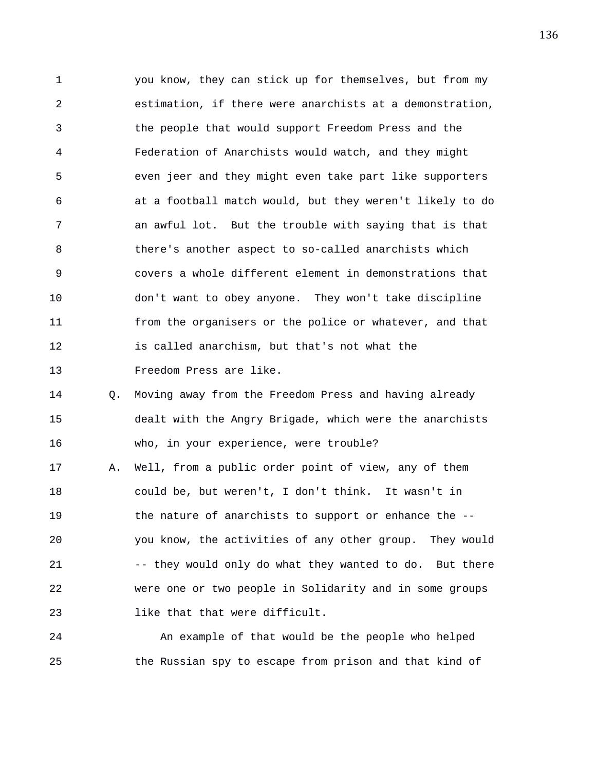1 you know, they can stick up for themselves, but from my 2 estimation, if there were anarchists at a demonstration, 3 the people that would support Freedom Press and the 4 Federation of Anarchists would watch, and they might 5 even jeer and they might even take part like supporters 6 at a football match would, but they weren't likely to do 7 an awful lot. But the trouble with saying that is that 8 there's another aspect to so-called anarchists which 9 covers a whole different element in demonstrations that 10 don't want to obey anyone. They won't take discipline 11 from the organisers or the police or whatever, and that 12 is called anarchism, but that's not what the 13 Freedom Press are like. 14 Q. Moving away from the Freedom Press and having already 15 dealt with the Angry Brigade, which were the anarchists 16 who, in your experience, were trouble? 17 A. Well, from a public order point of view, any of them 18 could be, but weren't, I don't think. It wasn't in 19 the nature of anarchists to support or enhance the --

20 you know, the activities of any other group. They would 21 -- they would only do what they wanted to do. But there 22 were one or two people in Solidarity and in some groups 23 like that that were difficult.

24 An example of that would be the people who helped 25 the Russian spy to escape from prison and that kind of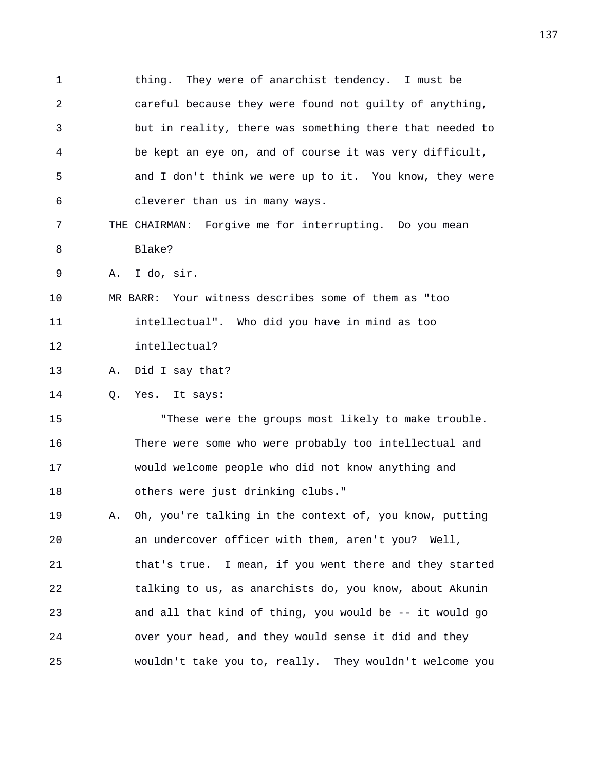1 thing. They were of anarchist tendency. I must be 2 careful because they were found not guilty of anything, 3 but in reality, there was something there that needed to 4 be kept an eye on, and of course it was very difficult, 5 and I don't think we were up to it. You know, they were 6 cleverer than us in many ways.

7 THE CHAIRMAN: Forgive me for interrupting. Do you mean 8 Blake?

9 A. I do, sir.

10 MR BARR: Your witness describes some of them as "too 11 intellectual". Who did you have in mind as too 12 intellectual?

13 A. Did I say that?

14 Q. Yes. It says:

15 "These were the groups most likely to make trouble. 16 There were some who were probably too intellectual and 17 would welcome people who did not know anything and 18 others were just drinking clubs."

19 A. Oh, you're talking in the context of, you know, putting 20 an undercover officer with them, aren't you? Well, 21 that's true. I mean, if you went there and they started 22 talking to us, as anarchists do, you know, about Akunin 23 and all that kind of thing, you would be -- it would go 24 over your head, and they would sense it did and they 25 wouldn't take you to, really. They wouldn't welcome you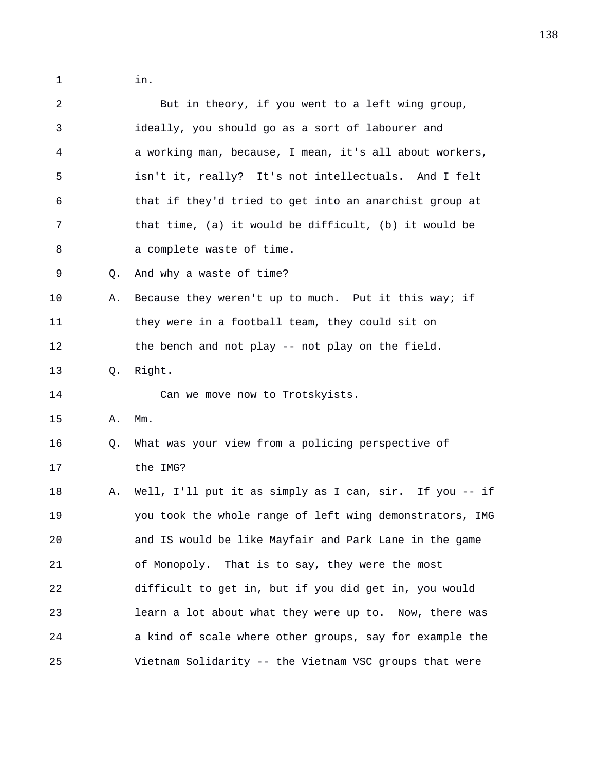$1$  in.

| 2  |    | But in theory, if you went to a left wing group,         |
|----|----|----------------------------------------------------------|
| 3  |    | ideally, you should go as a sort of labourer and         |
| 4  |    | a working man, because, I mean, it's all about workers,  |
| 5  |    | isn't it, really? It's not intellectuals. And I felt     |
| 6  |    | that if they'd tried to get into an anarchist group at   |
| 7  |    | that time, (a) it would be difficult, (b) it would be    |
| 8  |    | a complete waste of time.                                |
| 9  | Q. | And why a waste of time?                                 |
| 10 | Α. | Because they weren't up to much. Put it this way; if     |
| 11 |    | they were in a football team, they could sit on          |
| 12 |    | the bench and not play -- not play on the field.         |
| 13 | Q. | Right.                                                   |
| 14 |    | Can we move now to Trotskyists.                          |
| 15 | Α. | $Mm$ .                                                   |
| 16 | Q. | What was your view from a policing perspective of        |
| 17 |    | the IMG?                                                 |
| 18 | Α. | Well, I'll put it as simply as I can, sir. If you -- if  |
| 19 |    | you took the whole range of left wing demonstrators, IMG |
| 20 |    | and IS would be like Mayfair and Park Lane in the game   |
| 21 |    | of Monopoly. That is to say, they were the most          |
| 22 |    | difficult to get in, but if you did get in, you would    |
| 23 |    | learn a lot about what they were up to. Now, there was   |
| 24 |    | a kind of scale where other groups, say for example the  |
| 25 |    | Vietnam Solidarity -- the Vietnam VSC groups that were   |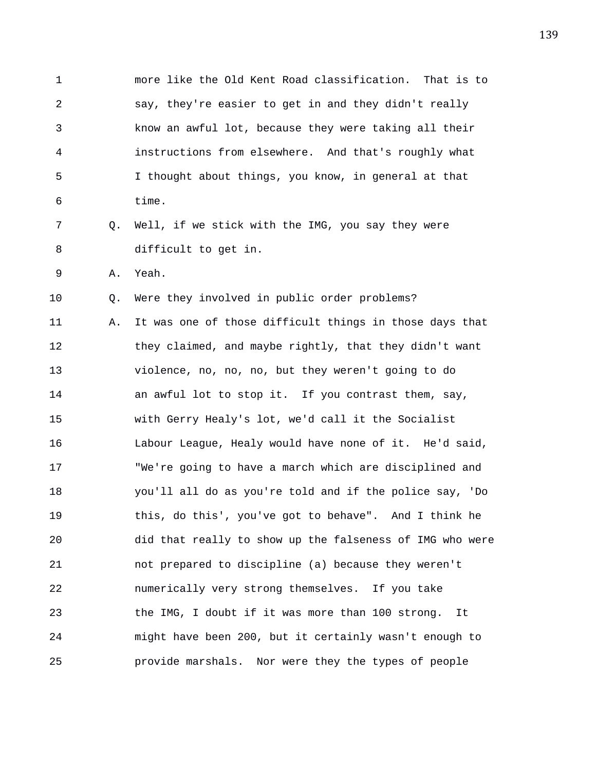1 more like the Old Kent Road classification. That is to 2 say, they're easier to get in and they didn't really 3 know an awful lot, because they were taking all their 4 instructions from elsewhere. And that's roughly what 5 I thought about things, you know, in general at that 6 time. 7 Q. Well, if we stick with the IMG, you say they were 8 difficult to get in. 9 A. Yeah. 10 Q. Were they involved in public order problems? 11 A. It was one of those difficult things in those days that 12 they claimed, and maybe rightly, that they didn't want 13 violence, no, no, no, but they weren't going to do 14 an awful lot to stop it. If you contrast them, say, 15 with Gerry Healy's lot, we'd call it the Socialist 16 Labour League, Healy would have none of it. He'd said, 17 "We're going to have a march which are disciplined and 18 you'll all do as you're told and if the police say, 'Do 19 this, do this', you've got to behave". And I think he 20 did that really to show up the falseness of IMG who were 21 not prepared to discipline (a) because they weren't 22 numerically very strong themselves. If you take 23 the IMG, I doubt if it was more than 100 strong. It 24 might have been 200, but it certainly wasn't enough to 25 provide marshals. Nor were they the types of people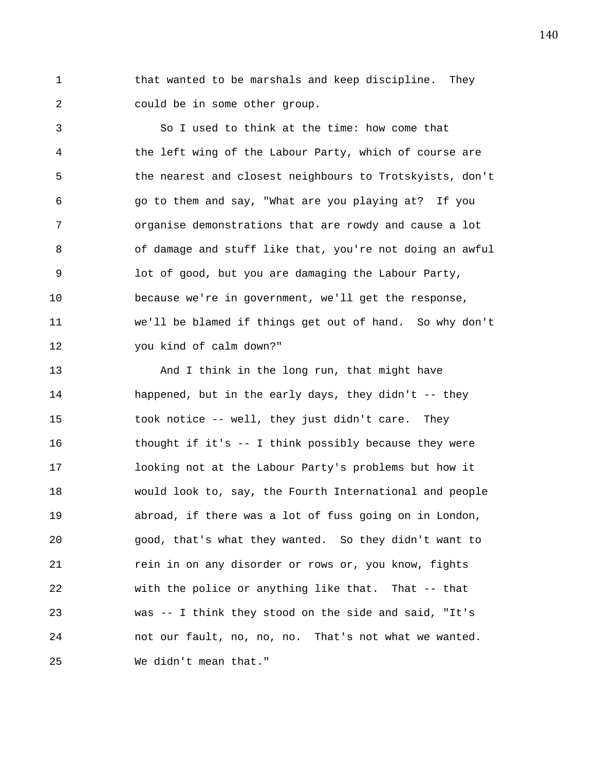1 that wanted to be marshals and keep discipline. They 2 could be in some other group.

3 So I used to think at the time: how come that 4 the left wing of the Labour Party, which of course are 5 the nearest and closest neighbours to Trotskyists, don't 6 go to them and say, "What are you playing at? If you 7 organise demonstrations that are rowdy and cause a lot 8 of damage and stuff like that, you're not doing an awful 9 lot of good, but you are damaging the Labour Party, 10 because we're in government, we'll get the response, 11 we'll be blamed if things get out of hand. So why don't 12 you kind of calm down?"

13 And I think in the long run, that might have 14 happened, but in the early days, they didn't -- they 15 took notice -- well, they just didn't care. They 16 thought if it's -- I think possibly because they were 17 looking not at the Labour Party's problems but how it 18 would look to, say, the Fourth International and people 19 abroad, if there was a lot of fuss going on in London, 20 good, that's what they wanted. So they didn't want to 21 rein in on any disorder or rows or, you know, fights 22 with the police or anything like that. That -- that 23 was -- I think they stood on the side and said, "It's 24 not our fault, no, no, no. That's not what we wanted. 25 We didn't mean that."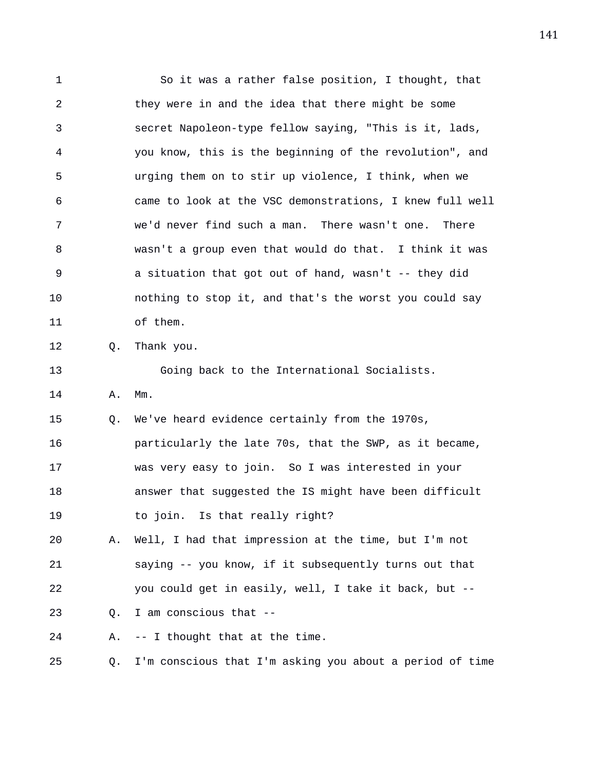1 So it was a rather false position, I thought, that 2 they were in and the idea that there might be some 3 secret Napoleon-type fellow saying, "This is it, lads, 4 you know, this is the beginning of the revolution", and 5 urging them on to stir up violence, I think, when we 6 came to look at the VSC demonstrations, I knew full well 7 we'd never find such a man. There wasn't one. There 8 wasn't a group even that would do that. I think it was 9 a situation that got out of hand, wasn't -- they did 10 nothing to stop it, and that's the worst you could say 11 of them. 12 Q. Thank you. 13 Going back to the International Socialists. 14 A. Mm. 15 Q. We've heard evidence certainly from the 1970s, 16 particularly the late 70s, that the SWP, as it became, 17 was very easy to join. So I was interested in your 18 answer that suggested the IS might have been difficult 19 to join. Is that really right? 20 A. Well, I had that impression at the time, but I'm not 21 saying -- you know, if it subsequently turns out that 22 you could get in easily, well, I take it back, but -- 23 Q. I am conscious that -- 24 A. -- I thought that at the time. 25 Q. I'm conscious that I'm asking you about a period of time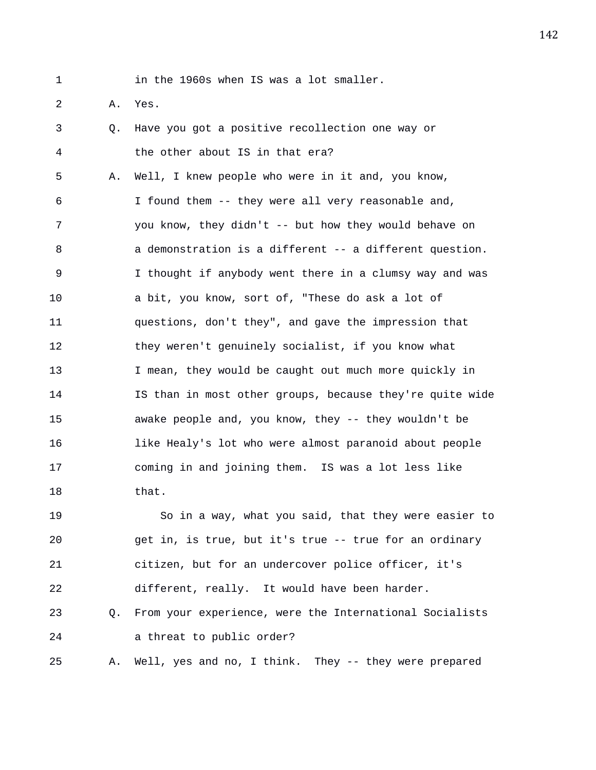1 in the 1960s when IS was a lot smaller.

2 A. Yes.

3 Q. Have you got a positive recollection one way or 4 the other about IS in that era? 5 A. Well, I knew people who were in it and, you know, 6 I found them -- they were all very reasonable and, 7 you know, they didn't -- but how they would behave on 8 a demonstration is a different -- a different question. 9 I thought if anybody went there in a clumsy way and was 10 a bit, you know, sort of, "These do ask a lot of 11 questions, don't they", and gave the impression that 12 they weren't genuinely socialist, if you know what 13 I mean, they would be caught out much more quickly in 14 IS than in most other groups, because they're quite wide 15 awake people and, you know, they -- they wouldn't be 16 like Healy's lot who were almost paranoid about people 17 coming in and joining them. IS was a lot less like 18 that. 19 So in a way, what you said, that they were easier to 20 get in, is true, but it's true -- true for an ordinary 21 citizen, but for an undercover police officer, it's 22 different, really. It would have been harder. 23 Q. From your experience, were the International Socialists

24 a threat to public order?

25 A. Well, yes and no, I think. They -- they were prepared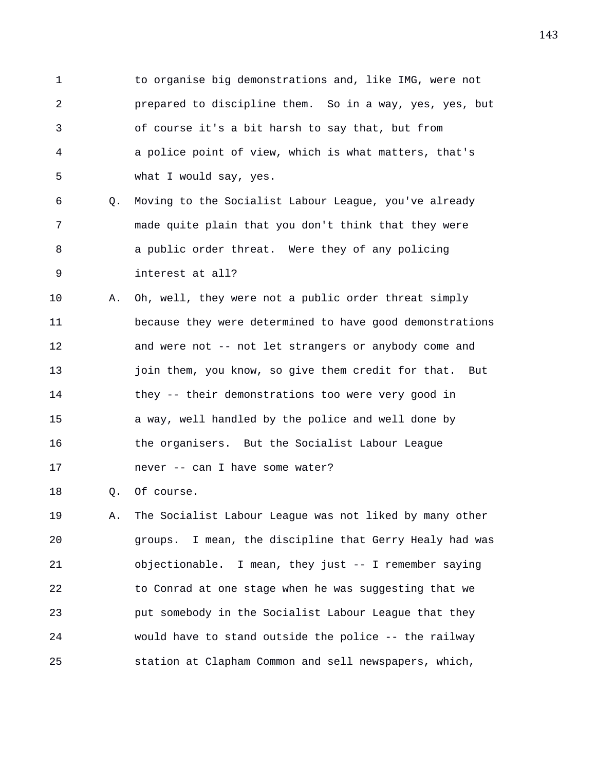1 to organise big demonstrations and, like IMG, were not 2 prepared to discipline them. So in a way, yes, yes, but 3 of course it's a bit harsh to say that, but from 4 a police point of view, which is what matters, that's 5 what I would say, yes.

6 Q. Moving to the Socialist Labour League, you've already 7 made quite plain that you don't think that they were 8 a public order threat. Were they of any policing 9 interest at all?

10 A. Oh, well, they were not a public order threat simply 11 because they were determined to have good demonstrations 12 and were not -- not let strangers or anybody come and 13 join them, you know, so give them credit for that. But 14 they -- their demonstrations too were very good in 15 a way, well handled by the police and well done by 16 the organisers. But the Socialist Labour League 17 never -- can I have some water?

18 Q. Of course.

19 A. The Socialist Labour League was not liked by many other 20 groups. I mean, the discipline that Gerry Healy had was 21 objectionable. I mean, they just -- I remember saying 22 to Conrad at one stage when he was suggesting that we 23 put somebody in the Socialist Labour League that they 24 would have to stand outside the police -- the railway 25 station at Clapham Common and sell newspapers, which,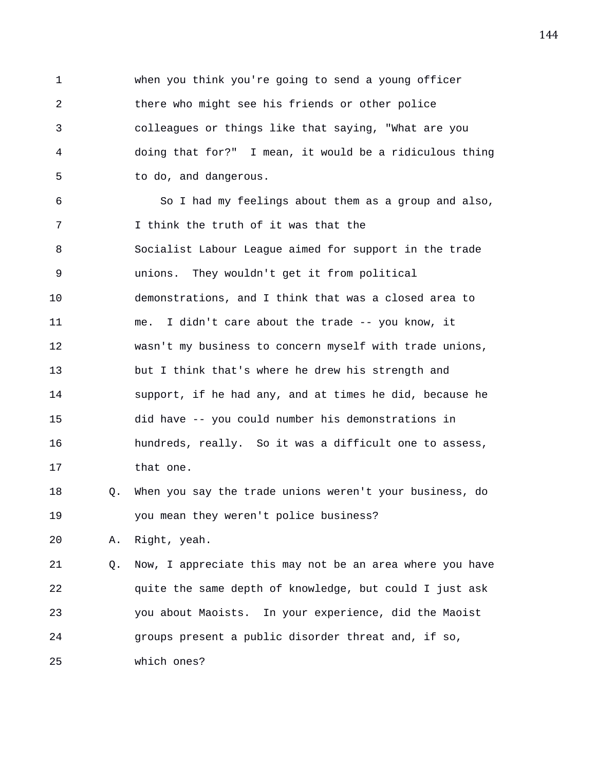1 when you think you're going to send a young officer 2 there who might see his friends or other police 3 colleagues or things like that saying, "What are you 4 doing that for?" I mean, it would be a ridiculous thing 5 to do, and dangerous.

6 So I had my feelings about them as a group and also, 7 I think the truth of it was that the 8 Socialist Labour League aimed for support in the trade 9 unions. They wouldn't get it from political 10 demonstrations, and I think that was a closed area to 11 me. I didn't care about the trade -- you know, it 12 wasn't my business to concern myself with trade unions, 13 but I think that's where he drew his strength and 14 support, if he had any, and at times he did, because he 15 did have -- you could number his demonstrations in 16 hundreds, really. So it was a difficult one to assess, 17 that one.

18 Q. When you say the trade unions weren't your business, do 19 you mean they weren't police business?

20 A. Right, yeah.

21 Q. Now, I appreciate this may not be an area where you have 22 quite the same depth of knowledge, but could I just ask 23 you about Maoists. In your experience, did the Maoist 24 groups present a public disorder threat and, if so, 25 which ones?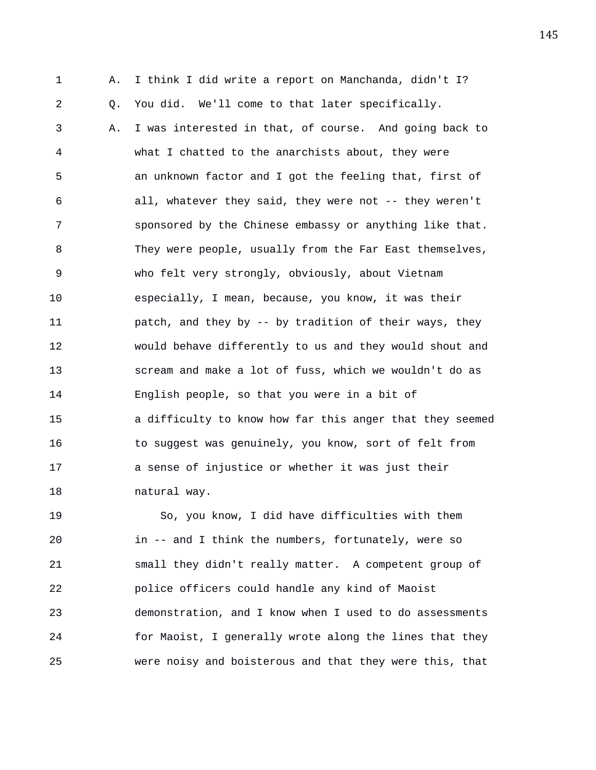1 A. I think I did write a report on Manchanda, didn't I? 2 Q. You did. We'll come to that later specifically. 3 A. I was interested in that, of course. And going back to 4 what I chatted to the anarchists about, they were 5 an unknown factor and I got the feeling that, first of 6 all, whatever they said, they were not -- they weren't 7 sponsored by the Chinese embassy or anything like that. 8 They were people, usually from the Far East themselves, 9 who felt very strongly, obviously, about Vietnam 10 especially, I mean, because, you know, it was their 11 patch, and they by -- by tradition of their ways, they 12 would behave differently to us and they would shout and 13 scream and make a lot of fuss, which we wouldn't do as 14 English people, so that you were in a bit of 15 a difficulty to know how far this anger that they seemed 16 to suggest was genuinely, you know, sort of felt from 17 a sense of injustice or whether it was just their 18 natural way.

19 So, you know, I did have difficulties with them 20 in -- and I think the numbers, fortunately, were so 21 small they didn't really matter. A competent group of 22 police officers could handle any kind of Maoist 23 demonstration, and I know when I used to do assessments 24 for Maoist, I generally wrote along the lines that they 25 were noisy and boisterous and that they were this, that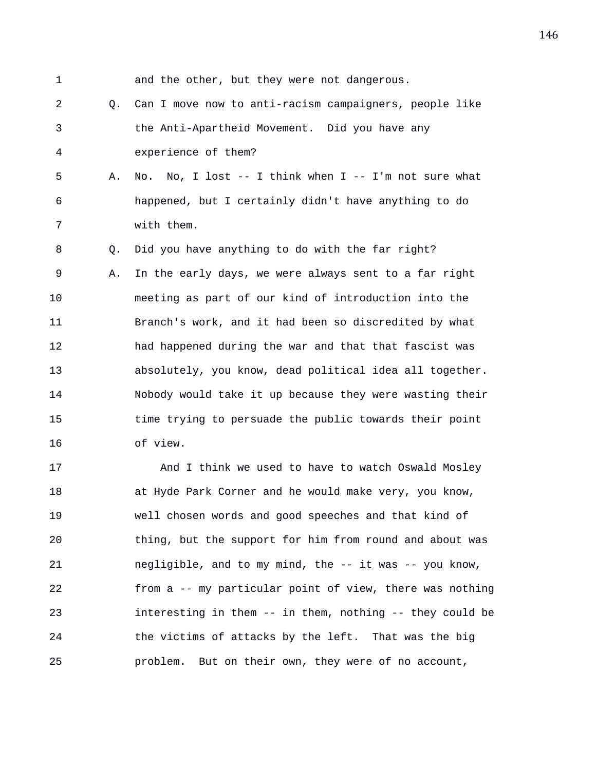| 1             |    | and the other, but they were not dangerous.                                                                                                                                                                                       |
|---------------|----|-----------------------------------------------------------------------------------------------------------------------------------------------------------------------------------------------------------------------------------|
| 2             | O. | Can I move now to anti-racism campaigners, people like                                                                                                                                                                            |
| 3             |    | the Anti-Apartheid Movement. Did you have any                                                                                                                                                                                     |
| 4             |    | experience of them?                                                                                                                                                                                                               |
| 5             | Α. | No, I lost $-$ - I think when I $-$ - I'm not sure what<br>No.                                                                                                                                                                    |
| 6             |    | happened, but I certainly didn't have anything to do                                                                                                                                                                              |
| 7             |    | with them.                                                                                                                                                                                                                        |
| 8             | O. | Did you have anything to do with the far right?                                                                                                                                                                                   |
| 9             | Α. | In the early days, we were always sent to a far right                                                                                                                                                                             |
| 10            |    | meeting as part of our kind of introduction into the                                                                                                                                                                              |
| 11            |    | Branch's work, and it had been so discredited by what                                                                                                                                                                             |
| 12            |    | had happened during the war and that that fascist was                                                                                                                                                                             |
| 13            |    | absolutely, you know, dead political idea all together.                                                                                                                                                                           |
| 14            |    | Nobody would take it up because they were wasting their                                                                                                                                                                           |
| 15            |    | time trying to persuade the public towards their point                                                                                                                                                                            |
| 16            |    | of view.                                                                                                                                                                                                                          |
| 17            |    | And I think we used to have to watch Oswald Mosley                                                                                                                                                                                |
| 18            |    | at Hyde Park Corner and he would make very, you know,                                                                                                                                                                             |
| 19            |    | well chosen words and good speeches and that kind of                                                                                                                                                                              |
| $\sim$ $\sim$ |    | $\mathbf{r}$ , and the state of the state of the state of the state of the state of the state of the state of the state of the state of the state of the state of the state of the state of the state of the state of the state o |

20 thing, but the support for him from round and about was 21 negligible, and to my mind, the -- it was -- you know, 22 from a -- my particular point of view, there was nothing 23 interesting in them -- in them, nothing -- they could be 24 the victims of attacks by the left. That was the big 25 problem. But on their own, they were of no account,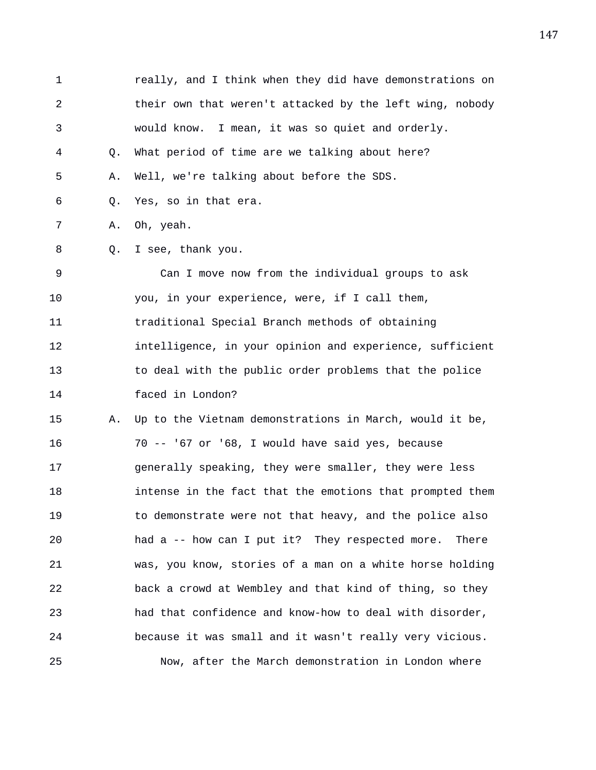1 really, and I think when they did have demonstrations on 2 their own that weren't attacked by the left wing, nobody 3 would know. I mean, it was so quiet and orderly. 4 Q. What period of time are we talking about here? 5 A. Well, we're talking about before the SDS. 6 Q. Yes, so in that era. 7 A. Oh, yeah. 8 Q. I see, thank you. 9 Can I move now from the individual groups to ask 10 you, in your experience, were, if I call them, 11 traditional Special Branch methods of obtaining 12 intelligence, in your opinion and experience, sufficient 13 to deal with the public order problems that the police 14 faced in London? 15 A. Up to the Vietnam demonstrations in March, would it be, 16 70 -- '67 or '68, I would have said yes, because 17 generally speaking, they were smaller, they were less 18 intense in the fact that the emotions that prompted them 19 to demonstrate were not that heavy, and the police also 20 had a -- how can I put it? They respected more. There 21 was, you know, stories of a man on a white horse holding 22 back a crowd at Wembley and that kind of thing, so they 23 had that confidence and know-how to deal with disorder, 24 because it was small and it wasn't really very vicious. 25 Now, after the March demonstration in London where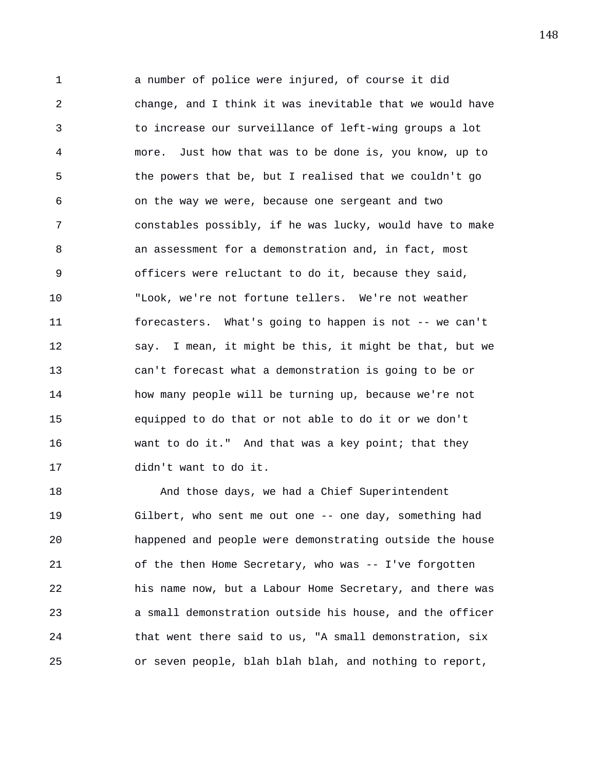1 a number of police were injured, of course it did 2 change, and I think it was inevitable that we would have 3 to increase our surveillance of left-wing groups a lot 4 more. Just how that was to be done is, you know, up to 5 the powers that be, but I realised that we couldn't go 6 on the way we were, because one sergeant and two 7 constables possibly, if he was lucky, would have to make 8 an assessment for a demonstration and, in fact, most 9 officers were reluctant to do it, because they said, 10 "Look, we're not fortune tellers. We're not weather 11 forecasters. What's going to happen is not -- we can't 12 say. I mean, it might be this, it might be that, but we 13 can't forecast what a demonstration is going to be or 14 how many people will be turning up, because we're not 15 equipped to do that or not able to do it or we don't 16 want to do it." And that was a key point; that they 17 didn't want to do it.

18 And those days, we had a Chief Superintendent 19 Gilbert, who sent me out one -- one day, something had 20 happened and people were demonstrating outside the house 21 of the then Home Secretary, who was -- I've forgotten 22 his name now, but a Labour Home Secretary, and there was 23 a small demonstration outside his house, and the officer 24 that went there said to us, "A small demonstration, six 25 or seven people, blah blah blah, and nothing to report,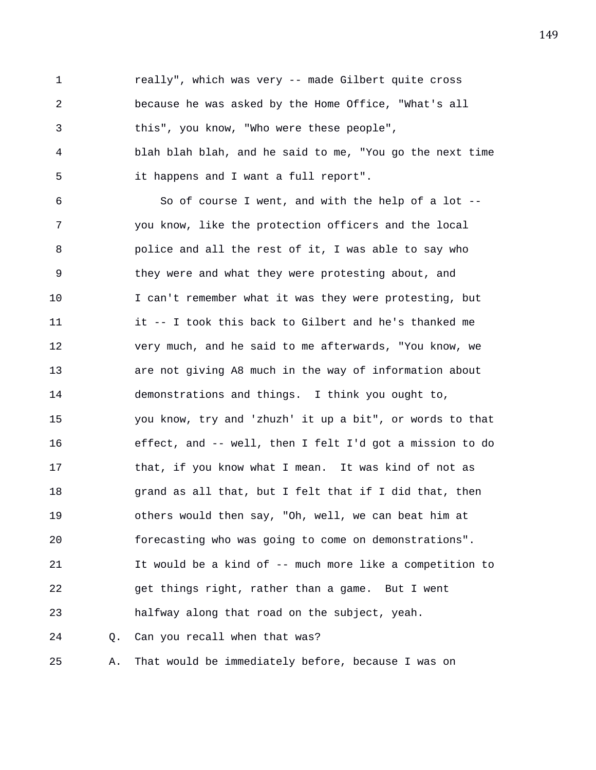1 really", which was very -- made Gilbert quite cross 2 because he was asked by the Home Office, "What's all 3 this", you know, "Who were these people", 4 blah blah blah, and he said to me, "You go the next time 5 it happens and I want a full report".

6 So of course I went, and with the help of a lot -- 7 you know, like the protection officers and the local 8 police and all the rest of it, I was able to say who 9 they were and what they were protesting about, and 10 I can't remember what it was they were protesting, but 11 it -- I took this back to Gilbert and he's thanked me 12 very much, and he said to me afterwards, "You know, we 13 are not giving A8 much in the way of information about 14 demonstrations and things. I think you ought to, 15 you know, try and 'zhuzh' it up a bit", or words to that 16 effect, and -- well, then I felt I'd got a mission to do 17 that, if you know what I mean. It was kind of not as 18 grand as all that, but I felt that if I did that, then 19 others would then say, "Oh, well, we can beat him at 20 forecasting who was going to come on demonstrations". 21 It would be a kind of -- much more like a competition to 22 get things right, rather than a game. But I went 23 halfway along that road on the subject, yeah. 24 Q. Can you recall when that was?

25 A. That would be immediately before, because I was on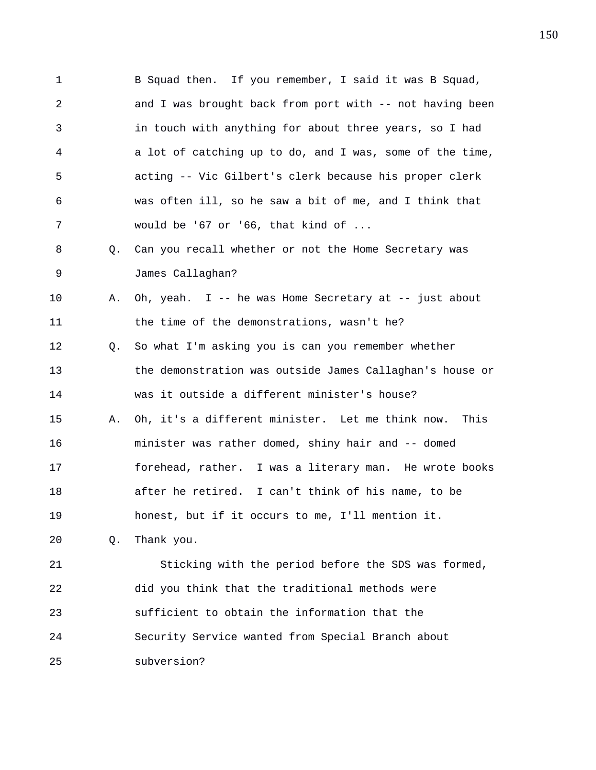1 B Squad then. If you remember, I said it was B Squad, 2 and I was brought back from port with -- not having been 3 in touch with anything for about three years, so I had 4 a lot of catching up to do, and I was, some of the time, 5 acting -- Vic Gilbert's clerk because his proper clerk 6 was often ill, so he saw a bit of me, and I think that 7 would be '67 or '66, that kind of ... 8 Q. Can you recall whether or not the Home Secretary was 9 James Callaghan? 10 A. Oh, yeah. I -- he was Home Secretary at -- just about 11 the time of the demonstrations, wasn't he? 12 Q. So what I'm asking you is can you remember whether 13 the demonstration was outside James Callaghan's house or 14 was it outside a different minister's house? 15 A. Oh, it's a different minister. Let me think now. This 16 minister was rather domed, shiny hair and -- domed 17 forehead, rather. I was a literary man. He wrote books 18 after he retired. I can't think of his name, to be 19 honest, but if it occurs to me, I'll mention it. 20 Q. Thank you. 21 Sticking with the period before the SDS was formed, 22 did you think that the traditional methods were 23 sufficient to obtain the information that the 24 Security Service wanted from Special Branch about

25 subversion?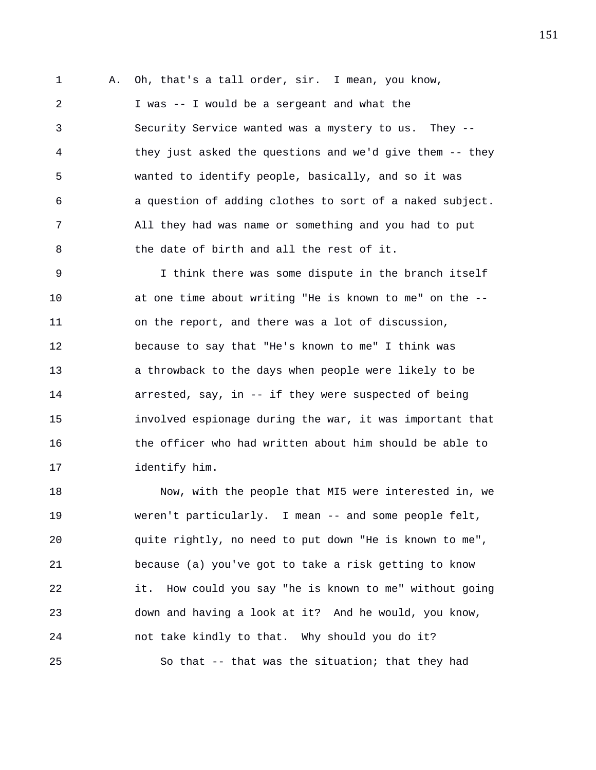1 A. Oh, that's a tall order, sir. I mean, you know, 2 I was -- I would be a sergeant and what the 3 Security Service wanted was a mystery to us. They -- 4 they just asked the questions and we'd give them -- they 5 wanted to identify people, basically, and so it was 6 a question of adding clothes to sort of a naked subject. 7 All they had was name or something and you had to put 8 the date of birth and all the rest of it.

9 I think there was some dispute in the branch itself 10 at one time about writing "He is known to me" on the -- 11 on the report, and there was a lot of discussion, 12 because to say that "He's known to me" I think was 13 a throwback to the days when people were likely to be 14 arrested, say, in -- if they were suspected of being 15 involved espionage during the war, it was important that 16 the officer who had written about him should be able to 17 identify him.

18 Now, with the people that MI5 were interested in, we 19 weren't particularly. I mean -- and some people felt, 20 quite rightly, no need to put down "He is known to me", 21 because (a) you've got to take a risk getting to know 22 it. How could you say "he is known to me" without going 23 down and having a look at it? And he would, you know, 24 not take kindly to that. Why should you do it? 25 So that -- that was the situation; that they had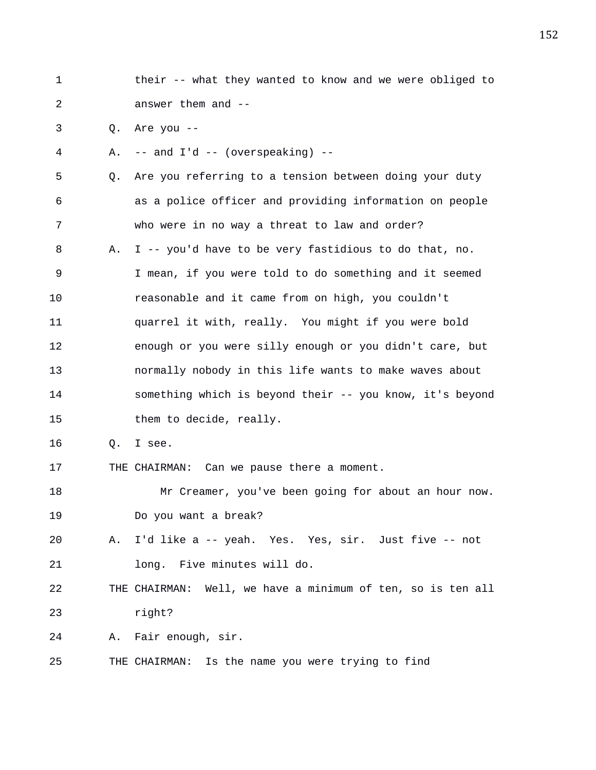1 their -- what they wanted to know and we were obliged to 2 answer them and -- 3 Q. Are you -- 4 A. -- and I'd -- (overspeaking) -- 5 Q. Are you referring to a tension between doing your duty

6 as a police officer and providing information on people

- 7 who were in no way a threat to law and order? 8 A. I -- you'd have to be very fastidious to do that, no. 9 I mean, if you were told to do something and it seemed 10 reasonable and it came from on high, you couldn't 11 quarrel it with, really. You might if you were bold 12 enough or you were silly enough or you didn't care, but 13 normally nobody in this life wants to make waves about 14 something which is beyond their -- you know, it's beyond 15 them to decide, really.
- 16 Q. I see.
- 17 THE CHAIRMAN: Can we pause there a moment.
- 18 Mr Creamer, you've been going for about an hour now. 19 Do you want a break?
- 20 A. I'd like a -- yeah. Yes. Yes, sir. Just five -- not 21 long. Five minutes will do.
- 22 THE CHAIRMAN: Well, we have a minimum of ten, so is ten all 23 right?
- 24 A. Fair enough, sir.
- 25 THE CHAIRMAN: Is the name you were trying to find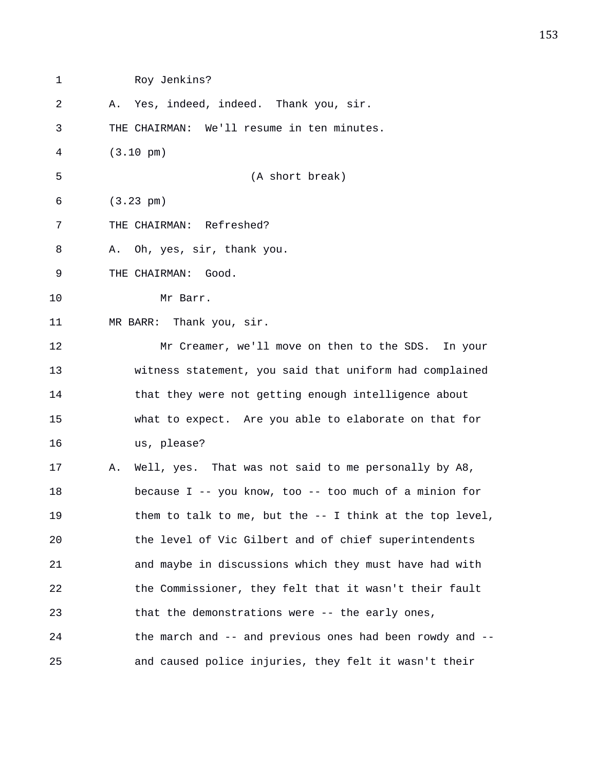1 Roy Jenkins?

| 2  | A. Yes, indeed, indeed. Thank you, sir.                     |
|----|-------------------------------------------------------------|
| 3  | THE CHAIRMAN: We'll resume in ten minutes.                  |
| 4  | $(3.10 \text{ pm})$                                         |
| 5  | (A short break)                                             |
| 6  | $(3.23 \text{ pm})$                                         |
| 7  | THE CHAIRMAN: Refreshed?                                    |
| 8  | Oh, yes, sir, thank you.<br>Α.                              |
| 9  | THE CHAIRMAN: Good.                                         |
| 10 | Mr Barr.                                                    |
| 11 | MR BARR: Thank you, sir.                                    |
| 12 | Mr Creamer, we'll move on then to the SDS. In your          |
| 13 | witness statement, you said that uniform had complained     |
| 14 | that they were not getting enough intelligence about        |
| 15 | what to expect. Are you able to elaborate on that for       |
| 16 | us, please?                                                 |
| 17 | Well, yes. That was not said to me personally by A8,<br>Α.  |
| 18 | because I -- you know, too -- too much of a minion for      |
| 19 | them to talk to me, but the $-$ - I think at the top level, |
| 20 | the level of Vic Gilbert and of chief superintendents       |
| 21 | and maybe in discussions which they must have had with      |
| 22 | the Commissioner, they felt that it wasn't their fault      |
| 23 | that the demonstrations were -- the early ones,             |
| 24 | the march and -- and previous ones had been rowdy and --    |
| 25 | and caused police injuries, they felt it wasn't their       |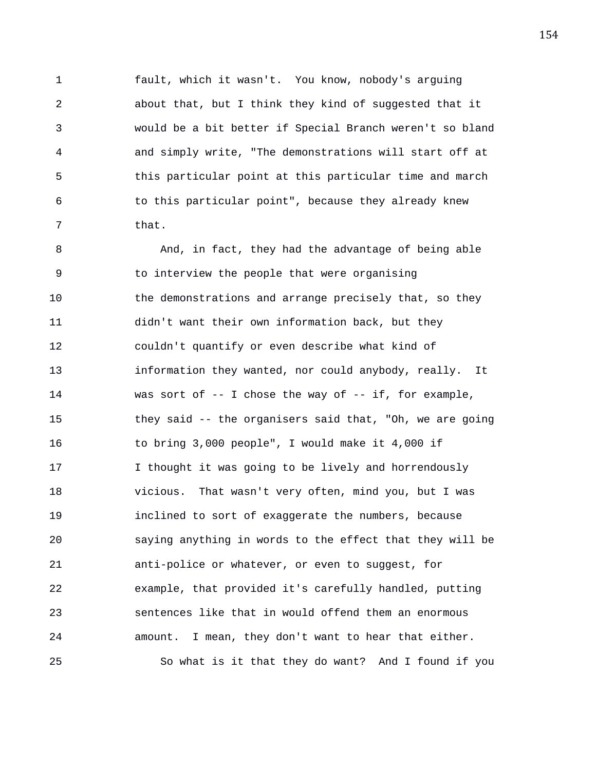1 fault, which it wasn't. You know, nobody's arguing 2 about that, but I think they kind of suggested that it 3 would be a bit better if Special Branch weren't so bland 4 and simply write, "The demonstrations will start off at 5 this particular point at this particular time and march 6 to this particular point", because they already knew 7 that.

8 And, in fact, they had the advantage of being able 9 to interview the people that were organising 10 the demonstrations and arrange precisely that, so they 11 didn't want their own information back, but they 12 couldn't quantify or even describe what kind of 13 information they wanted, nor could anybody, really. It 14 was sort of -- I chose the way of -- if, for example, 15 they said -- the organisers said that, "Oh, we are going 16 to bring 3,000 people", I would make it 4,000 if 17 I thought it was going to be lively and horrendously 18 vicious. That wasn't very often, mind you, but I was 19 inclined to sort of exaggerate the numbers, because 20 saying anything in words to the effect that they will be 21 anti-police or whatever, or even to suggest, for 22 example, that provided it's carefully handled, putting 23 sentences like that in would offend them an enormous 24 amount. I mean, they don't want to hear that either. 25 So what is it that they do want? And I found if you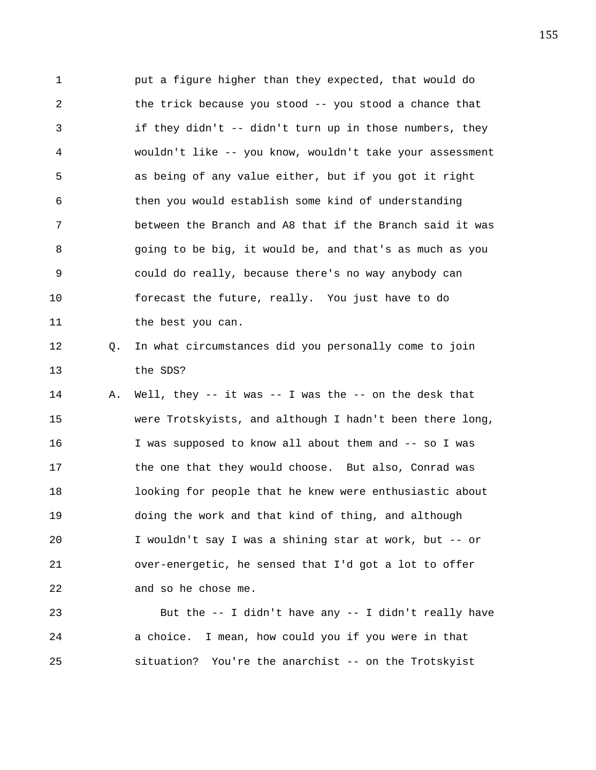1 put a figure higher than they expected, that would do 2 the trick because you stood -- you stood a chance that 3 if they didn't -- didn't turn up in those numbers, they 4 wouldn't like -- you know, wouldn't take your assessment 5 as being of any value either, but if you got it right 6 then you would establish some kind of understanding 7 between the Branch and A8 that if the Branch said it was 8 going to be big, it would be, and that's as much as you 9 could do really, because there's no way anybody can 10 forecast the future, really. You just have to do 11 the best you can.

12 Q. In what circumstances did you personally come to join 13 the SDS?

14 A. Well, they -- it was -- I was the -- on the desk that 15 were Trotskyists, and although I hadn't been there long, 16 I was supposed to know all about them and -- so I was 17 the one that they would choose. But also, Conrad was 18 looking for people that he knew were enthusiastic about 19 doing the work and that kind of thing, and although 20 I wouldn't say I was a shining star at work, but -- or 21 over-energetic, he sensed that I'd got a lot to offer 22 and so he chose me.

23 But the -- I didn't have any -- I didn't really have 24 a choice. I mean, how could you if you were in that 25 situation? You're the anarchist -- on the Trotskyist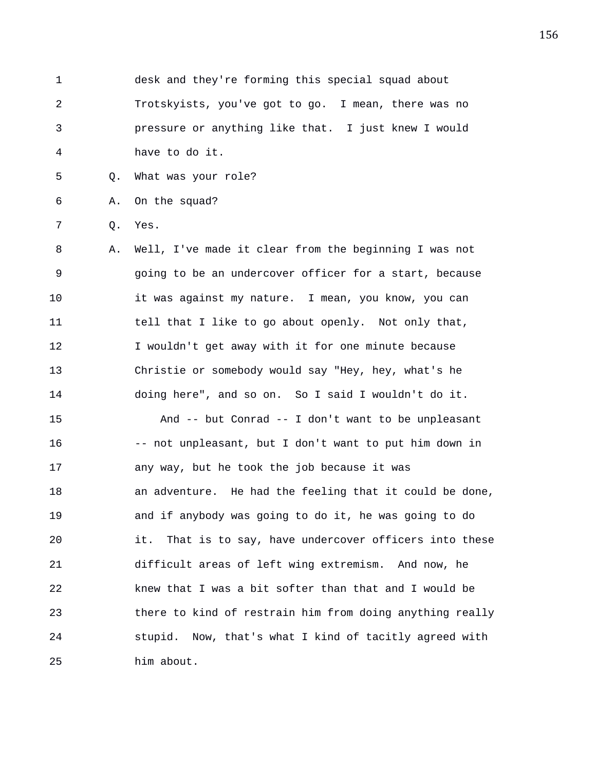- 1 desk and they're forming this special squad about 2 Trotskyists, you've got to go. I mean, there was no 3 pressure or anything like that. I just knew I would 4 have to do it.
- 5 Q. What was your role?
- 6 A. On the squad?

7 Q. Yes.

8 A. Well, I've made it clear from the beginning I was not 9 going to be an undercover officer for a start, because 10 it was against my nature. I mean, you know, you can 11 tell that I like to go about openly. Not only that, 12 I wouldn't get away with it for one minute because 13 Christie or somebody would say "Hey, hey, what's he 14 doing here", and so on. So I said I wouldn't do it.

15 And -- but Conrad -- I don't want to be unpleasant 16 -- not unpleasant, but I don't want to put him down in 17 any way, but he took the job because it was 18 an adventure. He had the feeling that it could be done, 19 and if anybody was going to do it, he was going to do 20 it. That is to say, have undercover officers into these 21 difficult areas of left wing extremism. And now, he 22 knew that I was a bit softer than that and I would be 23 there to kind of restrain him from doing anything really 24 stupid. Now, that's what I kind of tacitly agreed with 25 him about.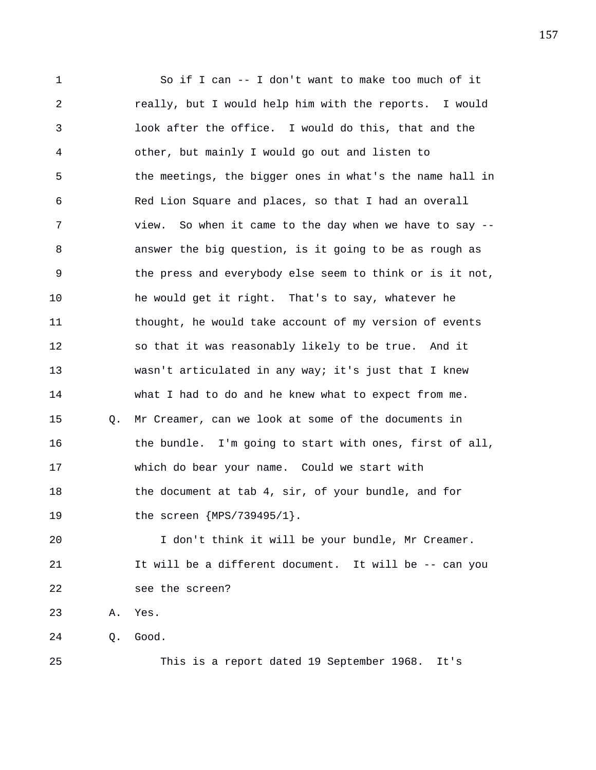1 So if I can -- I don't want to make too much of it 2 really, but I would help him with the reports. I would 3 look after the office. I would do this, that and the 4 other, but mainly I would go out and listen to 5 the meetings, the bigger ones in what's the name hall in 6 Red Lion Square and places, so that I had an overall 7 view. So when it came to the day when we have to say -- 8 answer the big question, is it going to be as rough as 9 the press and everybody else seem to think or is it not, 10 he would get it right. That's to say, whatever he 11 thought, he would take account of my version of events 12 so that it was reasonably likely to be true. And it 13 wasn't articulated in any way; it's just that I knew 14 what I had to do and he knew what to expect from me. 15 Q. Mr Creamer, can we look at some of the documents in 16 the bundle. I'm going to start with ones, first of all, 17 which do bear your name. Could we start with 18 the document at tab 4, sir, of your bundle, and for 19 the screen {MPS/739495/1}. 20 I don't think it will be your bundle, Mr Creamer.

21 It will be a different document. It will be -- can you 22 see the screen?

23 A. Yes.

24 Q. Good.

25 This is a report dated 19 September 1968. It's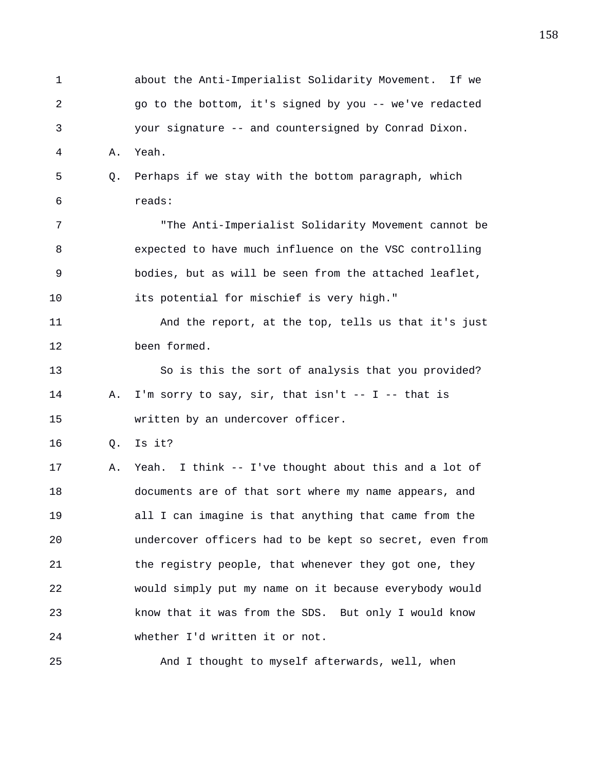1 about the Anti-Imperialist Solidarity Movement. If we 2 go to the bottom, it's signed by you -- we've redacted 3 your signature -- and countersigned by Conrad Dixon. 4 A. Yeah. 5 Q. Perhaps if we stay with the bottom paragraph, which 6 reads: 7 "The Anti-Imperialist Solidarity Movement cannot be 8 expected to have much influence on the VSC controlling 9 bodies, but as will be seen from the attached leaflet, 10 its potential for mischief is very high." 11 And the report, at the top, tells us that it's just 12 been formed. 13 So is this the sort of analysis that you provided? 14 A. I'm sorry to say, sir, that isn't -- I -- that is 15 written by an undercover officer. 16 Q. Is it? 17 A. Yeah. I think -- I've thought about this and a lot of 18 documents are of that sort where my name appears, and 19 all I can imagine is that anything that came from the 20 undercover officers had to be kept so secret, even from 21 the registry people, that whenever they got one, they 22 would simply put my name on it because everybody would 23 know that it was from the SDS. But only I would know 24 whether I'd written it or not. 25 And I thought to myself afterwards, well, when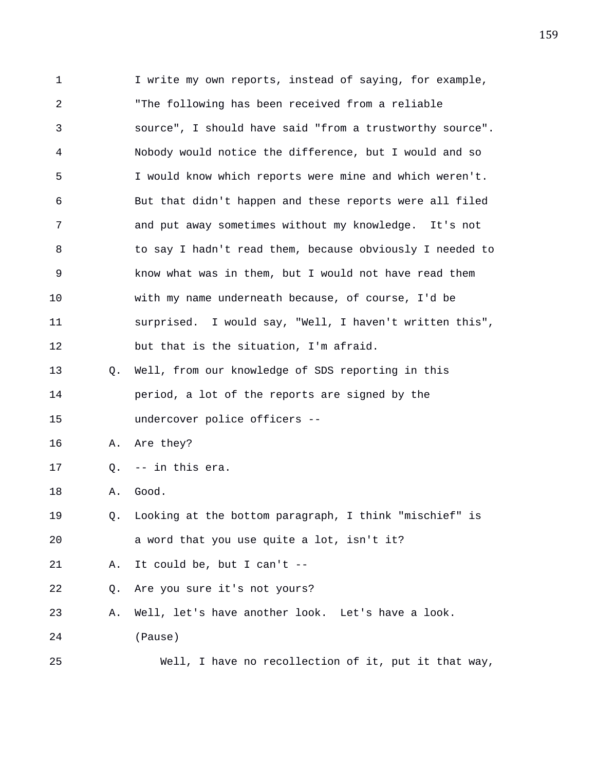1 I write my own reports, instead of saying, for example, 2 "The following has been received from a reliable 3 source", I should have said "from a trustworthy source". 4 Nobody would notice the difference, but I would and so 5 I would know which reports were mine and which weren't. 6 But that didn't happen and these reports were all filed 7 and put away sometimes without my knowledge. It's not 8 to say I hadn't read them, because obviously I needed to 9 know what was in them, but I would not have read them 10 with my name underneath because, of course, I'd be 11 surprised. I would say, "Well, I haven't written this", 12 but that is the situation, I'm afraid. 13 Q. Well, from our knowledge of SDS reporting in this 14 period, a lot of the reports are signed by the 15 undercover police officers -- 16 A. Are they? 17 Q. -- in this era. 18 A. Good. 19 Q. Looking at the bottom paragraph, I think "mischief" is 20 a word that you use quite a lot, isn't it? 21 A. It could be, but I can't -- 22 Q. Are you sure it's not yours? 23 A. Well, let's have another look. Let's have a look. 24 (Pause) 25 Well, I have no recollection of it, put it that way,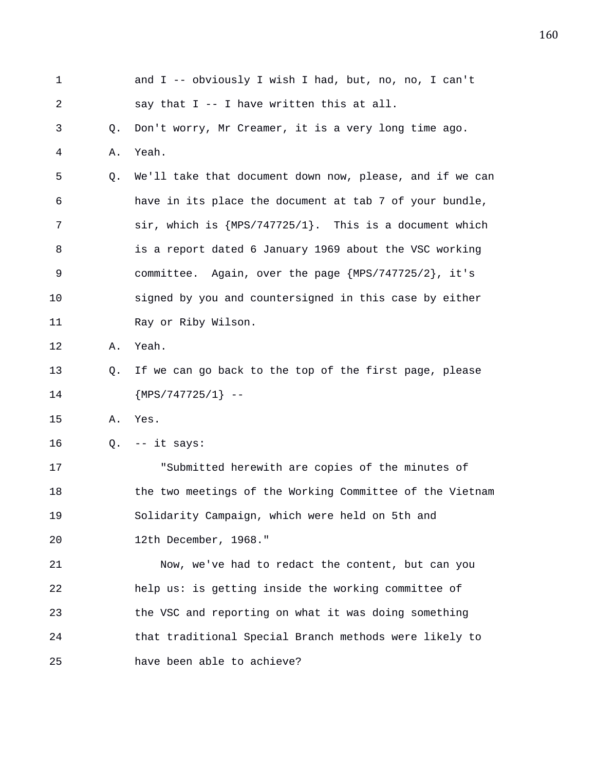| $\mathbf 1$ |    | and I -- obviously I wish I had, but, no, no, I can't     |
|-------------|----|-----------------------------------------------------------|
| 2           |    | say that I -- I have written this at all.                 |
| 3           | Q. | Don't worry, Mr Creamer, it is a very long time ago.      |
| 4           | Α. | Yeah.                                                     |
| 5           | Q. | We'll take that document down now, please, and if we can  |
| 6           |    | have in its place the document at tab 7 of your bundle,   |
| 7           |    | sir, which is ${MPS}/747725/1$ . This is a document which |
| 8           |    | is a report dated 6 January 1969 about the VSC working    |
| 9           |    | committee. Again, over the page ${MPS}/747725/2$ , it's   |
| 10          |    | signed by you and countersigned in this case by either    |
| 11          |    | Ray or Riby Wilson.                                       |
| 12          | Α. | Yeah.                                                     |
| 13          | Q. | If we can go back to the top of the first page, please    |
| 14          |    | ${MPS}/747725/1$ --                                       |
| 15          | Α. | Yes.                                                      |
| 16          | Q. | -- it says:                                               |
| 17          |    | "Submitted herewith are copies of the minutes of          |
| 18          |    | the two meetings of the Working Committee of the Vietnam  |
| 19          |    | Solidarity Campaign, which were held on 5th and           |
| 20          |    | 12th December, 1968."                                     |
| 21          |    | Now, we've had to redact the content, but can you         |
| 22          |    | help us: is getting inside the working committee of       |
| 23          |    | the VSC and reporting on what it was doing something      |
| 24          |    | that traditional Special Branch methods were likely to    |
| 25          |    | have been able to achieve?                                |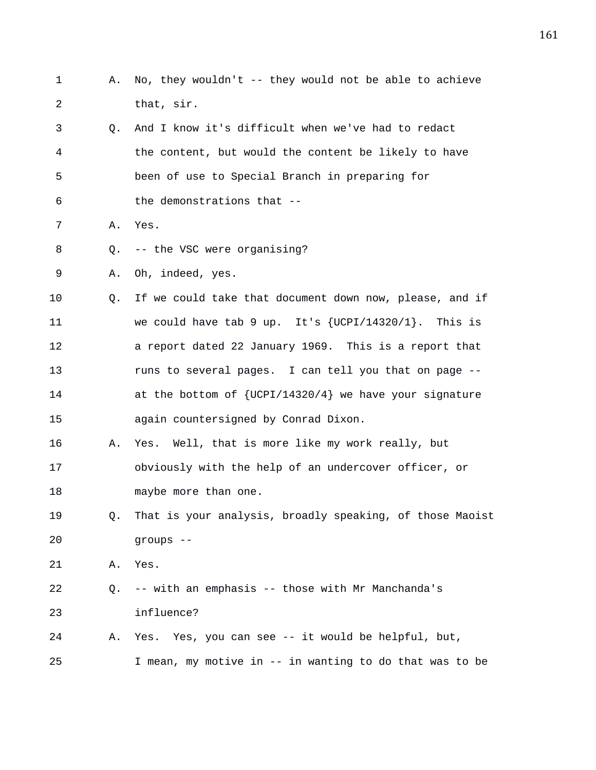| $\mathbf{1}$ | Α. | No, they wouldn't -- they would not be able to achieve     |
|--------------|----|------------------------------------------------------------|
| 2            |    | that, sir.                                                 |
| 3            | Q. | And I know it's difficult when we've had to redact         |
| 4            |    | the content, but would the content be likely to have       |
| 5            |    | been of use to Special Branch in preparing for             |
| 6            |    | the demonstrations that --                                 |
| 7            | Α. | Yes.                                                       |
| 8            | Q. | -- the VSC were organising?                                |
| 9            | Α. | Oh, indeed, yes.                                           |
| 10           | Q. | If we could take that document down now, please, and if    |
| 11           |    | we could have tab 9 up. It's $\{UCPI/14320/1\}$ . This is  |
| 12           |    | a report dated 22 January 1969. This is a report that      |
| 13           |    | runs to several pages. I can tell you that on page --      |
| 14           |    | at the bottom of $\{UCPI/14320/4\}$ we have your signature |
| 15           |    | again countersigned by Conrad Dixon.                       |
| 16           | Α. | Yes. Well, that is more like my work really, but           |
| 17           |    | obviously with the help of an undercover officer, or       |
| 18           |    | maybe more than one.                                       |
| 19           | Q. | That is your analysis, broadly speaking, of those Maoist   |
| 20           |    | groups --                                                  |
| 21           | Α. | Yes.                                                       |
| 22           | Q. | -- with an emphasis -- those with Mr Manchanda's           |
| 23           |    | influence?                                                 |
| 24           | Α. | Yes. Yes, you can see -- it would be helpful, but,         |
| 25           |    | I mean, my motive in -- in wanting to do that was to be    |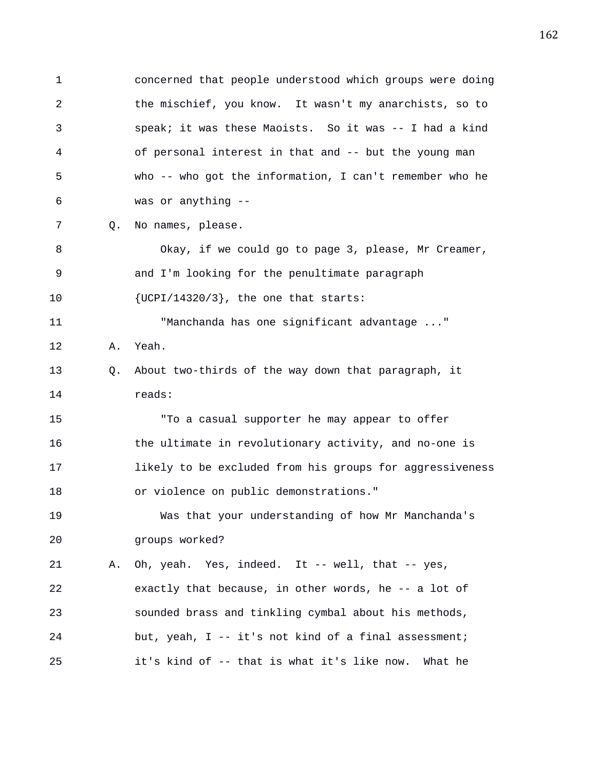1 concerned that people understood which groups were doing 2 the mischief, you know. It wasn't my anarchists, so to 3 speak; it was these Maoists. So it was -- I had a kind 4 of personal interest in that and -- but the young man 5 who -- who got the information, I can't remember who he 6 was or anything -- 7 Q. No names, please. 8 Okay, if we could go to page 3, please, Mr Creamer, 9 and I'm looking for the penultimate paragraph 10 {UCPI/14320/3}, the one that starts: 11 "Manchanda has one significant advantage ..." 12 A. Yeah. 13 Q. About two-thirds of the way down that paragraph, it 14 reads: 15 "To a casual supporter he may appear to offer 16 the ultimate in revolutionary activity, and no-one is

17 likely to be excluded from his groups for aggressiveness 18 or violence on public demonstrations."

19 Was that your understanding of how Mr Manchanda's 20 groups worked?

21 A. Oh, yeah. Yes, indeed. It -- well, that -- yes, 22 exactly that because, in other words, he -- a lot of 23 sounded brass and tinkling cymbal about his methods, 24 but, yeah, I -- it's not kind of a final assessment; 25 it's kind of -- that is what it's like now. What he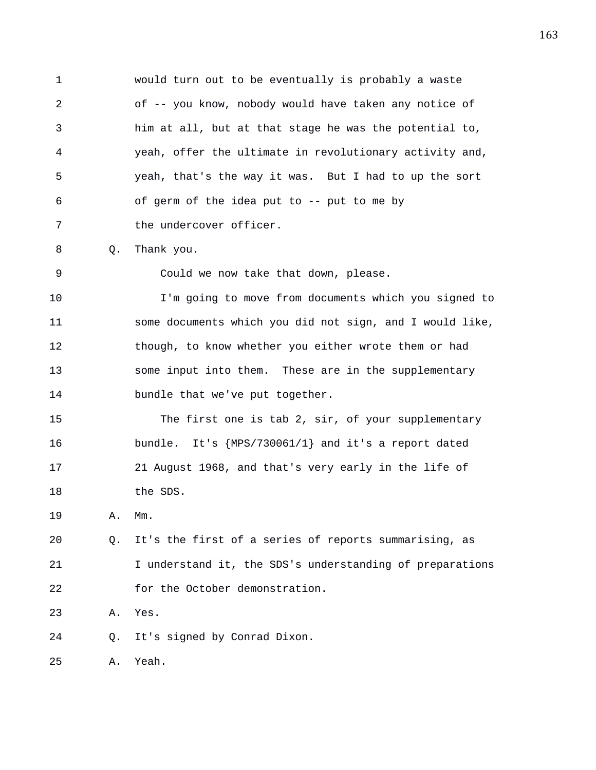1 would turn out to be eventually is probably a waste 2 of -- you know, nobody would have taken any notice of 3 him at all, but at that stage he was the potential to, 4 yeah, offer the ultimate in revolutionary activity and, 5 yeah, that's the way it was. But I had to up the sort 6 of germ of the idea put to -- put to me by 7 the undercover officer. 8 Q. Thank you. 9 Could we now take that down, please. 10 I'm going to move from documents which you signed to 11 some documents which you did not sign, and I would like, 12 though, to know whether you either wrote them or had 13 some input into them. These are in the supplementary 14 bundle that we've put together. 15 The first one is tab 2, sir, of your supplementary 16 bundle. It's {MPS/730061/1} and it's a report dated 17 21 August 1968, and that's very early in the life of 18 the SDS. 19 A. Mm. 20 Q. It's the first of a series of reports summarising, as 21 I understand it, the SDS's understanding of preparations 22 for the October demonstration.

23 A. Yes.

24 Q. It's signed by Conrad Dixon.

25 A. Yeah.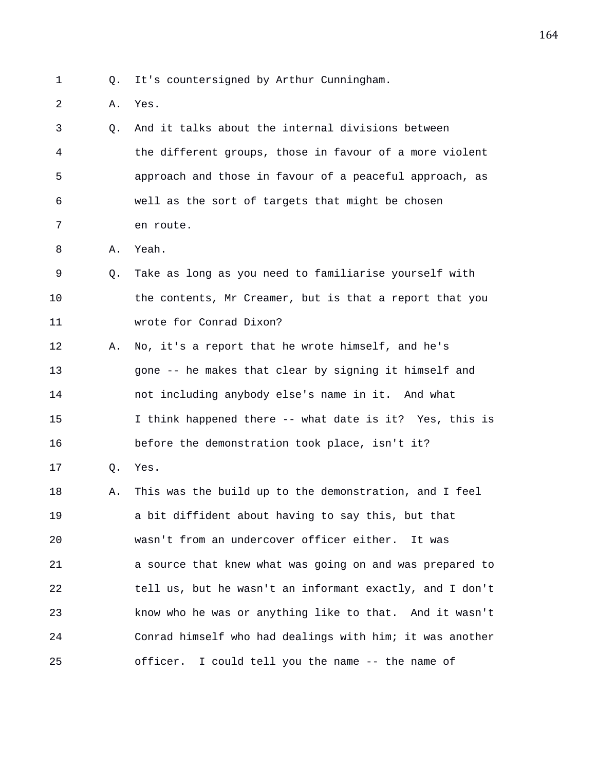- 
- 1 Q. It's countersigned by Arthur Cunningham.
- 2 A. Yes.
- 3 Q. And it talks about the internal divisions between 4 the different groups, those in favour of a more violent 5 approach and those in favour of a peaceful approach, as 6 well as the sort of targets that might be chosen 7 en route.
- 8 A. Yeah.
- 9 Q. Take as long as you need to familiarise yourself with 10 the contents, Mr Creamer, but is that a report that you 11 wrote for Conrad Dixon?
- 12 A. No, it's a report that he wrote himself, and he's 13 gone -- he makes that clear by signing it himself and 14 not including anybody else's name in it. And what 15 I think happened there -- what date is it? Yes, this is 16 before the demonstration took place, isn't it?
- 17 Q. Yes.
- 18 A. This was the build up to the demonstration, and I feel 19 a bit diffident about having to say this, but that 20 wasn't from an undercover officer either. It was 21 a source that knew what was going on and was prepared to 22 tell us, but he wasn't an informant exactly, and I don't 23 know who he was or anything like to that. And it wasn't 24 Conrad himself who had dealings with him; it was another 25 officer. I could tell you the name -- the name of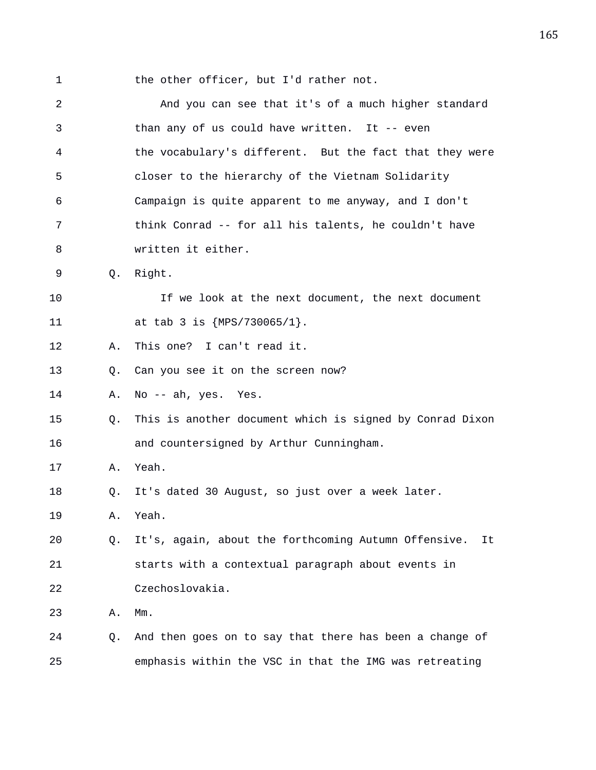1 the other officer, but I'd rather not.

| $\overline{2}$ |    | And you can see that it's of a much higher standard        |
|----------------|----|------------------------------------------------------------|
| 3              |    | than any of us could have written. It -- even              |
| 4              |    | the vocabulary's different. But the fact that they were    |
| 5              |    | closer to the hierarchy of the Vietnam Solidarity          |
| 6              |    | Campaign is quite apparent to me anyway, and I don't       |
| 7              |    | think Conrad -- for all his talents, he couldn't have      |
| 8              |    | written it either.                                         |
| 9              | Q. | Right.                                                     |
| 10             |    | If we look at the next document, the next document         |
| 11             |    | at tab 3 is ${MPS}/730065/1$ .                             |
| 12             | Α. | This one? I can't read it.                                 |
| 13             | Q. | Can you see it on the screen now?                          |
| 14             | Α. | No -- ah, yes. Yes.                                        |
| 15             | Q. | This is another document which is signed by Conrad Dixon   |
| 16             |    | and countersigned by Arthur Cunningham.                    |
| 17             | Α. | Yeah.                                                      |
| 18             | Q. | It's dated 30 August, so just over a week later.           |
| 19             | Α. | Yeah.                                                      |
| 20             | О. | It's, again, about the forthcoming Autumn Offensive.<br>It |
| 21             |    | starts with a contextual paragraph about events in         |
| 22             |    | Czechoslovakia.                                            |
| 23             | Α. | $Mm$ .                                                     |
| 24             | Q. | And then goes on to say that there has been a change of    |
| 25             |    | emphasis within the VSC in that the IMG was retreating     |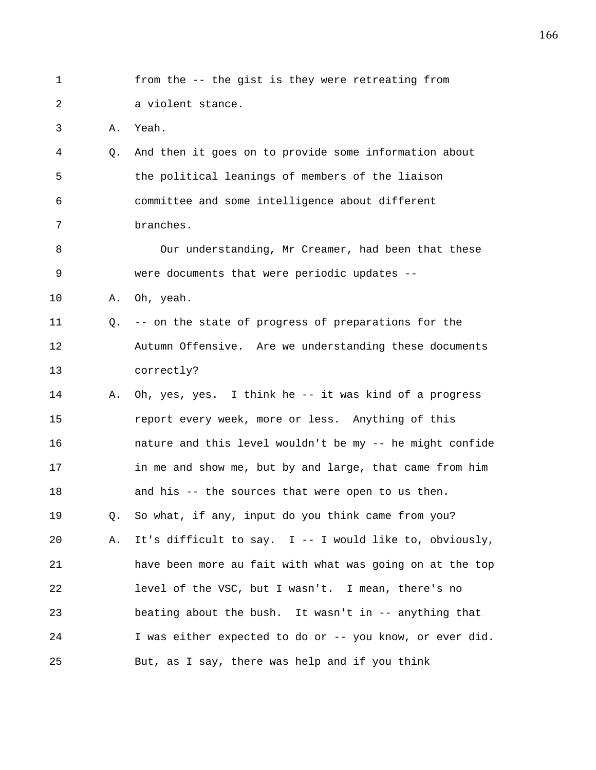1 from the -- the gist is they were retreating from 2 a violent stance. 3 A. Yeah. 4 Q. And then it goes on to provide some information about 5 the political leanings of members of the liaison 6 committee and some intelligence about different 7 branches. 8 Our understanding, Mr Creamer, had been that these 9 were documents that were periodic updates -- 10 A. Oh, yeah. 11 Q. -- on the state of progress of preparations for the 12 Autumn Offensive. Are we understanding these documents 13 correctly? 14 A. Oh, yes, yes. I think he -- it was kind of a progress 15 report every week, more or less. Anything of this 16 nature and this level wouldn't be my -- he might confide 17 in me and show me, but by and large, that came from him 18 and his -- the sources that were open to us then. 19 Q. So what, if any, input do you think came from you? 20 A. It's difficult to say. I -- I would like to, obviously, 21 have been more au fait with what was going on at the top 22 level of the VSC, but I wasn't. I mean, there's no 23 beating about the bush. It wasn't in -- anything that 24 I was either expected to do or -- you know, or ever did. 25 But, as I say, there was help and if you think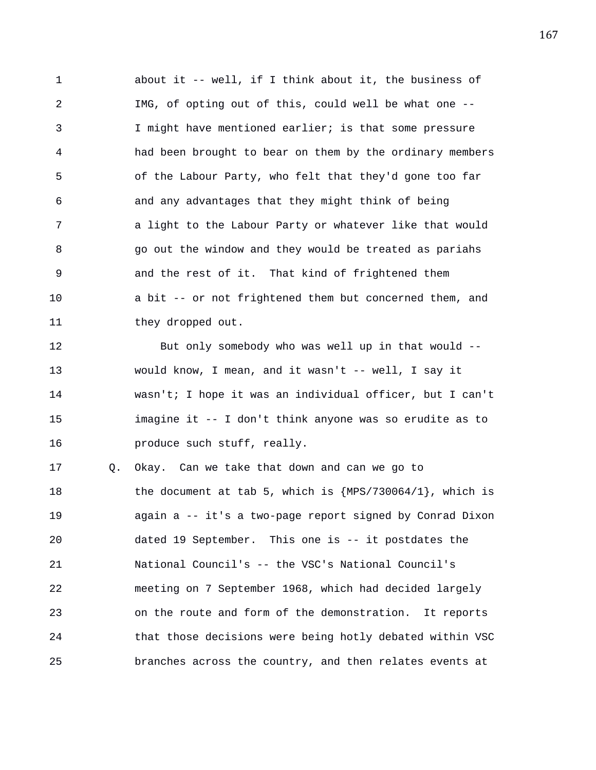1 about it -- well, if I think about it, the business of 2 IMG, of opting out of this, could well be what one -- 3 I might have mentioned earlier; is that some pressure 4 had been brought to bear on them by the ordinary members 5 of the Labour Party, who felt that they'd gone too far 6 and any advantages that they might think of being 7 a light to the Labour Party or whatever like that would 8 go out the window and they would be treated as pariahs 9 and the rest of it. That kind of frightened them 10 a bit -- or not frightened them but concerned them, and 11 they dropped out.

12 But only somebody who was well up in that would -- 13 would know, I mean, and it wasn't -- well, I say it 14 wasn't; I hope it was an individual officer, but I can't 15 imagine it -- I don't think anyone was so erudite as to 16 **produce such stuff, really.** 

17 Q. Okay. Can we take that down and can we go to 18 the document at tab 5, which is {MPS/730064/1}, which is 19 again a -- it's a two-page report signed by Conrad Dixon 20 dated 19 September. This one is -- it postdates the 21 National Council's -- the VSC's National Council's 22 meeting on 7 September 1968, which had decided largely 23 on the route and form of the demonstration. It reports 24 that those decisions were being hotly debated within VSC 25 branches across the country, and then relates events at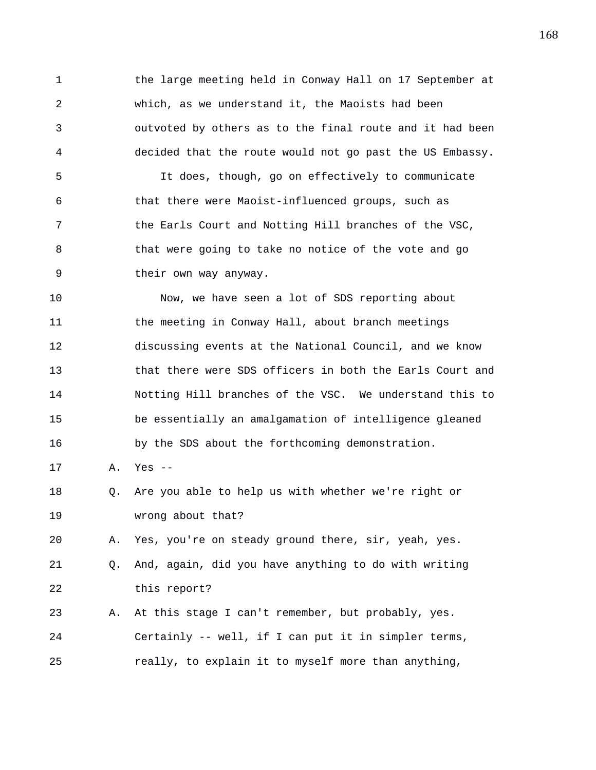1 the large meeting held in Conway Hall on 17 September at 2 which, as we understand it, the Maoists had been 3 outvoted by others as to the final route and it had been 4 decided that the route would not go past the US Embassy.

5 It does, though, go on effectively to communicate 6 that there were Maoist-influenced groups, such as 7 the Earls Court and Notting Hill branches of the VSC, 8 that were going to take no notice of the vote and go 9 their own way anyway.

10 Now, we have seen a lot of SDS reporting about 11 the meeting in Conway Hall, about branch meetings 12 discussing events at the National Council, and we know 13 that there were SDS officers in both the Earls Court and 14 Notting Hill branches of the VSC. We understand this to 15 be essentially an amalgamation of intelligence gleaned 16 by the SDS about the forthcoming demonstration.

17 A. Yes --

18 Q. Are you able to help us with whether we're right or 19 wrong about that?

20 A. Yes, you're on steady ground there, sir, yeah, yes. 21 Q. And, again, did you have anything to do with writing 22 this report?

23 A. At this stage I can't remember, but probably, yes. 24 Certainly -- well, if I can put it in simpler terms, 25 really, to explain it to myself more than anything,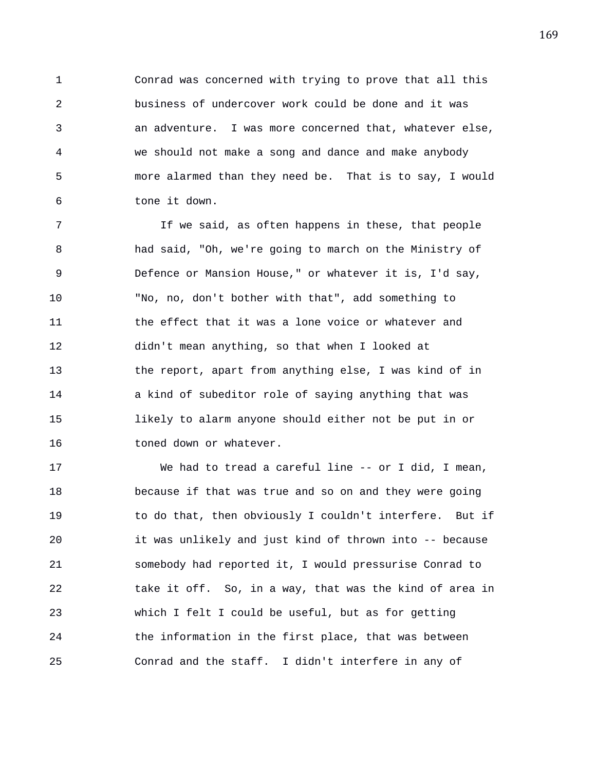1 Conrad was concerned with trying to prove that all this 2 business of undercover work could be done and it was 3 an adventure. I was more concerned that, whatever else, 4 we should not make a song and dance and make anybody 5 more alarmed than they need be. That is to say, I would 6 tone it down.

7 If we said, as often happens in these, that people 8 had said, "Oh, we're going to march on the Ministry of 9 Defence or Mansion House," or whatever it is, I'd say, 10 "No, no, don't bother with that", add something to 11 the effect that it was a lone voice or whatever and 12 didn't mean anything, so that when I looked at 13 the report, apart from anything else, I was kind of in 14 a kind of subeditor role of saying anything that was 15 likely to alarm anyone should either not be put in or 16 toned down or whatever.

17 We had to tread a careful line -- or I did, I mean, 18 because if that was true and so on and they were going 19 to do that, then obviously I couldn't interfere. But if 20 it was unlikely and just kind of thrown into -- because 21 somebody had reported it, I would pressurise Conrad to 22 take it off. So, in a way, that was the kind of area in 23 which I felt I could be useful, but as for getting 24 the information in the first place, that was between 25 Conrad and the staff. I didn't interfere in any of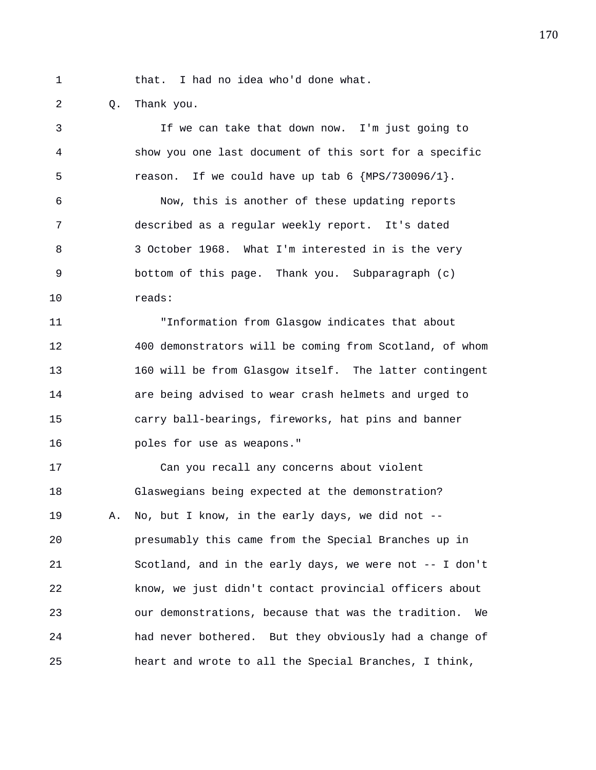1 that. I had no idea who'd done what.

2 Q. Thank you.

3 If we can take that down now. I'm just going to 4 show you one last document of this sort for a specific 5 reason. If we could have up tab  $6 \{MPS/730096/1\}$ . 6 Now, this is another of these updating reports 7 described as a regular weekly report. It's dated 8 3 October 1968. What I'm interested in is the very 9 bottom of this page. Thank you. Subparagraph (c) 10 reads: 11 "Information from Glasgow indicates that about 12 400 demonstrators will be coming from Scotland, of whom 13 160 will be from Glasgow itself. The latter contingent 14 are being advised to wear crash helmets and urged to 15 carry ball-bearings, fireworks, hat pins and banner 16 poles for use as weapons." 17 Can you recall any concerns about violent 18 Glaswegians being expected at the demonstration? 19 A. No, but I know, in the early days, we did not -- 20 presumably this came from the Special Branches up in 21 Scotland, and in the early days, we were not -- I don't 22 know, we just didn't contact provincial officers about 23 our demonstrations, because that was the tradition. We 24 had never bothered. But they obviously had a change of 25 heart and wrote to all the Special Branches, I think,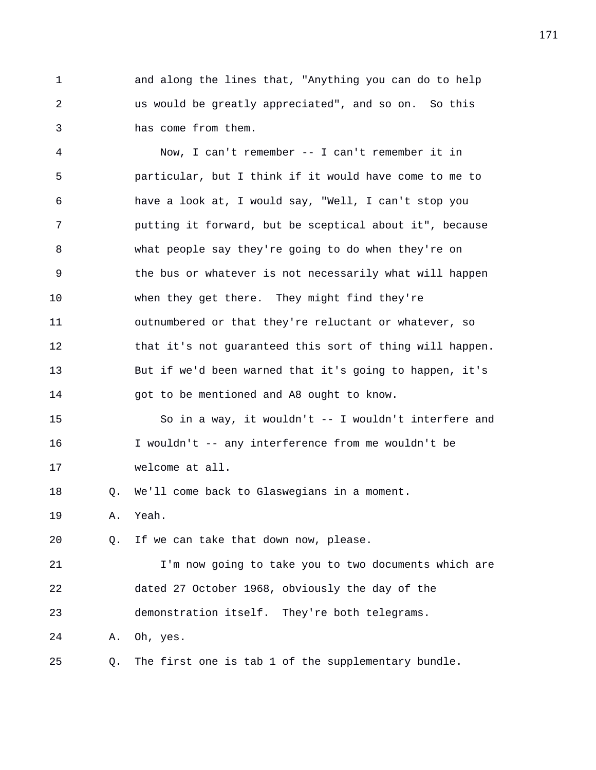1 and along the lines that, "Anything you can do to help 2 us would be greatly appreciated", and so on. So this 3 has come from them.

4 Now, I can't remember -- I can't remember it in 5 particular, but I think if it would have come to me to 6 have a look at, I would say, "Well, I can't stop you 7 putting it forward, but be sceptical about it", because 8 what people say they're going to do when they're on 9 the bus or whatever is not necessarily what will happen 10 when they get there. They might find they're 11 outnumbered or that they're reluctant or whatever, so 12 that it's not guaranteed this sort of thing will happen. 13 But if we'd been warned that it's going to happen, it's 14 got to be mentioned and A8 ought to know. 15 So in a way, it wouldn't -- I wouldn't interfere and 16 I wouldn't -- any interference from me wouldn't be 17 welcome at all. 18 Q. We'll come back to Glaswegians in a moment. 19 A. Yeah. 20 Q. If we can take that down now, please. 21 I'm now going to take you to two documents which are 22 dated 27 October 1968, obviously the day of the

23 demonstration itself. They're both telegrams.

24 A. Oh, yes.

25 Q. The first one is tab 1 of the supplementary bundle.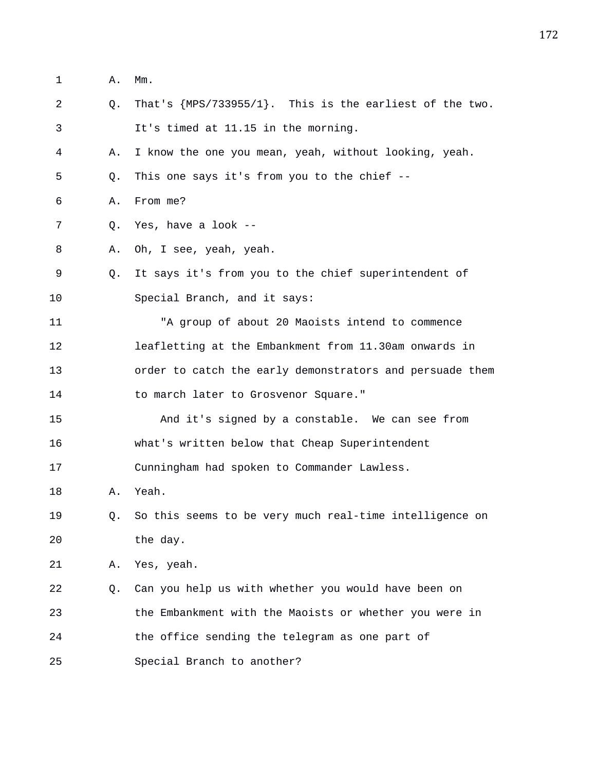- 1 A. Mm.
- 2 Q. That's {MPS/733955/1}. This is the earliest of the two. 3 It's timed at 11.15 in the morning.

4 A. I know the one you mean, yeah, without looking, yeah.

- 5 Q. This one says it's from you to the chief --
- 6 A. From me?
- 7 Q. Yes, have a look --
- 8 A. Oh, I see, yeah, yeah.
- 9 Q. It says it's from you to the chief superintendent of 10 Special Branch, and it says:
- 11 "A group of about 20 Maoists intend to commence 12 leafletting at the Embankment from 11.30am onwards in 13 order to catch the early demonstrators and persuade them 14 to march later to Grosvenor Square."
- 15 And it's signed by a constable. We can see from 16 what's written below that Cheap Superintendent 17 Cunningham had spoken to Commander Lawless.
- 18 A. Yeah.
- 19 Q. So this seems to be very much real-time intelligence on 20 the day.
- 21 A. Yes, yeah.
- 22 Q. Can you help us with whether you would have been on 23 the Embankment with the Maoists or whether you were in 24 the office sending the telegram as one part of 25 Special Branch to another?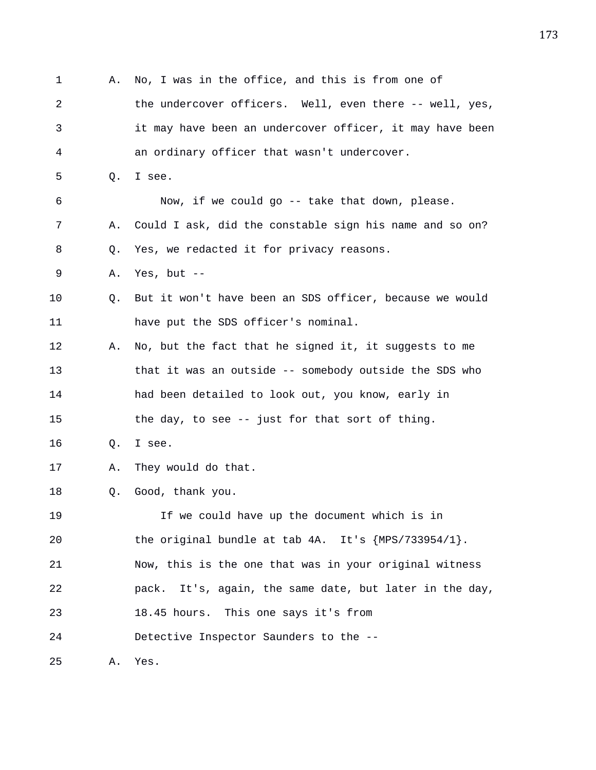1 A. No, I was in the office, and this is from one of 2 the undercover officers. Well, even there -- well, yes, 3 it may have been an undercover officer, it may have been 4 an ordinary officer that wasn't undercover. 5 Q. I see. 6 Now, if we could go -- take that down, please. 7 A. Could I ask, did the constable sign his name and so on? 8 Q. Yes, we redacted it for privacy reasons. 9 A. Yes, but -- 10 Q. But it won't have been an SDS officer, because we would 11 have put the SDS officer's nominal. 12 A. No, but the fact that he signed it, it suggests to me 13 that it was an outside -- somebody outside the SDS who 14 had been detailed to look out, you know, early in 15 the day, to see -- just for that sort of thing. 16 Q. I see. 17 A. They would do that. 18 Q. Good, thank you. 19 If we could have up the document which is in 20 the original bundle at tab 4A. It's {MPS/733954/1}. 21 Now, this is the one that was in your original witness 22 pack. It's, again, the same date, but later in the day, 23 18.45 hours. This one says it's from 24 Detective Inspector Saunders to the -- 25 A. Yes.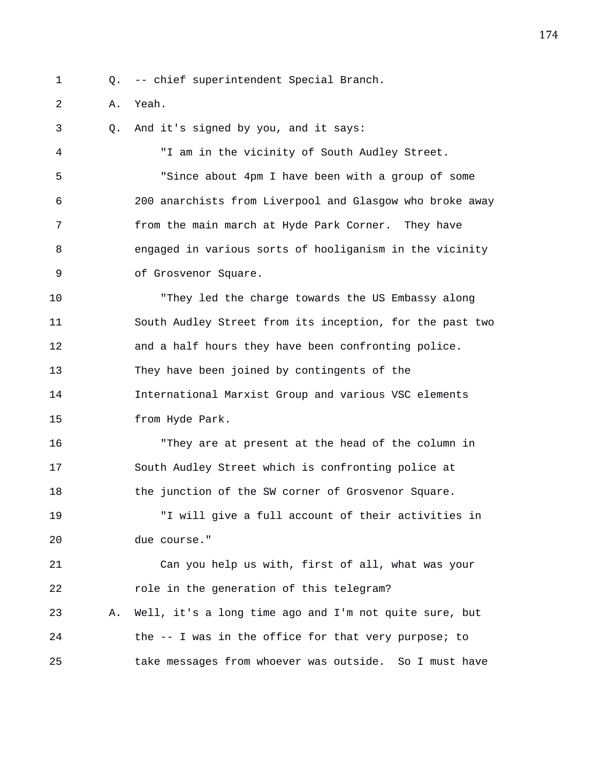1 Q. -- chief superintendent Special Branch.

- 2 A. Yeah.
- 3 Q. And it's signed by you, and it says:

4 "I am in the vicinity of South Audley Street. 5 "Since about 4pm I have been with a group of some 6 200 anarchists from Liverpool and Glasgow who broke away 7 from the main march at Hyde Park Corner. They have 8 engaged in various sorts of hooliganism in the vicinity 9 of Grosvenor Square.

10 "They led the charge towards the US Embassy along 11 South Audley Street from its inception, for the past two 12 and a half hours they have been confronting police. 13 They have been joined by contingents of the 14 International Marxist Group and various VSC elements 15 from Hyde Park.

16 "They are at present at the head of the column in 17 South Audley Street which is confronting police at 18 the junction of the SW corner of Grosvenor Square. 19 "I will give a full account of their activities in

20 due course."

21 Can you help us with, first of all, what was your 22 role in the generation of this telegram? 23 A. Well, it's a long time ago and I'm not quite sure, but

24 the -- I was in the office for that very purpose; to 25 take messages from whoever was outside. So I must have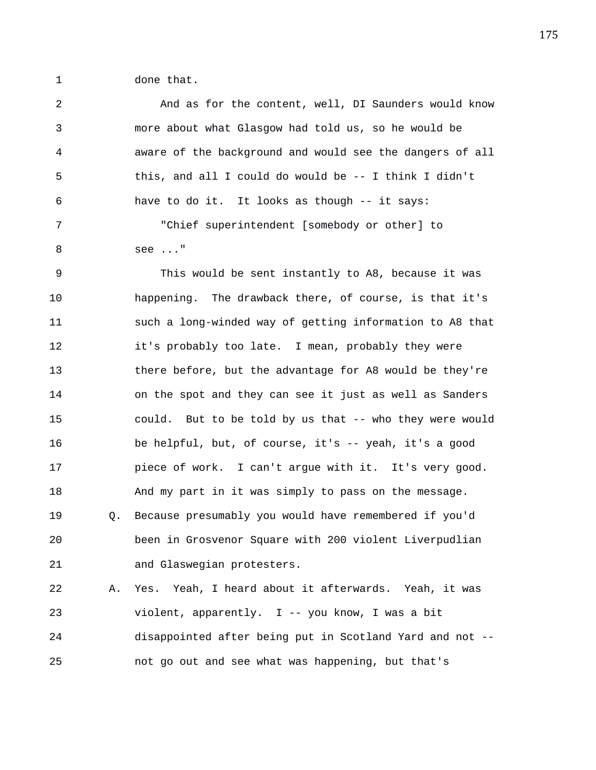1 done that.

2 And as for the content, well, DI Saunders would know 3 more about what Glasgow had told us, so he would be 4 aware of the background and would see the dangers of all 5 this, and all I could do would be -- I think I didn't 6 have to do it. It looks as though -- it says: 7 "Chief superintendent [somebody or other] to 8 see ..."

9 This would be sent instantly to A8, because it was 10 happening. The drawback there, of course, is that it's 11 such a long-winded way of getting information to A8 that 12 it's probably too late. I mean, probably they were 13 there before, but the advantage for A8 would be they're 14 on the spot and they can see it just as well as Sanders 15 could. But to be told by us that -- who they were would 16 be helpful, but, of course, it's -- yeah, it's a good 17 piece of work. I can't argue with it. It's very good. 18 And my part in it was simply to pass on the message. 19 Q. Because presumably you would have remembered if you'd 20 been in Grosvenor Square with 200 violent Liverpudlian 21 and Glaswegian protesters. 22 A. Yes. Yeah, I heard about it afterwards. Yeah, it was

23 violent, apparently. I -- you know, I was a bit 24 disappointed after being put in Scotland Yard and not -- 25 not go out and see what was happening, but that's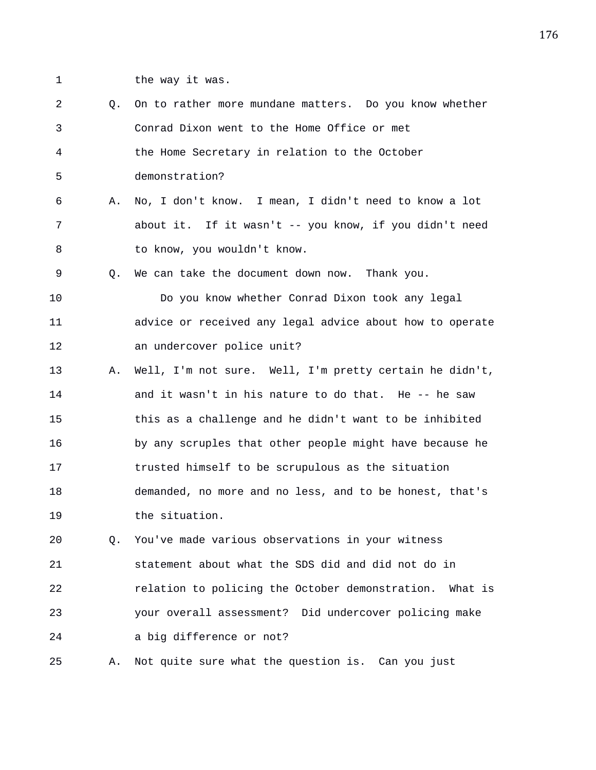- 
- 1 the way it was.

2 Q. On to rather more mundane matters. Do you know whether 3 Conrad Dixon went to the Home Office or met 4 the Home Secretary in relation to the October 5 demonstration? 6 A. No, I don't know. I mean, I didn't need to know a lot 7 about it. If it wasn't -- you know, if you didn't need 8 to know, you wouldn't know. 9 Q. We can take the document down now. Thank you. 10 Do you know whether Conrad Dixon took any legal 11 advice or received any legal advice about how to operate 12 an undercover police unit? 13 A. Well, I'm not sure. Well, I'm pretty certain he didn't, 14 and it wasn't in his nature to do that. He -- he saw 15 this as a challenge and he didn't want to be inhibited 16 by any scruples that other people might have because he 17 trusted himself to be scrupulous as the situation 18 demanded, no more and no less, and to be honest, that's 19 the situation. 20 Q. You've made various observations in your witness 21 statement about what the SDS did and did not do in 22 relation to policing the October demonstration. What is 23 your overall assessment? Did undercover policing make 24 a big difference or not? 25 A. Not quite sure what the question is. Can you just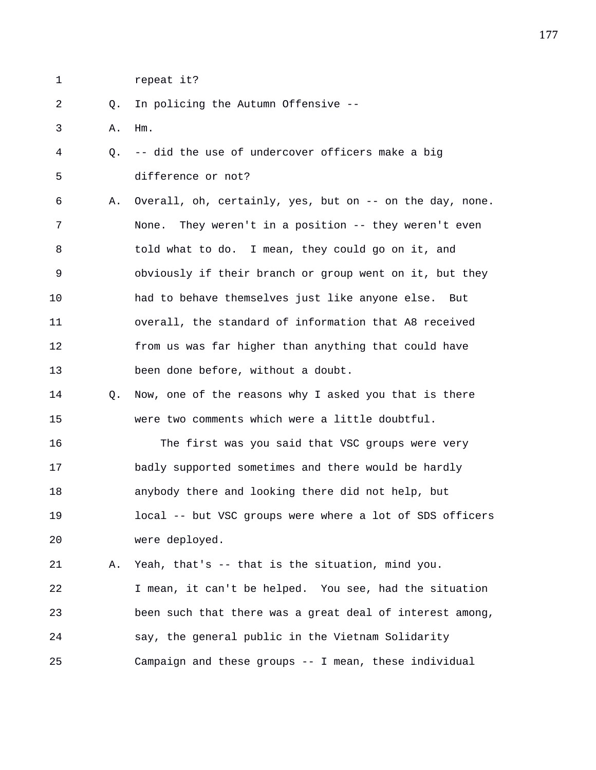1 repeat it?

2 0. In policing the Autumn Offensive --

3 A. Hm.

4 Q. -- did the use of undercover officers make a big 5 difference or not?

6 A. Overall, oh, certainly, yes, but on -- on the day, none. 7 None. They weren't in a position -- they weren't even 8 told what to do. I mean, they could go on it, and 9 obviously if their branch or group went on it, but they 10 had to behave themselves just like anyone else. But 11 overall, the standard of information that A8 received 12 from us was far higher than anything that could have 13 been done before, without a doubt.

14 Q. Now, one of the reasons why I asked you that is there 15 were two comments which were a little doubtful.

16 The first was you said that VSC groups were very 17 badly supported sometimes and there would be hardly 18 anybody there and looking there did not help, but 19 local -- but VSC groups were where a lot of SDS officers 20 were deployed.

21 A. Yeah, that's -- that is the situation, mind you. 22 I mean, it can't be helped. You see, had the situation 23 been such that there was a great deal of interest among, 24 say, the general public in the Vietnam Solidarity 25 Campaign and these groups -- I mean, these individual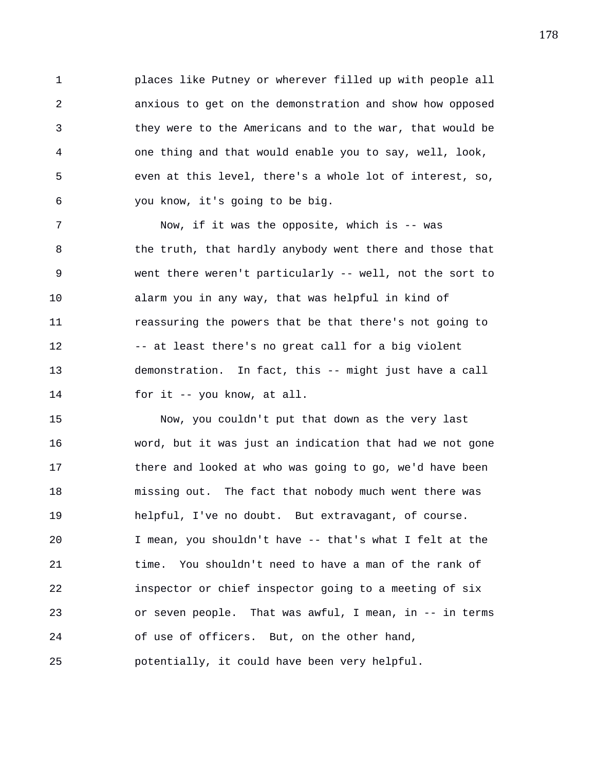1 places like Putney or wherever filled up with people all 2 anxious to get on the demonstration and show how opposed 3 they were to the Americans and to the war, that would be 4 one thing and that would enable you to say, well, look, 5 even at this level, there's a whole lot of interest, so, 6 you know, it's going to be big.

7 Now, if it was the opposite, which is -- was 8 the truth, that hardly anybody went there and those that 9 went there weren't particularly -- well, not the sort to 10 alarm you in any way, that was helpful in kind of 11 reassuring the powers that be that there's not going to 12 -- at least there's no great call for a big violent 13 demonstration. In fact, this -- might just have a call 14 for it -- you know, at all.

15 Now, you couldn't put that down as the very last 16 word, but it was just an indication that had we not gone 17 there and looked at who was going to go, we'd have been 18 missing out. The fact that nobody much went there was 19 helpful, I've no doubt. But extravagant, of course. 20 I mean, you shouldn't have -- that's what I felt at the 21 time. You shouldn't need to have a man of the rank of 22 inspector or chief inspector going to a meeting of six 23 or seven people. That was awful, I mean, in -- in terms 24 of use of officers. But, on the other hand, 25 potentially, it could have been very helpful.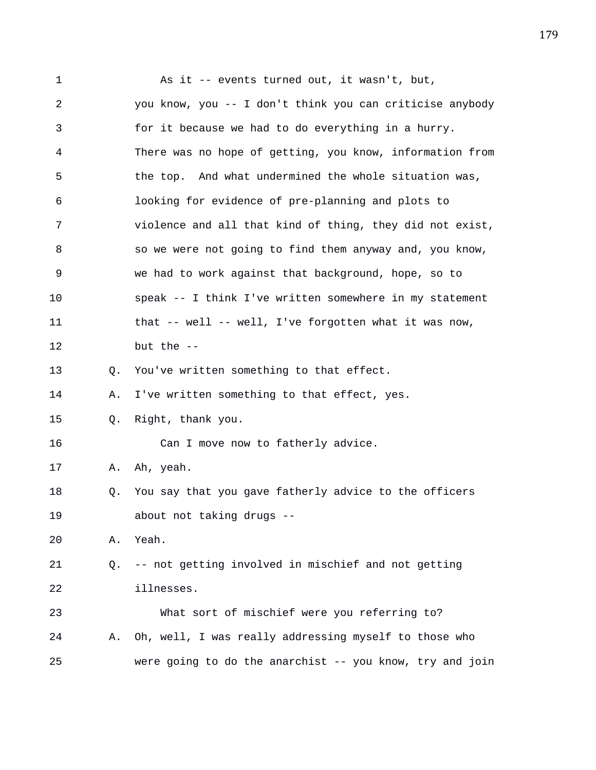1 As it -- events turned out, it wasn't, but, 2 you know, you -- I don't think you can criticise anybody 3 for it because we had to do everything in a hurry. 4 There was no hope of getting, you know, information from 5 the top. And what undermined the whole situation was, 6 looking for evidence of pre-planning and plots to 7 violence and all that kind of thing, they did not exist, 8 so we were not going to find them anyway and, you know, 9 we had to work against that background, hope, so to 10 speak -- I think I've written somewhere in my statement 11 that -- well -- well, I've forgotten what it was now, 12 but the -- 13 Q. You've written something to that effect. 14 A. I've written something to that effect, yes. 15 Q. Right, thank you. 16 Can I move now to fatherly advice. 17 A. Ah, yeah. 18 Q. You say that you gave fatherly advice to the officers 19 about not taking drugs -- 20 A. Yeah. 21 Q. -- not getting involved in mischief and not getting 22 illnesses. 23 What sort of mischief were you referring to? 24 A. Oh, well, I was really addressing myself to those who 25 were going to do the anarchist -- you know, try and join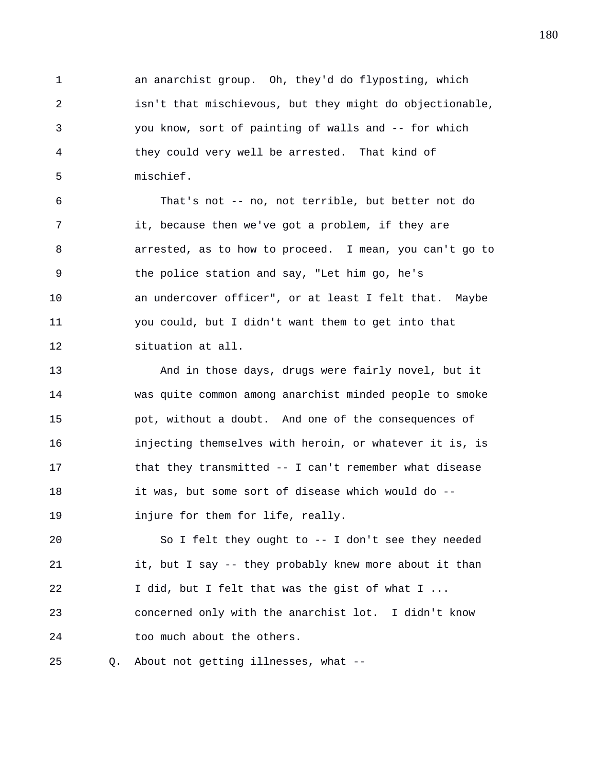1 an anarchist group. Oh, they'd do flyposting, which 2 isn't that mischievous, but they might do objectionable, 3 you know, sort of painting of walls and -- for which 4 they could very well be arrested. That kind of 5 mischief.

6 That's not -- no, not terrible, but better not do 7 it, because then we've got a problem, if they are 8 arrested, as to how to proceed. I mean, you can't go to 9 the police station and say, "Let him go, he's 10 an undercover officer", or at least I felt that. Maybe 11 you could, but I didn't want them to get into that 12 situation at all.

13 And in those days, drugs were fairly novel, but it 14 was quite common among anarchist minded people to smoke 15 pot, without a doubt. And one of the consequences of 16 injecting themselves with heroin, or whatever it is, is 17 that they transmitted -- I can't remember what disease 18 it was, but some sort of disease which would do -- 19 injure for them for life, really.

20 So I felt they ought to -- I don't see they needed 21 it, but I say -- they probably knew more about it than 22 I did, but I felt that was the gist of what I ... 23 concerned only with the anarchist lot. I didn't know 24 too much about the others.

25 Q. About not getting illnesses, what --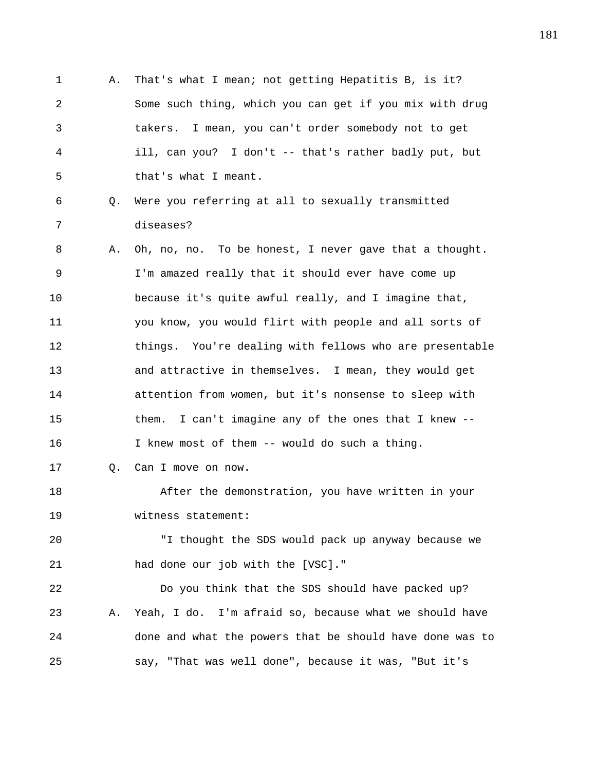1 A. That's what I mean; not getting Hepatitis B, is it? 2 Some such thing, which you can get if you mix with drug 3 takers. I mean, you can't order somebody not to get 4 ill, can you? I don't -- that's rather badly put, but 5 that's what I meant. 6 Q. Were you referring at all to sexually transmitted 7 diseases? 8 A. Oh, no, no. To be honest, I never gave that a thought. 9 I'm amazed really that it should ever have come up 10 because it's quite awful really, and I imagine that, 11 you know, you would flirt with people and all sorts of 12 things. You're dealing with fellows who are presentable 13 and attractive in themselves. I mean, they would get 14 attention from women, but it's nonsense to sleep with 15 them. I can't imagine any of the ones that I knew -- 16 I knew most of them -- would do such a thing. 17 Q. Can I move on now. 18 After the demonstration, you have written in your 19 witness statement: 20 "I thought the SDS would pack up anyway because we 21 had done our job with the [VSC]." 22 Do you think that the SDS should have packed up? 23 A. Yeah, I do. I'm afraid so, because what we should have 24 done and what the powers that be should have done was to 25 say, "That was well done", because it was, "But it's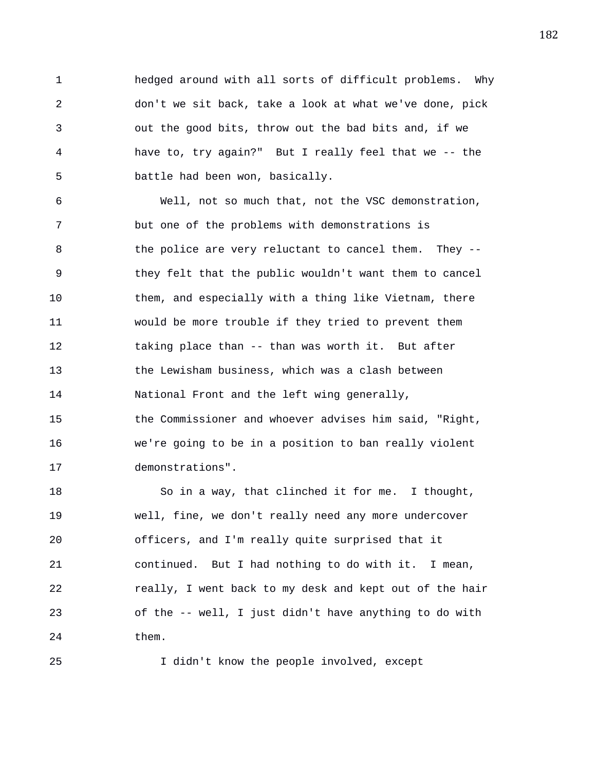1 hedged around with all sorts of difficult problems. Why 2 don't we sit back, take a look at what we've done, pick 3 out the good bits, throw out the bad bits and, if we 4 have to, try again?" But I really feel that we -- the 5 battle had been won, basically.

6 Well, not so much that, not the VSC demonstration, 7 but one of the problems with demonstrations is 8 b the police are very reluctant to cancel them. They --9 they felt that the public wouldn't want them to cancel 10 them, and especially with a thing like Vietnam, there 11 would be more trouble if they tried to prevent them 12 taking place than -- than was worth it. But after 13 the Lewisham business, which was a clash between 14 National Front and the left wing generally, 15 the Commissioner and whoever advises him said, "Right, 16 we're going to be in a position to ban really violent 17 demonstrations".

18 So in a way, that clinched it for me. I thought, 19 well, fine, we don't really need any more undercover 20 officers, and I'm really quite surprised that it 21 continued. But I had nothing to do with it. I mean, 22 really, I went back to my desk and kept out of the hair 23 of the -- well, I just didn't have anything to do with 24 them.

25 I didn't know the people involved, except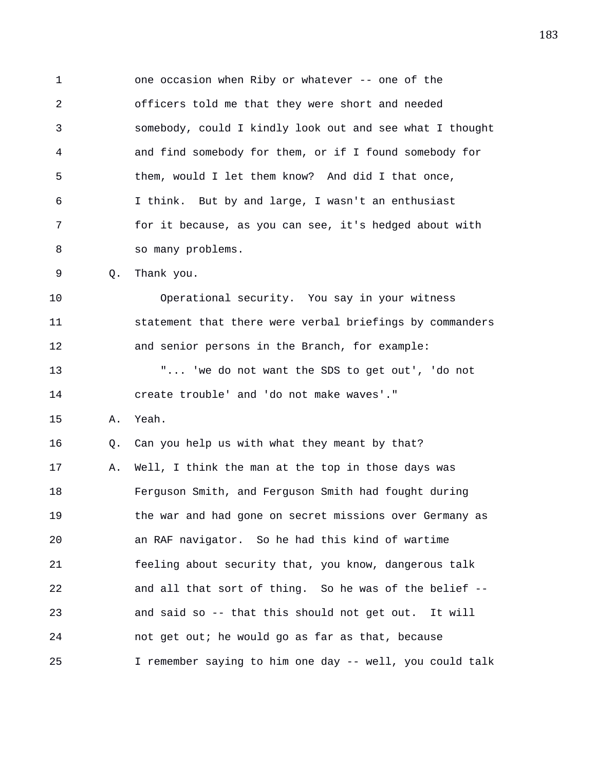1 one occasion when Riby or whatever -- one of the 2 officers told me that they were short and needed 3 somebody, could I kindly look out and see what I thought 4 and find somebody for them, or if I found somebody for 5 them, would I let them know? And did I that once, 6 I think. But by and large, I wasn't an enthusiast 7 for it because, as you can see, it's hedged about with 8 so many problems. 9 Q. Thank you. 10 Operational security. You say in your witness 11 statement that there were verbal briefings by commanders 12 and senior persons in the Branch, for example: 13 "... 'we do not want the SDS to get out', 'do not 14 create trouble' and 'do not make waves'." 15 A. Yeah. 16 Q. Can you help us with what they meant by that? 17 A. Well, I think the man at the top in those days was 18 Ferguson Smith, and Ferguson Smith had fought during 19 the war and had gone on secret missions over Germany as 20 an RAF navigator. So he had this kind of wartime 21 feeling about security that, you know, dangerous talk 22 and all that sort of thing. So he was of the belief -- 23 and said so -- that this should not get out. It will 24 not get out; he would go as far as that, because 25 I remember saying to him one day -- well, you could talk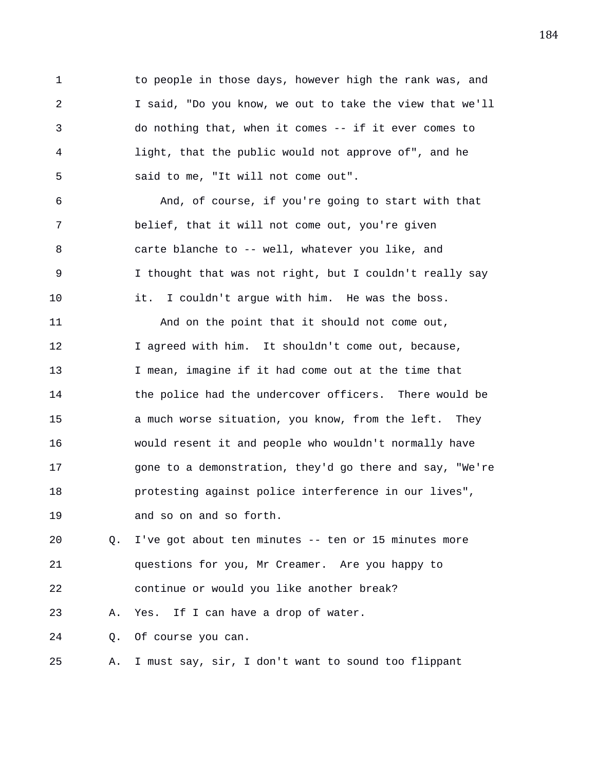1 to people in those days, however high the rank was, and 2 I said, "Do you know, we out to take the view that we'll 3 do nothing that, when it comes -- if it ever comes to 4 light, that the public would not approve of", and he 5 said to me, "It will not come out".

6 And, of course, if you're going to start with that 7 belief, that it will not come out, you're given 8 carte blanche to -- well, whatever you like, and 9 I thought that was not right, but I couldn't really say 10 it. I couldn't argue with him. He was the boss.

11 And on the point that it should not come out, 12 I agreed with him. It shouldn't come out, because, 13 I mean, imagine if it had come out at the time that 14 the police had the undercover officers. There would be 15 a much worse situation, you know, from the left. They 16 would resent it and people who wouldn't normally have 17 gone to a demonstration, they'd go there and say, "We're 18 protesting against police interference in our lives", 19 and so on and so forth.

20 Q. I've got about ten minutes -- ten or 15 minutes more 21 questions for you, Mr Creamer. Are you happy to 22 continue or would you like another break?

23 A. Yes. If I can have a drop of water.

24 Q. Of course you can.

25 A. I must say, sir, I don't want to sound too flippant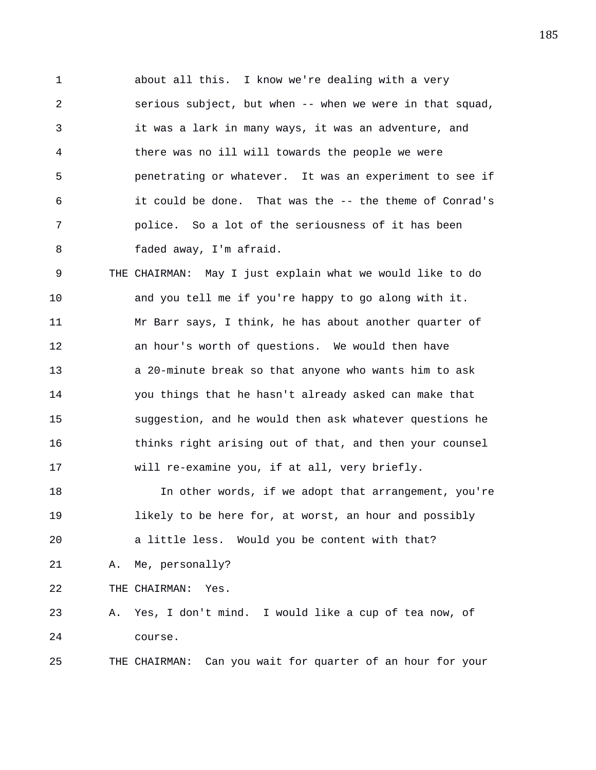1 about all this. I know we're dealing with a very 2 serious subject, but when -- when we were in that squad, 3 it was a lark in many ways, it was an adventure, and 4 there was no ill will towards the people we were 5 penetrating or whatever. It was an experiment to see if 6 it could be done. That was the -- the theme of Conrad's 7 police. So a lot of the seriousness of it has been 8 faded away, I'm afraid.

9 THE CHAIRMAN: May I just explain what we would like to do 10 and you tell me if you're happy to go along with it. 11 Mr Barr says, I think, he has about another quarter of 12 an hour's worth of questions. We would then have 13 a 20-minute break so that anyone who wants him to ask 14 you things that he hasn't already asked can make that 15 suggestion, and he would then ask whatever questions he 16 thinks right arising out of that, and then your counsel 17 will re-examine you, if at all, very briefly.

18 In other words, if we adopt that arrangement, you're 19 **likely to be here for, at worst, an hour and possibly** 20 a little less. Would you be content with that? 21 A. Me, personally?

22 THE CHAIRMAN: Yes.

23 A. Yes, I don't mind. I would like a cup of tea now, of 24 course.

25 THE CHAIRMAN: Can you wait for quarter of an hour for your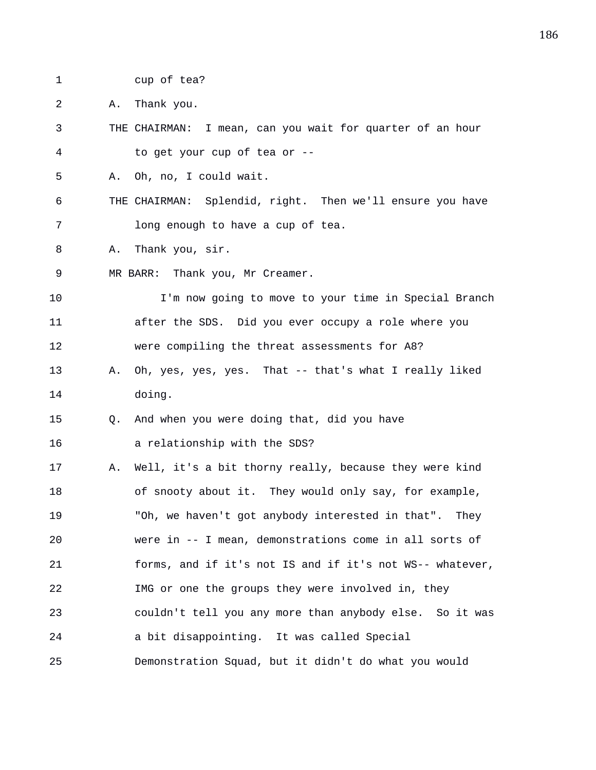1 cup of tea?

2 A. Thank you.

3 THE CHAIRMAN: I mean, can you wait for quarter of an hour 4 to get your cup of tea or --

5 A. Oh, no, I could wait.

6 THE CHAIRMAN: Splendid, right. Then we'll ensure you have 7 long enough to have a cup of tea.

8 A. Thank you, sir.

9 MR BARR: Thank you, Mr Creamer.

10 I'm now going to move to your time in Special Branch 11 after the SDS. Did you ever occupy a role where you 12 were compiling the threat assessments for A8?

13 A. Oh, yes, yes, yes. That -- that's what I really liked 14 doing.

15 Q. And when you were doing that, did you have

16 a relationship with the SDS?

17 A. Well, it's a bit thorny really, because they were kind 18 of snooty about it. They would only say, for example, 19 "Oh, we haven't got anybody interested in that". They 20 were in -- I mean, demonstrations come in all sorts of 21 forms, and if it's not IS and if it's not WS-- whatever, 22 IMG or one the groups they were involved in, they 23 couldn't tell you any more than anybody else. So it was 24 a bit disappointing. It was called Special 25 Demonstration Squad, but it didn't do what you would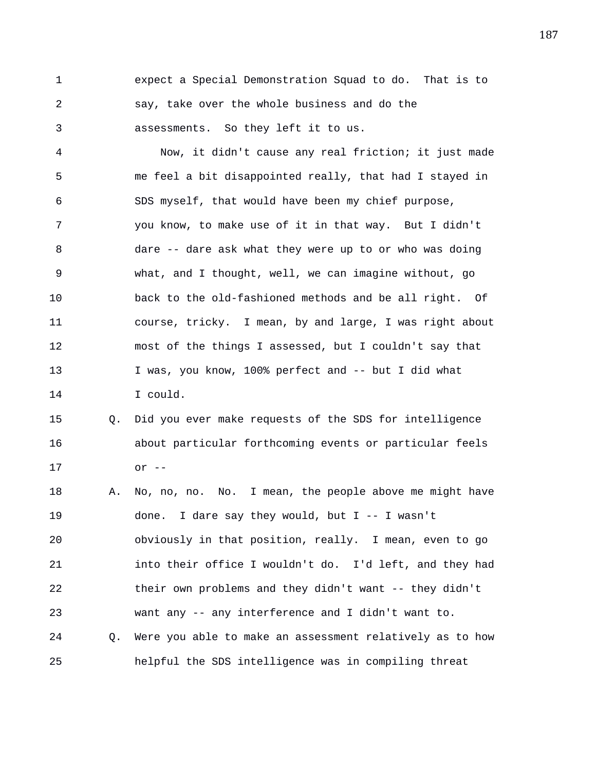1 expect a Special Demonstration Squad to do. That is to 2 say, take over the whole business and do the 3 assessments. So they left it to us.

4 Now, it didn't cause any real friction; it just made 5 me feel a bit disappointed really, that had I stayed in 6 SDS myself, that would have been my chief purpose, 7 you know, to make use of it in that way. But I didn't 8 dare -- dare ask what they were up to or who was doing 9 what, and I thought, well, we can imagine without, go 10 back to the old-fashioned methods and be all right. Of 11 course, tricky. I mean, by and large, I was right about 12 most of the things I assessed, but I couldn't say that 13 I was, you know, 100% perfect and -- but I did what 14 I could.

## 15 Q. Did you ever make requests of the SDS for intelligence 16 about particular forthcoming events or particular feels 17 or --

18 A. No, no, no. No. I mean, the people above me might have 19 done. I dare say they would, but I -- I wasn't 20 obviously in that position, really. I mean, even to go 21 into their office I wouldn't do. I'd left, and they had 22 their own problems and they didn't want -- they didn't 23 want any -- any interference and I didn't want to. 24 Q. Were you able to make an assessment relatively as to how 25 helpful the SDS intelligence was in compiling threat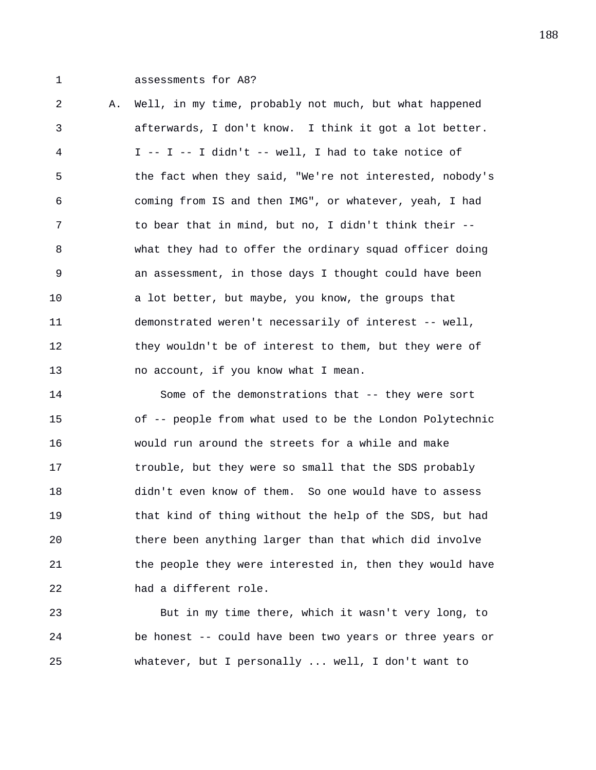2 A. Well, in my time, probably not much, but what happened 3 afterwards, I don't know. I think it got a lot better. 4 I -- I -- I didn't -- well, I had to take notice of 5 the fact when they said, "We're not interested, nobody's 6 coming from IS and then IMG", or whatever, yeah, I had 7 to bear that in mind, but no, I didn't think their -- 8 what they had to offer the ordinary squad officer doing 9 an assessment, in those days I thought could have been 10 a lot better, but maybe, you know, the groups that 11 demonstrated weren't necessarily of interest -- well, 12 they wouldn't be of interest to them, but they were of 13 no account, if you know what I mean.

14 Some of the demonstrations that -- they were sort 15 of -- people from what used to be the London Polytechnic 16 would run around the streets for a while and make 17 trouble, but they were so small that the SDS probably 18 didn't even know of them. So one would have to assess 19 that kind of thing without the help of the SDS, but had 20 there been anything larger than that which did involve 21 the people they were interested in, then they would have 22 had a different role.

23 But in my time there, which it wasn't very long, to 24 be honest -- could have been two years or three years or 25 whatever, but I personally ... well, I don't want to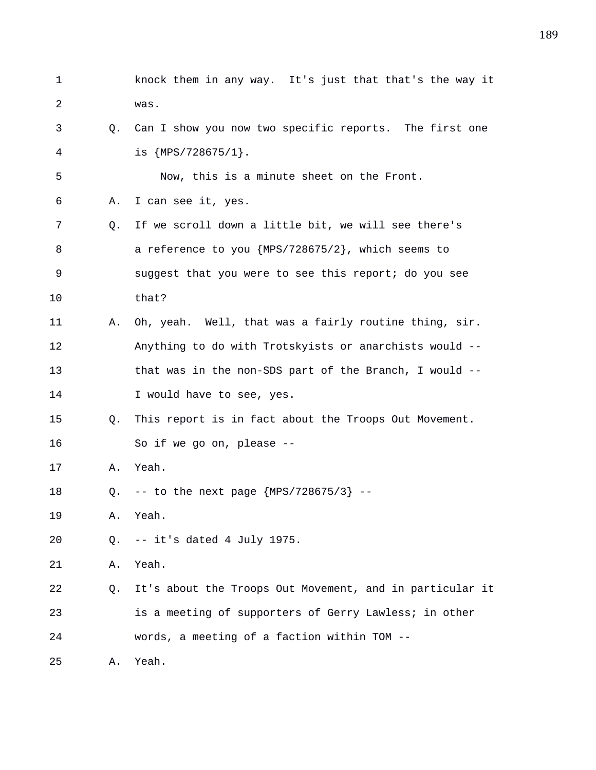1 knock them in any way. It's just that that's the way it 2 was. 3 Q. Can I show you now two specific reports. The first one 4 is {MPS/728675/1}. 5 Now, this is a minute sheet on the Front. 6 A. I can see it, yes. 7 Q. If we scroll down a little bit, we will see there's 8 **a** reference to you {MPS/728675/2}, which seems to 9 suggest that you were to see this report; do you see 10 that? 11 A. Oh, yeah. Well, that was a fairly routine thing, sir. 12 Anything to do with Trotskyists or anarchists would -- 13 that was in the non-SDS part of the Branch, I would -- 14 I would have to see, yes. 15 Q. This report is in fact about the Troops Out Movement. 16 So if we go on, please -- 17 A. Yeah. 18 Q. -- to the next page {MPS/728675/3} -- 19 A. Yeah. 20 Q. -- it's dated 4 July 1975. 21 A. Yeah. 22 Q. It's about the Troops Out Movement, and in particular it 23 is a meeting of supporters of Gerry Lawless; in other 24 words, a meeting of a faction within TOM -- 25 A. Yeah.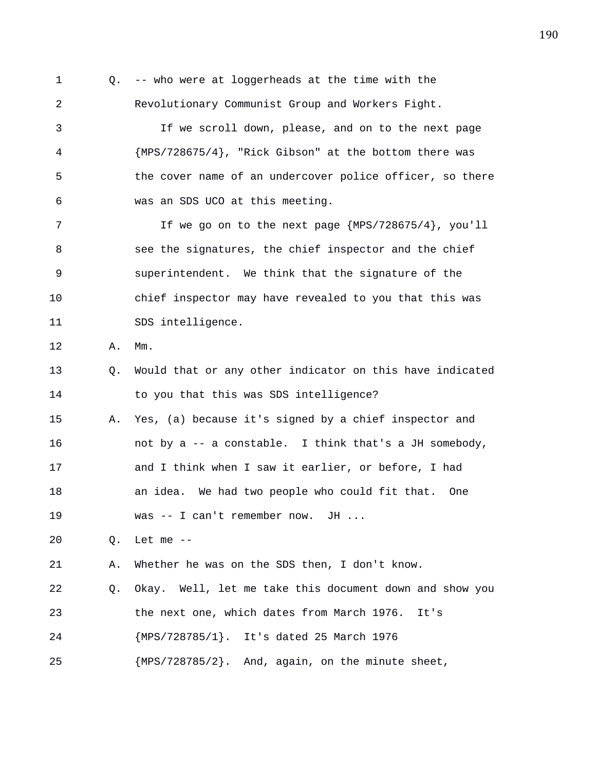1 Q. -- who were at loggerheads at the time with the 2 Revolutionary Communist Group and Workers Fight.

3 If we scroll down, please, and on to the next page 4 {MPS/728675/4}, "Rick Gibson" at the bottom there was 5 the cover name of an undercover police officer, so there 6 was an SDS UCO at this meeting.

7 If we go on to the next page {MPS/728675/4}, you'll 8 see the signatures, the chief inspector and the chief 9 superintendent. We think that the signature of the 10 chief inspector may have revealed to you that this was 11 SDS intelligence.

12 A. Mm.

13 Q. Would that or any other indicator on this have indicated 14 to you that this was SDS intelligence?

15 A. Yes, (a) because it's signed by a chief inspector and 16 not by a -- a constable. I think that's a JH somebody, 17 and I think when I saw it earlier, or before, I had 18 an idea. We had two people who could fit that. One 19 was -- I can't remember now. JH ...

20 Q. Let me --

21 A. Whether he was on the SDS then, I don't know.

22 Q. Okay. Well, let me take this document down and show you 23 the next one, which dates from March 1976. It's 24 {MPS/728785/1}. It's dated 25 March 1976

25 {MPS/728785/2}. And, again, on the minute sheet,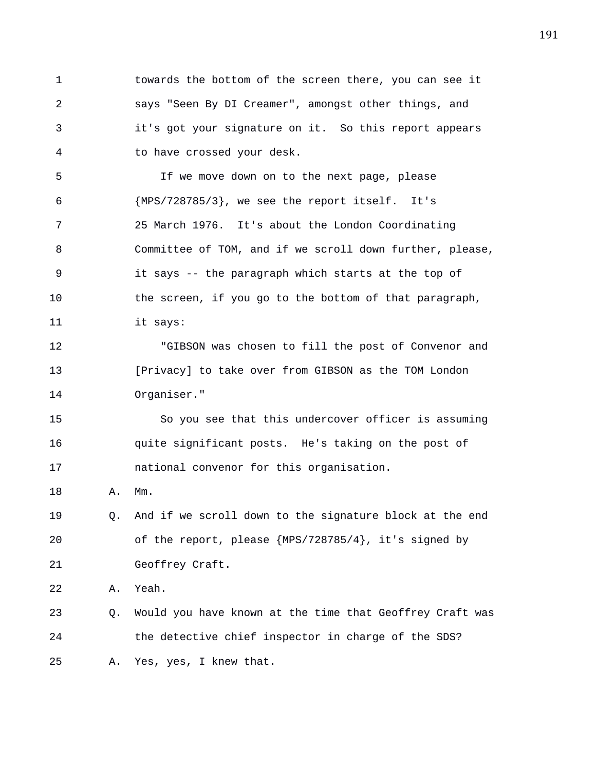1 towards the bottom of the screen there, you can see it 2 says "Seen By DI Creamer", amongst other things, and 3 it's got your signature on it. So this report appears 4 to have crossed your desk.

5 If we move down on to the next page, please 6 {MPS/728785/3}, we see the report itself. It's 7 25 March 1976. It's about the London Coordinating 8 Committee of TOM, and if we scroll down further, please, 9 it says -- the paragraph which starts at the top of 10 the screen, if you go to the bottom of that paragraph, 11 it says:

12 "GIBSON was chosen to fill the post of Convenor and 13 [Privacy] to take over from GIBSON as the TOM London 14 Organiser."

15 So you see that this undercover officer is assuming 16 quite significant posts. He's taking on the post of 17 national convenor for this organisation.

18 A. Mm.

19 Q. And if we scroll down to the signature block at the end 20 of the report, please {MPS/728785/4}, it's signed by 21 Geoffrey Craft.

22 A. Yeah.

23 Q. Would you have known at the time that Geoffrey Craft was 24 the detective chief inspector in charge of the SDS? 25 A. Yes, yes, I knew that.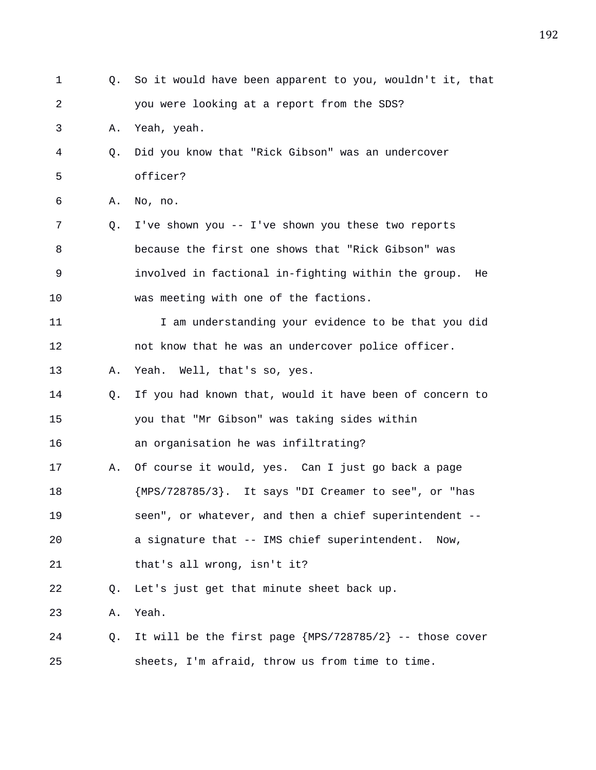| $\mathbf 1$ |    | Q. So it would have been apparent to you, wouldn't it, that |
|-------------|----|-------------------------------------------------------------|
| 2           |    | you were looking at a report from the SDS?                  |
| 3           | Α. | Yeah, yeah.                                                 |
| 4           | O. | Did you know that "Rick Gibson" was an undercover           |
| 5           |    | officer?                                                    |
| 6           | Α. | No, no.                                                     |
| 7           | Q. | I've shown you -- I've shown you these two reports          |
| 8           |    | because the first one shows that "Rick Gibson" was          |
| 9           |    | involved in factional in-fighting within the group. He      |
| 10          |    | was meeting with one of the factions.                       |
| 11          |    | I am understanding your evidence to be that you did         |
| 12          |    | not know that he was an undercover police officer.          |
| 13          | Α. | Yeah. Well, that's so, yes.                                 |
| 14          | O. | If you had known that, would it have been of concern to     |
| 15          |    | you that "Mr Gibson" was taking sides within                |
| 16          |    | an organisation he was infiltrating?                        |
| 17          | Α. | Of course it would, yes. Can I just go back a page          |
| 18          |    | {MPS/728785/3}. It says "DI Creamer to see", or "has        |
| 19          |    | seen", or whatever, and then a chief superintendent --      |
| 20          |    | a signature that -- IMS chief superintendent. Now,          |
| 21          |    | that's all wrong, isn't it?                                 |
| 22          | Q. | Let's just get that minute sheet back up.                   |
| 23          | Α. | Yeah.                                                       |
| 24          | Q. | It will be the first page ${MPS}/728785/2}$ -- those cover  |
| 25          |    | sheets, I'm afraid, throw us from time to time.             |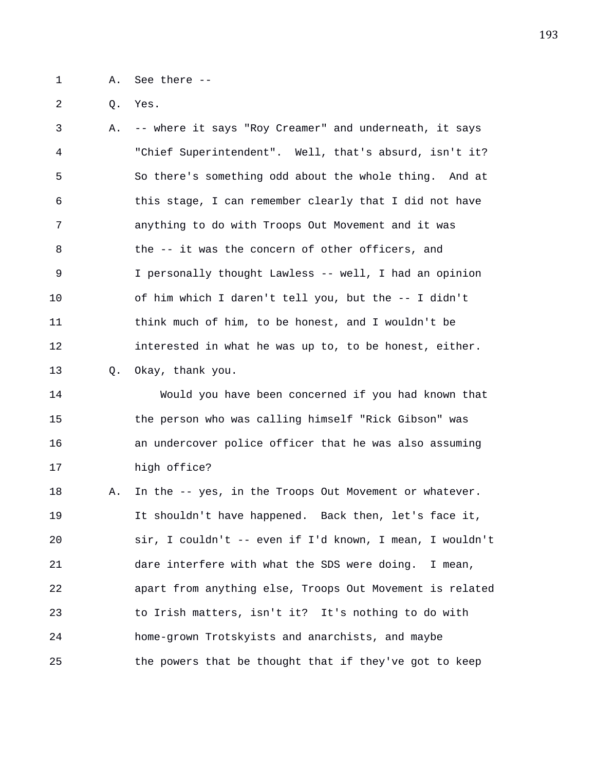1 A. See there --

2 Q. Yes.

3 A. -- where it says "Roy Creamer" and underneath, it says 4 "Chief Superintendent". Well, that's absurd, isn't it? 5 So there's something odd about the whole thing. And at 6 this stage, I can remember clearly that I did not have 7 anything to do with Troops Out Movement and it was 8 the -- it was the concern of other officers, and 9 I personally thought Lawless -- well, I had an opinion 10 of him which I daren't tell you, but the -- I didn't 11 think much of him, to be honest, and I wouldn't be 12 interested in what he was up to, to be honest, either. 13 Q. Okay, thank you.

14 Would you have been concerned if you had known that 15 the person who was calling himself "Rick Gibson" was 16 an undercover police officer that he was also assuming 17 high office?

18 A. In the -- yes, in the Troops Out Movement or whatever. 19 It shouldn't have happened. Back then, let's face it, 20 sir, I couldn't -- even if I'd known, I mean, I wouldn't 21 dare interfere with what the SDS were doing. I mean, 22 apart from anything else, Troops Out Movement is related 23 to Irish matters, isn't it? It's nothing to do with 24 home-grown Trotskyists and anarchists, and maybe 25 the powers that be thought that if they've got to keep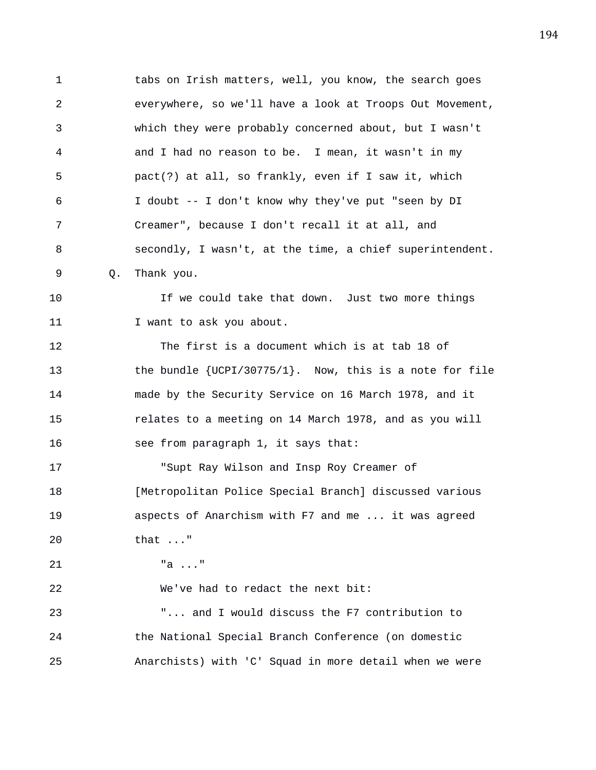1 tabs on Irish matters, well, you know, the search goes 2 everywhere, so we'll have a look at Troops Out Movement, 3 which they were probably concerned about, but I wasn't 4 and I had no reason to be. I mean, it wasn't in my 5 pact(?) at all, so frankly, even if I saw it, which 6 I doubt -- I don't know why they've put "seen by DI 7 Creamer", because I don't recall it at all, and 8 secondly, I wasn't, at the time, a chief superintendent. 9 Q. Thank you. 10 If we could take that down. Just two more things 11 I want to ask you about. 12 The first is a document which is at tab 18 of 13 the bundle {UCPI/30775/1}. Now, this is a note for file 14 made by the Security Service on 16 March 1978, and it 15 relates to a meeting on 14 March 1978, and as you will 16 see from paragraph 1, it says that: 17 "Supt Ray Wilson and Insp Roy Creamer of 18 [Metropolitan Police Special Branch] discussed various 19 aspects of Anarchism with F7 and me ... it was agreed 20 that ..." 21 "a ..." 22 We've had to redact the next bit: 23 "... and I would discuss the F7 contribution to 24 the National Special Branch Conference (on domestic 25 Anarchists) with 'C' Squad in more detail when we were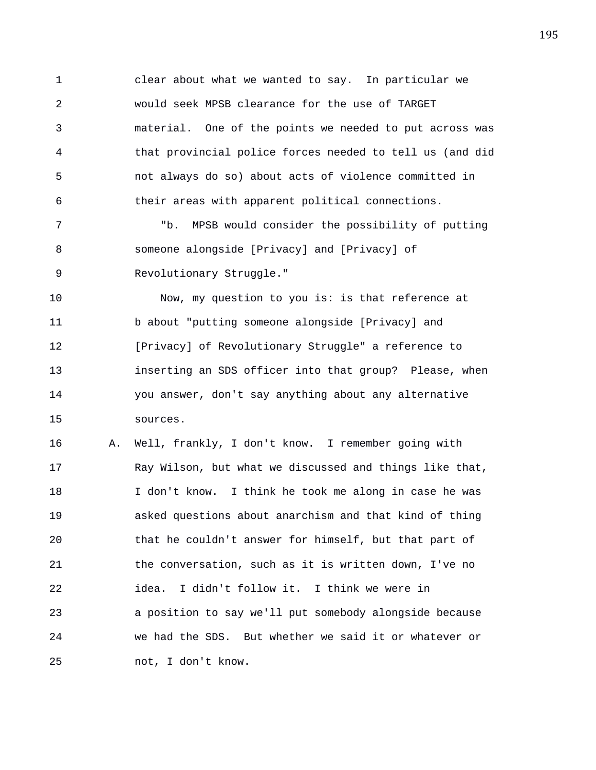1 clear about what we wanted to say. In particular we 2 would seek MPSB clearance for the use of TARGET 3 material. One of the points we needed to put across was 4 that provincial police forces needed to tell us (and did 5 not always do so) about acts of violence committed in 6 their areas with apparent political connections.

7 "b. MPSB would consider the possibility of putting 8 someone alongside [Privacy] and [Privacy] of 9 Revolutionary Struggle."

10 Now, my question to you is: is that reference at 11 b about "putting someone alongside [Privacy] and 12 [Privacy] of Revolutionary Struggle" a reference to 13 inserting an SDS officer into that group? Please, when 14 you answer, don't say anything about any alternative 15 sources.

16 A. Well, frankly, I don't know. I remember going with 17 Ray Wilson, but what we discussed and things like that, 18 I don't know. I think he took me along in case he was 19 asked questions about anarchism and that kind of thing 20 that he couldn't answer for himself, but that part of 21 the conversation, such as it is written down, I've no 22 idea. I didn't follow it. I think we were in 23 a position to say we'll put somebody alongside because 24 we had the SDS. But whether we said it or whatever or 25 not, I don't know.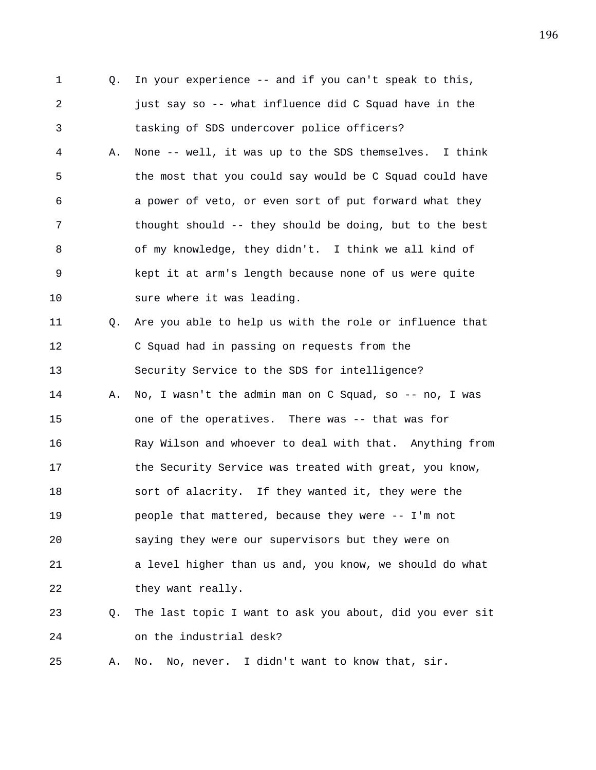1 Q. In your experience -- and if you can't speak to this, 2 just say so -- what influence did C Squad have in the 3 tasking of SDS undercover police officers?

4 A. None -- well, it was up to the SDS themselves. I think 5 the most that you could say would be C Squad could have 6 a power of veto, or even sort of put forward what they 7 thought should -- they should be doing, but to the best 8 of my knowledge, they didn't. I think we all kind of 9 kept it at arm's length because none of us were quite 10 sure where it was leading.

11 Q. Are you able to help us with the role or influence that 12 C Squad had in passing on requests from the 13 Security Service to the SDS for intelligence? 14 A. No, I wasn't the admin man on C Squad, so -- no, I was 15 one of the operatives. There was -- that was for 16 Ray Wilson and whoever to deal with that. Anything from 17 the Security Service was treated with great, you know, 18 sort of alacrity. If they wanted it, they were the 19 people that mattered, because they were -- I'm not 20 saying they were our supervisors but they were on 21 a level higher than us and, you know, we should do what 22 they want really. 23 Q. The last topic I want to ask you about, did you ever sit

25 A. No. No, never. I didn't want to know that, sir.

24 on the industrial desk?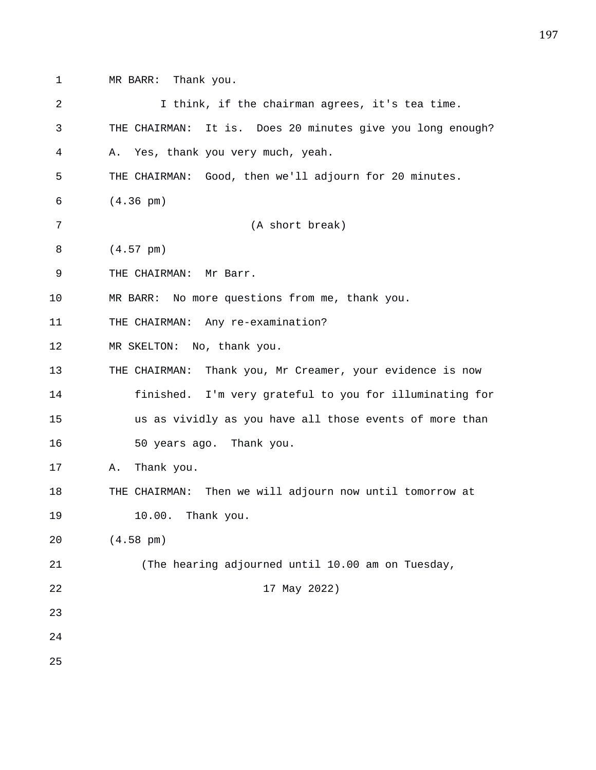1 MR BARR: Thank you.

| $\overline{2}$ | I think, if the chairman agrees, it's tea time.            |
|----------------|------------------------------------------------------------|
| 3              | THE CHAIRMAN: It is. Does 20 minutes give you long enough? |
| 4              | Yes, thank you very much, yeah.<br>Α.                      |
| 5              | THE CHAIRMAN: Good, then we'll adjourn for 20 minutes.     |
| 6              | $(4.36 \text{ pm})$                                        |
| 7              | (A short break)                                            |
| 8              | $(4.57 \text{ pm})$                                        |
| 9              | THE CHAIRMAN:<br>Mr Barr.                                  |
| 10             | MR BARR: No more questions from me, thank you.             |
| 11             | THE CHAIRMAN: Any re-examination?                          |
| 12             | MR SKELTON: No, thank you.                                 |
| 13             | THE CHAIRMAN: Thank you, Mr Creamer, your evidence is now  |
| 14             | finished. I'm very grateful to you for illuminating for    |
| 15             | us as vividly as you have all those events of more than    |
| 16             | 50 years ago. Thank you.                                   |
| 17             | Thank you.<br>Α.                                           |
| 18             | THE CHAIRMAN: Then we will adjourn now until tomorrow at   |
| 19             | 10.00. Thank you.                                          |
| 20             | $(4.58 \text{ pm})$                                        |
| 21             | (The hearing adjourned until 10.00 am on Tuesday,          |
| 22             | 17 May 2022)                                               |
| 23             |                                                            |
| 24             |                                                            |
| 25             |                                                            |